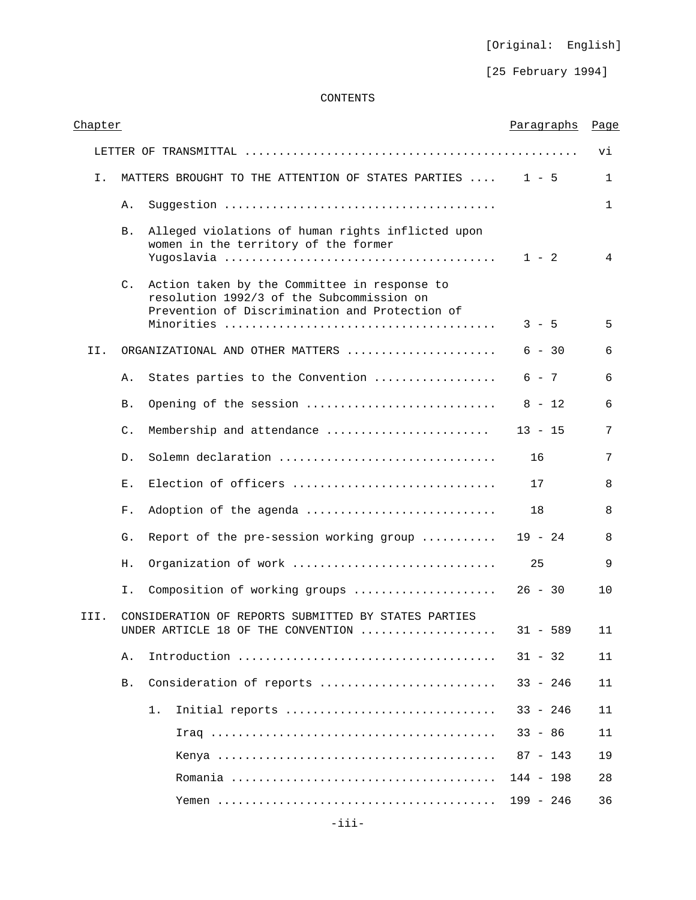[Original: English]

[25 February 1994]

# CONTENTS

| Chapter |                |                                                                                                                                             | Paragraphs  | Page         |
|---------|----------------|---------------------------------------------------------------------------------------------------------------------------------------------|-------------|--------------|
|         |                |                                                                                                                                             |             | vi           |
| Ι.      |                | MATTERS BROUGHT TO THE ATTENTION OF STATES PARTIES                                                                                          | $1 - 5$     | $\mathbf{1}$ |
|         | Α.             |                                                                                                                                             |             | $\mathbf{1}$ |
|         | Β.             | Alleged violations of human rights inflicted upon<br>women in the territory of the former                                                   | $1 - 2$     | 4            |
|         | $\mathsf{C}$ . | Action taken by the Committee in response to<br>resolution 1992/3 of the Subcommission on<br>Prevention of Discrimination and Protection of |             |              |
|         |                |                                                                                                                                             | $3 - 5$     | 5            |
| II.     |                | ORGANIZATIONAL AND OTHER MATTERS                                                                                                            | $6 - 30$    | 6            |
|         | Α.             | States parties to the Convention                                                                                                            | $6 - 7$     | 6            |
|         | Β.             | Opening of the session                                                                                                                      | $8 - 12$    | 6            |
|         | C.             | Membership and attendance                                                                                                                   | $13 - 15$   | 7            |
|         | $D$ .          | Solemn declaration                                                                                                                          | 16          | 7            |
|         | Е.             | Election of officers                                                                                                                        | 17          | 8            |
|         | F.             | Adoption of the agenda                                                                                                                      | 18          | 8            |
|         | G.             | Report of the pre-session working group                                                                                                     | $19 - 24$   | 8            |
|         | Η.             | Organization of work                                                                                                                        | 25          | 9            |
|         | Ι.             | Composition of working groups                                                                                                               | $26 - 30$   | 10           |
| III.    |                | CONSIDERATION OF REPORTS SUBMITTED BY STATES PARTIES<br>UNDER ARTICLE 18 OF THE CONVENTION $\,\ldots\ldots\ldots\ldots\ldots\ldots\,$       | 31 - 589    | 11           |
|         | Α.             |                                                                                                                                             | $31 - 32$   | 11           |
|         | <b>B.</b>      | Consideration of reports                                                                                                                    | $33 - 246$  | 11           |
|         |                | 1.<br>Initial reports                                                                                                                       | $33 - 246$  | 11           |
|         |                |                                                                                                                                             | $33 - 86$   | 11           |
|         |                |                                                                                                                                             | $87 - 143$  | 19           |
|         |                |                                                                                                                                             | $144 - 198$ | 28           |
|         |                |                                                                                                                                             | $199 - 246$ | 36           |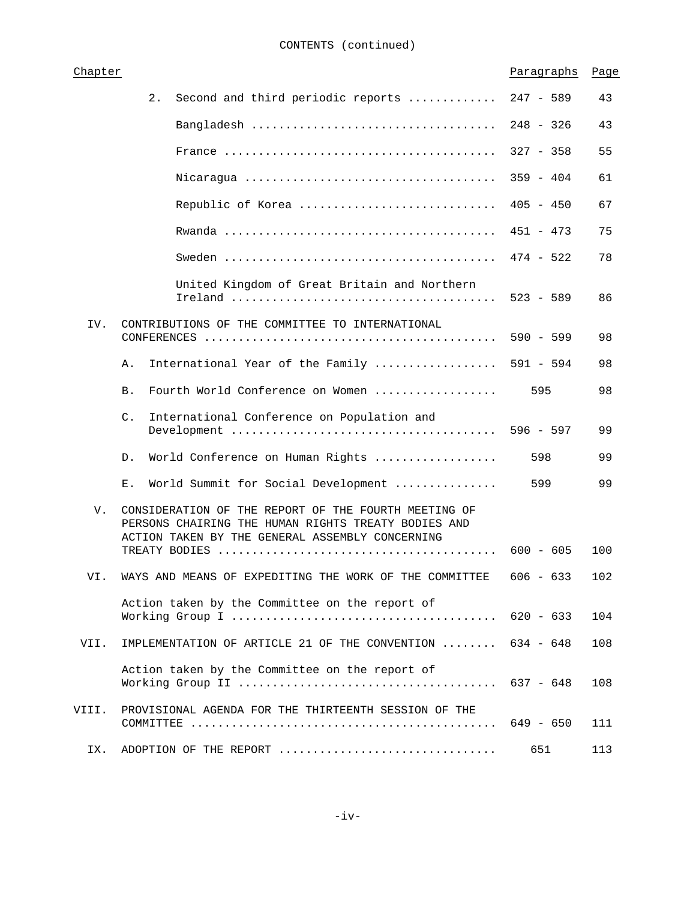| Chapter |                                                                                                                                                                | Paragraphs  | Page |
|---------|----------------------------------------------------------------------------------------------------------------------------------------------------------------|-------------|------|
|         | 2.<br>Second and third periodic reports                                                                                                                        | $247 - 589$ | 43   |
|         |                                                                                                                                                                | $248 - 326$ | 43   |
|         |                                                                                                                                                                | $327 - 358$ | 55   |
|         |                                                                                                                                                                | $359 - 404$ | 61   |
|         | Republic of Korea                                                                                                                                              | $405 - 450$ | 67   |
|         |                                                                                                                                                                | $451 - 473$ | 75   |
|         |                                                                                                                                                                | $474 - 522$ | 78   |
|         | United Kingdom of Great Britain and Northern                                                                                                                   | $523 - 589$ | 86   |
| IV.     | CONTRIBUTIONS OF THE COMMITTEE TO INTERNATIONAL                                                                                                                | $590 - 599$ | 98   |
|         | International Year of the Family<br>Α.                                                                                                                         | $591 - 594$ | 98   |
|         | Fourth World Conference on Women<br>Β.                                                                                                                         | 595         | 98   |
|         | International Conference on Population and<br>$\mathsf{C}$ .                                                                                                   |             | 99   |
|         | World Conference on Human Rights<br>D.                                                                                                                         | 598         | 99   |
|         | World Summit for Social Development<br>Ε.                                                                                                                      | 599         | 99   |
| V.      | CONSIDERATION OF THE REPORT OF THE FOURTH MEETING OF<br>PERSONS CHAIRING THE HUMAN RIGHTS TREATY BODIES AND<br>ACTION TAKEN BY THE GENERAL ASSEMBLY CONCERNING |             |      |
|         |                                                                                                                                                                | $600 - 605$ | 100  |
| VI.     | WAYS AND MEANS OF EXPEDITING THE WORK OF THE COMMITTEE                                                                                                         | $606 - 633$ | 102  |
|         | Action taken by the Committee on the report of                                                                                                                 | $620 - 633$ | 104  |
| VII.    | IMPLEMENTATION OF ARTICLE 21 OF THE CONVENTION                                                                                                                 | $634 - 648$ | 108  |
|         | Action taken by the Committee on the report of                                                                                                                 | $637 - 648$ | 108  |
| VIII.   | PROVISIONAL AGENDA FOR THE THIRTEENTH SESSION OF THE                                                                                                           | $649 - 650$ | 111  |
| IX.     | ADOPTION OF THE REPORT                                                                                                                                         | 651         | 113  |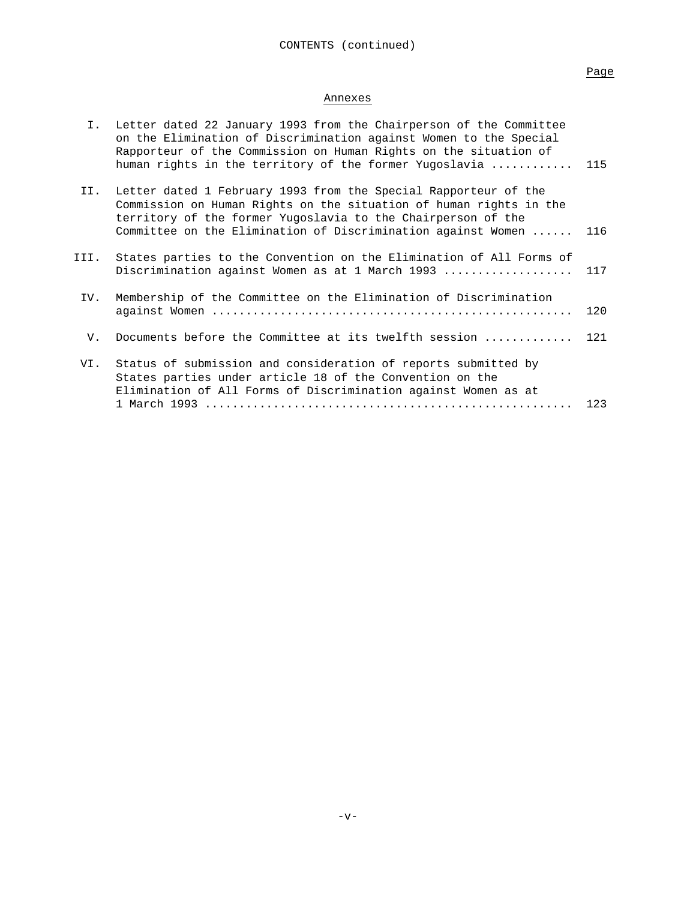Page

# Annexes

| Ι.   | Letter dated 22 January 1993 from the Chairperson of the Committee<br>on the Elimination of Discrimination against Women to the Special<br>Rapporteur of the Commission on Human Rights on the situation of<br>human rights in the territory of the former Yugoslavia | 115 |
|------|-----------------------------------------------------------------------------------------------------------------------------------------------------------------------------------------------------------------------------------------------------------------------|-----|
| II.  | Letter dated 1 February 1993 from the Special Rapporteur of the<br>Commission on Human Rights on the situation of human rights in the<br>territory of the former Yugoslavia to the Chairperson of the<br>Committee on the Elimination of Discrimination against Women | 116 |
| III. | States parties to the Convention on the Elimination of All Forms of<br>Discrimination against Women as at 1 March 1993                                                                                                                                                | 117 |
| IV.  | Membership of the Committee on the Elimination of Discrimination                                                                                                                                                                                                      | 120 |
| V.   | Documents before the Committee at its twelfth session                                                                                                                                                                                                                 | 121 |
| VI.  | Status of submission and consideration of reports submitted by<br>States parties under article 18 of the Convention on the<br>Elimination of All Forms of Discrimination against Women as at                                                                          | 123 |
|      |                                                                                                                                                                                                                                                                       |     |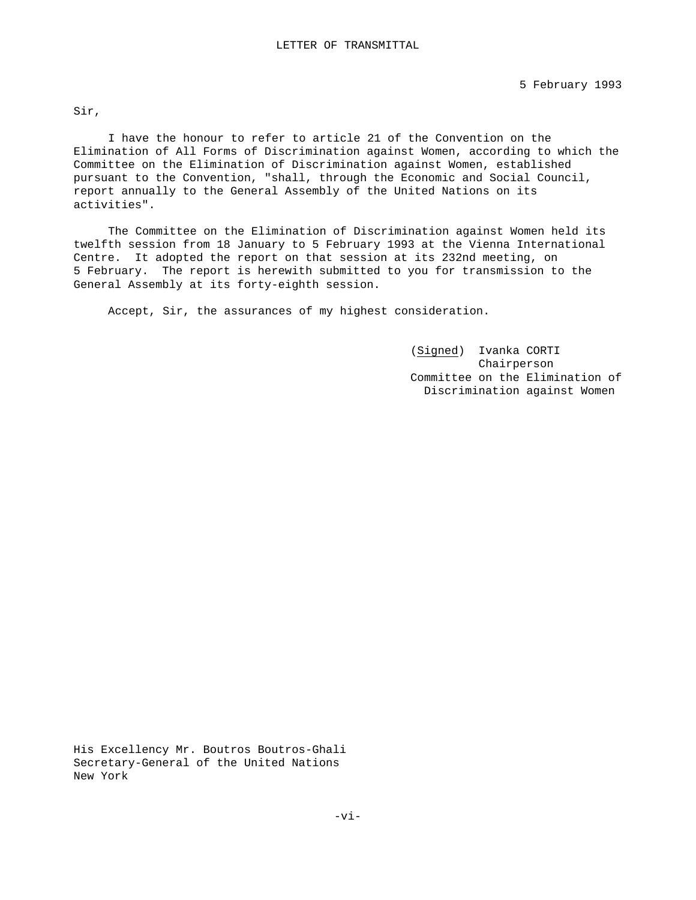Sir,

I have the honour to refer to article 21 of the Convention on the Elimination of All Forms of Discrimination against Women, according to which the Committee on the Elimination of Discrimination against Women, established pursuant to the Convention, "shall, through the Economic and Social Council, report annually to the General Assembly of the United Nations on its activities".

The Committee on the Elimination of Discrimination against Women held its twelfth session from 18 January to 5 February 1993 at the Vienna International Centre. It adopted the report on that session at its 232nd meeting, on 5 February. The report is herewith submitted to you for transmission to the General Assembly at its forty-eighth session.

Accept, Sir, the assurances of my highest consideration.

(Signed) Ivanka CORTI Chairperson Committee on the Elimination of Discrimination against Women

His Excellency Mr. Boutros Boutros-Ghali Secretary-General of the United Nations New York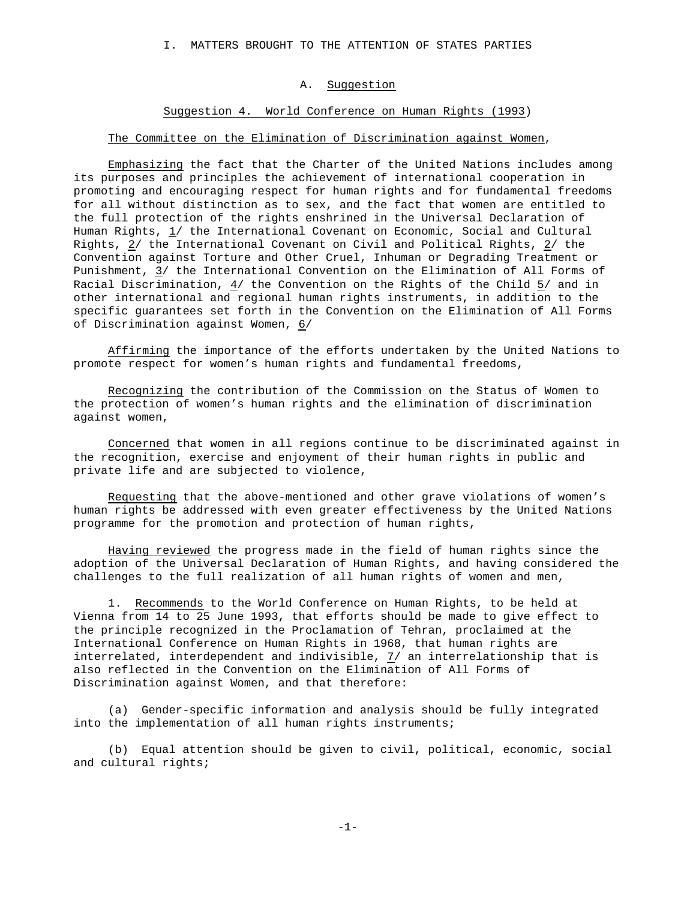I. MATTERS BROUGHT TO THE ATTENTION OF STATES PARTIES

### A. Suggestion

### Suggestion 4. World Conference on Human Rights (1993)

## The Committee on the Elimination of Discrimination against Women,

Emphasizing the fact that the Charter of the United Nations includes among its purposes and principles the achievement of international cooperation in promoting and encouraging respect for human rights and for fundamental freedoms for all without distinction as to sex, and the fact that women are entitled to the full protection of the rights enshrined in the Universal Declaration of Human Rights,  $1/$  the International Covenant on Economic, Social and Cultural Rights, 2/ the International Covenant on Civil and Political Rights, 2/ the Convention against Torture and Other Cruel, Inhuman or Degrading Treatment or Punishment, 3/ the International Convention on the Elimination of All Forms of Racial Discrimination, 4/ the Convention on the Rights of the Child 5/ and in other international and regional human rights instruments, in addition to the specific guarantees set forth in the Convention on the Elimination of All Forms of Discrimination against Women, 6/

Affirming the importance of the efforts undertaken by the United Nations to promote respect for women's human rights and fundamental freedoms,

Recognizing the contribution of the Commission on the Status of Women to the protection of women's human rights and the elimination of discrimination against women,

Concerned that women in all regions continue to be discriminated against in the recognition, exercise and enjoyment of their human rights in public and private life and are subjected to violence,

Requesting that the above-mentioned and other grave violations of women's human rights be addressed with even greater effectiveness by the United Nations programme for the promotion and protection of human rights,

Having reviewed the progress made in the field of human rights since the adoption of the Universal Declaration of Human Rights, and having considered the challenges to the full realization of all human rights of women and men,

1. Recommends to the World Conference on Human Rights, to be held at Vienna from 14 to 25 June 1993, that efforts should be made to give effect to the principle recognized in the Proclamation of Tehran, proclaimed at the International Conference on Human Rights in 1968, that human rights are interrelated, interdependent and indivisible,  $\frac{7}{1}$  an interrelationship that is also reflected in the Convention on the Elimination of All Forms of Discrimination against Women, and that therefore:

(a) Gender-specific information and analysis should be fully integrated into the implementation of all human rights instruments;

(b) Equal attention should be given to civil, political, economic, social and cultural rights;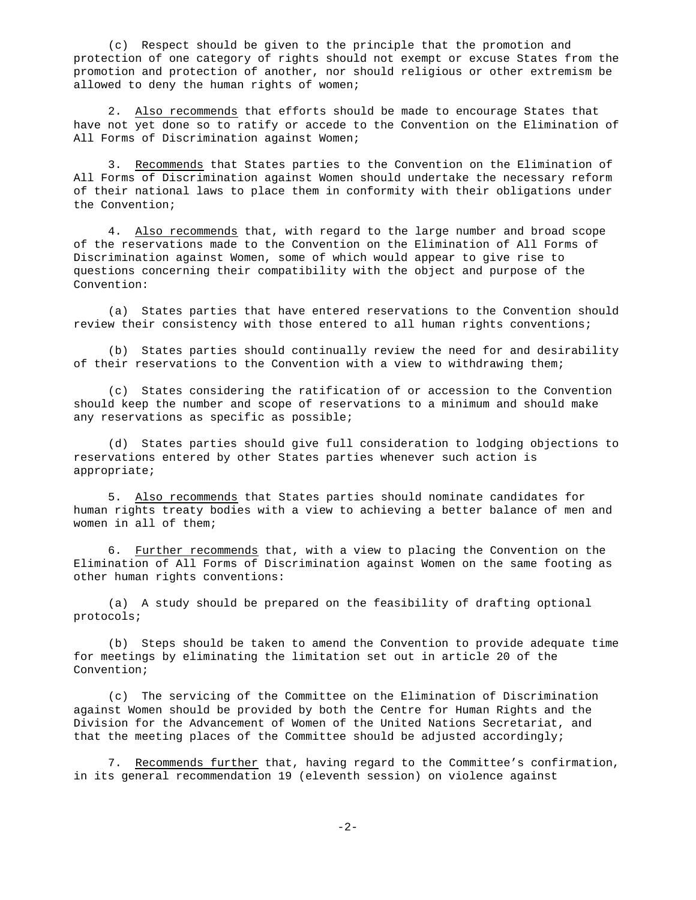(c) Respect should be given to the principle that the promotion and protection of one category of rights should not exempt or excuse States from the promotion and protection of another, nor should religious or other extremism be allowed to deny the human rights of women;

2. Also recommends that efforts should be made to encourage States that have not yet done so to ratify or accede to the Convention on the Elimination of All Forms of Discrimination against Women;

3. Recommends that States parties to the Convention on the Elimination of All Forms of Discrimination against Women should undertake the necessary reform of their national laws to place them in conformity with their obligations under the Convention;

4. Also recommends that, with regard to the large number and broad scope of the reservations made to the Convention on the Elimination of All Forms of Discrimination against Women, some of which would appear to give rise to questions concerning their compatibility with the object and purpose of the Convention:

(a) States parties that have entered reservations to the Convention should review their consistency with those entered to all human rights conventions;

(b) States parties should continually review the need for and desirability of their reservations to the Convention with a view to withdrawing them;

(c) States considering the ratification of or accession to the Convention should keep the number and scope of reservations to a minimum and should make any reservations as specific as possible;

(d) States parties should give full consideration to lodging objections to reservations entered by other States parties whenever such action is appropriate;

5. Also recommends that States parties should nominate candidates for human rights treaty bodies with a view to achieving a better balance of men and women in all of them;

6. Further recommends that, with a view to placing the Convention on the Elimination of All Forms of Discrimination against Women on the same footing as other human rights conventions:

(a) A study should be prepared on the feasibility of drafting optional protocols;

(b) Steps should be taken to amend the Convention to provide adequate time for meetings by eliminating the limitation set out in article 20 of the Convention;

(c) The servicing of the Committee on the Elimination of Discrimination against Women should be provided by both the Centre for Human Rights and the Division for the Advancement of Women of the United Nations Secretariat, and that the meeting places of the Committee should be adjusted accordingly;

7. Recommends further that, having regard to the Committee's confirmation, in its general recommendation 19 (eleventh session) on violence against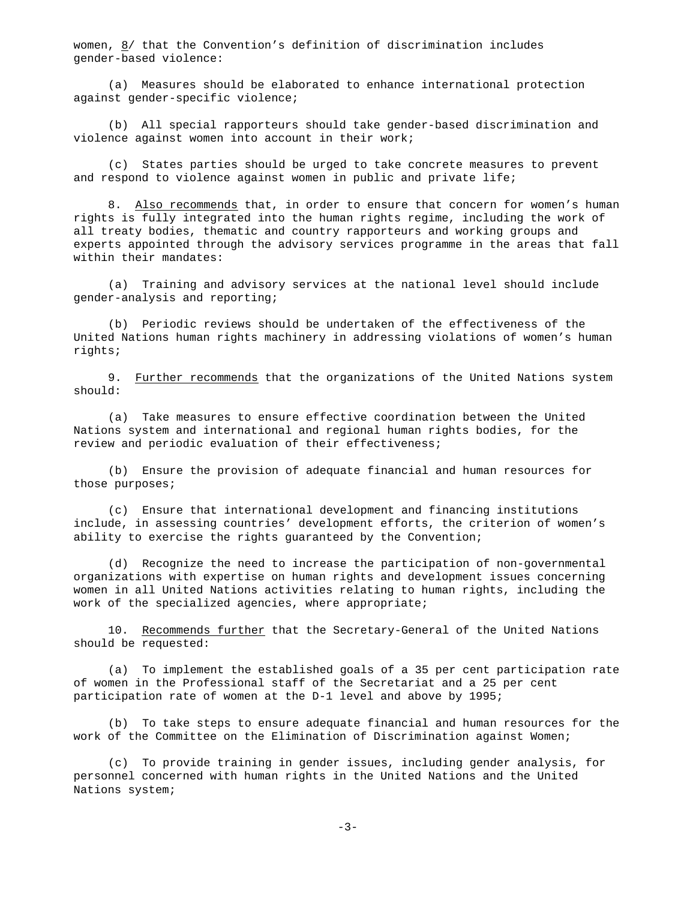women, 8/ that the Convention's definition of discrimination includes gender-based violence:

(a) Measures should be elaborated to enhance international protection against gender-specific violence;

(b) All special rapporteurs should take gender-based discrimination and violence against women into account in their work;

(c) States parties should be urged to take concrete measures to prevent and respond to violence against women in public and private life;

8. Also recommends that, in order to ensure that concern for women's human rights is fully integrated into the human rights regime, including the work of all treaty bodies, thematic and country rapporteurs and working groups and experts appointed through the advisory services programme in the areas that fall within their mandates:

(a) Training and advisory services at the national level should include gender-analysis and reporting;

(b) Periodic reviews should be undertaken of the effectiveness of the United Nations human rights machinery in addressing violations of women's human rights;

9. Further recommends that the organizations of the United Nations system should:

(a) Take measures to ensure effective coordination between the United Nations system and international and regional human rights bodies, for the review and periodic evaluation of their effectiveness;

(b) Ensure the provision of adequate financial and human resources for those purposes;

(c) Ensure that international development and financing institutions include, in assessing countries' development efforts, the criterion of women's ability to exercise the rights guaranteed by the Convention;

(d) Recognize the need to increase the participation of non-governmental organizations with expertise on human rights and development issues concerning women in all United Nations activities relating to human rights, including the work of the specialized agencies, where appropriate;

10. Recommends further that the Secretary-General of the United Nations should be requested:

(a) To implement the established goals of a 35 per cent participation rate of women in the Professional staff of the Secretariat and a 25 per cent participation rate of women at the D-1 level and above by 1995;

(b) To take steps to ensure adequate financial and human resources for the work of the Committee on the Elimination of Discrimination against Women;

(c) To provide training in gender issues, including gender analysis, for personnel concerned with human rights in the United Nations and the United Nations system;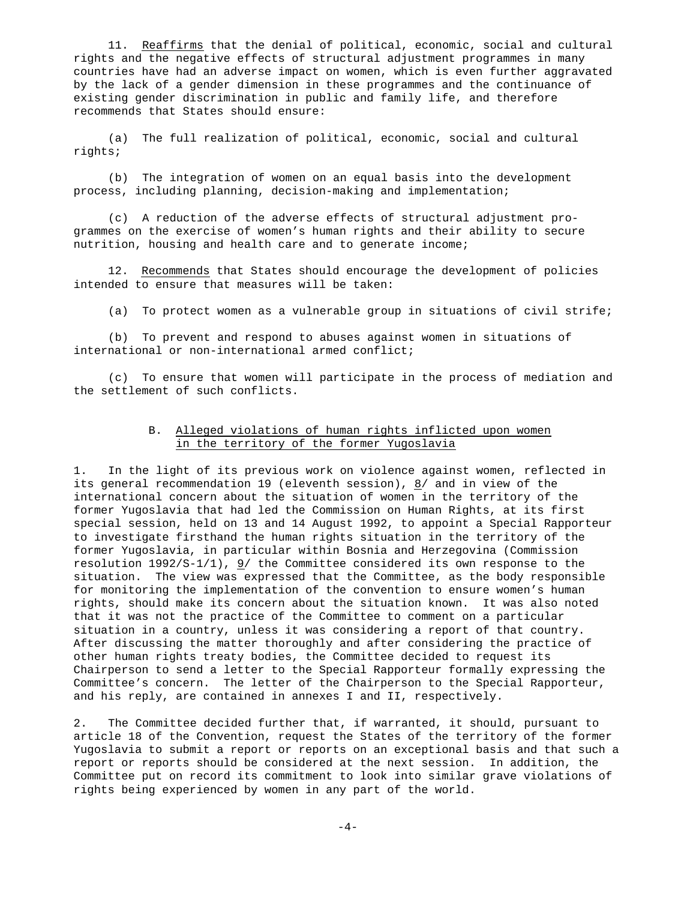11. Reaffirms that the denial of political, economic, social and cultural rights and the negative effects of structural adjustment programmes in many countries have had an adverse impact on women, which is even further aggravated by the lack of a gender dimension in these programmes and the continuance of existing gender discrimination in public and family life, and therefore recommends that States should ensure:

(a) The full realization of political, economic, social and cultural rights;

(b) The integration of women on an equal basis into the development process, including planning, decision-making and implementation;

(c) A reduction of the adverse effects of structural adjustment programmes on the exercise of women's human rights and their ability to secure nutrition, housing and health care and to generate income;

12. Recommends that States should encourage the development of policies intended to ensure that measures will be taken:

(a) To protect women as a vulnerable group in situations of civil strife;

(b) To prevent and respond to abuses against women in situations of international or non-international armed conflict;

(c) To ensure that women will participate in the process of mediation and the settlement of such conflicts.

# B. Alleged violations of human rights inflicted upon women in the territory of the former Yugoslavia

1. In the light of its previous work on violence against women, reflected in its general recommendation 19 (eleventh session),  $8/$  and in view of the international concern about the situation of women in the territory of the former Yugoslavia that had led the Commission on Human Rights, at its first special session, held on 13 and 14 August 1992, to appoint a Special Rapporteur to investigate firsthand the human rights situation in the territory of the former Yugoslavia, in particular within Bosnia and Herzegovina (Commission resolution 1992/S-1/1), 9/ the Committee considered its own response to the situation. The view was expressed that the Committee, as the body responsible for monitoring the implementation of the convention to ensure women's human rights, should make its concern about the situation known. It was also noted that it was not the practice of the Committee to comment on a particular situation in a country, unless it was considering a report of that country. After discussing the matter thoroughly and after considering the practice of other human rights treaty bodies, the Committee decided to request its Chairperson to send a letter to the Special Rapporteur formally expressing the Committee's concern. The letter of the Chairperson to the Special Rapporteur, and his reply, are contained in annexes I and II, respectively.

2. The Committee decided further that, if warranted, it should, pursuant to article 18 of the Convention, request the States of the territory of the former Yugoslavia to submit a report or reports on an exceptional basis and that such a report or reports should be considered at the next session. In addition, the Committee put on record its commitment to look into similar grave violations of rights being experienced by women in any part of the world.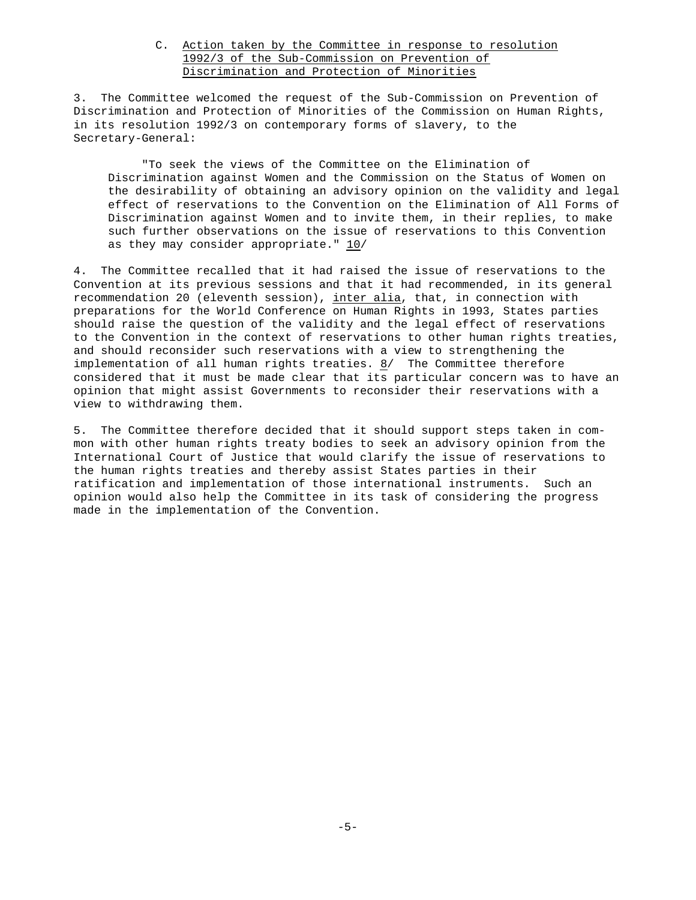# C. Action taken by the Committee in response to resolution 1992/3 of the Sub-Commission on Prevention of Discrimination and Protection of Minorities

3. The Committee welcomed the request of the Sub-Commission on Prevention of Discrimination and Protection of Minorities of the Commission on Human Rights, in its resolution 1992/3 on contemporary forms of slavery, to the Secretary-General:

"To seek the views of the Committee on the Elimination of Discrimination against Women and the Commission on the Status of Women on the desirability of obtaining an advisory opinion on the validity and legal effect of reservations to the Convention on the Elimination of All Forms of Discrimination against Women and to invite them, in their replies, to make such further observations on the issue of reservations to this Convention as they may consider appropriate." 10/

4. The Committee recalled that it had raised the issue of reservations to the Convention at its previous sessions and that it had recommended, in its general recommendation 20 (eleventh session), inter alia, that, in connection with preparations for the World Conference on Human Rights in 1993, States parties should raise the question of the validity and the legal effect of reservations to the Convention in the context of reservations to other human rights treaties, and should reconsider such reservations with a view to strengthening the implementation of all human rights treaties.  $8/$  The Committee therefore considered that it must be made clear that its particular concern was to have an opinion that might assist Governments to reconsider their reservations with a view to withdrawing them.

5. The Committee therefore decided that it should support steps taken in common with other human rights treaty bodies to seek an advisory opinion from the International Court of Justice that would clarify the issue of reservations to the human rights treaties and thereby assist States parties in their ratification and implementation of those international instruments. Such an opinion would also help the Committee in its task of considering the progress made in the implementation of the Convention.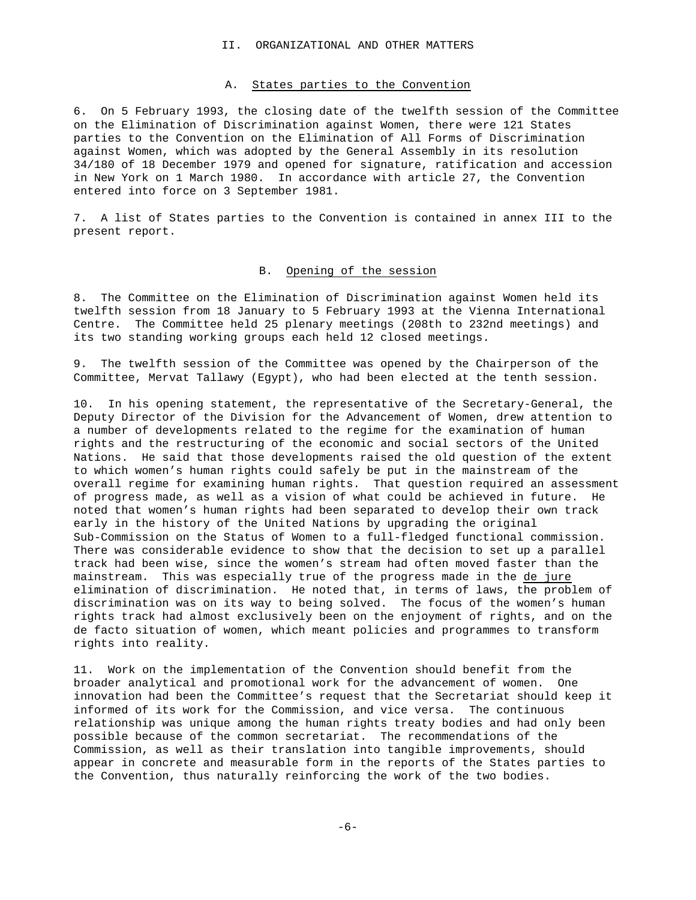#### II. ORGANIZATIONAL AND OTHER MATTERS

### A. States parties to the Convention

6. On 5 February 1993, the closing date of the twelfth session of the Committee on the Elimination of Discrimination against Women, there were 121 States parties to the Convention on the Elimination of All Forms of Discrimination against Women, which was adopted by the General Assembly in its resolution 34/180 of 18 December 1979 and opened for signature, ratification and accession in New York on 1 March 1980. In accordance with article 27, the Convention entered into force on 3 September 1981.

7. A list of States parties to the Convention is contained in annex III to the present report.

# B. Opening of the session

8. The Committee on the Elimination of Discrimination against Women held its twelfth session from 18 January to 5 February 1993 at the Vienna International Centre. The Committee held 25 plenary meetings (208th to 232nd meetings) and its two standing working groups each held 12 closed meetings.

9. The twelfth session of the Committee was opened by the Chairperson of the Committee, Mervat Tallawy (Egypt), who had been elected at the tenth session.

10. In his opening statement, the representative of the Secretary-General, the Deputy Director of the Division for the Advancement of Women, drew attention to a number of developments related to the regime for the examination of human rights and the restructuring of the economic and social sectors of the United Nations. He said that those developments raised the old question of the extent to which women's human rights could safely be put in the mainstream of the overall regime for examining human rights. That question required an assessment of progress made, as well as a vision of what could be achieved in future. He noted that women's human rights had been separated to develop their own track early in the history of the United Nations by upgrading the original Sub-Commission on the Status of Women to a full-fledged functional commission. There was considerable evidence to show that the decision to set up a parallel track had been wise, since the women's stream had often moved faster than the mainstream. This was especially true of the progress made in the de jure elimination of discrimination. He noted that, in terms of laws, the problem of discrimination was on its way to being solved. The focus of the women's human rights track had almost exclusively been on the enjoyment of rights, and on the de facto situation of women, which meant policies and programmes to transform rights into reality.

11. Work on the implementation of the Convention should benefit from the broader analytical and promotional work for the advancement of women. One innovation had been the Committee's request that the Secretariat should keep it informed of its work for the Commission, and vice versa. The continuous relationship was unique among the human rights treaty bodies and had only been possible because of the common secretariat. The recommendations of the Commission, as well as their translation into tangible improvements, should appear in concrete and measurable form in the reports of the States parties to the Convention, thus naturally reinforcing the work of the two bodies.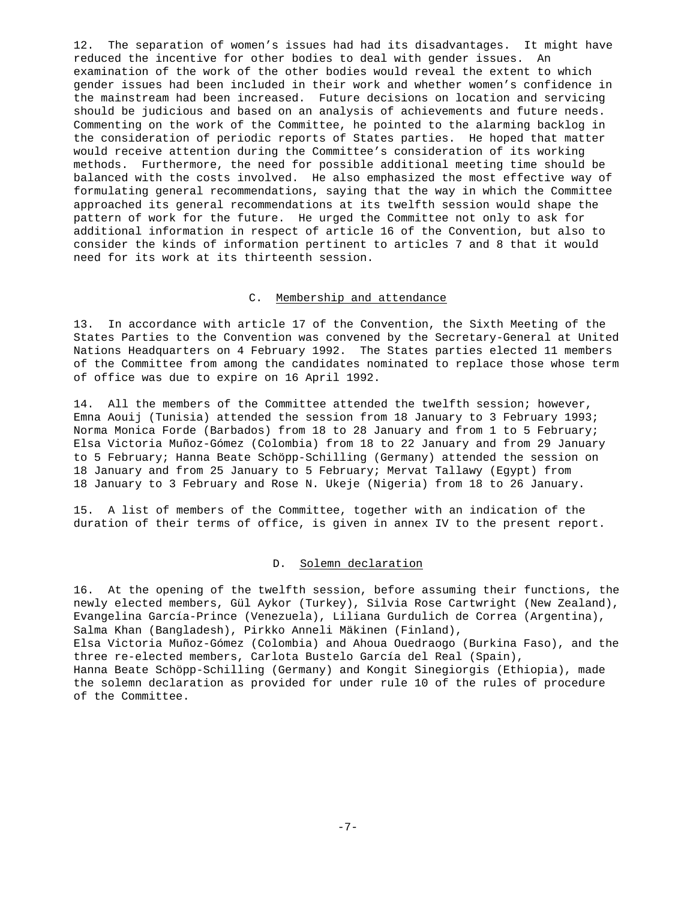12. The separation of women's issues had had its disadvantages. It might have reduced the incentive for other bodies to deal with gender issues. An examination of the work of the other bodies would reveal the extent to which gender issues had been included in their work and whether women's confidence in the mainstream had been increased. Future decisions on location and servicing should be judicious and based on an analysis of achievements and future needs. Commenting on the work of the Committee, he pointed to the alarming backlog in the consideration of periodic reports of States parties. He hoped that matter would receive attention during the Committee's consideration of its working methods. Furthermore, the need for possible additional meeting time should be balanced with the costs involved. He also emphasized the most effective way of formulating general recommendations, saying that the way in which the Committee approached its general recommendations at its twelfth session would shape the pattern of work for the future. He urged the Committee not only to ask for additional information in respect of article 16 of the Convention, but also to consider the kinds of information pertinent to articles 7 and 8 that it would need for its work at its thirteenth session.

### C. Membership and attendance

13. In accordance with article 17 of the Convention, the Sixth Meeting of the States Parties to the Convention was convened by the Secretary-General at United Nations Headquarters on 4 February 1992. The States parties elected 11 members of the Committee from among the candidates nominated to replace those whose term of office was due to expire on 16 April 1992.

14. All the members of the Committee attended the twelfth session; however, Emna Aouij (Tunisia) attended the session from 18 January to 3 February 1993; Norma Monica Forde (Barbados) from 18 to 28 January and from 1 to 5 February; Elsa Victoria Muñoz-Gómez (Colombia) from 18 to 22 January and from 29 January to 5 February; Hanna Beate Schöpp-Schilling (Germany) attended the session on 18 January and from 25 January to 5 February; Mervat Tallawy (Egypt) from 18 January to 3 February and Rose N. Ukeje (Nigeria) from 18 to 26 January.

15. A list of members of the Committee, together with an indication of the duration of their terms of office, is given in annex IV to the present report.

### D. Solemn declaration

16. At the opening of the twelfth session, before assuming their functions, the newly elected members, Gül Aykor (Turkey), Silvia Rose Cartwright (New Zealand), Evangelina García-Prince (Venezuela), Liliana Gurdulich de Correa (Argentina), Salma Khan (Bangladesh), Pirkko Anneli Mäkinen (Finland), Elsa Victoria Muñoz-Gómez (Colombia) and Ahoua Ouedraogo (Burkina Faso), and the three re-elected members, Carlota Bustelo García del Real (Spain), Hanna Beate Schöpp-Schilling (Germany) and Kongit Sinegiorgis (Ethiopia), made the solemn declaration as provided for under rule 10 of the rules of procedure of the Committee.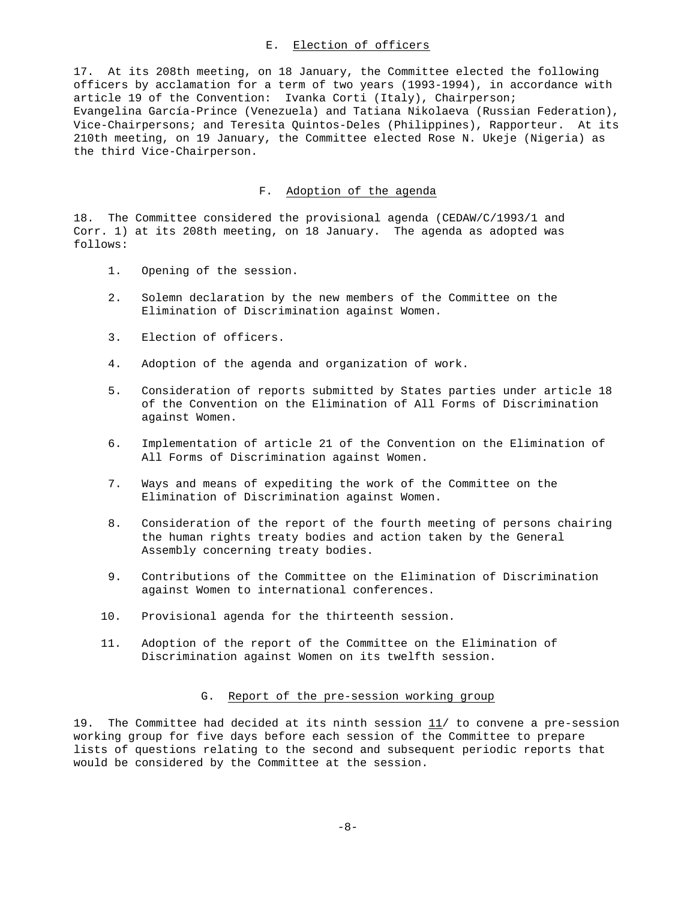# E. Election of officers

17. At its 208th meeting, on 18 January, the Committee elected the following officers by acclamation for a term of two years (1993-1994), in accordance with article 19 of the Convention: Ivanka Corti (Italy), Chairperson; Evangelina García-Prince (Venezuela) and Tatiana Nikolaeva (Russian Federation), Vice-Chairpersons; and Teresita Quintos-Deles (Philippines), Rapporteur. At its 210th meeting, on 19 January, the Committee elected Rose N. Ukeje (Nigeria) as the third Vice-Chairperson.

### F. Adoption of the agenda

18. The Committee considered the provisional agenda (CEDAW/C/1993/1 and Corr. 1) at its 208th meeting, on 18 January. The agenda as adopted was follows:

- 1. Opening of the session.
- 2. Solemn declaration by the new members of the Committee on the Elimination of Discrimination against Women.
- 3. Election of officers.
- 4. Adoption of the agenda and organization of work.
- 5. Consideration of reports submitted by States parties under article 18 of the Convention on the Elimination of All Forms of Discrimination against Women.
- 6. Implementation of article 21 of the Convention on the Elimination of All Forms of Discrimination against Women.
- 7. Ways and means of expediting the work of the Committee on the Elimination of Discrimination against Women.
- 8. Consideration of the report of the fourth meeting of persons chairing the human rights treaty bodies and action taken by the General Assembly concerning treaty bodies.
- 9. Contributions of the Committee on the Elimination of Discrimination against Women to international conferences.
- 10. Provisional agenda for the thirteenth session.
- 11. Adoption of the report of the Committee on the Elimination of Discrimination against Women on its twelfth session.

### G. Report of the pre-session working group

19. The Committee had decided at its ninth session  $11/$  to convene a pre-session working group for five days before each session of the Committee to prepare lists of questions relating to the second and subsequent periodic reports that would be considered by the Committee at the session.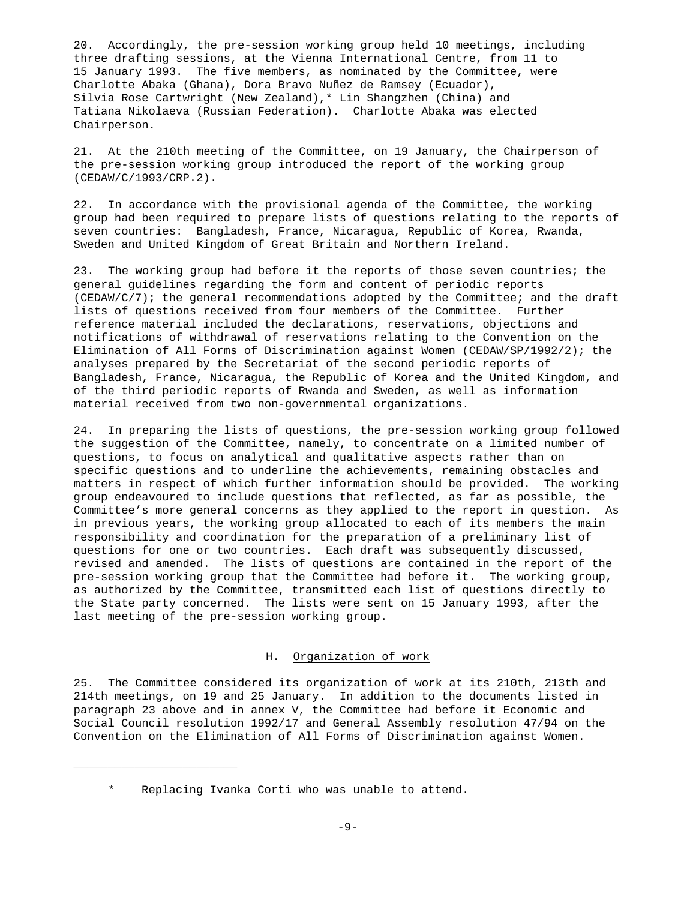20. Accordingly, the pre-session working group held 10 meetings, including three drafting sessions, at the Vienna International Centre, from 11 to 15 January 1993. The five members, as nominated by the Committee, were Charlotte Abaka (Ghana), Dora Bravo Nuñez de Ramsey (Ecuador), Silvia Rose Cartwright (New Zealand),\* Lin Shangzhen (China) and Tatiana Nikolaeva (Russian Federation). Charlotte Abaka was elected Chairperson.

21. At the 210th meeting of the Committee, on 19 January, the Chairperson of the pre-session working group introduced the report of the working group (CEDAW/C/1993/CRP.2).

22. In accordance with the provisional agenda of the Committee, the working group had been required to prepare lists of questions relating to the reports of seven countries: Bangladesh, France, Nicaragua, Republic of Korea, Rwanda, Sweden and United Kingdom of Great Britain and Northern Ireland.

23. The working group had before it the reports of those seven countries; the general guidelines regarding the form and content of periodic reports (CEDAW/C/7); the general recommendations adopted by the Committee; and the draft lists of questions received from four members of the Committee. Further reference material included the declarations, reservations, objections and notifications of withdrawal of reservations relating to the Convention on the Elimination of All Forms of Discrimination against Women (CEDAW/SP/1992/2); the analyses prepared by the Secretariat of the second periodic reports of Bangladesh, France, Nicaragua, the Republic of Korea and the United Kingdom, and of the third periodic reports of Rwanda and Sweden, as well as information material received from two non-governmental organizations.

24. In preparing the lists of questions, the pre-session working group followed the suggestion of the Committee, namely, to concentrate on a limited number of questions, to focus on analytical and qualitative aspects rather than on specific questions and to underline the achievements, remaining obstacles and matters in respect of which further information should be provided. The working group endeavoured to include questions that reflected, as far as possible, the Committee's more general concerns as they applied to the report in question. As in previous years, the working group allocated to each of its members the main responsibility and coordination for the preparation of a preliminary list of questions for one or two countries. Each draft was subsequently discussed, revised and amended. The lists of questions are contained in the report of the pre-session working group that the Committee had before it. The working group, as authorized by the Committee, transmitted each list of questions directly to the State party concerned. The lists were sent on 15 January 1993, after the last meeting of the pre-session working group.

### H. Organization of work

25. The Committee considered its organization of work at its 210th, 213th and 214th meetings, on 19 and 25 January. In addition to the documents listed in paragraph 23 above and in annex V, the Committee had before it Economic and Social Council resolution 1992/17 and General Assembly resolution 47/94 on the Convention on the Elimination of All Forms of Discrimination against Women.

\_\_\_\_\_\_\_\_\_\_\_\_\_\_\_\_\_\_\_\_\_\_\_\_

<sup>\*</sup> Replacing Ivanka Corti who was unable to attend.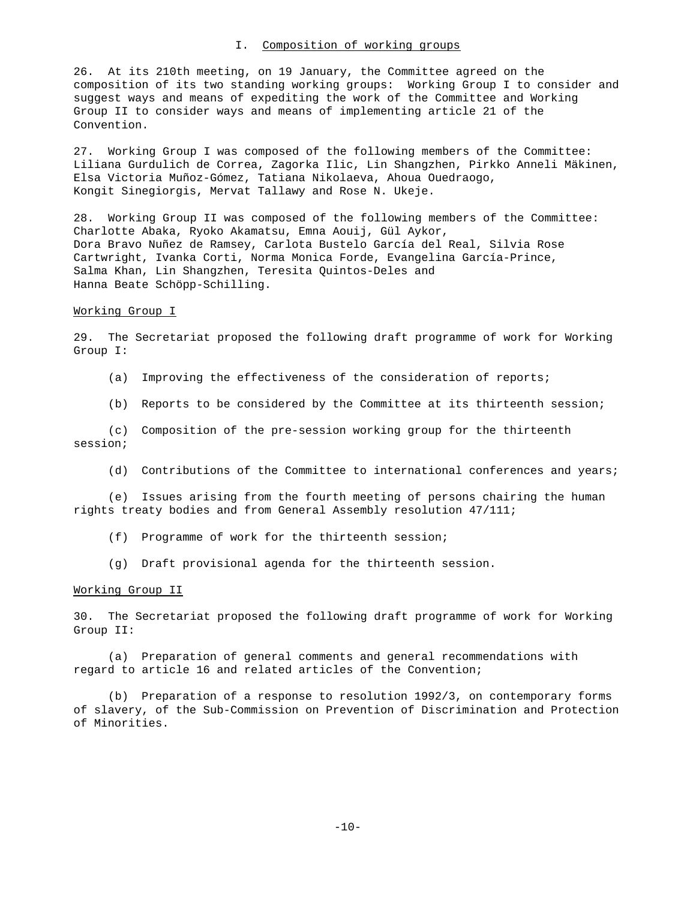### I. Composition of working groups

26. At its 210th meeting, on 19 January, the Committee agreed on the composition of its two standing working groups: Working Group I to consider and suggest ways and means of expediting the work of the Committee and Working Group II to consider ways and means of implementing article 21 of the Convention.

27. Working Group I was composed of the following members of the Committee: Liliana Gurdulich de Correa, Zagorka Ilic, Lin Shangzhen, Pirkko Anneli Mäkinen, Elsa Victoria Muñoz-Gómez, Tatiana Nikolaeva, Ahoua Ouedraogo, Kongit Sinegiorgis, Mervat Tallawy and Rose N. Ukeje.

28. Working Group II was composed of the following members of the Committee: Charlotte Abaka, Ryoko Akamatsu, Emna Aouij, Gül Aykor, Dora Bravo Nuñez de Ramsey, Carlota Bustelo García del Real, Silvia Rose Cartwright, Ivanka Corti, Norma Monica Forde, Evangelina García-Prince, Salma Khan, Lin Shangzhen, Teresita Quintos-Deles and Hanna Beate Schöpp-Schilling.

### Working Group I

29. The Secretariat proposed the following draft programme of work for Working Group I:

- (a) Improving the effectiveness of the consideration of reports;
- (b) Reports to be considered by the Committee at its thirteenth session;

(c) Composition of the pre-session working group for the thirteenth session;

(d) Contributions of the Committee to international conferences and years;

(e) Issues arising from the fourth meeting of persons chairing the human rights treaty bodies and from General Assembly resolution 47/111;

- (f) Programme of work for the thirteenth session;
- (g) Draft provisional agenda for the thirteenth session.

#### Working Group II

30. The Secretariat proposed the following draft programme of work for Working Group II:

(a) Preparation of general comments and general recommendations with regard to article 16 and related articles of the Convention;

(b) Preparation of a response to resolution 1992/3, on contemporary forms of slavery, of the Sub-Commission on Prevention of Discrimination and Protection of Minorities.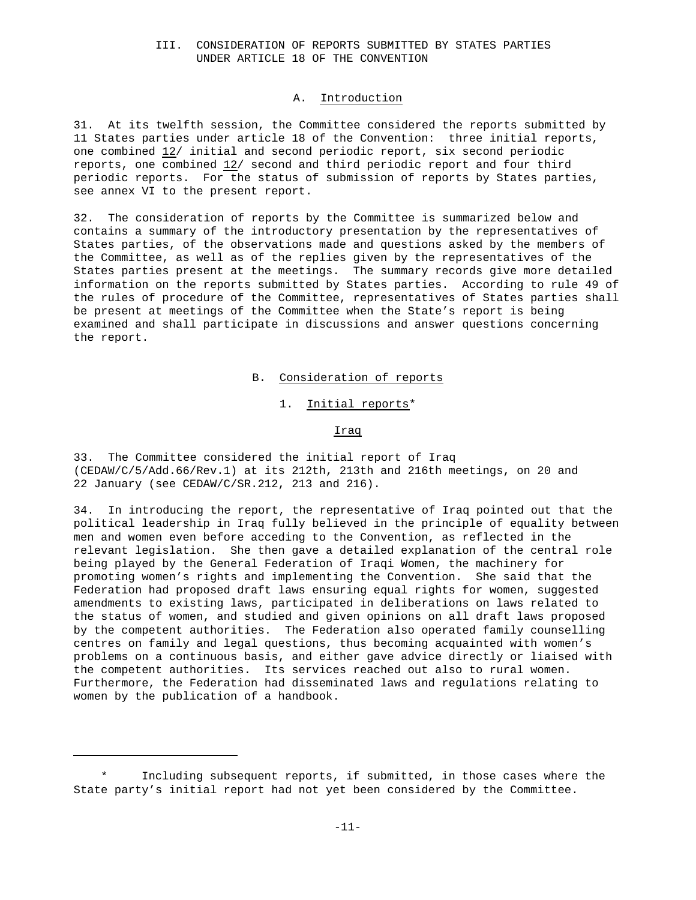## III. CONSIDERATION OF REPORTS SUBMITTED BY STATES PARTIES UNDER ARTICLE 18 OF THE CONVENTION

### A. Introduction

31. At its twelfth session, the Committee considered the reports submitted by 11 States parties under article 18 of the Convention: three initial reports, one combined 12/ initial and second periodic report, six second periodic reports, one combined 12/ second and third periodic report and four third periodic reports. For the status of submission of reports by States parties, see annex VI to the present report.

32. The consideration of reports by the Committee is summarized below and contains a summary of the introductory presentation by the representatives of States parties, of the observations made and questions asked by the members of the Committee, as well as of the replies given by the representatives of the States parties present at the meetings. The summary records give more detailed information on the reports submitted by States parties. According to rule 49 of the rules of procedure of the Committee, representatives of States parties shall be present at meetings of the Committee when the State's report is being examined and shall participate in discussions and answer questions concerning the report.

### B. Consideration of reports

1. Initial reports\*

Iraq

33. The Committee considered the initial report of Iraq (CEDAW/C/5/Add.66/Rev.1) at its 212th, 213th and 216th meetings, on 20 and 22 January (see CEDAW/C/SR.212, 213 and 216).

34. In introducing the report, the representative of Iraq pointed out that the political leadership in Iraq fully believed in the principle of equality between men and women even before acceding to the Convention, as reflected in the relevant legislation. She then gave a detailed explanation of the central role being played by the General Federation of Iraqi Women, the machinery for promoting women's rights and implementing the Convention. She said that the Federation had proposed draft laws ensuring equal rights for women, suggested amendments to existing laws, participated in deliberations on laws related to the status of women, and studied and given opinions on all draft laws proposed by the competent authorities. The Federation also operated family counselling centres on family and legal questions, thus becoming acquainted with women's problems on a continuous basis, and either gave advice directly or liaised with the competent authorities. Its services reached out also to rural women. Furthermore, the Federation had disseminated laws and regulations relating to women by the publication of a handbook.

Including subsequent reports, if submitted, in those cases where the State party's initial report had not yet been considered by the Committee.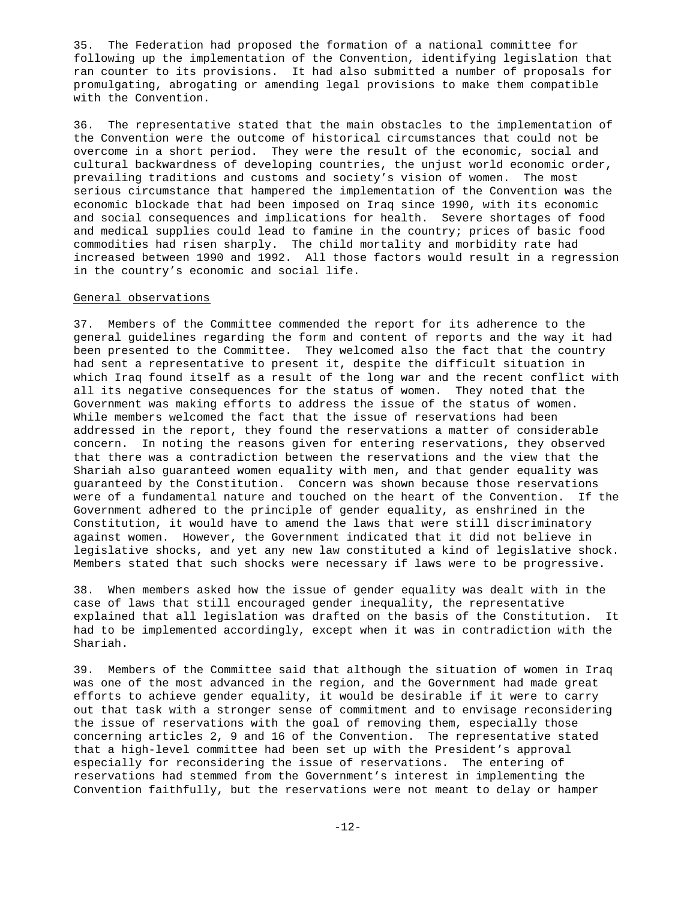35. The Federation had proposed the formation of a national committee for following up the implementation of the Convention, identifying legislation that ran counter to its provisions. It had also submitted a number of proposals for promulgating, abrogating or amending legal provisions to make them compatible with the Convention.

36. The representative stated that the main obstacles to the implementation of the Convention were the outcome of historical circumstances that could not be overcome in a short period. They were the result of the economic, social and cultural backwardness of developing countries, the unjust world economic order, prevailing traditions and customs and society's vision of women. The most serious circumstance that hampered the implementation of the Convention was the economic blockade that had been imposed on Iraq since 1990, with its economic and social consequences and implications for health. Severe shortages of food and medical supplies could lead to famine in the country; prices of basic food commodities had risen sharply. The child mortality and morbidity rate had increased between 1990 and 1992. All those factors would result in a regression in the country's economic and social life.

### General observations

37. Members of the Committee commended the report for its adherence to the general guidelines regarding the form and content of reports and the way it had been presented to the Committee. They welcomed also the fact that the country had sent a representative to present it, despite the difficult situation in which Iraq found itself as a result of the long war and the recent conflict with all its negative consequences for the status of women. They noted that the Government was making efforts to address the issue of the status of women. While members welcomed the fact that the issue of reservations had been addressed in the report, they found the reservations a matter of considerable concern. In noting the reasons given for entering reservations, they observed that there was a contradiction between the reservations and the view that the Shariah also guaranteed women equality with men, and that gender equality was guaranteed by the Constitution. Concern was shown because those reservations were of a fundamental nature and touched on the heart of the Convention. If the Government adhered to the principle of gender equality, as enshrined in the Constitution, it would have to amend the laws that were still discriminatory against women. However, the Government indicated that it did not believe in legislative shocks, and yet any new law constituted a kind of legislative shock. Members stated that such shocks were necessary if laws were to be progressive.

38. When members asked how the issue of gender equality was dealt with in the case of laws that still encouraged gender inequality, the representative explained that all legislation was drafted on the basis of the Constitution. It had to be implemented accordingly, except when it was in contradiction with the Shariah.

39. Members of the Committee said that although the situation of women in Iraq was one of the most advanced in the region, and the Government had made great efforts to achieve gender equality, it would be desirable if it were to carry out that task with a stronger sense of commitment and to envisage reconsidering the issue of reservations with the goal of removing them, especially those concerning articles 2, 9 and 16 of the Convention. The representative stated that a high-level committee had been set up with the President's approval especially for reconsidering the issue of reservations. The entering of reservations had stemmed from the Government's interest in implementing the Convention faithfully, but the reservations were not meant to delay or hamper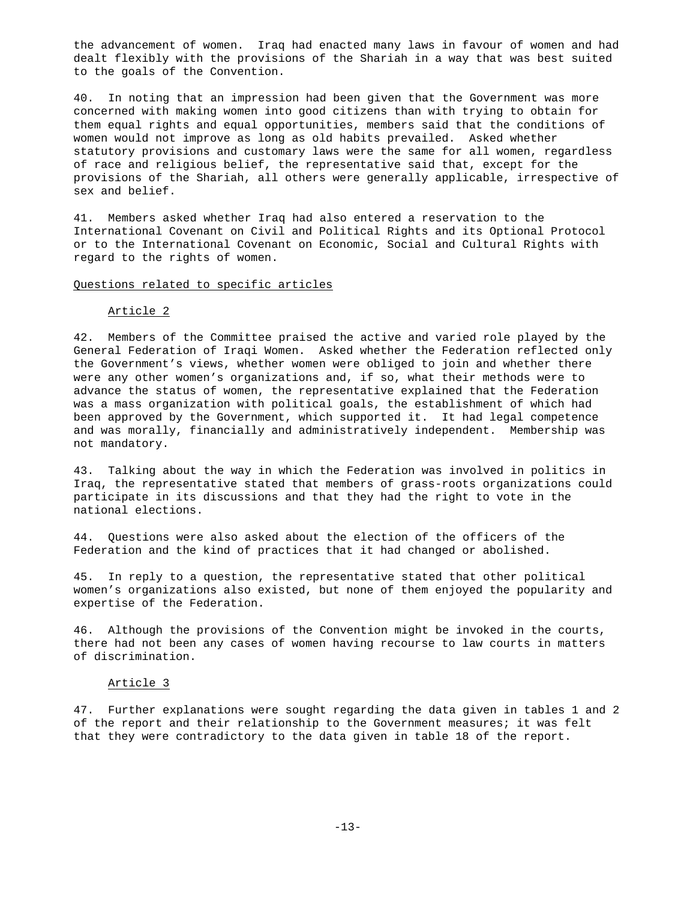the advancement of women. Iraq had enacted many laws in favour of women and had dealt flexibly with the provisions of the Shariah in a way that was best suited to the goals of the Convention.

40. In noting that an impression had been given that the Government was more concerned with making women into good citizens than with trying to obtain for them equal rights and equal opportunities, members said that the conditions of women would not improve as long as old habits prevailed. Asked whether statutory provisions and customary laws were the same for all women, regardless of race and religious belief, the representative said that, except for the provisions of the Shariah, all others were generally applicable, irrespective of sex and belief.

41. Members asked whether Iraq had also entered a reservation to the International Covenant on Civil and Political Rights and its Optional Protocol or to the International Covenant on Economic, Social and Cultural Rights with regard to the rights of women.

### Questions related to specific articles

### Article 2

42. Members of the Committee praised the active and varied role played by the General Federation of Iraqi Women. Asked whether the Federation reflected only the Government's views, whether women were obliged to join and whether there were any other women's organizations and, if so, what their methods were to advance the status of women, the representative explained that the Federation was a mass organization with political goals, the establishment of which had been approved by the Government, which supported it. It had legal competence and was morally, financially and administratively independent. Membership was not mandatory.

43. Talking about the way in which the Federation was involved in politics in Iraq, the representative stated that members of grass-roots organizations could participate in its discussions and that they had the right to vote in the national elections.

44. Questions were also asked about the election of the officers of the Federation and the kind of practices that it had changed or abolished.

45. In reply to a question, the representative stated that other political women's organizations also existed, but none of them enjoyed the popularity and expertise of the Federation.

46. Although the provisions of the Convention might be invoked in the courts, there had not been any cases of women having recourse to law courts in matters of discrimination.

#### Article 3

47. Further explanations were sought regarding the data given in tables 1 and 2 of the report and their relationship to the Government measures; it was felt that they were contradictory to the data given in table 18 of the report.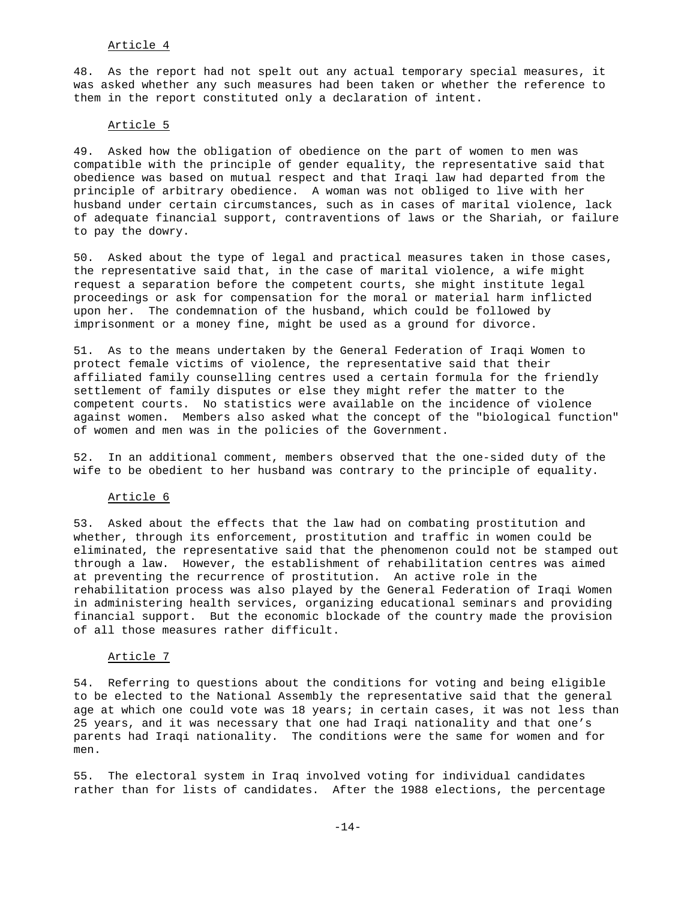# Article 4

48. As the report had not spelt out any actual temporary special measures, it was asked whether any such measures had been taken or whether the reference to them in the report constituted only a declaration of intent.

### Article 5

49. Asked how the obligation of obedience on the part of women to men was compatible with the principle of gender equality, the representative said that obedience was based on mutual respect and that Iraqi law had departed from the principle of arbitrary obedience. A woman was not obliged to live with her husband under certain circumstances, such as in cases of marital violence, lack of adequate financial support, contraventions of laws or the Shariah, or failure to pay the dowry.

50. Asked about the type of legal and practical measures taken in those cases, the representative said that, in the case of marital violence, a wife might request a separation before the competent courts, she might institute legal proceedings or ask for compensation for the moral or material harm inflicted upon her. The condemnation of the husband, which could be followed by imprisonment or a money fine, might be used as a ground for divorce.

51. As to the means undertaken by the General Federation of Iraqi Women to protect female victims of violence, the representative said that their affiliated family counselling centres used a certain formula for the friendly settlement of family disputes or else they might refer the matter to the competent courts. No statistics were available on the incidence of violence against women. Members also asked what the concept of the "biological function" of women and men was in the policies of the Government.

52. In an additional comment, members observed that the one-sided duty of the wife to be obedient to her husband was contrary to the principle of equality.

### Article 6

53. Asked about the effects that the law had on combating prostitution and whether, through its enforcement, prostitution and traffic in women could be eliminated, the representative said that the phenomenon could not be stamped out through a law. However, the establishment of rehabilitation centres was aimed at preventing the recurrence of prostitution. An active role in the rehabilitation process was also played by the General Federation of Iraqi Women in administering health services, organizing educational seminars and providing financial support. But the economic blockade of the country made the provision of all those measures rather difficult.

# Article 7

54. Referring to questions about the conditions for voting and being eligible to be elected to the National Assembly the representative said that the general age at which one could vote was 18 years; in certain cases, it was not less than 25 years, and it was necessary that one had Iraqi nationality and that one's parents had Iraqi nationality. The conditions were the same for women and for men.

55. The electoral system in Iraq involved voting for individual candidates rather than for lists of candidates. After the 1988 elections, the percentage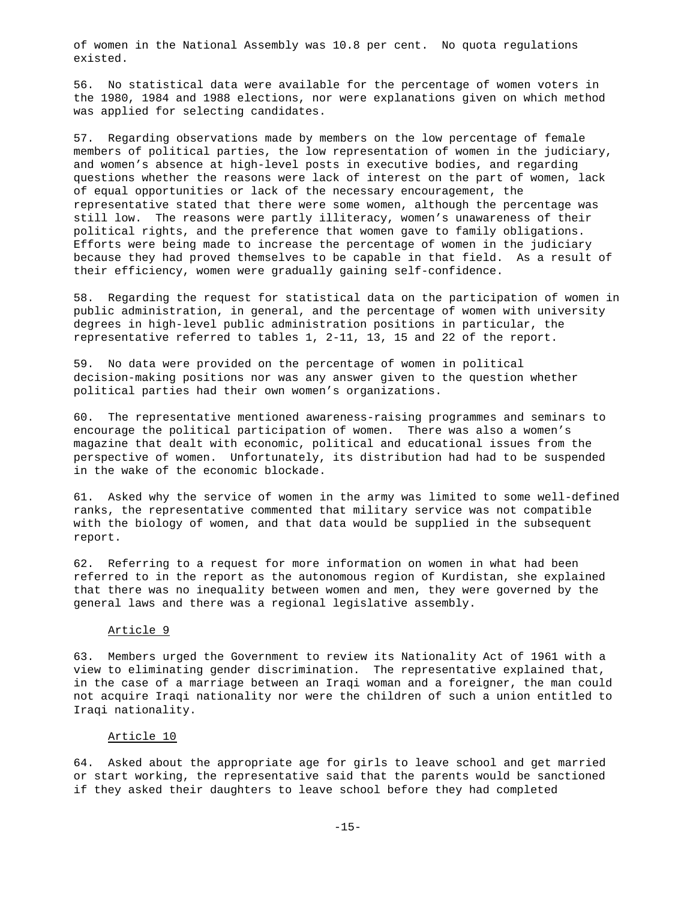of women in the National Assembly was 10.8 per cent. No quota regulations existed.

56. No statistical data were available for the percentage of women voters in the 1980, 1984 and 1988 elections, nor were explanations given on which method was applied for selecting candidates.

57. Regarding observations made by members on the low percentage of female members of political parties, the low representation of women in the judiciary, and women's absence at high-level posts in executive bodies, and regarding questions whether the reasons were lack of interest on the part of women, lack of equal opportunities or lack of the necessary encouragement, the representative stated that there were some women, although the percentage was still low. The reasons were partly illiteracy, women's unawareness of their political rights, and the preference that women gave to family obligations. Efforts were being made to increase the percentage of women in the judiciary because they had proved themselves to be capable in that field. As a result of their efficiency, women were gradually gaining self-confidence.

58. Regarding the request for statistical data on the participation of women in public administration, in general, and the percentage of women with university degrees in high-level public administration positions in particular, the representative referred to tables 1, 2-11, 13, 15 and 22 of the report.

59. No data were provided on the percentage of women in political decision-making positions nor was any answer given to the question whether political parties had their own women's organizations.

60. The representative mentioned awareness-raising programmes and seminars to encourage the political participation of women. There was also a women's magazine that dealt with economic, political and educational issues from the perspective of women. Unfortunately, its distribution had had to be suspended in the wake of the economic blockade.

61. Asked why the service of women in the army was limited to some well-defined ranks, the representative commented that military service was not compatible with the biology of women, and that data would be supplied in the subsequent report.

62. Referring to a request for more information on women in what had been referred to in the report as the autonomous region of Kurdistan, she explained that there was no inequality between women and men, they were governed by the general laws and there was a regional legislative assembly.

### Article 9

63. Members urged the Government to review its Nationality Act of 1961 with a view to eliminating gender discrimination. The representative explained that, in the case of a marriage between an Iraqi woman and a foreigner, the man could not acquire Iraqi nationality nor were the children of such a union entitled to Iraqi nationality.

### Article 10

64. Asked about the appropriate age for girls to leave school and get married or start working, the representative said that the parents would be sanctioned if they asked their daughters to leave school before they had completed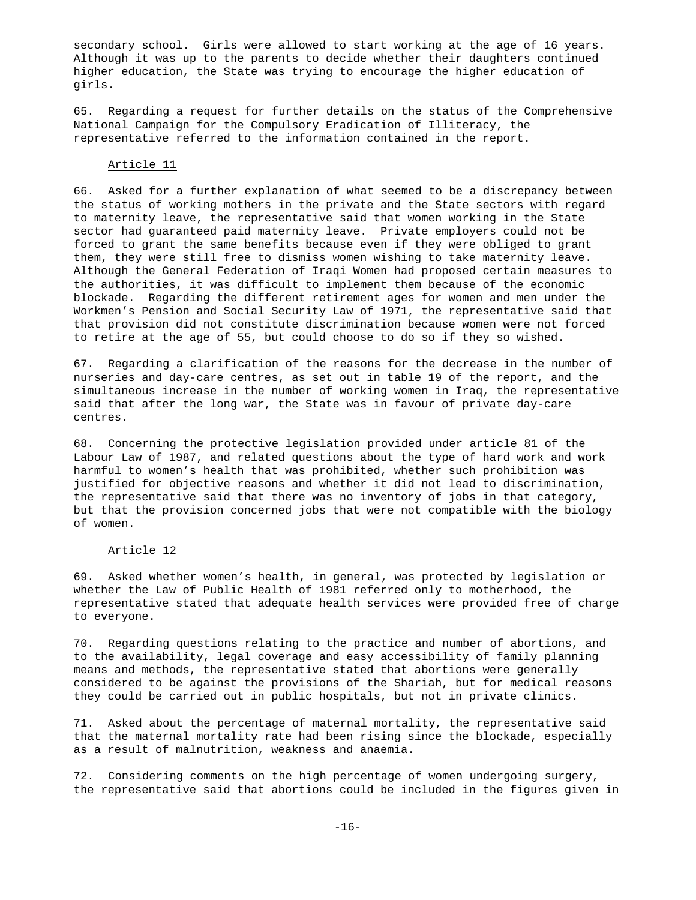secondary school. Girls were allowed to start working at the age of 16 years. Although it was up to the parents to decide whether their daughters continued higher education, the State was trying to encourage the higher education of girls.

65. Regarding a request for further details on the status of the Comprehensive National Campaign for the Compulsory Eradication of Illiteracy, the representative referred to the information contained in the report.

#### Article 11

66. Asked for a further explanation of what seemed to be a discrepancy between the status of working mothers in the private and the State sectors with regard to maternity leave, the representative said that women working in the State sector had guaranteed paid maternity leave. Private employers could not be forced to grant the same benefits because even if they were obliged to grant them, they were still free to dismiss women wishing to take maternity leave. Although the General Federation of Iraqi Women had proposed certain measures to the authorities, it was difficult to implement them because of the economic blockade. Regarding the different retirement ages for women and men under the Workmen's Pension and Social Security Law of 1971, the representative said that that provision did not constitute discrimination because women were not forced to retire at the age of 55, but could choose to do so if they so wished.

67. Regarding a clarification of the reasons for the decrease in the number of nurseries and day-care centres, as set out in table 19 of the report, and the simultaneous increase in the number of working women in Iraq, the representative said that after the long war, the State was in favour of private day-care centres.

68. Concerning the protective legislation provided under article 81 of the Labour Law of 1987, and related questions about the type of hard work and work harmful to women's health that was prohibited, whether such prohibition was justified for objective reasons and whether it did not lead to discrimination, the representative said that there was no inventory of jobs in that category, but that the provision concerned jobs that were not compatible with the biology of women.

### Article 12

69. Asked whether women's health, in general, was protected by legislation or whether the Law of Public Health of 1981 referred only to motherhood, the representative stated that adequate health services were provided free of charge to everyone.

70. Regarding questions relating to the practice and number of abortions, and to the availability, legal coverage and easy accessibility of family planning means and methods, the representative stated that abortions were generally considered to be against the provisions of the Shariah, but for medical reasons they could be carried out in public hospitals, but not in private clinics.

71. Asked about the percentage of maternal mortality, the representative said that the maternal mortality rate had been rising since the blockade, especially as a result of malnutrition, weakness and anaemia.

72. Considering comments on the high percentage of women undergoing surgery, the representative said that abortions could be included in the figures given in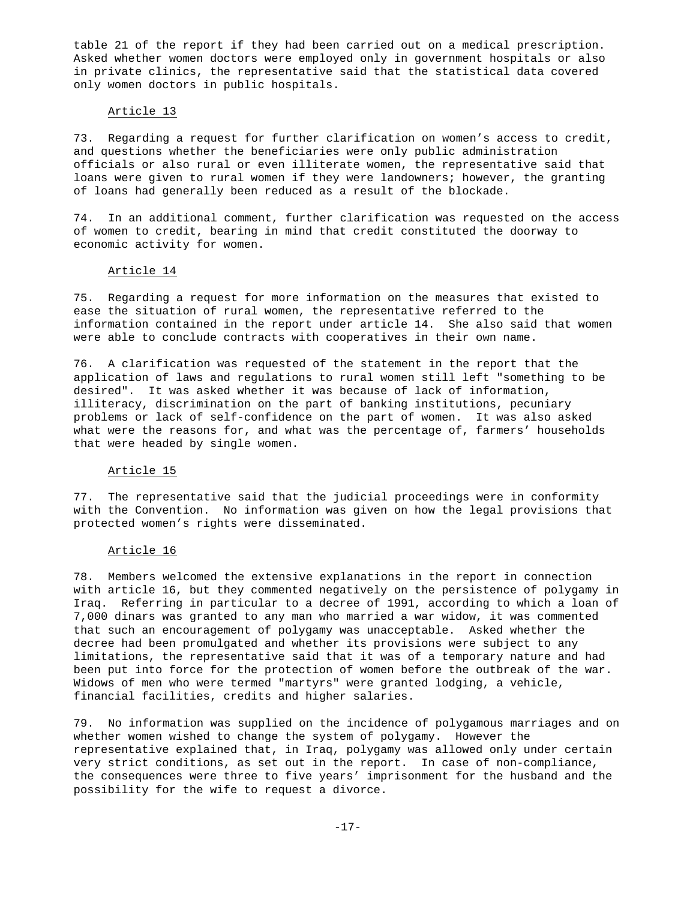table 21 of the report if they had been carried out on a medical prescription. Asked whether women doctors were employed only in government hospitals or also in private clinics, the representative said that the statistical data covered only women doctors in public hospitals.

### Article 13

73. Regarding a request for further clarification on women's access to credit, and questions whether the beneficiaries were only public administration officials or also rural or even illiterate women, the representative said that loans were given to rural women if they were landowners; however, the granting of loans had generally been reduced as a result of the blockade.

74. In an additional comment, further clarification was requested on the access of women to credit, bearing in mind that credit constituted the doorway to economic activity for women.

### Article 14

75. Regarding a request for more information on the measures that existed to ease the situation of rural women, the representative referred to the information contained in the report under article 14. She also said that women were able to conclude contracts with cooperatives in their own name.

76. A clarification was requested of the statement in the report that the application of laws and regulations to rural women still left "something to be desired". It was asked whether it was because of lack of information, illiteracy, discrimination on the part of banking institutions, pecuniary problems or lack of self-confidence on the part of women. It was also asked what were the reasons for, and what was the percentage of, farmers' households that were headed by single women.

### Article 15

77. The representative said that the judicial proceedings were in conformity with the Convention. No information was given on how the legal provisions that protected women's rights were disseminated.

### Article 16

78. Members welcomed the extensive explanations in the report in connection with article 16, but they commented negatively on the persistence of polygamy in Iraq. Referring in particular to a decree of 1991, according to which a loan of 7,000 dinars was granted to any man who married a war widow, it was commented that such an encouragement of polygamy was unacceptable. Asked whether the decree had been promulgated and whether its provisions were subject to any limitations, the representative said that it was of a temporary nature and had been put into force for the protection of women before the outbreak of the war. Widows of men who were termed "martyrs" were granted lodging, a vehicle, financial facilities, credits and higher salaries.

79. No information was supplied on the incidence of polygamous marriages and on whether women wished to change the system of polygamy. However the representative explained that, in Iraq, polygamy was allowed only under certain very strict conditions, as set out in the report. In case of non-compliance, the consequences were three to five years' imprisonment for the husband and the possibility for the wife to request a divorce.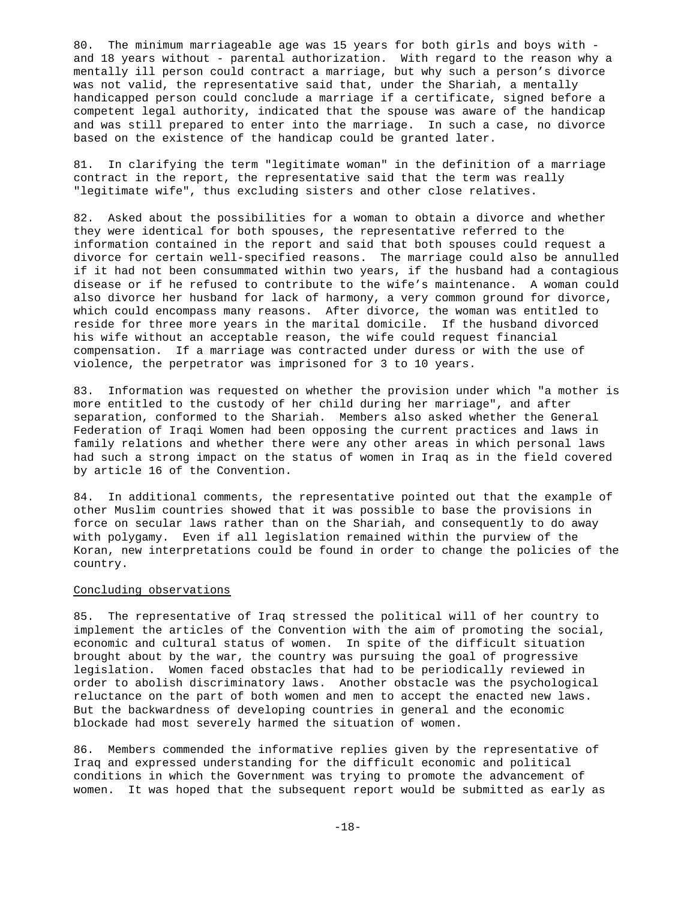80. The minimum marriageable age was 15 years for both girls and boys with and 18 years without - parental authorization. With regard to the reason why a mentally ill person could contract a marriage, but why such a person's divorce was not valid, the representative said that, under the Shariah, a mentally handicapped person could conclude a marriage if a certificate, signed before a competent legal authority, indicated that the spouse was aware of the handicap and was still prepared to enter into the marriage. In such a case, no divorce based on the existence of the handicap could be granted later.

81. In clarifying the term "legitimate woman" in the definition of a marriage contract in the report, the representative said that the term was really "legitimate wife", thus excluding sisters and other close relatives.

82. Asked about the possibilities for a woman to obtain a divorce and whether they were identical for both spouses, the representative referred to the information contained in the report and said that both spouses could request a divorce for certain well-specified reasons. The marriage could also be annulled if it had not been consummated within two years, if the husband had a contagious disease or if he refused to contribute to the wife's maintenance. A woman could also divorce her husband for lack of harmony, a very common ground for divorce, which could encompass many reasons. After divorce, the woman was entitled to reside for three more years in the marital domicile. If the husband divorced his wife without an acceptable reason, the wife could request financial compensation. If a marriage was contracted under duress or with the use of violence, the perpetrator was imprisoned for 3 to 10 years.

83. Information was requested on whether the provision under which "a mother is more entitled to the custody of her child during her marriage", and after separation, conformed to the Shariah. Members also asked whether the General Federation of Iraqi Women had been opposing the current practices and laws in family relations and whether there were any other areas in which personal laws had such a strong impact on the status of women in Iraq as in the field covered by article 16 of the Convention.

84. In additional comments, the representative pointed out that the example of other Muslim countries showed that it was possible to base the provisions in force on secular laws rather than on the Shariah, and consequently to do away with polygamy. Even if all legislation remained within the purview of the Koran, new interpretations could be found in order to change the policies of the country.

#### Concluding observations

85. The representative of Iraq stressed the political will of her country to implement the articles of the Convention with the aim of promoting the social, economic and cultural status of women. In spite of the difficult situation brought about by the war, the country was pursuing the goal of progressive legislation. Women faced obstacles that had to be periodically reviewed in order to abolish discriminatory laws. Another obstacle was the psychological reluctance on the part of both women and men to accept the enacted new laws. But the backwardness of developing countries in general and the economic blockade had most severely harmed the situation of women.

86. Members commended the informative replies given by the representative of Iraq and expressed understanding for the difficult economic and political conditions in which the Government was trying to promote the advancement of women. It was hoped that the subsequent report would be submitted as early as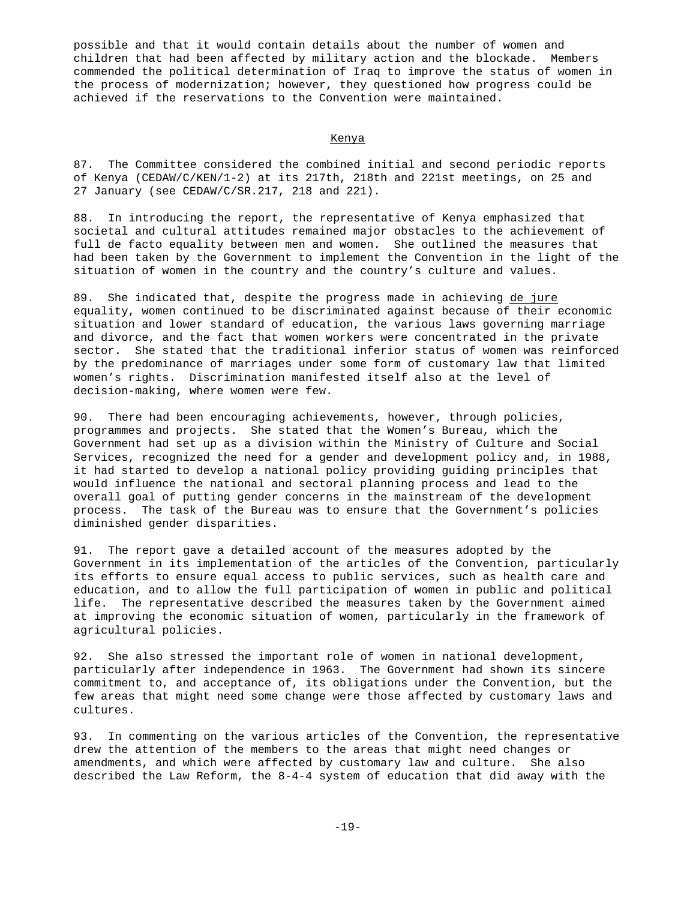possible and that it would contain details about the number of women and children that had been affected by military action and the blockade. Members commended the political determination of Iraq to improve the status of women in the process of modernization; however, they questioned how progress could be achieved if the reservations to the Convention were maintained.

#### Kenya

87. The Committee considered the combined initial and second periodic reports of Kenya (CEDAW/C/KEN/1-2) at its 217th, 218th and 221st meetings, on 25 and 27 January (see CEDAW/C/SR.217, 218 and 221).

88. In introducing the report, the representative of Kenya emphasized that societal and cultural attitudes remained major obstacles to the achievement of full de facto equality between men and women. She outlined the measures that had been taken by the Government to implement the Convention in the light of the situation of women in the country and the country's culture and values.

89. She indicated that, despite the progress made in achieving de jure equality, women continued to be discriminated against because of their economic situation and lower standard of education, the various laws governing marriage and divorce, and the fact that women workers were concentrated in the private sector. She stated that the traditional inferior status of women was reinforced by the predominance of marriages under some form of customary law that limited women's rights. Discrimination manifested itself also at the level of decision-making, where women were few.

90. There had been encouraging achievements, however, through policies, programmes and projects. She stated that the Women's Bureau, which the Government had set up as a division within the Ministry of Culture and Social Services, recognized the need for a gender and development policy and, in 1988, it had started to develop a national policy providing guiding principles that would influence the national and sectoral planning process and lead to the overall goal of putting gender concerns in the mainstream of the development process. The task of the Bureau was to ensure that the Government's policies diminished gender disparities.

91. The report gave a detailed account of the measures adopted by the Government in its implementation of the articles of the Convention, particularly its efforts to ensure equal access to public services, such as health care and education, and to allow the full participation of women in public and political life. The representative described the measures taken by the Government aimed at improving the economic situation of women, particularly in the framework of agricultural policies.

92. She also stressed the important role of women in national development, particularly after independence in 1963. The Government had shown its sincere commitment to, and acceptance of, its obligations under the Convention, but the few areas that might need some change were those affected by customary laws and cultures.

93. In commenting on the various articles of the Convention, the representative drew the attention of the members to the areas that might need changes or amendments, and which were affected by customary law and culture. She also described the Law Reform, the 8-4-4 system of education that did away with the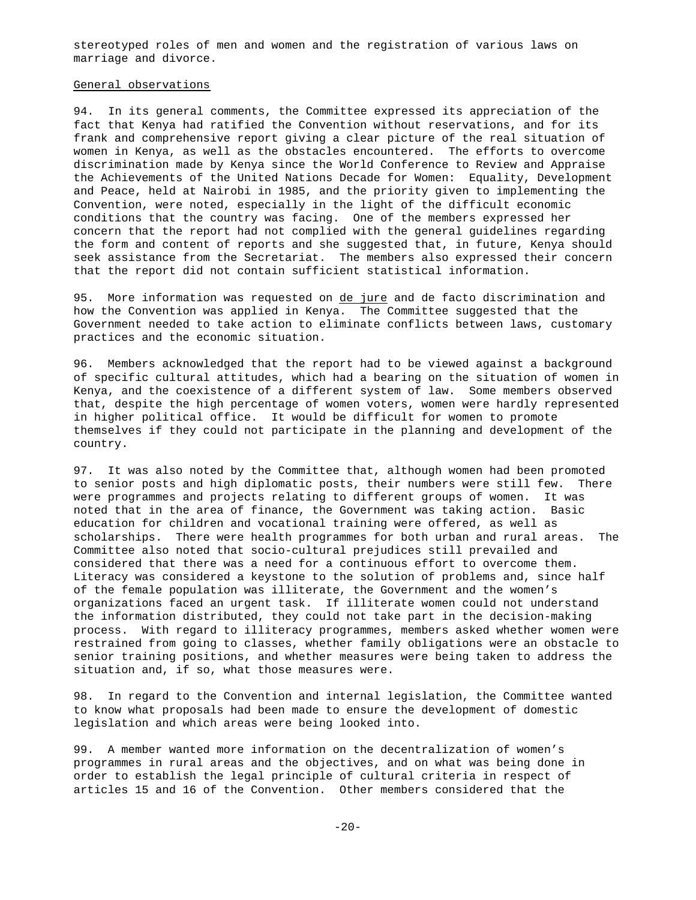stereotyped roles of men and women and the registration of various laws on marriage and divorce.

# General observations

94. In its general comments, the Committee expressed its appreciation of the fact that Kenya had ratified the Convention without reservations, and for its frank and comprehensive report giving a clear picture of the real situation of women in Kenya, as well as the obstacles encountered. The efforts to overcome discrimination made by Kenya since the World Conference to Review and Appraise the Achievements of the United Nations Decade for Women: Equality, Development and Peace, held at Nairobi in 1985, and the priority given to implementing the Convention, were noted, especially in the light of the difficult economic conditions that the country was facing. One of the members expressed her concern that the report had not complied with the general guidelines regarding the form and content of reports and she suggested that, in future, Kenya should seek assistance from the Secretariat. The members also expressed their concern that the report did not contain sufficient statistical information.

95. More information was requested on de jure and de facto discrimination and how the Convention was applied in Kenya. The Committee suggested that the Government needed to take action to eliminate conflicts between laws, customary practices and the economic situation.

96. Members acknowledged that the report had to be viewed against a background of specific cultural attitudes, which had a bearing on the situation of women in Kenya, and the coexistence of a different system of law. Some members observed that, despite the high percentage of women voters, women were hardly represented in higher political office. It would be difficult for women to promote themselves if they could not participate in the planning and development of the country.

97. It was also noted by the Committee that, although women had been promoted to senior posts and high diplomatic posts, their numbers were still few. There were programmes and projects relating to different groups of women. It was noted that in the area of finance, the Government was taking action. Basic education for children and vocational training were offered, as well as scholarships. There were health programmes for both urban and rural areas. The Committee also noted that socio-cultural prejudices still prevailed and considered that there was a need for a continuous effort to overcome them. Literacy was considered a keystone to the solution of problems and, since half of the female population was illiterate, the Government and the women's organizations faced an urgent task. If illiterate women could not understand the information distributed, they could not take part in the decision-making process. With regard to illiteracy programmes, members asked whether women were restrained from going to classes, whether family obligations were an obstacle to senior training positions, and whether measures were being taken to address the situation and, if so, what those measures were.

98. In regard to the Convention and internal legislation, the Committee wanted to know what proposals had been made to ensure the development of domestic legislation and which areas were being looked into.

99. A member wanted more information on the decentralization of women's programmes in rural areas and the objectives, and on what was being done in order to establish the legal principle of cultural criteria in respect of articles 15 and 16 of the Convention. Other members considered that the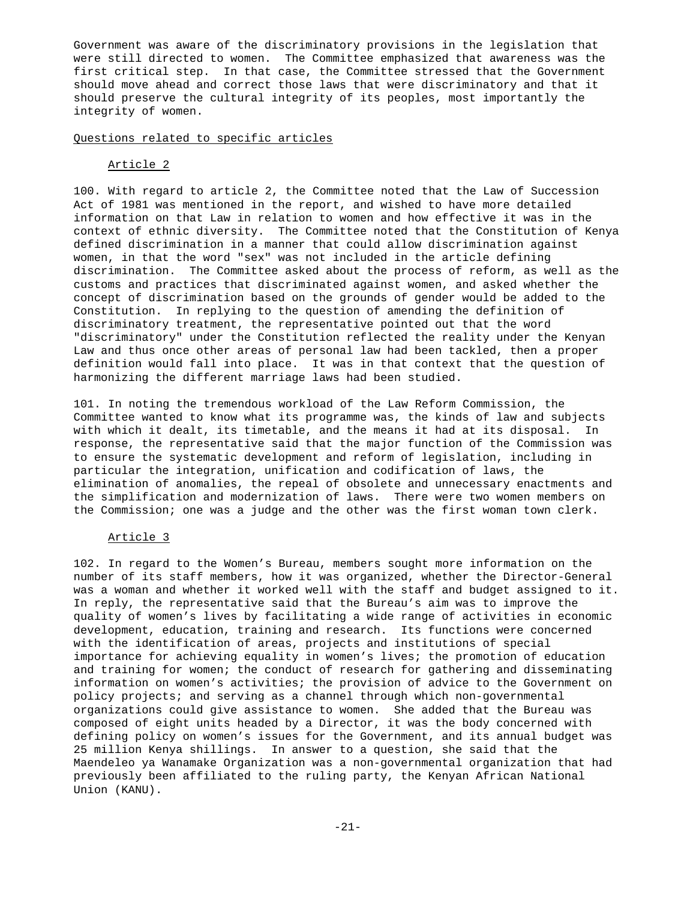Government was aware of the discriminatory provisions in the legislation that were still directed to women. The Committee emphasized that awareness was the first critical step. In that case, the Committee stressed that the Government should move ahead and correct those laws that were discriminatory and that it should preserve the cultural integrity of its peoples, most importantly the integrity of women.

### Questions related to specific articles

### Article 2

100. With regard to article 2, the Committee noted that the Law of Succession Act of 1981 was mentioned in the report, and wished to have more detailed information on that Law in relation to women and how effective it was in the context of ethnic diversity. The Committee noted that the Constitution of Kenya defined discrimination in a manner that could allow discrimination against women, in that the word "sex" was not included in the article defining discrimination. The Committee asked about the process of reform, as well as the customs and practices that discriminated against women, and asked whether the concept of discrimination based on the grounds of gender would be added to the Constitution. In replying to the question of amending the definition of discriminatory treatment, the representative pointed out that the word "discriminatory" under the Constitution reflected the reality under the Kenyan Law and thus once other areas of personal law had been tackled, then a proper definition would fall into place. It was in that context that the question of harmonizing the different marriage laws had been studied.

101. In noting the tremendous workload of the Law Reform Commission, the Committee wanted to know what its programme was, the kinds of law and subjects with which it dealt, its timetable, and the means it had at its disposal. In response, the representative said that the major function of the Commission was to ensure the systematic development and reform of legislation, including in particular the integration, unification and codification of laws, the elimination of anomalies, the repeal of obsolete and unnecessary enactments and the simplification and modernization of laws. There were two women members on the Commission; one was a judge and the other was the first woman town clerk.

# Article 3

102. In regard to the Women's Bureau, members sought more information on the number of its staff members, how it was organized, whether the Director-General was a woman and whether it worked well with the staff and budget assigned to it. In reply, the representative said that the Bureau's aim was to improve the quality of women's lives by facilitating a wide range of activities in economic development, education, training and research. Its functions were concerned with the identification of areas, projects and institutions of special importance for achieving equality in women's lives; the promotion of education and training for women; the conduct of research for gathering and disseminating information on women's activities; the provision of advice to the Government on policy projects; and serving as a channel through which non-governmental organizations could give assistance to women. She added that the Bureau was composed of eight units headed by a Director, it was the body concerned with defining policy on women's issues for the Government, and its annual budget was 25 million Kenya shillings. In answer to a question, she said that the Maendeleo ya Wanamake Organization was a non-governmental organization that had previously been affiliated to the ruling party, the Kenyan African National Union (KANU).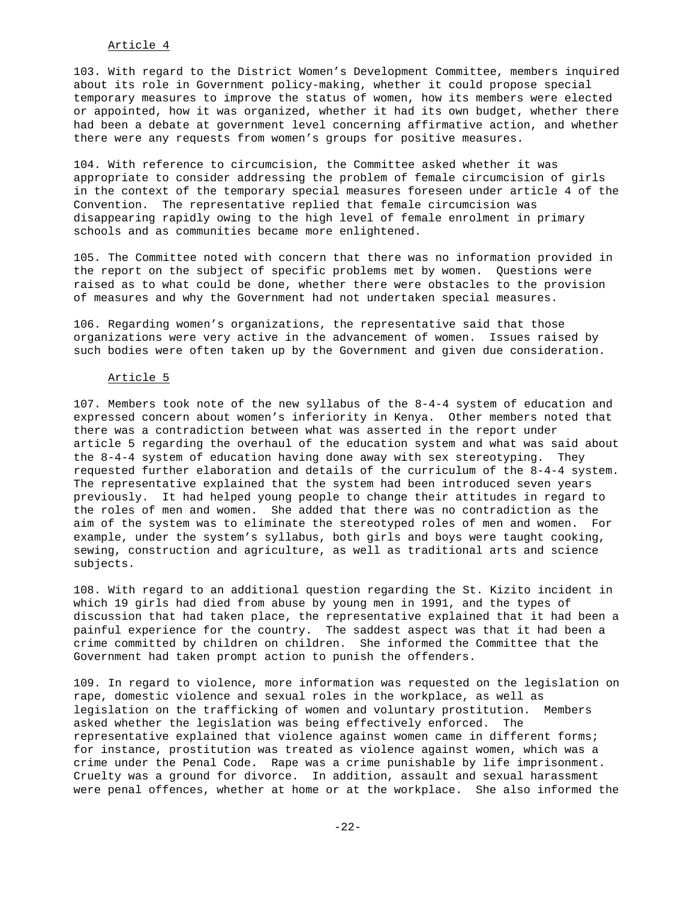# Article 4

103. With regard to the District Women's Development Committee, members inquired about its role in Government policy-making, whether it could propose special temporary measures to improve the status of women, how its members were elected or appointed, how it was organized, whether it had its own budget, whether there had been a debate at government level concerning affirmative action, and whether there were any requests from women's groups for positive measures.

104. With reference to circumcision, the Committee asked whether it was appropriate to consider addressing the problem of female circumcision of girls in the context of the temporary special measures foreseen under article 4 of the Convention. The representative replied that female circumcision was disappearing rapidly owing to the high level of female enrolment in primary schools and as communities became more enlightened.

105. The Committee noted with concern that there was no information provided in the report on the subject of specific problems met by women. Questions were raised as to what could be done, whether there were obstacles to the provision of measures and why the Government had not undertaken special measures.

106. Regarding women's organizations, the representative said that those organizations were very active in the advancement of women. Issues raised by such bodies were often taken up by the Government and given due consideration.

### Article 5

107. Members took note of the new syllabus of the 8-4-4 system of education and expressed concern about women's inferiority in Kenya. Other members noted that there was a contradiction between what was asserted in the report under article 5 regarding the overhaul of the education system and what was said about the 8-4-4 system of education having done away with sex stereotyping. They requested further elaboration and details of the curriculum of the 8-4-4 system. The representative explained that the system had been introduced seven years previously. It had helped young people to change their attitudes in regard to the roles of men and women. She added that there was no contradiction as the aim of the system was to eliminate the stereotyped roles of men and women. For example, under the system's syllabus, both girls and boys were taught cooking, sewing, construction and agriculture, as well as traditional arts and science subjects.

108. With regard to an additional question regarding the St. Kizito incident in which 19 girls had died from abuse by young men in 1991, and the types of discussion that had taken place, the representative explained that it had been a painful experience for the country. The saddest aspect was that it had been a crime committed by children on children. She informed the Committee that the Government had taken prompt action to punish the offenders.

109. In regard to violence, more information was requested on the legislation on rape, domestic violence and sexual roles in the workplace, as well as legislation on the trafficking of women and voluntary prostitution. Members asked whether the legislation was being effectively enforced. The representative explained that violence against women came in different forms; for instance, prostitution was treated as violence against women, which was a crime under the Penal Code. Rape was a crime punishable by life imprisonment. Cruelty was a ground for divorce. In addition, assault and sexual harassment were penal offences, whether at home or at the workplace. She also informed the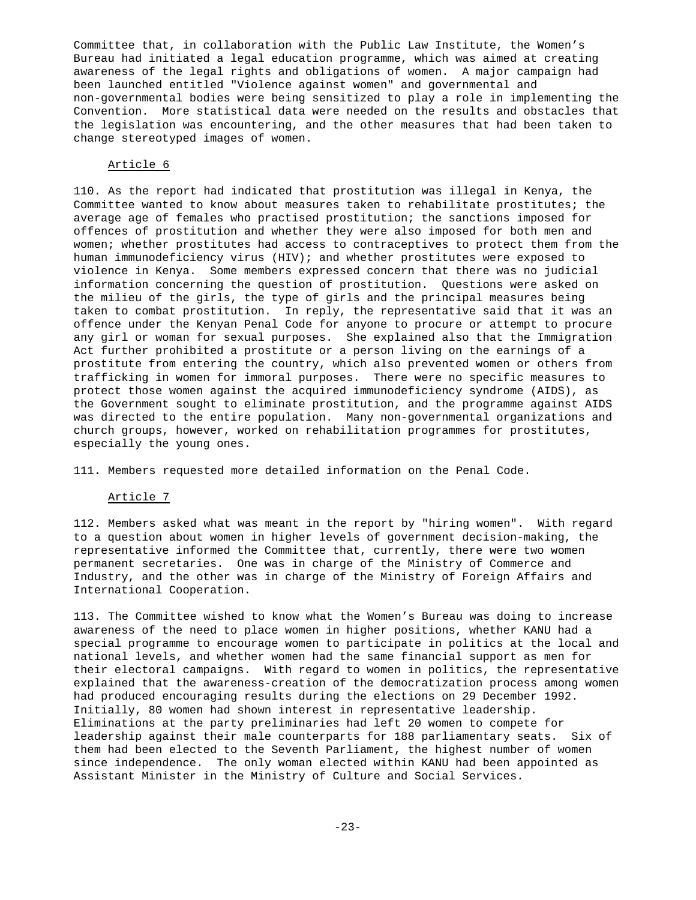Committee that, in collaboration with the Public Law Institute, the Women's Bureau had initiated a legal education programme, which was aimed at creating awareness of the legal rights and obligations of women. A major campaign had been launched entitled "Violence against women" and governmental and non-governmental bodies were being sensitized to play a role in implementing the Convention. More statistical data were needed on the results and obstacles that the legislation was encountering, and the other measures that had been taken to change stereotyped images of women.

### Article 6

110. As the report had indicated that prostitution was illegal in Kenya, the Committee wanted to know about measures taken to rehabilitate prostitutes; the average age of females who practised prostitution; the sanctions imposed for offences of prostitution and whether they were also imposed for both men and women; whether prostitutes had access to contraceptives to protect them from the human immunodeficiency virus (HIV); and whether prostitutes were exposed to violence in Kenya. Some members expressed concern that there was no judicial information concerning the question of prostitution. Questions were asked on the milieu of the girls, the type of girls and the principal measures being taken to combat prostitution. In reply, the representative said that it was an offence under the Kenyan Penal Code for anyone to procure or attempt to procure any girl or woman for sexual purposes. She explained also that the Immigration Act further prohibited a prostitute or a person living on the earnings of a prostitute from entering the country, which also prevented women or others from trafficking in women for immoral purposes. There were no specific measures to protect those women against the acquired immunodeficiency syndrome (AIDS), as the Government sought to eliminate prostitution, and the programme against AIDS was directed to the entire population. Many non-governmental organizations and church groups, however, worked on rehabilitation programmes for prostitutes, especially the young ones.

111. Members requested more detailed information on the Penal Code.

#### Article 7

112. Members asked what was meant in the report by "hiring women". With regard to a question about women in higher levels of government decision-making, the representative informed the Committee that, currently, there were two women permanent secretaries. One was in charge of the Ministry of Commerce and Industry, and the other was in charge of the Ministry of Foreign Affairs and International Cooperation.

113. The Committee wished to know what the Women's Bureau was doing to increase awareness of the need to place women in higher positions, whether KANU had a special programme to encourage women to participate in politics at the local and national levels, and whether women had the same financial support as men for their electoral campaigns. With regard to women in politics, the representative explained that the awareness-creation of the democratization process among women had produced encouraging results during the elections on 29 December 1992. Initially, 80 women had shown interest in representative leadership. Eliminations at the party preliminaries had left 20 women to compete for leadership against their male counterparts for 188 parliamentary seats. Six of them had been elected to the Seventh Parliament, the highest number of women since independence. The only woman elected within KANU had been appointed as Assistant Minister in the Ministry of Culture and Social Services.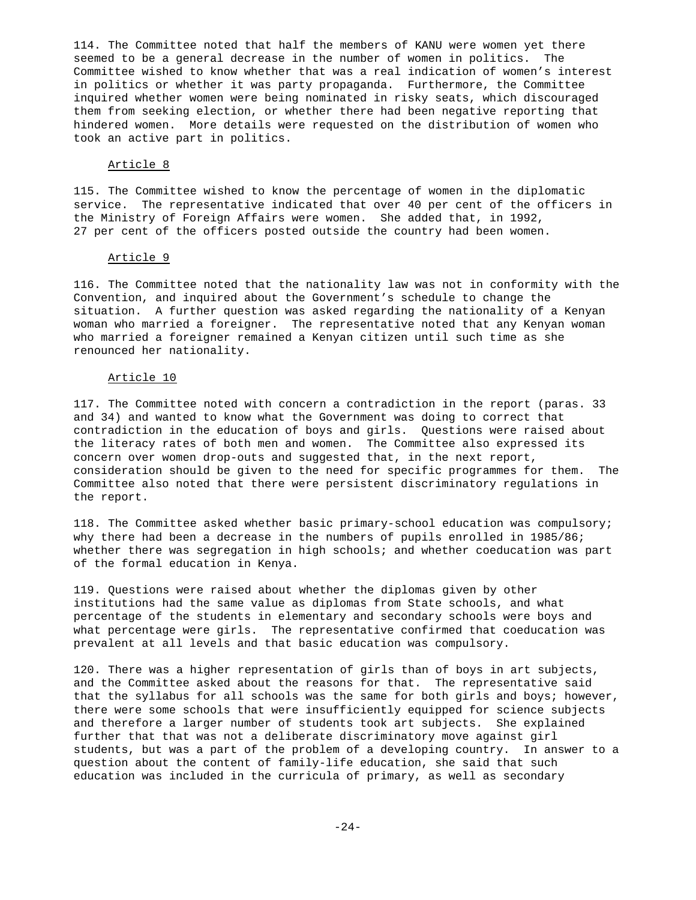114. The Committee noted that half the members of KANU were women yet there seemed to be a general decrease in the number of women in politics. The Committee wished to know whether that was a real indication of women's interest in politics or whether it was party propaganda. Furthermore, the Committee inquired whether women were being nominated in risky seats, which discouraged them from seeking election, or whether there had been negative reporting that hindered women. More details were requested on the distribution of women who took an active part in politics.

### Article 8

115. The Committee wished to know the percentage of women in the diplomatic service. The representative indicated that over 40 per cent of the officers in the Ministry of Foreign Affairs were women. She added that, in 1992, 27 per cent of the officers posted outside the country had been women.

#### Article 9

116. The Committee noted that the nationality law was not in conformity with the Convention, and inquired about the Government's schedule to change the situation. A further question was asked regarding the nationality of a Kenyan woman who married a foreigner. The representative noted that any Kenyan woman who married a foreigner remained a Kenyan citizen until such time as she renounced her nationality.

### Article 10

117. The Committee noted with concern a contradiction in the report (paras. 33 and 34) and wanted to know what the Government was doing to correct that contradiction in the education of boys and girls. Questions were raised about the literacy rates of both men and women. The Committee also expressed its concern over women drop-outs and suggested that, in the next report, consideration should be given to the need for specific programmes for them. The Committee also noted that there were persistent discriminatory regulations in the report.

118. The Committee asked whether basic primary-school education was compulsory; why there had been a decrease in the numbers of pupils enrolled in 1985/86; whether there was segregation in high schools; and whether coeducation was part of the formal education in Kenya.

119. Questions were raised about whether the diplomas given by other institutions had the same value as diplomas from State schools, and what percentage of the students in elementary and secondary schools were boys and what percentage were girls. The representative confirmed that coeducation was prevalent at all levels and that basic education was compulsory.

120. There was a higher representation of girls than of boys in art subjects, and the Committee asked about the reasons for that. The representative said that the syllabus for all schools was the same for both girls and boys; however, there were some schools that were insufficiently equipped for science subjects and therefore a larger number of students took art subjects. She explained further that that was not a deliberate discriminatory move against girl students, but was a part of the problem of a developing country. In answer to a question about the content of family-life education, she said that such education was included in the curricula of primary, as well as secondary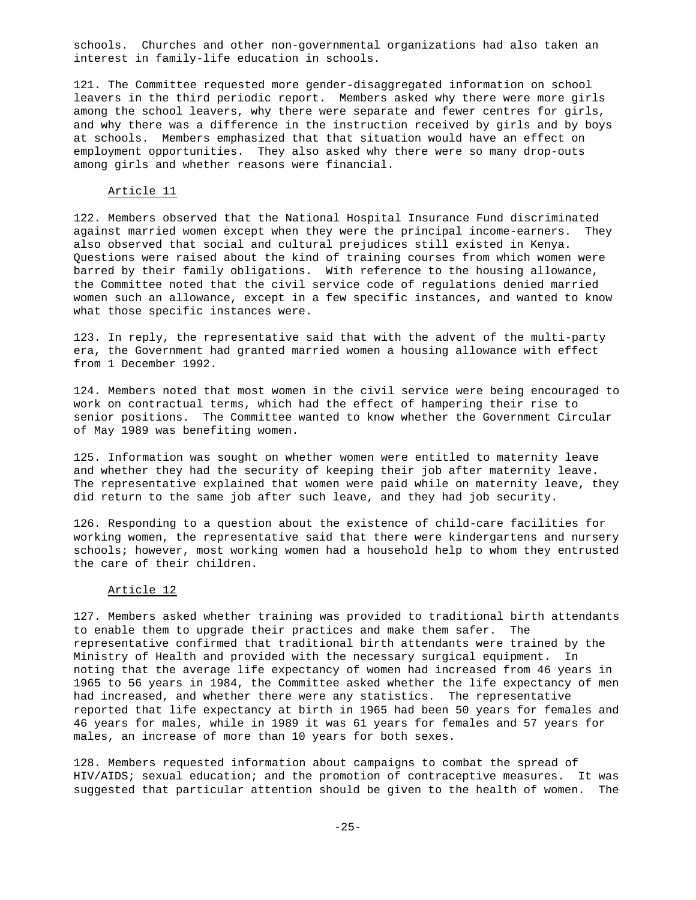schools. Churches and other non-governmental organizations had also taken an interest in family-life education in schools.

121. The Committee requested more gender-disaggregated information on school leavers in the third periodic report. Members asked why there were more girls among the school leavers, why there were separate and fewer centres for girls, and why there was a difference in the instruction received by girls and by boys at schools. Members emphasized that that situation would have an effect on employment opportunities. They also asked why there were so many drop-outs among girls and whether reasons were financial.

#### Article 11

122. Members observed that the National Hospital Insurance Fund discriminated against married women except when they were the principal income-earners. They also observed that social and cultural prejudices still existed in Kenya. Questions were raised about the kind of training courses from which women were barred by their family obligations. With reference to the housing allowance, the Committee noted that the civil service code of regulations denied married women such an allowance, except in a few specific instances, and wanted to know what those specific instances were.

123. In reply, the representative said that with the advent of the multi-party era, the Government had granted married women a housing allowance with effect from 1 December 1992.

124. Members noted that most women in the civil service were being encouraged to work on contractual terms, which had the effect of hampering their rise to senior positions. The Committee wanted to know whether the Government Circular of May 1989 was benefiting women.

125. Information was sought on whether women were entitled to maternity leave and whether they had the security of keeping their job after maternity leave. The representative explained that women were paid while on maternity leave, they did return to the same job after such leave, and they had job security.

126. Responding to a question about the existence of child-care facilities for working women, the representative said that there were kindergartens and nursery schools; however, most working women had a household help to whom they entrusted the care of their children.

#### Article 12

127. Members asked whether training was provided to traditional birth attendants to enable them to upgrade their practices and make them safer. The representative confirmed that traditional birth attendants were trained by the Ministry of Health and provided with the necessary surgical equipment. In noting that the average life expectancy of women had increased from 46 years in 1965 to 56 years in 1984, the Committee asked whether the life expectancy of men had increased, and whether there were any statistics. The representative reported that life expectancy at birth in 1965 had been 50 years for females and 46 years for males, while in 1989 it was 61 years for females and 57 years for males, an increase of more than 10 years for both sexes.

128. Members requested information about campaigns to combat the spread of HIV/AIDS; sexual education; and the promotion of contraceptive measures. It was suggested that particular attention should be given to the health of women. The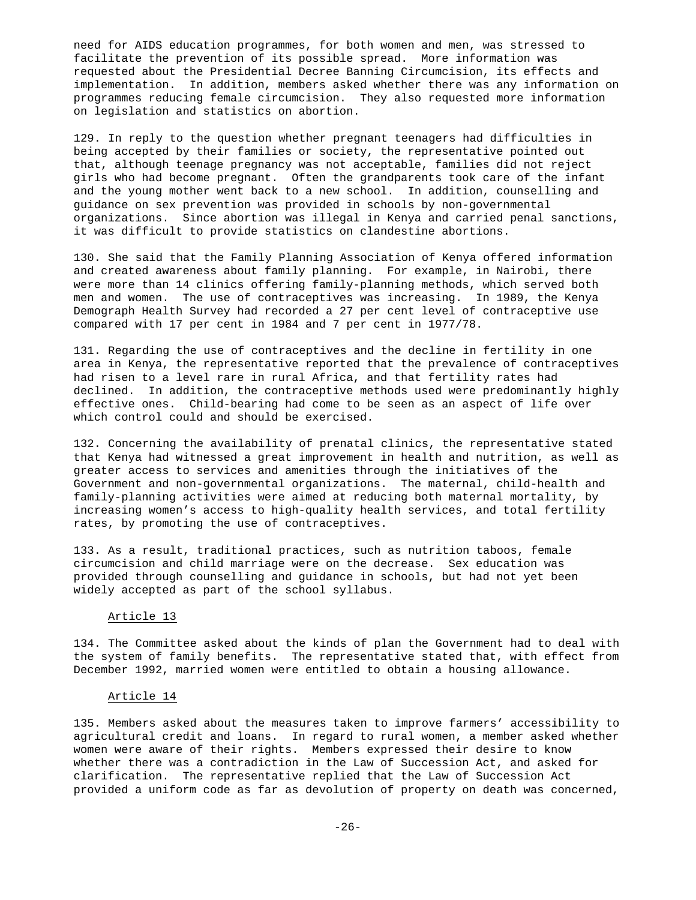need for AIDS education programmes, for both women and men, was stressed to facilitate the prevention of its possible spread. More information was requested about the Presidential Decree Banning Circumcision, its effects and implementation. In addition, members asked whether there was any information on programmes reducing female circumcision. They also requested more information on legislation and statistics on abortion.

129. In reply to the question whether pregnant teenagers had difficulties in being accepted by their families or society, the representative pointed out that, although teenage pregnancy was not acceptable, families did not reject girls who had become pregnant. Often the grandparents took care of the infant and the young mother went back to a new school. In addition, counselling and guidance on sex prevention was provided in schools by non-governmental organizations. Since abortion was illegal in Kenya and carried penal sanctions, it was difficult to provide statistics on clandestine abortions.

130. She said that the Family Planning Association of Kenya offered information and created awareness about family planning. For example, in Nairobi, there were more than 14 clinics offering family-planning methods, which served both men and women. The use of contraceptives was increasing. In 1989, the Kenya Demograph Health Survey had recorded a 27 per cent level of contraceptive use compared with 17 per cent in 1984 and 7 per cent in 1977/78.

131. Regarding the use of contraceptives and the decline in fertility in one area in Kenya, the representative reported that the prevalence of contraceptives had risen to a level rare in rural Africa, and that fertility rates had declined. In addition, the contraceptive methods used were predominantly highly effective ones. Child-bearing had come to be seen as an aspect of life over which control could and should be exercised.

132. Concerning the availability of prenatal clinics, the representative stated that Kenya had witnessed a great improvement in health and nutrition, as well as greater access to services and amenities through the initiatives of the Government and non-governmental organizations. The maternal, child-health and family-planning activities were aimed at reducing both maternal mortality, by increasing women's access to high-quality health services, and total fertility rates, by promoting the use of contraceptives.

133. As a result, traditional practices, such as nutrition taboos, female circumcision and child marriage were on the decrease. Sex education was provided through counselling and guidance in schools, but had not yet been widely accepted as part of the school syllabus.

### Article 13

134. The Committee asked about the kinds of plan the Government had to deal with the system of family benefits. The representative stated that, with effect from December 1992, married women were entitled to obtain a housing allowance.

#### Article 14

135. Members asked about the measures taken to improve farmers' accessibility to agricultural credit and loans. In regard to rural women, a member asked whether women were aware of their rights. Members expressed their desire to know whether there was a contradiction in the Law of Succession Act, and asked for clarification. The representative replied that the Law of Succession Act provided a uniform code as far as devolution of property on death was concerned,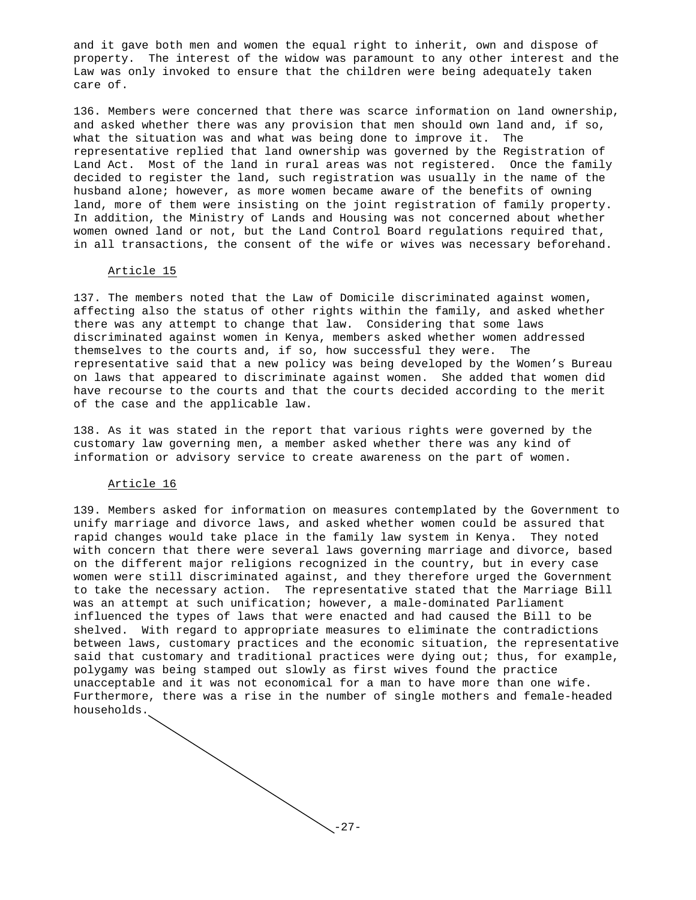and it gave both men and women the equal right to inherit, own and dispose of property. The interest of the widow was paramount to any other interest and the Law was only invoked to ensure that the children were being adequately taken care of.

136. Members were concerned that there was scarce information on land ownership, and asked whether there was any provision that men should own land and, if so, what the situation was and what was being done to improve it. The representative replied that land ownership was governed by the Registration of Land Act. Most of the land in rural areas was not registered. Once the family decided to register the land, such registration was usually in the name of the husband alone; however, as more women became aware of the benefits of owning land, more of them were insisting on the joint registration of family property. In addition, the Ministry of Lands and Housing was not concerned about whether women owned land or not, but the Land Control Board regulations required that, in all transactions, the consent of the wife or wives was necessary beforehand.

### Article 15

137. The members noted that the Law of Domicile discriminated against women, affecting also the status of other rights within the family, and asked whether there was any attempt to change that law. Considering that some laws discriminated against women in Kenya, members asked whether women addressed themselves to the courts and, if so, how successful they were. The representative said that a new policy was being developed by the Women's Bureau on laws that appeared to discriminate against women. She added that women did have recourse to the courts and that the courts decided according to the merit of the case and the applicable law.

138. As it was stated in the report that various rights were governed by the customary law governing men, a member asked whether there was any kind of information or advisory service to create awareness on the part of women.

### Article 16

139. Members asked for information on measures contemplated by the Government to unify marriage and divorce laws, and asked whether women could be assured that rapid changes would take place in the family law system in Kenya. They noted with concern that there were several laws governing marriage and divorce, based on the different major religions recognized in the country, but in every case women were still discriminated against, and they therefore urged the Government to take the necessary action. The representative stated that the Marriage Bill was an attempt at such unification; however, a male-dominated Parliament influenced the types of laws that were enacted and had caused the Bill to be shelved. With regard to appropriate measures to eliminate the contradictions between laws, customary practices and the economic situation, the representative said that customary and traditional practices were dying out; thus, for example, polygamy was being stamped out slowly as first wives found the practice unacceptable and it was not economical for a man to have more than one wife. Furthermore, there was a rise in the number of single mothers and female-headed households.

 $-27-$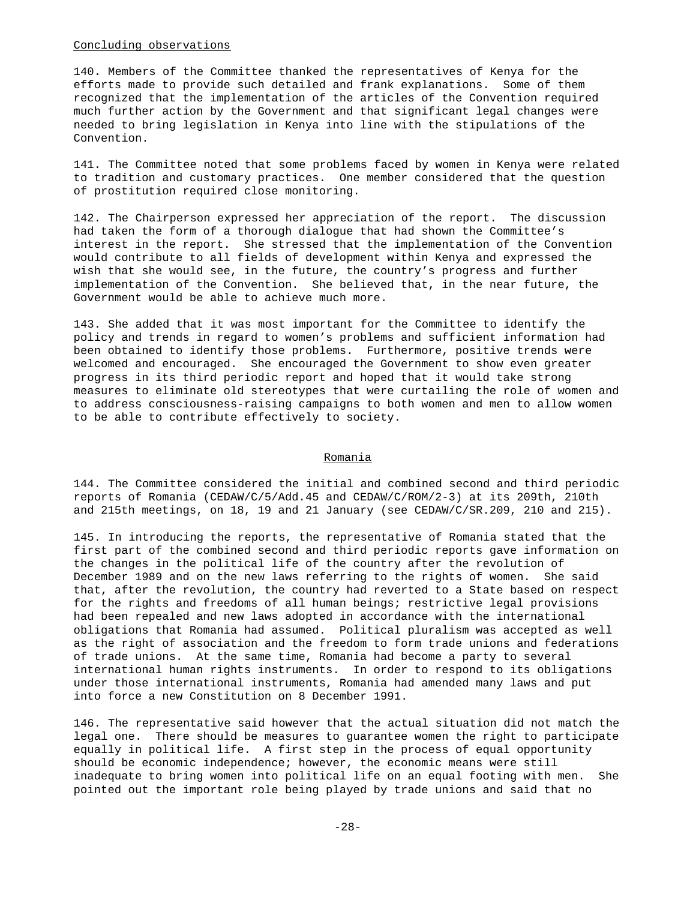### Concluding observations

140. Members of the Committee thanked the representatives of Kenya for the efforts made to provide such detailed and frank explanations. Some of them recognized that the implementation of the articles of the Convention required much further action by the Government and that significant legal changes were needed to bring legislation in Kenya into line with the stipulations of the Convention.

141. The Committee noted that some problems faced by women in Kenya were related to tradition and customary practices. One member considered that the question of prostitution required close monitoring.

142. The Chairperson expressed her appreciation of the report. The discussion had taken the form of a thorough dialogue that had shown the Committee's interest in the report. She stressed that the implementation of the Convention would contribute to all fields of development within Kenya and expressed the wish that she would see, in the future, the country's progress and further implementation of the Convention. She believed that, in the near future, the Government would be able to achieve much more.

143. She added that it was most important for the Committee to identify the policy and trends in regard to women's problems and sufficient information had been obtained to identify those problems. Furthermore, positive trends were welcomed and encouraged. She encouraged the Government to show even greater progress in its third periodic report and hoped that it would take strong measures to eliminate old stereotypes that were curtailing the role of women and to address consciousness-raising campaigns to both women and men to allow women to be able to contribute effectively to society.

#### Romania

144. The Committee considered the initial and combined second and third periodic reports of Romania (CEDAW/C/5/Add.45 and CEDAW/C/ROM/2-3) at its 209th, 210th and 215th meetings, on 18, 19 and 21 January (see CEDAW/C/SR.209, 210 and 215).

145. In introducing the reports, the representative of Romania stated that the first part of the combined second and third periodic reports gave information on the changes in the political life of the country after the revolution of December 1989 and on the new laws referring to the rights of women. She said that, after the revolution, the country had reverted to a State based on respect for the rights and freedoms of all human beings; restrictive legal provisions had been repealed and new laws adopted in accordance with the international obligations that Romania had assumed. Political pluralism was accepted as well as the right of association and the freedom to form trade unions and federations of trade unions. At the same time, Romania had become a party to several international human rights instruments. In order to respond to its obligations under those international instruments, Romania had amended many laws and put into force a new Constitution on 8 December 1991.

146. The representative said however that the actual situation did not match the legal one. There should be measures to guarantee women the right to participate equally in political life. A first step in the process of equal opportunity should be economic independence; however, the economic means were still inadequate to bring women into political life on an equal footing with men. She pointed out the important role being played by trade unions and said that no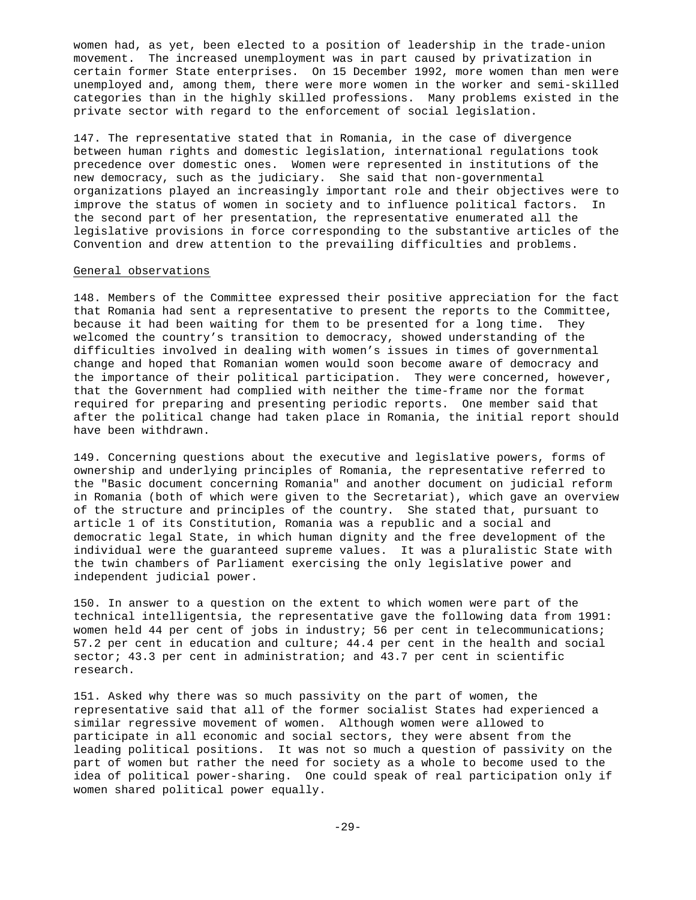women had, as yet, been elected to a position of leadership in the trade-union movement. The increased unemployment was in part caused by privatization in certain former State enterprises. On 15 December 1992, more women than men were unemployed and, among them, there were more women in the worker and semi-skilled categories than in the highly skilled professions. Many problems existed in the private sector with regard to the enforcement of social legislation.

147. The representative stated that in Romania, in the case of divergence between human rights and domestic legislation, international regulations took precedence over domestic ones. Women were represented in institutions of the new democracy, such as the judiciary. She said that non-governmental organizations played an increasingly important role and their objectives were to improve the status of women in society and to influence political factors. In the second part of her presentation, the representative enumerated all the legislative provisions in force corresponding to the substantive articles of the Convention and drew attention to the prevailing difficulties and problems.

### General observations

148. Members of the Committee expressed their positive appreciation for the fact that Romania had sent a representative to present the reports to the Committee, because it had been waiting for them to be presented for a long time. They welcomed the country's transition to democracy, showed understanding of the difficulties involved in dealing with women's issues in times of governmental change and hoped that Romanian women would soon become aware of democracy and the importance of their political participation. They were concerned, however, that the Government had complied with neither the time-frame nor the format required for preparing and presenting periodic reports. One member said that after the political change had taken place in Romania, the initial report should have been withdrawn.

149. Concerning questions about the executive and legislative powers, forms of ownership and underlying principles of Romania, the representative referred to the "Basic document concerning Romania" and another document on judicial reform in Romania (both of which were given to the Secretariat), which gave an overview of the structure and principles of the country. She stated that, pursuant to article 1 of its Constitution, Romania was a republic and a social and democratic legal State, in which human dignity and the free development of the individual were the guaranteed supreme values. It was a pluralistic State with the twin chambers of Parliament exercising the only legislative power and independent judicial power.

150. In answer to a question on the extent to which women were part of the technical intelligentsia, the representative gave the following data from 1991: women held 44 per cent of jobs in industry; 56 per cent in telecommunications; 57.2 per cent in education and culture; 44.4 per cent in the health and social sector; 43.3 per cent in administration; and 43.7 per cent in scientific research.

151. Asked why there was so much passivity on the part of women, the representative said that all of the former socialist States had experienced a similar regressive movement of women. Although women were allowed to participate in all economic and social sectors, they were absent from the leading political positions. It was not so much a question of passivity on the part of women but rather the need for society as a whole to become used to the idea of political power-sharing. One could speak of real participation only if women shared political power equally.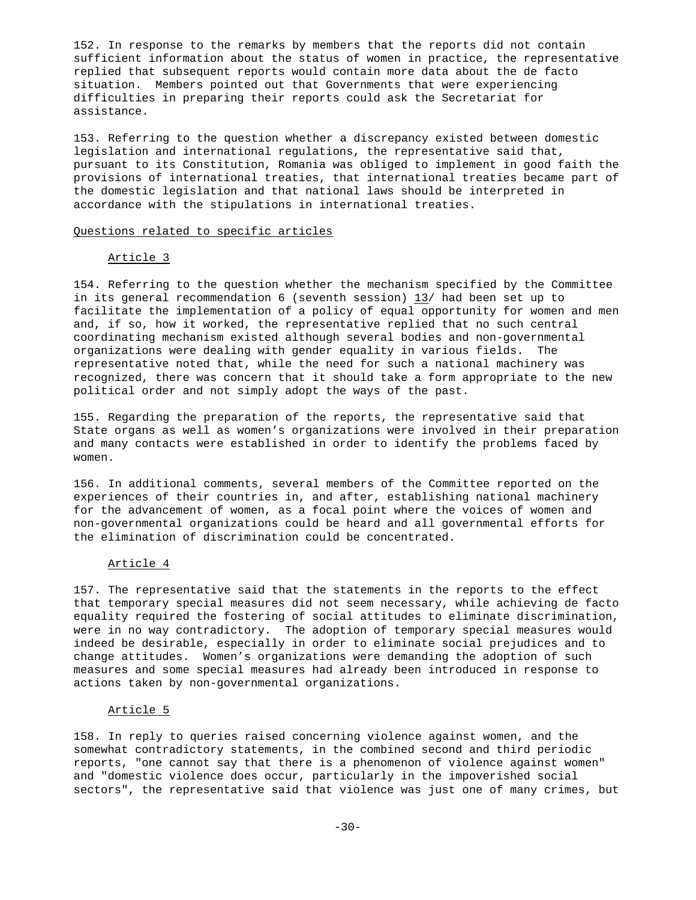152. In response to the remarks by members that the reports did not contain sufficient information about the status of women in practice, the representative replied that subsequent reports would contain more data about the de facto situation. Members pointed out that Governments that were experiencing difficulties in preparing their reports could ask the Secretariat for assistance.

153. Referring to the question whether a discrepancy existed between domestic legislation and international regulations, the representative said that, pursuant to its Constitution, Romania was obliged to implement in good faith the provisions of international treaties, that international treaties became part of the domestic legislation and that national laws should be interpreted in accordance with the stipulations in international treaties.

### Questions related to specific articles

### Article 3

154. Referring to the question whether the mechanism specified by the Committee in its general recommendation 6 (seventh session)  $13/$  had been set up to facilitate the implementation of a policy of equal opportunity for women and men and, if so, how it worked, the representative replied that no such central coordinating mechanism existed although several bodies and non-governmental organizations were dealing with gender equality in various fields. The representative noted that, while the need for such a national machinery was recognized, there was concern that it should take a form appropriate to the new political order and not simply adopt the ways of the past.

155. Regarding the preparation of the reports, the representative said that State organs as well as women's organizations were involved in their preparation and many contacts were established in order to identify the problems faced by women.

156. In additional comments, several members of the Committee reported on the experiences of their countries in, and after, establishing national machinery for the advancement of women, as a focal point where the voices of women and non-governmental organizations could be heard and all governmental efforts for the elimination of discrimination could be concentrated.

#### Article 4

157. The representative said that the statements in the reports to the effect that temporary special measures did not seem necessary, while achieving de facto equality required the fostering of social attitudes to eliminate discrimination, were in no way contradictory. The adoption of temporary special measures would indeed be desirable, especially in order to eliminate social prejudices and to change attitudes. Women's organizations were demanding the adoption of such measures and some special measures had already been introduced in response to actions taken by non-governmental organizations.

#### Article 5

158. In reply to queries raised concerning violence against women, and the somewhat contradictory statements, in the combined second and third periodic reports, "one cannot say that there is a phenomenon of violence against women" and "domestic violence does occur, particularly in the impoverished social sectors", the representative said that violence was just one of many crimes, but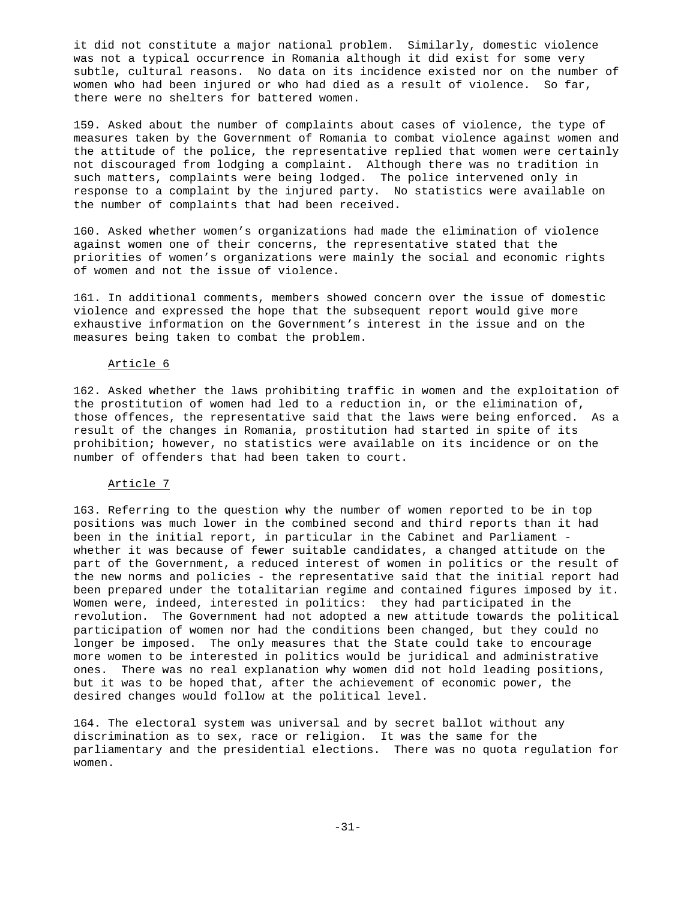it did not constitute a major national problem. Similarly, domestic violence was not a typical occurrence in Romania although it did exist for some very subtle, cultural reasons. No data on its incidence existed nor on the number of women who had been injured or who had died as a result of violence. So far, there were no shelters for battered women.

159. Asked about the number of complaints about cases of violence, the type of measures taken by the Government of Romania to combat violence against women and the attitude of the police, the representative replied that women were certainly not discouraged from lodging a complaint. Although there was no tradition in such matters, complaints were being lodged. The police intervened only in response to a complaint by the injured party. No statistics were available on the number of complaints that had been received.

160. Asked whether women's organizations had made the elimination of violence against women one of their concerns, the representative stated that the priorities of women's organizations were mainly the social and economic rights of women and not the issue of violence.

161. In additional comments, members showed concern over the issue of domestic violence and expressed the hope that the subsequent report would give more exhaustive information on the Government's interest in the issue and on the measures being taken to combat the problem.

#### Article 6

162. Asked whether the laws prohibiting traffic in women and the exploitation of the prostitution of women had led to a reduction in, or the elimination of, those offences, the representative said that the laws were being enforced. As a result of the changes in Romania, prostitution had started in spite of its prohibition; however, no statistics were available on its incidence or on the number of offenders that had been taken to court.

### Article 7

163. Referring to the question why the number of women reported to be in top positions was much lower in the combined second and third reports than it had been in the initial report, in particular in the Cabinet and Parliament whether it was because of fewer suitable candidates, a changed attitude on the part of the Government, a reduced interest of women in politics or the result of the new norms and policies - the representative said that the initial report had been prepared under the totalitarian regime and contained figures imposed by it. Women were, indeed, interested in politics: they had participated in the revolution. The Government had not adopted a new attitude towards the political participation of women nor had the conditions been changed, but they could no longer be imposed. The only measures that the State could take to encourage more women to be interested in politics would be juridical and administrative ones. There was no real explanation why women did not hold leading positions, but it was to be hoped that, after the achievement of economic power, the desired changes would follow at the political level.

164. The electoral system was universal and by secret ballot without any discrimination as to sex, race or religion. It was the same for the parliamentary and the presidential elections. There was no quota regulation for women.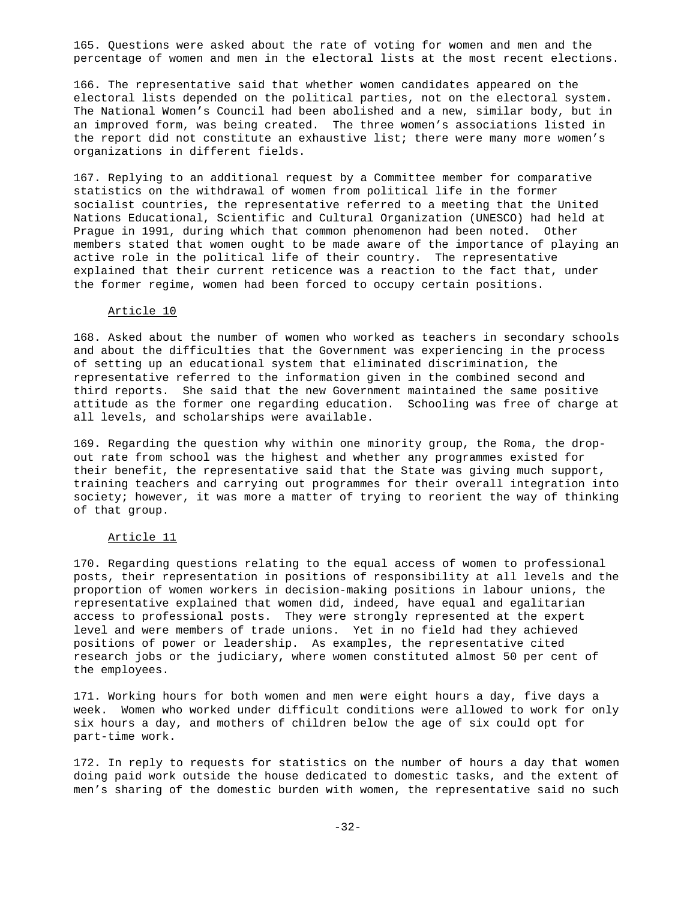165. Questions were asked about the rate of voting for women and men and the percentage of women and men in the electoral lists at the most recent elections.

166. The representative said that whether women candidates appeared on the electoral lists depended on the political parties, not on the electoral system. The National Women's Council had been abolished and a new, similar body, but in an improved form, was being created. The three women's associations listed in the report did not constitute an exhaustive list; there were many more women's organizations in different fields.

167. Replying to an additional request by a Committee member for comparative statistics on the withdrawal of women from political life in the former socialist countries, the representative referred to a meeting that the United Nations Educational, Scientific and Cultural Organization (UNESCO) had held at Prague in 1991, during which that common phenomenon had been noted. Other members stated that women ought to be made aware of the importance of playing an active role in the political life of their country. The representative explained that their current reticence was a reaction to the fact that, under the former regime, women had been forced to occupy certain positions.

# Article 10

168. Asked about the number of women who worked as teachers in secondary schools and about the difficulties that the Government was experiencing in the process of setting up an educational system that eliminated discrimination, the representative referred to the information given in the combined second and third reports. She said that the new Government maintained the same positive attitude as the former one regarding education. Schooling was free of charge at all levels, and scholarships were available.

169. Regarding the question why within one minority group, the Roma, the dropout rate from school was the highest and whether any programmes existed for their benefit, the representative said that the State was giving much support, training teachers and carrying out programmes for their overall integration into society; however, it was more a matter of trying to reorient the way of thinking of that group.

### Article 11

170. Regarding questions relating to the equal access of women to professional posts, their representation in positions of responsibility at all levels and the proportion of women workers in decision-making positions in labour unions, the representative explained that women did, indeed, have equal and egalitarian access to professional posts. They were strongly represented at the expert level and were members of trade unions. Yet in no field had they achieved positions of power or leadership. As examples, the representative cited research jobs or the judiciary, where women constituted almost 50 per cent of the employees.

171. Working hours for both women and men were eight hours a day, five days a week. Women who worked under difficult conditions were allowed to work for only six hours a day, and mothers of children below the age of six could opt for part-time work.

172. In reply to requests for statistics on the number of hours a day that women doing paid work outside the house dedicated to domestic tasks, and the extent of men's sharing of the domestic burden with women, the representative said no such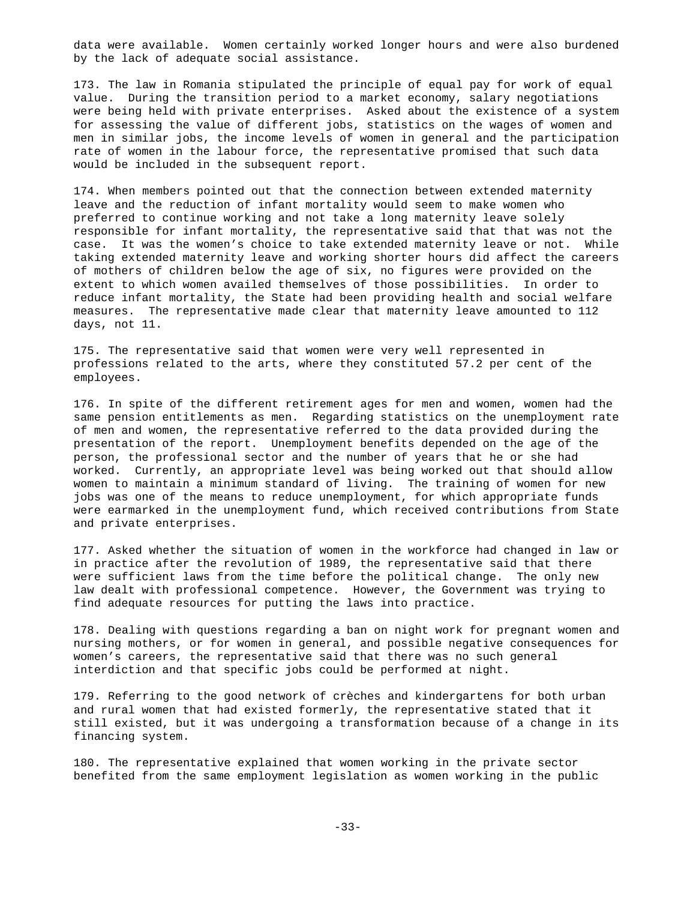data were available. Women certainly worked longer hours and were also burdened by the lack of adequate social assistance.

173. The law in Romania stipulated the principle of equal pay for work of equal value. During the transition period to a market economy, salary negotiations were being held with private enterprises. Asked about the existence of a system for assessing the value of different jobs, statistics on the wages of women and men in similar jobs, the income levels of women in general and the participation rate of women in the labour force, the representative promised that such data would be included in the subsequent report.

174. When members pointed out that the connection between extended maternity leave and the reduction of infant mortality would seem to make women who preferred to continue working and not take a long maternity leave solely responsible for infant mortality, the representative said that that was not the case. It was the women's choice to take extended maternity leave or not. While taking extended maternity leave and working shorter hours did affect the careers of mothers of children below the age of six, no figures were provided on the extent to which women availed themselves of those possibilities. In order to reduce infant mortality, the State had been providing health and social welfare measures. The representative made clear that maternity leave amounted to 112 days, not 11.

175. The representative said that women were very well represented in professions related to the arts, where they constituted 57.2 per cent of the employees.

176. In spite of the different retirement ages for men and women, women had the same pension entitlements as men. Regarding statistics on the unemployment rate of men and women, the representative referred to the data provided during the presentation of the report. Unemployment benefits depended on the age of the person, the professional sector and the number of years that he or she had worked. Currently, an appropriate level was being worked out that should allow women to maintain a minimum standard of living. The training of women for new jobs was one of the means to reduce unemployment, for which appropriate funds were earmarked in the unemployment fund, which received contributions from State and private enterprises.

177. Asked whether the situation of women in the workforce had changed in law or in practice after the revolution of 1989, the representative said that there were sufficient laws from the time before the political change. The only new law dealt with professional competence. However, the Government was trying to find adequate resources for putting the laws into practice.

178. Dealing with questions regarding a ban on night work for pregnant women and nursing mothers, or for women in general, and possible negative consequences for women's careers, the representative said that there was no such general interdiction and that specific jobs could be performed at night.

179. Referring to the good network of crèches and kindergartens for both urban and rural women that had existed formerly, the representative stated that it still existed, but it was undergoing a transformation because of a change in its financing system.

180. The representative explained that women working in the private sector benefited from the same employment legislation as women working in the public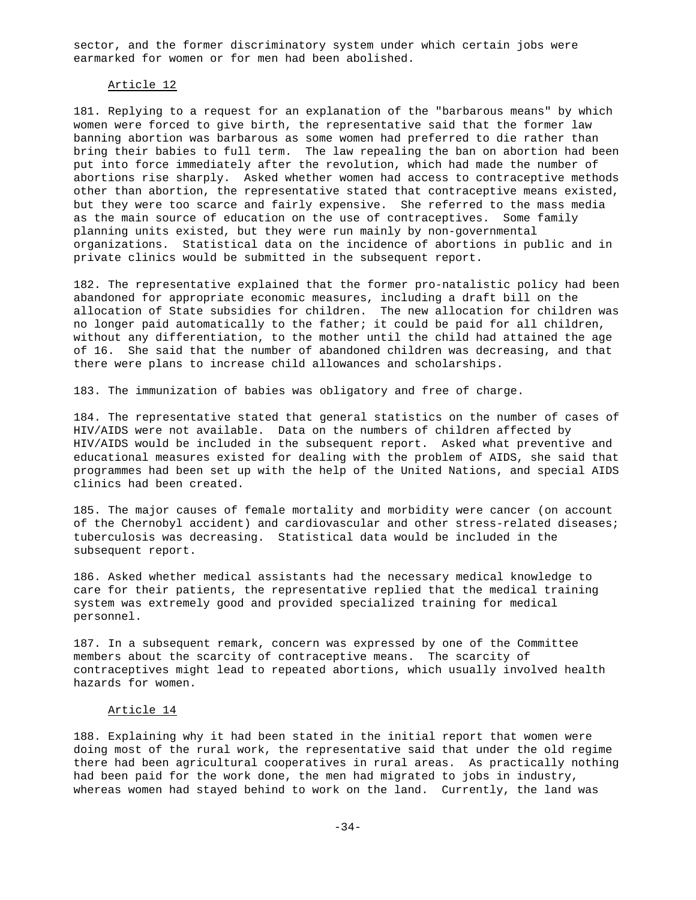sector, and the former discriminatory system under which certain jobs were earmarked for women or for men had been abolished.

### Article 12

181. Replying to a request for an explanation of the "barbarous means" by which women were forced to give birth, the representative said that the former law banning abortion was barbarous as some women had preferred to die rather than bring their babies to full term. The law repealing the ban on abortion had been put into force immediately after the revolution, which had made the number of abortions rise sharply. Asked whether women had access to contraceptive methods other than abortion, the representative stated that contraceptive means existed, but they were too scarce and fairly expensive. She referred to the mass media as the main source of education on the use of contraceptives. Some family planning units existed, but they were run mainly by non-governmental organizations. Statistical data on the incidence of abortions in public and in private clinics would be submitted in the subsequent report.

182. The representative explained that the former pro-natalistic policy had been abandoned for appropriate economic measures, including a draft bill on the allocation of State subsidies for children. The new allocation for children was no longer paid automatically to the father; it could be paid for all children, without any differentiation, to the mother until the child had attained the age of 16. She said that the number of abandoned children was decreasing, and that there were plans to increase child allowances and scholarships.

183. The immunization of babies was obligatory and free of charge.

184. The representative stated that general statistics on the number of cases of HIV/AIDS were not available. Data on the numbers of children affected by HIV/AIDS would be included in the subsequent report. Asked what preventive and educational measures existed for dealing with the problem of AIDS, she said that programmes had been set up with the help of the United Nations, and special AIDS clinics had been created.

185. The major causes of female mortality and morbidity were cancer (on account of the Chernobyl accident) and cardiovascular and other stress-related diseases; tuberculosis was decreasing. Statistical data would be included in the subsequent report.

186. Asked whether medical assistants had the necessary medical knowledge to care for their patients, the representative replied that the medical training system was extremely good and provided specialized training for medical personnel.

187. In a subsequent remark, concern was expressed by one of the Committee members about the scarcity of contraceptive means. The scarcity of contraceptives might lead to repeated abortions, which usually involved health hazards for women.

#### Article 14

188. Explaining why it had been stated in the initial report that women were doing most of the rural work, the representative said that under the old regime there had been agricultural cooperatives in rural areas. As practically nothing had been paid for the work done, the men had migrated to jobs in industry, whereas women had stayed behind to work on the land. Currently, the land was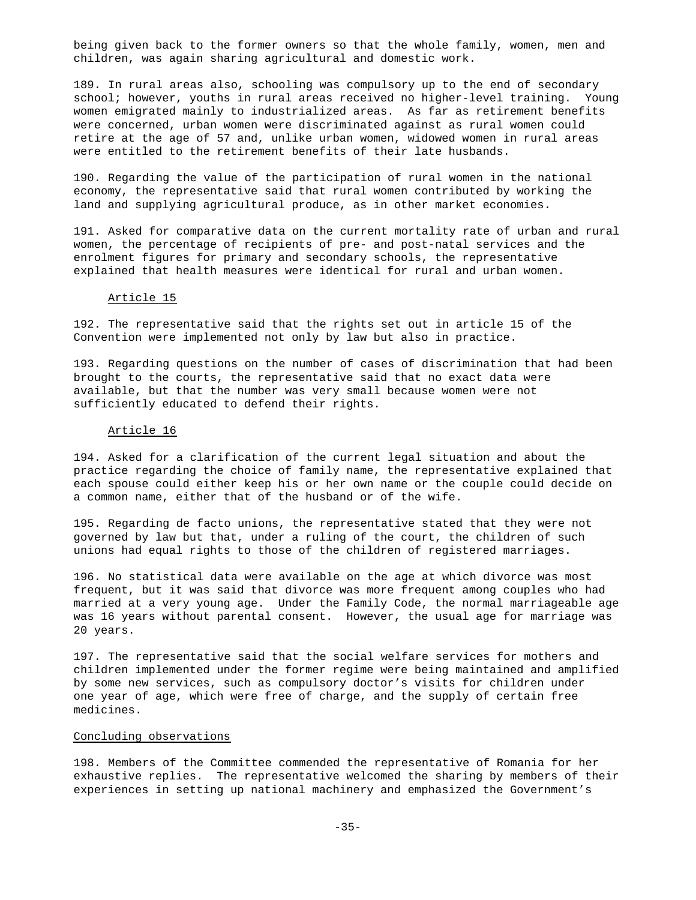being given back to the former owners so that the whole family, women, men and children, was again sharing agricultural and domestic work.

189. In rural areas also, schooling was compulsory up to the end of secondary school; however, youths in rural areas received no higher-level training. Young women emigrated mainly to industrialized areas. As far as retirement benefits were concerned, urban women were discriminated against as rural women could retire at the age of 57 and, unlike urban women, widowed women in rural areas were entitled to the retirement benefits of their late husbands.

190. Regarding the value of the participation of rural women in the national economy, the representative said that rural women contributed by working the land and supplying agricultural produce, as in other market economies.

191. Asked for comparative data on the current mortality rate of urban and rural women, the percentage of recipients of pre- and post-natal services and the enrolment figures for primary and secondary schools, the representative explained that health measures were identical for rural and urban women.

### Article 15

192. The representative said that the rights set out in article 15 of the Convention were implemented not only by law but also in practice.

193. Regarding questions on the number of cases of discrimination that had been brought to the courts, the representative said that no exact data were available, but that the number was very small because women were not sufficiently educated to defend their rights.

### Article 16

194. Asked for a clarification of the current legal situation and about the practice regarding the choice of family name, the representative explained that each spouse could either keep his or her own name or the couple could decide on a common name, either that of the husband or of the wife.

195. Regarding de facto unions, the representative stated that they were not governed by law but that, under a ruling of the court, the children of such unions had equal rights to those of the children of registered marriages.

196. No statistical data were available on the age at which divorce was most frequent, but it was said that divorce was more frequent among couples who had married at a very young age. Under the Family Code, the normal marriageable age was 16 years without parental consent. However, the usual age for marriage was 20 years.

197. The representative said that the social welfare services for mothers and children implemented under the former regime were being maintained and amplified by some new services, such as compulsory doctor's visits for children under one year of age, which were free of charge, and the supply of certain free medicines.

## Concluding observations

198. Members of the Committee commended the representative of Romania for her exhaustive replies. The representative welcomed the sharing by members of their experiences in setting up national machinery and emphasized the Government's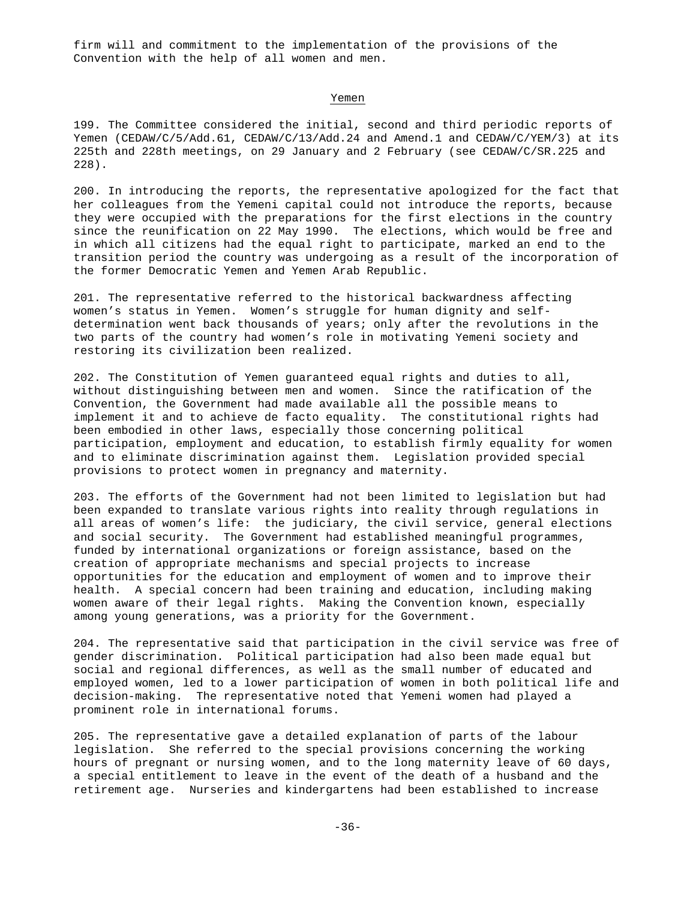firm will and commitment to the implementation of the provisions of the Convention with the help of all women and men.

#### Yemen

199. The Committee considered the initial, second and third periodic reports of Yemen (CEDAW/C/5/Add.61, CEDAW/C/13/Add.24 and Amend.1 and CEDAW/C/YEM/3) at its 225th and 228th meetings, on 29 January and 2 February (see CEDAW/C/SR.225 and 228).

200. In introducing the reports, the representative apologized for the fact that her colleagues from the Yemeni capital could not introduce the reports, because they were occupied with the preparations for the first elections in the country since the reunification on 22 May 1990. The elections, which would be free and in which all citizens had the equal right to participate, marked an end to the transition period the country was undergoing as a result of the incorporation of the former Democratic Yemen and Yemen Arab Republic.

201. The representative referred to the historical backwardness affecting women's status in Yemen. Women's struggle for human dignity and selfdetermination went back thousands of years; only after the revolutions in the two parts of the country had women's role in motivating Yemeni society and restoring its civilization been realized.

202. The Constitution of Yemen guaranteed equal rights and duties to all, without distinguishing between men and women. Since the ratification of the Convention, the Government had made available all the possible means to implement it and to achieve de facto equality. The constitutional rights had been embodied in other laws, especially those concerning political participation, employment and education, to establish firmly equality for women and to eliminate discrimination against them. Legislation provided special provisions to protect women in pregnancy and maternity.

203. The efforts of the Government had not been limited to legislation but had been expanded to translate various rights into reality through regulations in all areas of women's life: the judiciary, the civil service, general elections and social security. The Government had established meaningful programmes, funded by international organizations or foreign assistance, based on the creation of appropriate mechanisms and special projects to increase opportunities for the education and employment of women and to improve their health. A special concern had been training and education, including making women aware of their legal rights. Making the Convention known, especially among young generations, was a priority for the Government.

204. The representative said that participation in the civil service was free of gender discrimination. Political participation had also been made equal but social and regional differences, as well as the small number of educated and employed women, led to a lower participation of women in both political life and decision-making. The representative noted that Yemeni women had played a prominent role in international forums.

205. The representative gave a detailed explanation of parts of the labour legislation. She referred to the special provisions concerning the working hours of pregnant or nursing women, and to the long maternity leave of 60 days, a special entitlement to leave in the event of the death of a husband and the retirement age. Nurseries and kindergartens had been established to increase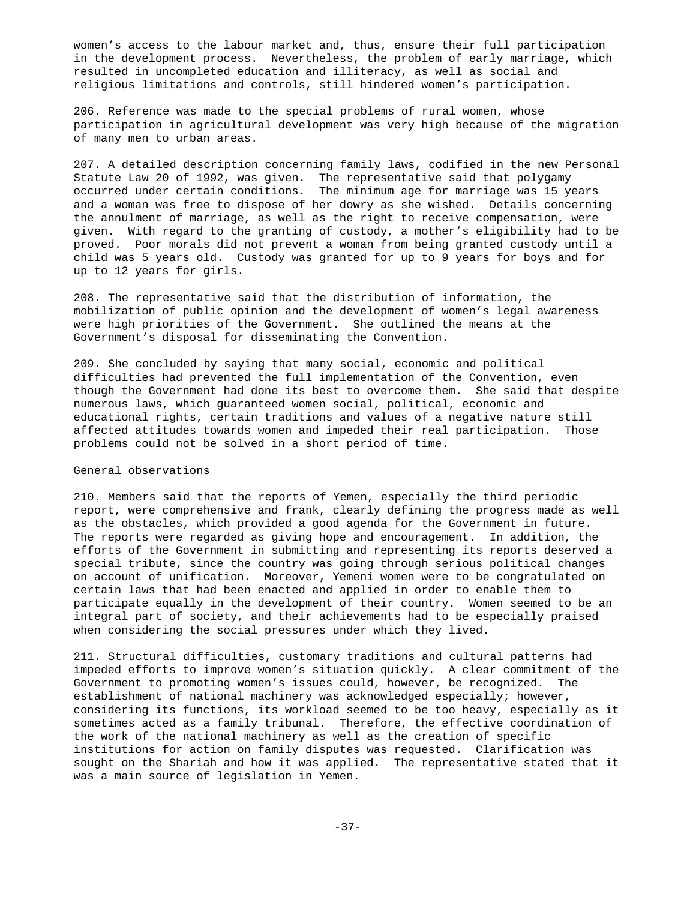women's access to the labour market and, thus, ensure their full participation in the development process. Nevertheless, the problem of early marriage, which resulted in uncompleted education and illiteracy, as well as social and religious limitations and controls, still hindered women's participation.

206. Reference was made to the special problems of rural women, whose participation in agricultural development was very high because of the migration of many men to urban areas.

207. A detailed description concerning family laws, codified in the new Personal Statute Law 20 of 1992, was given. The representative said that polygamy occurred under certain conditions. The minimum age for marriage was 15 years and a woman was free to dispose of her dowry as she wished. Details concerning the annulment of marriage, as well as the right to receive compensation, were given. With regard to the granting of custody, a mother's eligibility had to be proved. Poor morals did not prevent a woman from being granted custody until a child was 5 years old. Custody was granted for up to 9 years for boys and for up to 12 years for girls.

208. The representative said that the distribution of information, the mobilization of public opinion and the development of women's legal awareness were high priorities of the Government. She outlined the means at the Government's disposal for disseminating the Convention.

209. She concluded by saying that many social, economic and political difficulties had prevented the full implementation of the Convention, even though the Government had done its best to overcome them. She said that despite numerous laws, which guaranteed women social, political, economic and educational rights, certain traditions and values of a negative nature still affected attitudes towards women and impeded their real participation. Those problems could not be solved in a short period of time.

#### General observations

210. Members said that the reports of Yemen, especially the third periodic report, were comprehensive and frank, clearly defining the progress made as well as the obstacles, which provided a good agenda for the Government in future. The reports were regarded as giving hope and encouragement. In addition, the efforts of the Government in submitting and representing its reports deserved a special tribute, since the country was going through serious political changes on account of unification. Moreover, Yemeni women were to be congratulated on certain laws that had been enacted and applied in order to enable them to participate equally in the development of their country. Women seemed to be an integral part of society, and their achievements had to be especially praised when considering the social pressures under which they lived.

211. Structural difficulties, customary traditions and cultural patterns had impeded efforts to improve women's situation quickly. A clear commitment of the Government to promoting women's issues could, however, be recognized. The establishment of national machinery was acknowledged especially; however, considering its functions, its workload seemed to be too heavy, especially as it sometimes acted as a family tribunal. Therefore, the effective coordination of the work of the national machinery as well as the creation of specific institutions for action on family disputes was requested. Clarification was sought on the Shariah and how it was applied. The representative stated that it was a main source of legislation in Yemen.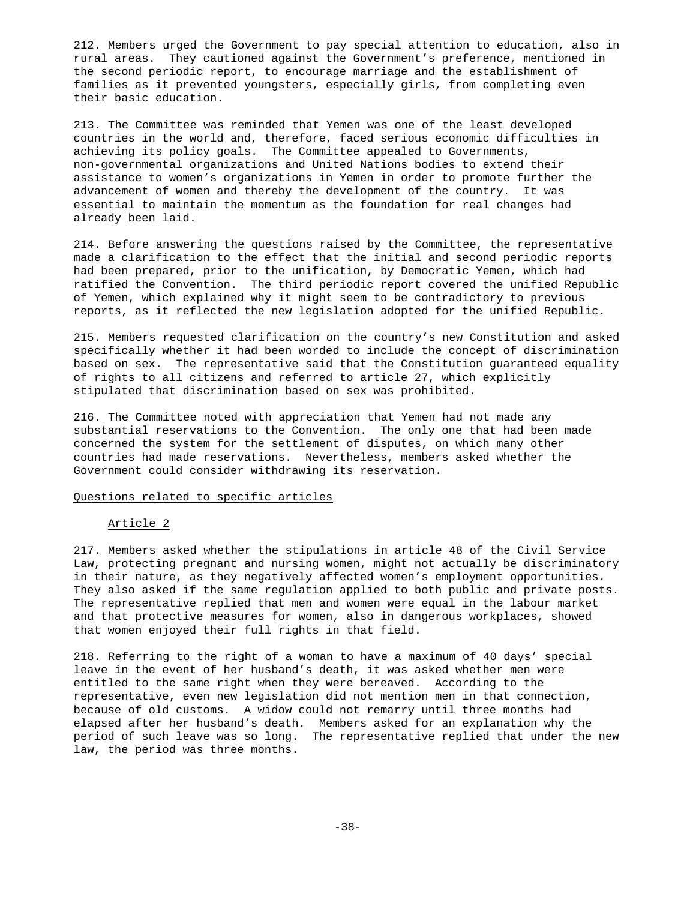212. Members urged the Government to pay special attention to education, also in rural areas. They cautioned against the Government's preference, mentioned in the second periodic report, to encourage marriage and the establishment of families as it prevented youngsters, especially girls, from completing even their basic education.

213. The Committee was reminded that Yemen was one of the least developed countries in the world and, therefore, faced serious economic difficulties in achieving its policy goals. The Committee appealed to Governments, non-governmental organizations and United Nations bodies to extend their assistance to women's organizations in Yemen in order to promote further the advancement of women and thereby the development of the country. It was essential to maintain the momentum as the foundation for real changes had already been laid.

214. Before answering the questions raised by the Committee, the representative made a clarification to the effect that the initial and second periodic reports had been prepared, prior to the unification, by Democratic Yemen, which had ratified the Convention. The third periodic report covered the unified Republic of Yemen, which explained why it might seem to be contradictory to previous reports, as it reflected the new legislation adopted for the unified Republic.

215. Members requested clarification on the country's new Constitution and asked specifically whether it had been worded to include the concept of discrimination based on sex. The representative said that the Constitution guaranteed equality of rights to all citizens and referred to article 27, which explicitly stipulated that discrimination based on sex was prohibited.

216. The Committee noted with appreciation that Yemen had not made any substantial reservations to the Convention. The only one that had been made concerned the system for the settlement of disputes, on which many other countries had made reservations. Nevertheless, members asked whether the Government could consider withdrawing its reservation.

#### Questions related to specific articles

### Article 2

217. Members asked whether the stipulations in article 48 of the Civil Service Law, protecting pregnant and nursing women, might not actually be discriminatory in their nature, as they negatively affected women's employment opportunities. They also asked if the same regulation applied to both public and private posts. The representative replied that men and women were equal in the labour market and that protective measures for women, also in dangerous workplaces, showed that women enjoyed their full rights in that field.

218. Referring to the right of a woman to have a maximum of 40 days' special leave in the event of her husband's death, it was asked whether men were entitled to the same right when they were bereaved. According to the representative, even new legislation did not mention men in that connection, because of old customs. A widow could not remarry until three months had elapsed after her husband's death. Members asked for an explanation why the period of such leave was so long. The representative replied that under the new law, the period was three months.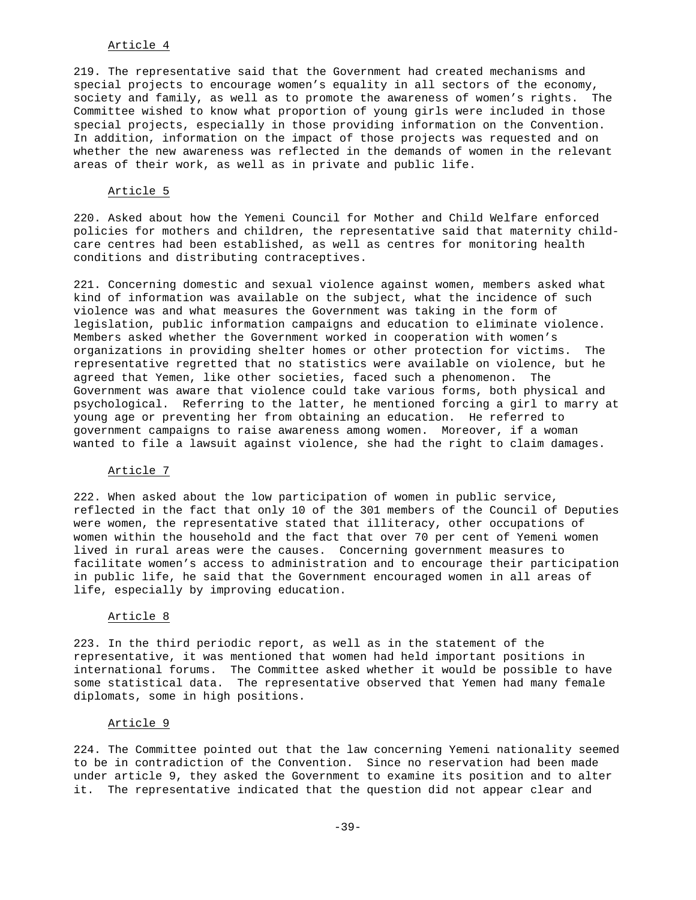# Article 4

219. The representative said that the Government had created mechanisms and special projects to encourage women's equality in all sectors of the economy, society and family, as well as to promote the awareness of women's rights. The Committee wished to know what proportion of young girls were included in those special projects, especially in those providing information on the Convention. In addition, information on the impact of those projects was requested and on whether the new awareness was reflected in the demands of women in the relevant areas of their work, as well as in private and public life.

### Article 5

220. Asked about how the Yemeni Council for Mother and Child Welfare enforced policies for mothers and children, the representative said that maternity childcare centres had been established, as well as centres for monitoring health conditions and distributing contraceptives.

221. Concerning domestic and sexual violence against women, members asked what kind of information was available on the subject, what the incidence of such violence was and what measures the Government was taking in the form of legislation, public information campaigns and education to eliminate violence. Members asked whether the Government worked in cooperation with women's organizations in providing shelter homes or other protection for victims. The representative regretted that no statistics were available on violence, but he agreed that Yemen, like other societies, faced such a phenomenon. The Government was aware that violence could take various forms, both physical and psychological. Referring to the latter, he mentioned forcing a girl to marry at young age or preventing her from obtaining an education. He referred to government campaigns to raise awareness among women. Moreover, if a woman wanted to file a lawsuit against violence, she had the right to claim damages.

#### Article 7

222. When asked about the low participation of women in public service, reflected in the fact that only 10 of the 301 members of the Council of Deputies were women, the representative stated that illiteracy, other occupations of women within the household and the fact that over 70 per cent of Yemeni women lived in rural areas were the causes. Concerning government measures to facilitate women's access to administration and to encourage their participation in public life, he said that the Government encouraged women in all areas of life, especially by improving education.

### Article 8

223. In the third periodic report, as well as in the statement of the representative, it was mentioned that women had held important positions in international forums. The Committee asked whether it would be possible to have some statistical data. The representative observed that Yemen had many female diplomats, some in high positions.

## Article 9

224. The Committee pointed out that the law concerning Yemeni nationality seemed to be in contradiction of the Convention. Since no reservation had been made under article 9, they asked the Government to examine its position and to alter it. The representative indicated that the question did not appear clear and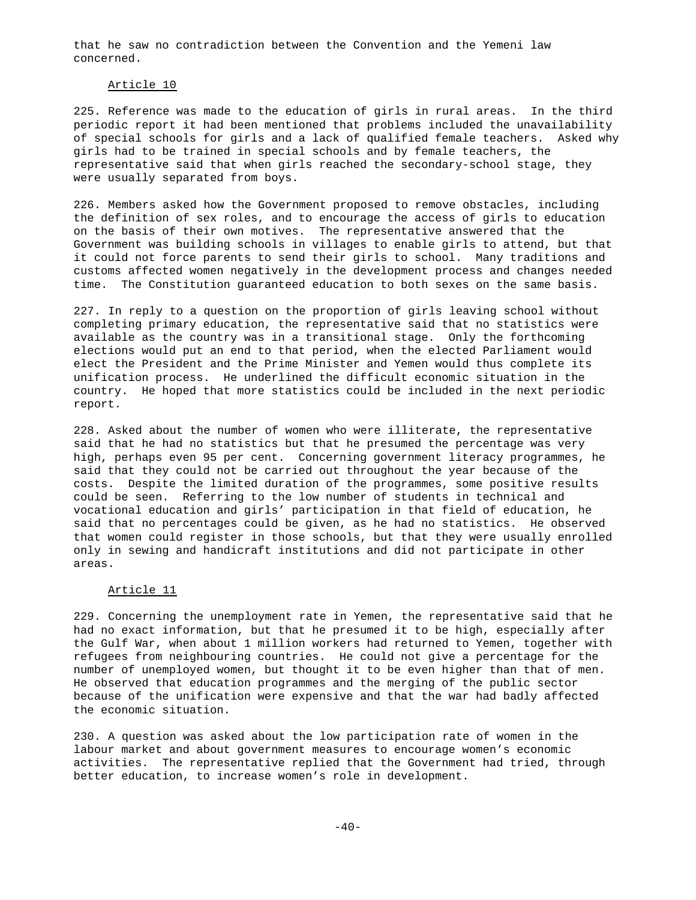that he saw no contradiction between the Convention and the Yemeni law concerned.

### Article 10

225. Reference was made to the education of girls in rural areas. In the third periodic report it had been mentioned that problems included the unavailability of special schools for girls and a lack of qualified female teachers. Asked why girls had to be trained in special schools and by female teachers, the representative said that when girls reached the secondary-school stage, they were usually separated from boys.

226. Members asked how the Government proposed to remove obstacles, including the definition of sex roles, and to encourage the access of girls to education on the basis of their own motives. The representative answered that the Government was building schools in villages to enable girls to attend, but that it could not force parents to send their girls to school. Many traditions and customs affected women negatively in the development process and changes needed time. The Constitution guaranteed education to both sexes on the same basis.

227. In reply to a question on the proportion of girls leaving school without completing primary education, the representative said that no statistics were available as the country was in a transitional stage. Only the forthcoming elections would put an end to that period, when the elected Parliament would elect the President and the Prime Minister and Yemen would thus complete its unification process. He underlined the difficult economic situation in the country. He hoped that more statistics could be included in the next periodic report.

228. Asked about the number of women who were illiterate, the representative said that he had no statistics but that he presumed the percentage was very high, perhaps even 95 per cent. Concerning government literacy programmes, he said that they could not be carried out throughout the year because of the costs. Despite the limited duration of the programmes, some positive results could be seen. Referring to the low number of students in technical and vocational education and girls' participation in that field of education, he said that no percentages could be given, as he had no statistics. He observed that women could register in those schools, but that they were usually enrolled only in sewing and handicraft institutions and did not participate in other areas.

### Article 11

229. Concerning the unemployment rate in Yemen, the representative said that he had no exact information, but that he presumed it to be high, especially after the Gulf War, when about 1 million workers had returned to Yemen, together with refugees from neighbouring countries. He could not give a percentage for the number of unemployed women, but thought it to be even higher than that of men. He observed that education programmes and the merging of the public sector because of the unification were expensive and that the war had badly affected the economic situation.

230. A question was asked about the low participation rate of women in the labour market and about government measures to encourage women's economic activities. The representative replied that the Government had tried, through better education, to increase women's role in development.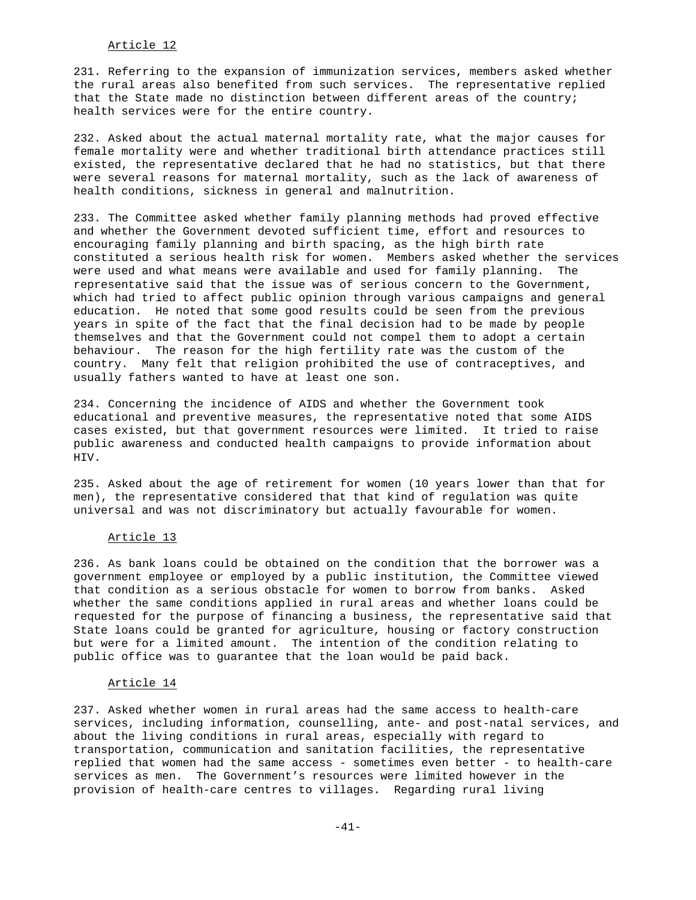# Article 12

231. Referring to the expansion of immunization services, members asked whether the rural areas also benefited from such services. The representative replied that the State made no distinction between different areas of the country; health services were for the entire country.

232. Asked about the actual maternal mortality rate, what the major causes for female mortality were and whether traditional birth attendance practices still existed, the representative declared that he had no statistics, but that there were several reasons for maternal mortality, such as the lack of awareness of health conditions, sickness in general and malnutrition.

233. The Committee asked whether family planning methods had proved effective and whether the Government devoted sufficient time, effort and resources to encouraging family planning and birth spacing, as the high birth rate constituted a serious health risk for women. Members asked whether the services were used and what means were available and used for family planning. The representative said that the issue was of serious concern to the Government, which had tried to affect public opinion through various campaigns and general education. He noted that some good results could be seen from the previous years in spite of the fact that the final decision had to be made by people themselves and that the Government could not compel them to adopt a certain behaviour. The reason for the high fertility rate was the custom of the country. Many felt that religion prohibited the use of contraceptives, and usually fathers wanted to have at least one son.

234. Concerning the incidence of AIDS and whether the Government took educational and preventive measures, the representative noted that some AIDS cases existed, but that government resources were limited. It tried to raise public awareness and conducted health campaigns to provide information about HIV.

235. Asked about the age of retirement for women (10 years lower than that for men), the representative considered that that kind of regulation was quite universal and was not discriminatory but actually favourable for women.

### Article 13

236. As bank loans could be obtained on the condition that the borrower was a government employee or employed by a public institution, the Committee viewed that condition as a serious obstacle for women to borrow from banks. Asked whether the same conditions applied in rural areas and whether loans could be requested for the purpose of financing a business, the representative said that State loans could be granted for agriculture, housing or factory construction but were for a limited amount. The intention of the condition relating to public office was to guarantee that the loan would be paid back.

### Article 14

237. Asked whether women in rural areas had the same access to health-care services, including information, counselling, ante- and post-natal services, and about the living conditions in rural areas, especially with regard to transportation, communication and sanitation facilities, the representative replied that women had the same access - sometimes even better - to health-care services as men. The Government's resources were limited however in the provision of health-care centres to villages. Regarding rural living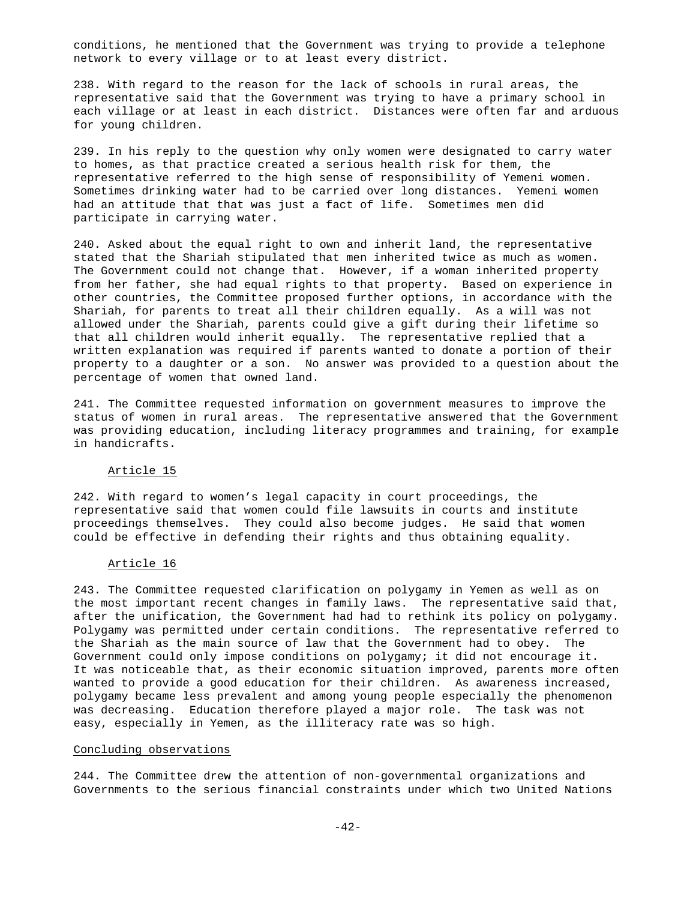conditions, he mentioned that the Government was trying to provide a telephone network to every village or to at least every district.

238. With regard to the reason for the lack of schools in rural areas, the representative said that the Government was trying to have a primary school in each village or at least in each district. Distances were often far and arduous for young children.

239. In his reply to the question why only women were designated to carry water to homes, as that practice created a serious health risk for them, the representative referred to the high sense of responsibility of Yemeni women. Sometimes drinking water had to be carried over long distances. Yemeni women had an attitude that that was just a fact of life. Sometimes men did participate in carrying water.

240. Asked about the equal right to own and inherit land, the representative stated that the Shariah stipulated that men inherited twice as much as women. The Government could not change that. However, if a woman inherited property from her father, she had equal rights to that property. Based on experience in other countries, the Committee proposed further options, in accordance with the Shariah, for parents to treat all their children equally. As a will was not allowed under the Shariah, parents could give a gift during their lifetime so that all children would inherit equally. The representative replied that a written explanation was required if parents wanted to donate a portion of their property to a daughter or a son. No answer was provided to a question about the percentage of women that owned land.

241. The Committee requested information on government measures to improve the status of women in rural areas. The representative answered that the Government was providing education, including literacy programmes and training, for example in handicrafts.

#### Article 15

242. With regard to women's legal capacity in court proceedings, the representative said that women could file lawsuits in courts and institute proceedings themselves. They could also become judges. He said that women could be effective in defending their rights and thus obtaining equality.

#### Article 16

243. The Committee requested clarification on polygamy in Yemen as well as on the most important recent changes in family laws. The representative said that, after the unification, the Government had had to rethink its policy on polygamy. Polygamy was permitted under certain conditions. The representative referred to the Shariah as the main source of law that the Government had to obey. The Government could only impose conditions on polygamy; it did not encourage it. It was noticeable that, as their economic situation improved, parents more often wanted to provide a good education for their children. As awareness increased, polygamy became less prevalent and among young people especially the phenomenon was decreasing. Education therefore played a major role. The task was not easy, especially in Yemen, as the illiteracy rate was so high.

## Concluding observations

244. The Committee drew the attention of non-governmental organizations and Governments to the serious financial constraints under which two United Nations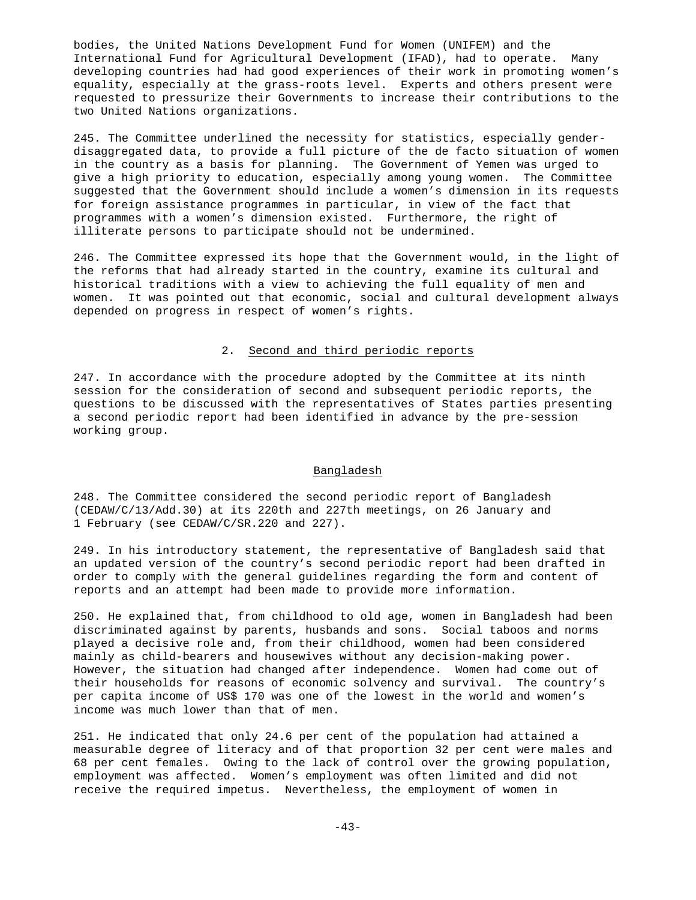bodies, the United Nations Development Fund for Women (UNIFEM) and the International Fund for Agricultural Development (IFAD), had to operate. Many developing countries had had good experiences of their work in promoting women's equality, especially at the grass-roots level. Experts and others present were requested to pressurize their Governments to increase their contributions to the two United Nations organizations.

245. The Committee underlined the necessity for statistics, especially genderdisaggregated data, to provide a full picture of the de facto situation of women in the country as a basis for planning. The Government of Yemen was urged to give a high priority to education, especially among young women. The Committee suggested that the Government should include a women's dimension in its requests for foreign assistance programmes in particular, in view of the fact that programmes with a women's dimension existed. Furthermore, the right of illiterate persons to participate should not be undermined.

246. The Committee expressed its hope that the Government would, in the light of the reforms that had already started in the country, examine its cultural and historical traditions with a view to achieving the full equality of men and women. It was pointed out that economic, social and cultural development always depended on progress in respect of women's rights.

## 2. Second and third periodic reports

247. In accordance with the procedure adopted by the Committee at its ninth session for the consideration of second and subsequent periodic reports, the questions to be discussed with the representatives of States parties presenting a second periodic report had been identified in advance by the pre-session working group.

#### Bangladesh

248. The Committee considered the second periodic report of Bangladesh (CEDAW/C/13/Add.30) at its 220th and 227th meetings, on 26 January and 1 February (see CEDAW/C/SR.220 and 227).

249. In his introductory statement, the representative of Bangladesh said that an updated version of the country's second periodic report had been drafted in order to comply with the general guidelines regarding the form and content of reports and an attempt had been made to provide more information.

250. He explained that, from childhood to old age, women in Bangladesh had been discriminated against by parents, husbands and sons. Social taboos and norms played a decisive role and, from their childhood, women had been considered mainly as child-bearers and housewives without any decision-making power. However, the situation had changed after independence. Women had come out of their households for reasons of economic solvency and survival. The country's per capita income of US\$ 170 was one of the lowest in the world and women's income was much lower than that of men.

251. He indicated that only 24.6 per cent of the population had attained a measurable degree of literacy and of that proportion 32 per cent were males and 68 per cent females. Owing to the lack of control over the growing population, employment was affected. Women's employment was often limited and did not receive the required impetus. Nevertheless, the employment of women in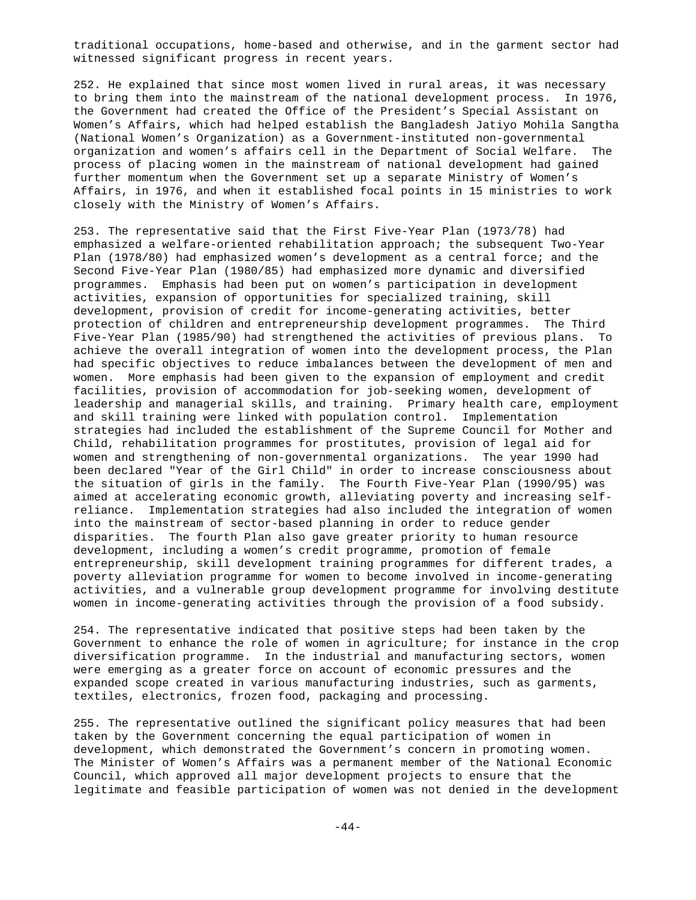traditional occupations, home-based and otherwise, and in the garment sector had witnessed significant progress in recent years.

252. He explained that since most women lived in rural areas, it was necessary to bring them into the mainstream of the national development process. In 1976, the Government had created the Office of the President's Special Assistant on Women's Affairs, which had helped establish the Bangladesh Jatiyo Mohila Sangtha (National Women's Organization) as a Government-instituted non-governmental organization and women's affairs cell in the Department of Social Welfare. The process of placing women in the mainstream of national development had gained further momentum when the Government set up a separate Ministry of Women's Affairs, in 1976, and when it established focal points in 15 ministries to work closely with the Ministry of Women's Affairs.

253. The representative said that the First Five-Year Plan (1973/78) had emphasized a welfare-oriented rehabilitation approach; the subsequent Two-Year Plan (1978/80) had emphasized women's development as a central force; and the Second Five-Year Plan (1980/85) had emphasized more dynamic and diversified programmes. Emphasis had been put on women's participation in development activities, expansion of opportunities for specialized training, skill development, provision of credit for income-generating activities, better protection of children and entrepreneurship development programmes. The Third Five-Year Plan (1985/90) had strengthened the activities of previous plans. To achieve the overall integration of women into the development process, the Plan had specific objectives to reduce imbalances between the development of men and women. More emphasis had been given to the expansion of employment and credit facilities, provision of accommodation for job-seeking women, development of leadership and managerial skills, and training. Primary health care, employment and skill training were linked with population control. Implementation strategies had included the establishment of the Supreme Council for Mother and Child, rehabilitation programmes for prostitutes, provision of legal aid for women and strengthening of non-governmental organizations. The year 1990 had been declared "Year of the Girl Child" in order to increase consciousness about the situation of girls in the family. The Fourth Five-Year Plan (1990/95) was aimed at accelerating economic growth, alleviating poverty and increasing selfreliance. Implementation strategies had also included the integration of women into the mainstream of sector-based planning in order to reduce gender disparities. The fourth Plan also gave greater priority to human resource development, including a women's credit programme, promotion of female entrepreneurship, skill development training programmes for different trades, a poverty alleviation programme for women to become involved in income-generating activities, and a vulnerable group development programme for involving destitute women in income-generating activities through the provision of a food subsidy.

254. The representative indicated that positive steps had been taken by the Government to enhance the role of women in agriculture; for instance in the crop diversification programme. In the industrial and manufacturing sectors, women were emerging as a greater force on account of economic pressures and the expanded scope created in various manufacturing industries, such as garments, textiles, electronics, frozen food, packaging and processing.

255. The representative outlined the significant policy measures that had been taken by the Government concerning the equal participation of women in development, which demonstrated the Government's concern in promoting women. The Minister of Women's Affairs was a permanent member of the National Economic Council, which approved all major development projects to ensure that the legitimate and feasible participation of women was not denied in the development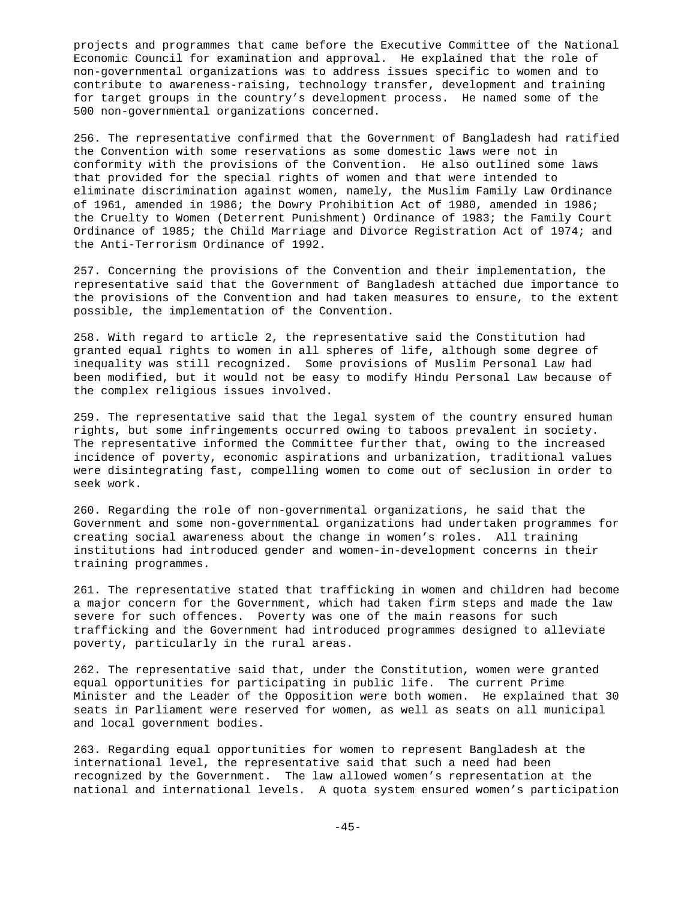projects and programmes that came before the Executive Committee of the National Economic Council for examination and approval. He explained that the role of non-governmental organizations was to address issues specific to women and to contribute to awareness-raising, technology transfer, development and training for target groups in the country's development process. He named some of the 500 non-governmental organizations concerned.

256. The representative confirmed that the Government of Bangladesh had ratified the Convention with some reservations as some domestic laws were not in conformity with the provisions of the Convention. He also outlined some laws that provided for the special rights of women and that were intended to eliminate discrimination against women, namely, the Muslim Family Law Ordinance of 1961, amended in 1986; the Dowry Prohibition Act of 1980, amended in 1986; the Cruelty to Women (Deterrent Punishment) Ordinance of 1983; the Family Court Ordinance of 1985; the Child Marriage and Divorce Registration Act of 1974; and the Anti-Terrorism Ordinance of 1992.

257. Concerning the provisions of the Convention and their implementation, the representative said that the Government of Bangladesh attached due importance to the provisions of the Convention and had taken measures to ensure, to the extent possible, the implementation of the Convention.

258. With regard to article 2, the representative said the Constitution had granted equal rights to women in all spheres of life, although some degree of inequality was still recognized. Some provisions of Muslim Personal Law had been modified, but it would not be easy to modify Hindu Personal Law because of the complex religious issues involved.

259. The representative said that the legal system of the country ensured human rights, but some infringements occurred owing to taboos prevalent in society. The representative informed the Committee further that, owing to the increased incidence of poverty, economic aspirations and urbanization, traditional values were disintegrating fast, compelling women to come out of seclusion in order to seek work.

260. Regarding the role of non-governmental organizations, he said that the Government and some non-governmental organizations had undertaken programmes for creating social awareness about the change in women's roles. All training institutions had introduced gender and women-in-development concerns in their training programmes.

261. The representative stated that trafficking in women and children had become a major concern for the Government, which had taken firm steps and made the law severe for such offences. Poverty was one of the main reasons for such trafficking and the Government had introduced programmes designed to alleviate poverty, particularly in the rural areas.

262. The representative said that, under the Constitution, women were granted equal opportunities for participating in public life. The current Prime Minister and the Leader of the Opposition were both women. He explained that 30 seats in Parliament were reserved for women, as well as seats on all municipal and local government bodies.

263. Regarding equal opportunities for women to represent Bangladesh at the international level, the representative said that such a need had been recognized by the Government. The law allowed women's representation at the national and international levels. A quota system ensured women's participation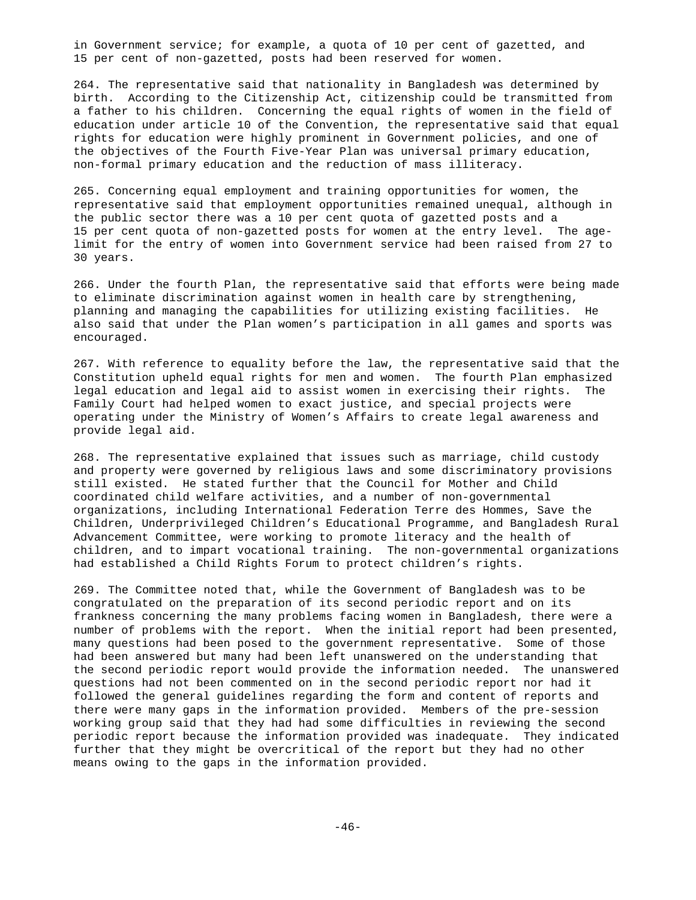in Government service; for example, a quota of 10 per cent of gazetted, and 15 per cent of non-gazetted, posts had been reserved for women.

264. The representative said that nationality in Bangladesh was determined by birth. According to the Citizenship Act, citizenship could be transmitted from a father to his children. Concerning the equal rights of women in the field of education under article 10 of the Convention, the representative said that equal rights for education were highly prominent in Government policies, and one of the objectives of the Fourth Five-Year Plan was universal primary education, non-formal primary education and the reduction of mass illiteracy.

265. Concerning equal employment and training opportunities for women, the representative said that employment opportunities remained unequal, although in the public sector there was a 10 per cent quota of gazetted posts and a 15 per cent quota of non-gazetted posts for women at the entry level. The agelimit for the entry of women into Government service had been raised from 27 to 30 years.

266. Under the fourth Plan, the representative said that efforts were being made to eliminate discrimination against women in health care by strengthening, planning and managing the capabilities for utilizing existing facilities. He also said that under the Plan women's participation in all games and sports was encouraged.

267. With reference to equality before the law, the representative said that the Constitution upheld equal rights for men and women. The fourth Plan emphasized legal education and legal aid to assist women in exercising their rights. The Family Court had helped women to exact justice, and special projects were operating under the Ministry of Women's Affairs to create legal awareness and provide legal aid.

268. The representative explained that issues such as marriage, child custody and property were governed by religious laws and some discriminatory provisions still existed. He stated further that the Council for Mother and Child coordinated child welfare activities, and a number of non-governmental organizations, including International Federation Terre des Hommes, Save the Children, Underprivileged Children's Educational Programme, and Bangladesh Rural Advancement Committee, were working to promote literacy and the health of children, and to impart vocational training. The non-governmental organizations had established a Child Rights Forum to protect children's rights.

269. The Committee noted that, while the Government of Bangladesh was to be congratulated on the preparation of its second periodic report and on its frankness concerning the many problems facing women in Bangladesh, there were a number of problems with the report. When the initial report had been presented, many questions had been posed to the government representative. Some of those had been answered but many had been left unanswered on the understanding that the second periodic report would provide the information needed. The unanswered questions had not been commented on in the second periodic report nor had it followed the general guidelines regarding the form and content of reports and there were many gaps in the information provided. Members of the pre-session working group said that they had had some difficulties in reviewing the second periodic report because the information provided was inadequate. They indicated further that they might be overcritical of the report but they had no other means owing to the gaps in the information provided.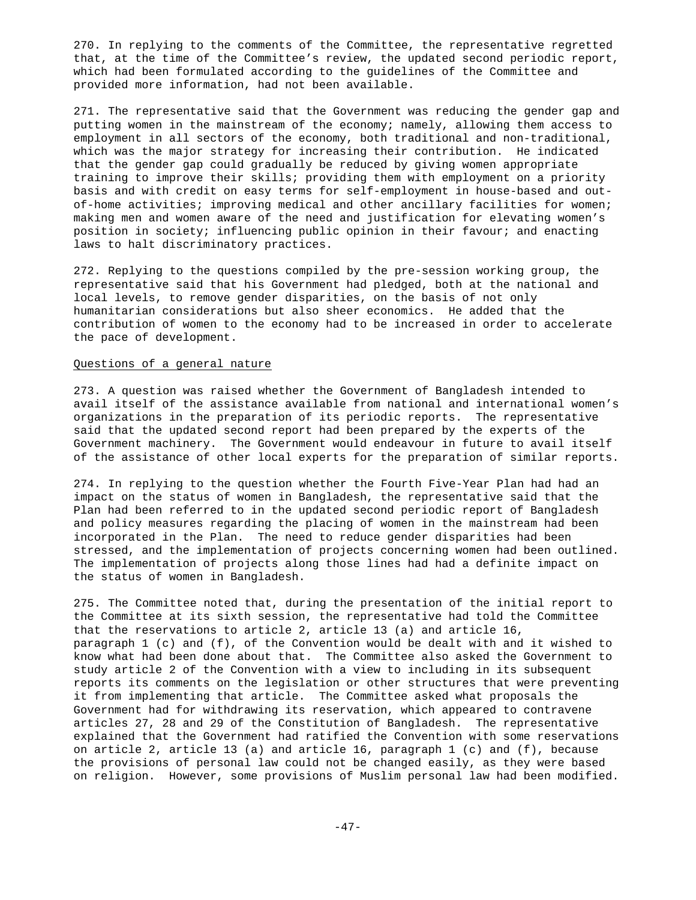270. In replying to the comments of the Committee, the representative regretted that, at the time of the Committee's review, the updated second periodic report, which had been formulated according to the guidelines of the Committee and provided more information, had not been available.

271. The representative said that the Government was reducing the gender gap and putting women in the mainstream of the economy; namely, allowing them access to employment in all sectors of the economy, both traditional and non-traditional, which was the major strategy for increasing their contribution. He indicated that the gender gap could gradually be reduced by giving women appropriate training to improve their skills; providing them with employment on a priority basis and with credit on easy terms for self-employment in house-based and outof-home activities; improving medical and other ancillary facilities for women; making men and women aware of the need and justification for elevating women's position in society; influencing public opinion in their favour; and enacting laws to halt discriminatory practices.

272. Replying to the questions compiled by the pre-session working group, the representative said that his Government had pledged, both at the national and local levels, to remove gender disparities, on the basis of not only humanitarian considerations but also sheer economics. He added that the contribution of women to the economy had to be increased in order to accelerate the pace of development.

#### Questions of a general nature

273. A question was raised whether the Government of Bangladesh intended to avail itself of the assistance available from national and international women's organizations in the preparation of its periodic reports. The representative said that the updated second report had been prepared by the experts of the Government machinery. The Government would endeavour in future to avail itself of the assistance of other local experts for the preparation of similar reports.

274. In replying to the question whether the Fourth Five-Year Plan had had an impact on the status of women in Bangladesh, the representative said that the Plan had been referred to in the updated second periodic report of Bangladesh and policy measures regarding the placing of women in the mainstream had been incorporated in the Plan. The need to reduce gender disparities had been stressed, and the implementation of projects concerning women had been outlined. The implementation of projects along those lines had had a definite impact on the status of women in Bangladesh.

275. The Committee noted that, during the presentation of the initial report to the Committee at its sixth session, the representative had told the Committee that the reservations to article 2, article 13 (a) and article 16, paragraph 1 (c) and (f), of the Convention would be dealt with and it wished to know what had been done about that. The Committee also asked the Government to study article 2 of the Convention with a view to including in its subsequent reports its comments on the legislation or other structures that were preventing it from implementing that article. The Committee asked what proposals the Government had for withdrawing its reservation, which appeared to contravene articles 27, 28 and 29 of the Constitution of Bangladesh. The representative explained that the Government had ratified the Convention with some reservations on article 2, article 13 (a) and article 16, paragraph 1 (c) and (f), because the provisions of personal law could not be changed easily, as they were based on religion. However, some provisions of Muslim personal law had been modified.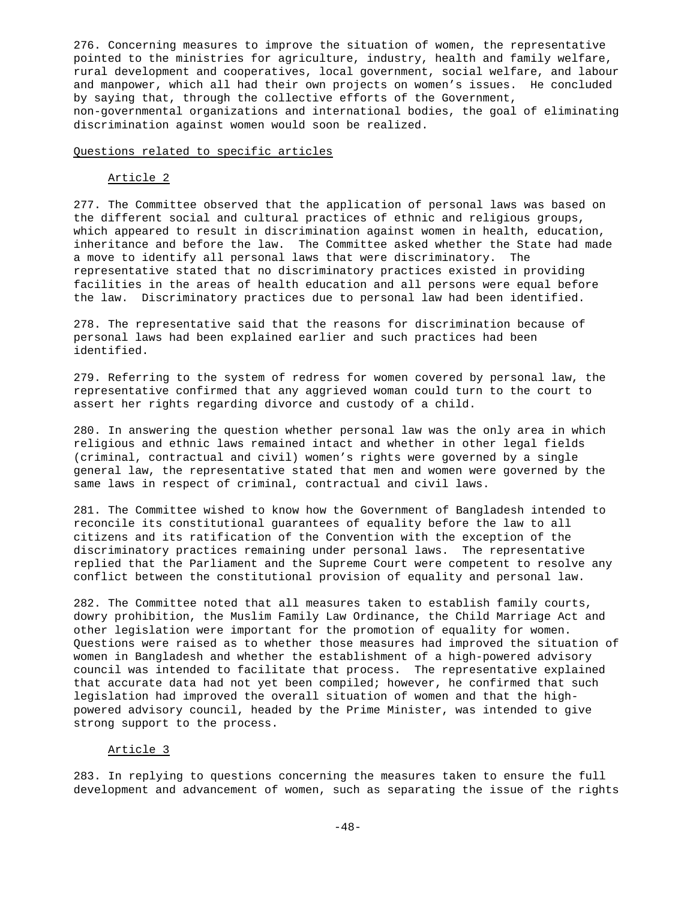276. Concerning measures to improve the situation of women, the representative pointed to the ministries for agriculture, industry, health and family welfare, rural development and cooperatives, local government, social welfare, and labour and manpower, which all had their own projects on women's issues. He concluded by saying that, through the collective efforts of the Government, non-governmental organizations and international bodies, the goal of eliminating discrimination against women would soon be realized.

### Questions related to specific articles

#### Article 2

277. The Committee observed that the application of personal laws was based on the different social and cultural practices of ethnic and religious groups, which appeared to result in discrimination against women in health, education, inheritance and before the law. The Committee asked whether the State had made a move to identify all personal laws that were discriminatory. The representative stated that no discriminatory practices existed in providing facilities in the areas of health education and all persons were equal before the law. Discriminatory practices due to personal law had been identified.

278. The representative said that the reasons for discrimination because of personal laws had been explained earlier and such practices had been identified.

279. Referring to the system of redress for women covered by personal law, the representative confirmed that any aggrieved woman could turn to the court to assert her rights regarding divorce and custody of a child.

280. In answering the question whether personal law was the only area in which religious and ethnic laws remained intact and whether in other legal fields (criminal, contractual and civil) women's rights were governed by a single general law, the representative stated that men and women were governed by the same laws in respect of criminal, contractual and civil laws.

281. The Committee wished to know how the Government of Bangladesh intended to reconcile its constitutional guarantees of equality before the law to all citizens and its ratification of the Convention with the exception of the discriminatory practices remaining under personal laws. The representative replied that the Parliament and the Supreme Court were competent to resolve any conflict between the constitutional provision of equality and personal law.

282. The Committee noted that all measures taken to establish family courts, dowry prohibition, the Muslim Family Law Ordinance, the Child Marriage Act and other legislation were important for the promotion of equality for women. Questions were raised as to whether those measures had improved the situation of women in Bangladesh and whether the establishment of a high-powered advisory council was intended to facilitate that process. The representative explained that accurate data had not yet been compiled; however, he confirmed that such legislation had improved the overall situation of women and that the highpowered advisory council, headed by the Prime Minister, was intended to give strong support to the process.

# Article 3

283. In replying to questions concerning the measures taken to ensure the full development and advancement of women, such as separating the issue of the rights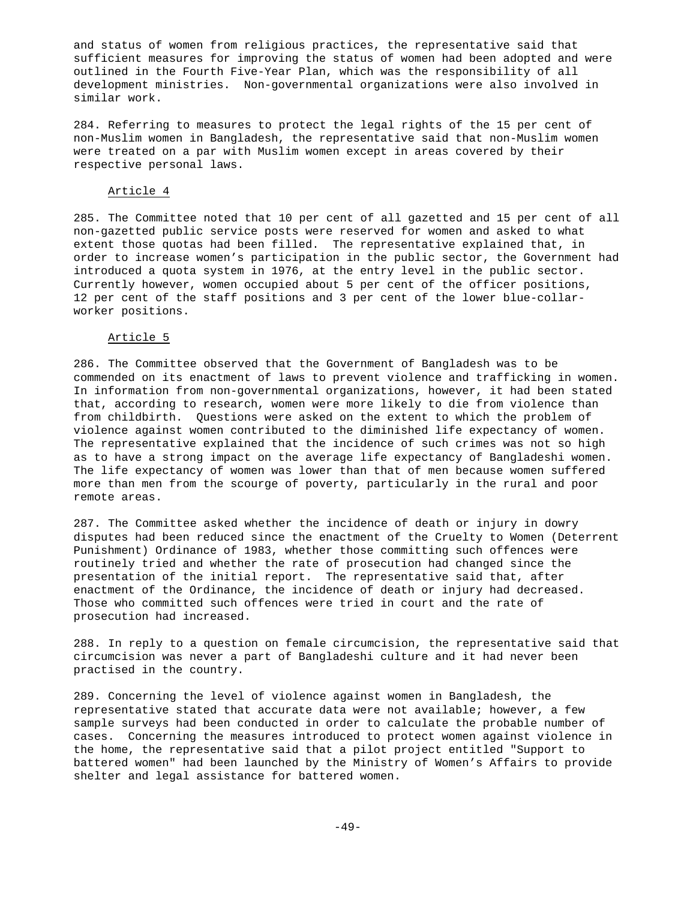and status of women from religious practices, the representative said that sufficient measures for improving the status of women had been adopted and were outlined in the Fourth Five-Year Plan, which was the responsibility of all development ministries. Non-governmental organizations were also involved in similar work.

284. Referring to measures to protect the legal rights of the 15 per cent of non-Muslim women in Bangladesh, the representative said that non-Muslim women were treated on a par with Muslim women except in areas covered by their respective personal laws.

### Article 4

285. The Committee noted that 10 per cent of all gazetted and 15 per cent of all non-gazetted public service posts were reserved for women and asked to what extent those quotas had been filled. The representative explained that, in order to increase women's participation in the public sector, the Government had introduced a quota system in 1976, at the entry level in the public sector. Currently however, women occupied about 5 per cent of the officer positions, 12 per cent of the staff positions and 3 per cent of the lower blue-collarworker positions.

### Article 5

286. The Committee observed that the Government of Bangladesh was to be commended on its enactment of laws to prevent violence and trafficking in women. In information from non-governmental organizations, however, it had been stated that, according to research, women were more likely to die from violence than from childbirth. Questions were asked on the extent to which the problem of violence against women contributed to the diminished life expectancy of women. The representative explained that the incidence of such crimes was not so high as to have a strong impact on the average life expectancy of Bangladeshi women. The life expectancy of women was lower than that of men because women suffered more than men from the scourge of poverty, particularly in the rural and poor remote areas.

287. The Committee asked whether the incidence of death or injury in dowry disputes had been reduced since the enactment of the Cruelty to Women (Deterrent Punishment) Ordinance of 1983, whether those committing such offences were routinely tried and whether the rate of prosecution had changed since the presentation of the initial report. The representative said that, after enactment of the Ordinance, the incidence of death or injury had decreased. Those who committed such offences were tried in court and the rate of prosecution had increased.

288. In reply to a question on female circumcision, the representative said that circumcision was never a part of Bangladeshi culture and it had never been practised in the country.

289. Concerning the level of violence against women in Bangladesh, the representative stated that accurate data were not available; however, a few sample surveys had been conducted in order to calculate the probable number of cases. Concerning the measures introduced to protect women against violence in the home, the representative said that a pilot project entitled "Support to battered women" had been launched by the Ministry of Women's Affairs to provide shelter and legal assistance for battered women.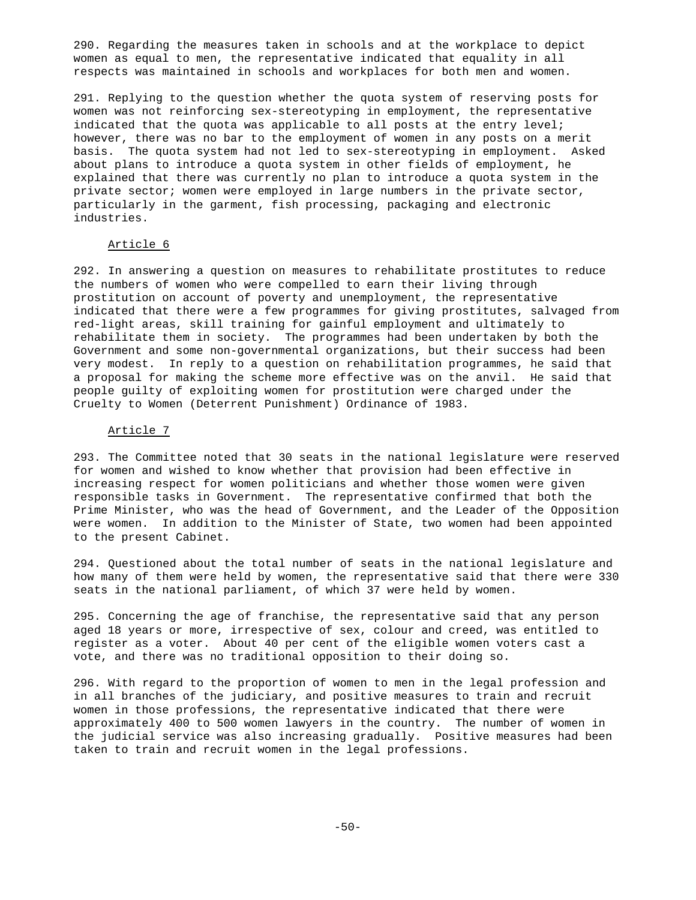290. Regarding the measures taken in schools and at the workplace to depict women as equal to men, the representative indicated that equality in all respects was maintained in schools and workplaces for both men and women.

291. Replying to the question whether the quota system of reserving posts for women was not reinforcing sex-stereotyping in employment, the representative indicated that the quota was applicable to all posts at the entry level; however, there was no bar to the employment of women in any posts on a merit basis. The quota system had not led to sex-stereotyping in employment. Asked about plans to introduce a quota system in other fields of employment, he explained that there was currently no plan to introduce a quota system in the private sector; women were employed in large numbers in the private sector, particularly in the garment, fish processing, packaging and electronic industries.

# Article 6

292. In answering a question on measures to rehabilitate prostitutes to reduce the numbers of women who were compelled to earn their living through prostitution on account of poverty and unemployment, the representative indicated that there were a few programmes for giving prostitutes, salvaged from red-light areas, skill training for gainful employment and ultimately to rehabilitate them in society. The programmes had been undertaken by both the Government and some non-governmental organizations, but their success had been very modest. In reply to a question on rehabilitation programmes, he said that a proposal for making the scheme more effective was on the anvil. He said that people guilty of exploiting women for prostitution were charged under the Cruelty to Women (Deterrent Punishment) Ordinance of 1983.

### Article 7

293. The Committee noted that 30 seats in the national legislature were reserved for women and wished to know whether that provision had been effective in increasing respect for women politicians and whether those women were given responsible tasks in Government. The representative confirmed that both the Prime Minister, who was the head of Government, and the Leader of the Opposition were women. In addition to the Minister of State, two women had been appointed to the present Cabinet.

294. Questioned about the total number of seats in the national legislature and how many of them were held by women, the representative said that there were 330 seats in the national parliament, of which 37 were held by women.

295. Concerning the age of franchise, the representative said that any person aged 18 years or more, irrespective of sex, colour and creed, was entitled to register as a voter. About 40 per cent of the eligible women voters cast a vote, and there was no traditional opposition to their doing so.

296. With regard to the proportion of women to men in the legal profession and in all branches of the judiciary, and positive measures to train and recruit women in those professions, the representative indicated that there were approximately 400 to 500 women lawyers in the country. The number of women in the judicial service was also increasing gradually. Positive measures had been taken to train and recruit women in the legal professions.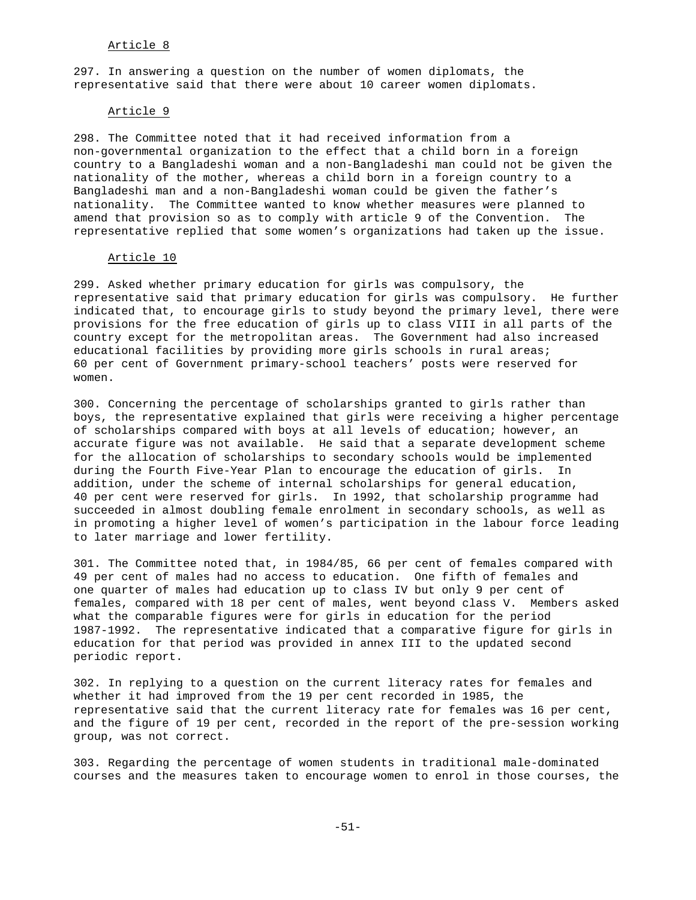## Article 8

297. In answering a question on the number of women diplomats, the representative said that there were about 10 career women diplomats.

### Article 9

298. The Committee noted that it had received information from a non-governmental organization to the effect that a child born in a foreign country to a Bangladeshi woman and a non-Bangladeshi man could not be given the nationality of the mother, whereas a child born in a foreign country to a Bangladeshi man and a non-Bangladeshi woman could be given the father's nationality. The Committee wanted to know whether measures were planned to amend that provision so as to comply with article 9 of the Convention. The representative replied that some women's organizations had taken up the issue.

#### Article 10

299. Asked whether primary education for girls was compulsory, the representative said that primary education for girls was compulsory. He further indicated that, to encourage girls to study beyond the primary level, there were provisions for the free education of girls up to class VIII in all parts of the country except for the metropolitan areas. The Government had also increased educational facilities by providing more girls schools in rural areas; 60 per cent of Government primary-school teachers' posts were reserved for women.

300. Concerning the percentage of scholarships granted to girls rather than boys, the representative explained that girls were receiving a higher percentage of scholarships compared with boys at all levels of education; however, an accurate figure was not available. He said that a separate development scheme for the allocation of scholarships to secondary schools would be implemented during the Fourth Five-Year Plan to encourage the education of girls. In addition, under the scheme of internal scholarships for general education, 40 per cent were reserved for girls. In 1992, that scholarship programme had succeeded in almost doubling female enrolment in secondary schools, as well as in promoting a higher level of women's participation in the labour force leading to later marriage and lower fertility.

301. The Committee noted that, in 1984/85, 66 per cent of females compared with 49 per cent of males had no access to education. One fifth of females and one quarter of males had education up to class IV but only 9 per cent of females, compared with 18 per cent of males, went beyond class V. Members asked what the comparable figures were for girls in education for the period 1987-1992. The representative indicated that a comparative figure for girls in education for that period was provided in annex III to the updated second periodic report.

302. In replying to a question on the current literacy rates for females and whether it had improved from the 19 per cent recorded in 1985, the representative said that the current literacy rate for females was 16 per cent, and the figure of 19 per cent, recorded in the report of the pre-session working group, was not correct.

303. Regarding the percentage of women students in traditional male-dominated courses and the measures taken to encourage women to enrol in those courses, the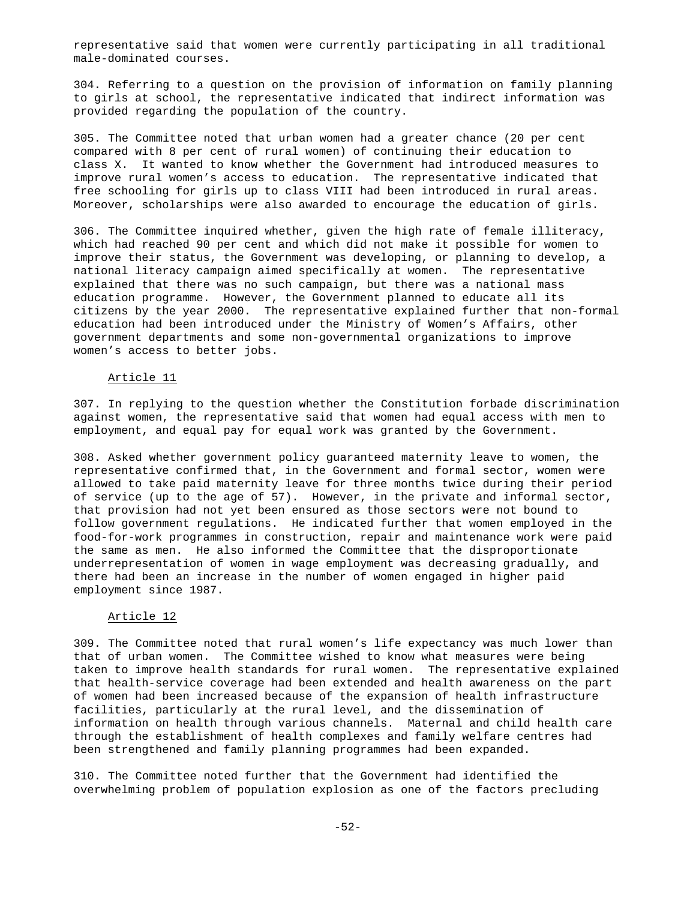representative said that women were currently participating in all traditional male-dominated courses.

304. Referring to a question on the provision of information on family planning to girls at school, the representative indicated that indirect information was provided regarding the population of the country.

305. The Committee noted that urban women had a greater chance (20 per cent compared with 8 per cent of rural women) of continuing their education to class X. It wanted to know whether the Government had introduced measures to improve rural women's access to education. The representative indicated that free schooling for girls up to class VIII had been introduced in rural areas. Moreover, scholarships were also awarded to encourage the education of girls.

306. The Committee inquired whether, given the high rate of female illiteracy, which had reached 90 per cent and which did not make it possible for women to improve their status, the Government was developing, or planning to develop, a national literacy campaign aimed specifically at women. The representative explained that there was no such campaign, but there was a national mass education programme. However, the Government planned to educate all its citizens by the year 2000. The representative explained further that non-formal education had been introduced under the Ministry of Women's Affairs, other government departments and some non-governmental organizations to improve women's access to better jobs.

### Article 11

307. In replying to the question whether the Constitution forbade discrimination against women, the representative said that women had equal access with men to employment, and equal pay for equal work was granted by the Government.

308. Asked whether government policy guaranteed maternity leave to women, the representative confirmed that, in the Government and formal sector, women were allowed to take paid maternity leave for three months twice during their period of service (up to the age of 57). However, in the private and informal sector, that provision had not yet been ensured as those sectors were not bound to follow government regulations. He indicated further that women employed in the food-for-work programmes in construction, repair and maintenance work were paid the same as men. He also informed the Committee that the disproportionate underrepresentation of women in wage employment was decreasing gradually, and there had been an increase in the number of women engaged in higher paid employment since 1987.

### Article 12

309. The Committee noted that rural women's life expectancy was much lower than that of urban women. The Committee wished to know what measures were being taken to improve health standards for rural women. The representative explained that health-service coverage had been extended and health awareness on the part of women had been increased because of the expansion of health infrastructure facilities, particularly at the rural level, and the dissemination of information on health through various channels. Maternal and child health care through the establishment of health complexes and family welfare centres had been strengthened and family planning programmes had been expanded.

310. The Committee noted further that the Government had identified the overwhelming problem of population explosion as one of the factors precluding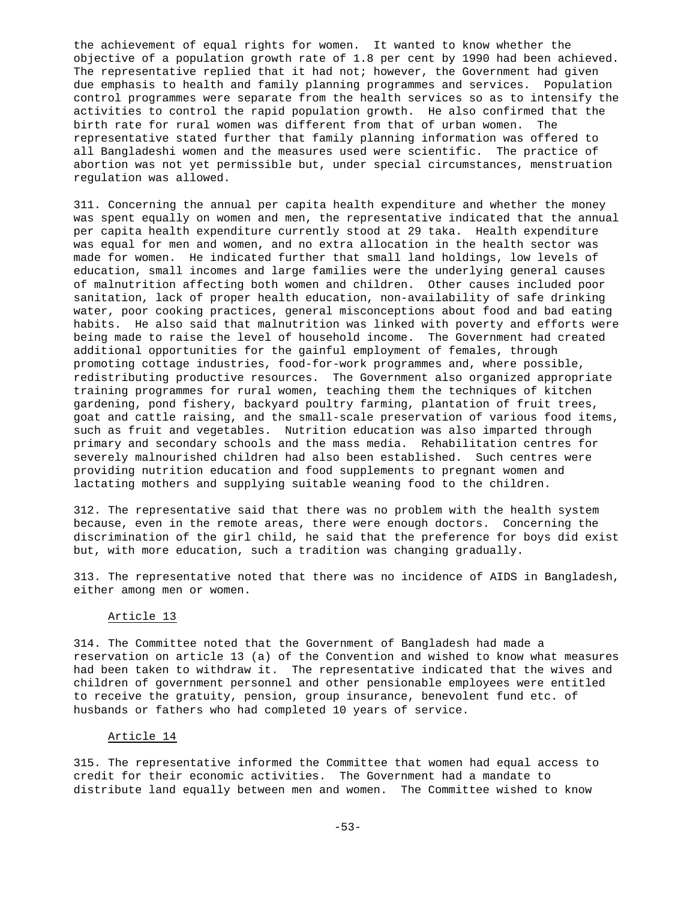the achievement of equal rights for women. It wanted to know whether the objective of a population growth rate of 1.8 per cent by 1990 had been achieved. The representative replied that it had not; however, the Government had given due emphasis to health and family planning programmes and services. Population control programmes were separate from the health services so as to intensify the activities to control the rapid population growth. He also confirmed that the birth rate for rural women was different from that of urban women. The representative stated further that family planning information was offered to all Bangladeshi women and the measures used were scientific. The practice of abortion was not yet permissible but, under special circumstances, menstruation regulation was allowed.

311. Concerning the annual per capita health expenditure and whether the money was spent equally on women and men, the representative indicated that the annual per capita health expenditure currently stood at 29 taka. Health expenditure was equal for men and women, and no extra allocation in the health sector was made for women. He indicated further that small land holdings, low levels of education, small incomes and large families were the underlying general causes of malnutrition affecting both women and children. Other causes included poor sanitation, lack of proper health education, non-availability of safe drinking water, poor cooking practices, general misconceptions about food and bad eating habits. He also said that malnutrition was linked with poverty and efforts were being made to raise the level of household income. The Government had created additional opportunities for the gainful employment of females, through promoting cottage industries, food-for-work programmes and, where possible, redistributing productive resources. The Government also organized appropriate training programmes for rural women, teaching them the techniques of kitchen gardening, pond fishery, backyard poultry farming, plantation of fruit trees, goat and cattle raising, and the small-scale preservation of various food items, such as fruit and vegetables. Nutrition education was also imparted through primary and secondary schools and the mass media. Rehabilitation centres for severely malnourished children had also been established. Such centres were providing nutrition education and food supplements to pregnant women and lactating mothers and supplying suitable weaning food to the children.

312. The representative said that there was no problem with the health system because, even in the remote areas, there were enough doctors. Concerning the discrimination of the girl child, he said that the preference for boys did exist but, with more education, such a tradition was changing gradually.

313. The representative noted that there was no incidence of AIDS in Bangladesh, either among men or women.

### Article 13

314. The Committee noted that the Government of Bangladesh had made a reservation on article 13 (a) of the Convention and wished to know what measures had been taken to withdraw it. The representative indicated that the wives and children of government personnel and other pensionable employees were entitled to receive the gratuity, pension, group insurance, benevolent fund etc. of husbands or fathers who had completed 10 years of service.

### Article 14

315. The representative informed the Committee that women had equal access to credit for their economic activities. The Government had a mandate to distribute land equally between men and women. The Committee wished to know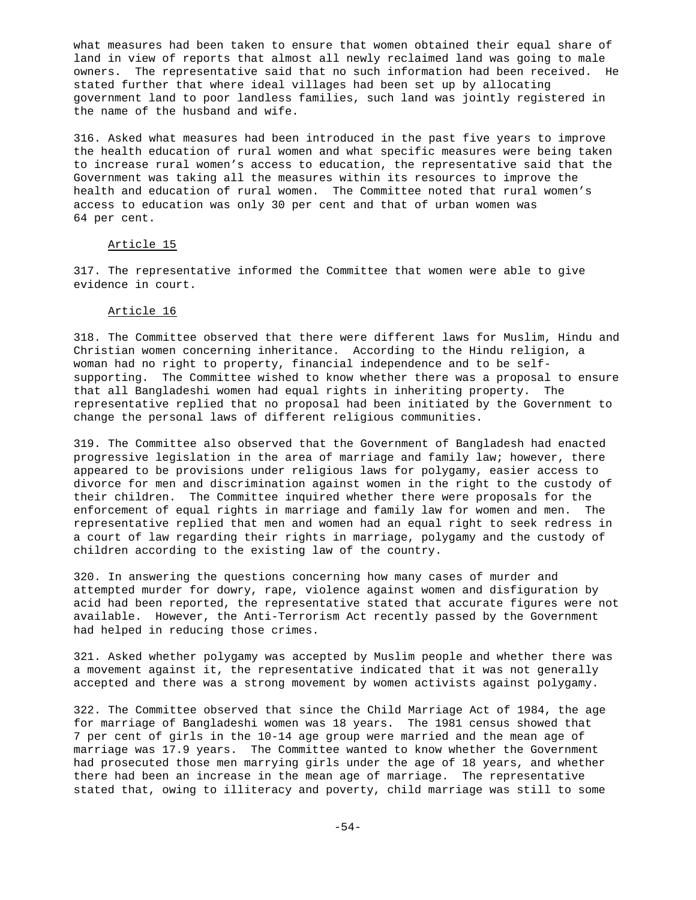what measures had been taken to ensure that women obtained their equal share of land in view of reports that almost all newly reclaimed land was going to male owners. The representative said that no such information had been received. He stated further that where ideal villages had been set up by allocating government land to poor landless families, such land was jointly registered in the name of the husband and wife.

316. Asked what measures had been introduced in the past five years to improve the health education of rural women and what specific measures were being taken to increase rural women's access to education, the representative said that the Government was taking all the measures within its resources to improve the health and education of rural women. The Committee noted that rural women's access to education was only 30 per cent and that of urban women was 64 per cent.

# Article 15

317. The representative informed the Committee that women were able to give evidence in court.

## Article 16

318. The Committee observed that there were different laws for Muslim, Hindu and Christian women concerning inheritance. According to the Hindu religion, a woman had no right to property, financial independence and to be selfsupporting. The Committee wished to know whether there was a proposal to ensure that all Bangladeshi women had equal rights in inheriting property. The representative replied that no proposal had been initiated by the Government to change the personal laws of different religious communities.

319. The Committee also observed that the Government of Bangladesh had enacted progressive legislation in the area of marriage and family law; however, there appeared to be provisions under religious laws for polygamy, easier access to divorce for men and discrimination against women in the right to the custody of their children. The Committee inquired whether there were proposals for the enforcement of equal rights in marriage and family law for women and men. The representative replied that men and women had an equal right to seek redress in a court of law regarding their rights in marriage, polygamy and the custody of children according to the existing law of the country.

320. In answering the questions concerning how many cases of murder and attempted murder for dowry, rape, violence against women and disfiguration by acid had been reported, the representative stated that accurate figures were not available. However, the Anti-Terrorism Act recently passed by the Government had helped in reducing those crimes.

321. Asked whether polygamy was accepted by Muslim people and whether there was a movement against it, the representative indicated that it was not generally accepted and there was a strong movement by women activists against polygamy.

322. The Committee observed that since the Child Marriage Act of 1984, the age for marriage of Bangladeshi women was 18 years. The 1981 census showed that 7 per cent of girls in the 10-14 age group were married and the mean age of marriage was 17.9 years. The Committee wanted to know whether the Government had prosecuted those men marrying girls under the age of 18 years, and whether there had been an increase in the mean age of marriage. The representative stated that, owing to illiteracy and poverty, child marriage was still to some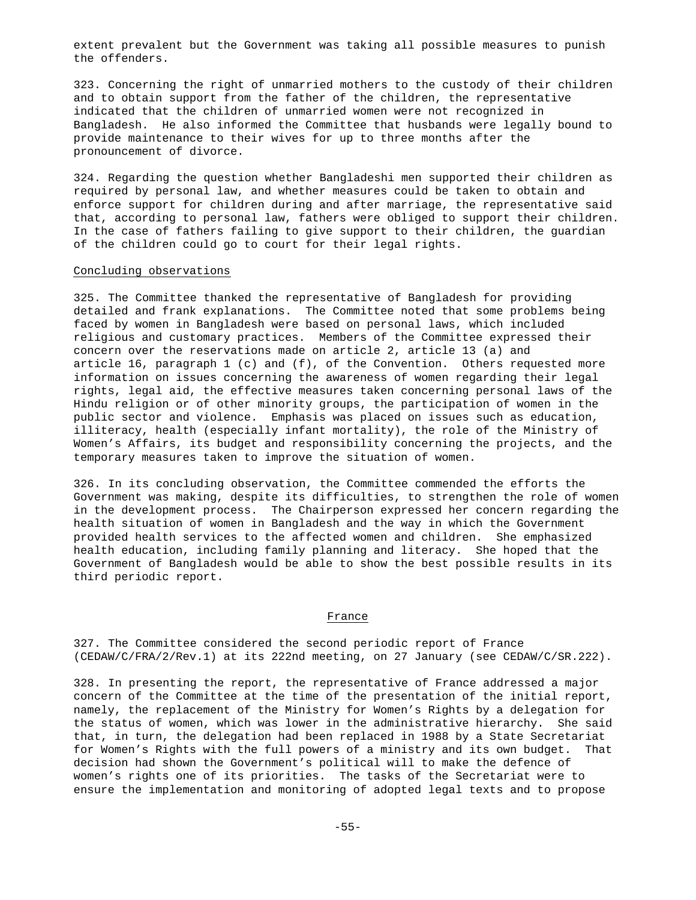extent prevalent but the Government was taking all possible measures to punish the offenders.

323. Concerning the right of unmarried mothers to the custody of their children and to obtain support from the father of the children, the representative indicated that the children of unmarried women were not recognized in Bangladesh. He also informed the Committee that husbands were legally bound to provide maintenance to their wives for up to three months after the pronouncement of divorce.

324. Regarding the question whether Bangladeshi men supported their children as required by personal law, and whether measures could be taken to obtain and enforce support for children during and after marriage, the representative said that, according to personal law, fathers were obliged to support their children. In the case of fathers failing to give support to their children, the guardian of the children could go to court for their legal rights.

### Concluding observations

325. The Committee thanked the representative of Bangladesh for providing detailed and frank explanations. The Committee noted that some problems being faced by women in Bangladesh were based on personal laws, which included religious and customary practices. Members of the Committee expressed their concern over the reservations made on article 2, article 13 (a) and article 16, paragraph  $1$  (c) and (f), of the Convention. Others requested more information on issues concerning the awareness of women regarding their legal rights, legal aid, the effective measures taken concerning personal laws of the Hindu religion or of other minority groups, the participation of women in the public sector and violence. Emphasis was placed on issues such as education, illiteracy, health (especially infant mortality), the role of the Ministry of Women's Affairs, its budget and responsibility concerning the projects, and the temporary measures taken to improve the situation of women.

326. In its concluding observation, the Committee commended the efforts the Government was making, despite its difficulties, to strengthen the role of women in the development process. The Chairperson expressed her concern regarding the health situation of women in Bangladesh and the way in which the Government provided health services to the affected women and children. She emphasized health education, including family planning and literacy. She hoped that the Government of Bangladesh would be able to show the best possible results in its third periodic report.

### France

327. The Committee considered the second periodic report of France (CEDAW/C/FRA/2/Rev.1) at its 222nd meeting, on 27 January (see CEDAW/C/SR.222).

328. In presenting the report, the representative of France addressed a major concern of the Committee at the time of the presentation of the initial report, namely, the replacement of the Ministry for Women's Rights by a delegation for the status of women, which was lower in the administrative hierarchy. She said that, in turn, the delegation had been replaced in 1988 by a State Secretariat for Women's Rights with the full powers of a ministry and its own budget. That decision had shown the Government's political will to make the defence of women's rights one of its priorities. The tasks of the Secretariat were to ensure the implementation and monitoring of adopted legal texts and to propose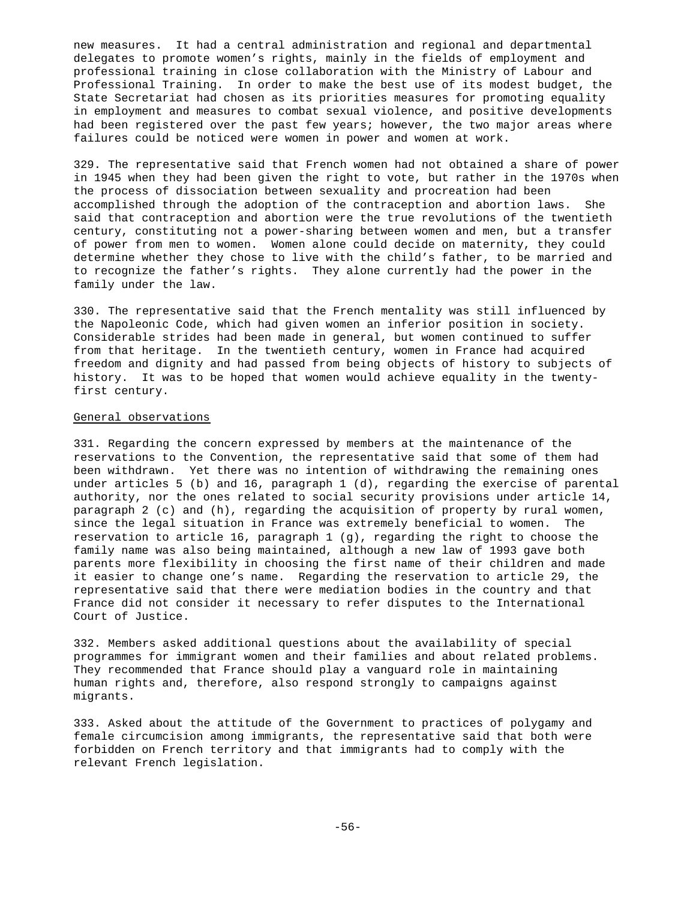new measures. It had a central administration and regional and departmental delegates to promote women's rights, mainly in the fields of employment and professional training in close collaboration with the Ministry of Labour and Professional Training. In order to make the best use of its modest budget, the State Secretariat had chosen as its priorities measures for promoting equality in employment and measures to combat sexual violence, and positive developments had been registered over the past few years; however, the two major areas where failures could be noticed were women in power and women at work.

329. The representative said that French women had not obtained a share of power in 1945 when they had been given the right to vote, but rather in the 1970s when the process of dissociation between sexuality and procreation had been accomplished through the adoption of the contraception and abortion laws. She said that contraception and abortion were the true revolutions of the twentieth century, constituting not a power-sharing between women and men, but a transfer of power from men to women. Women alone could decide on maternity, they could determine whether they chose to live with the child's father, to be married and to recognize the father's rights. They alone currently had the power in the family under the law.

330. The representative said that the French mentality was still influenced by the Napoleonic Code, which had given women an inferior position in society. Considerable strides had been made in general, but women continued to suffer from that heritage. In the twentieth century, women in France had acquired freedom and dignity and had passed from being objects of history to subjects of history. It was to be hoped that women would achieve equality in the twentyfirst century.

### General observations

331. Regarding the concern expressed by members at the maintenance of the reservations to the Convention, the representative said that some of them had been withdrawn. Yet there was no intention of withdrawing the remaining ones under articles 5 (b) and 16, paragraph 1 (d), regarding the exercise of parental authority, nor the ones related to social security provisions under article 14, paragraph 2 (c) and (h), regarding the acquisition of property by rural women, since the legal situation in France was extremely beneficial to women. The reservation to article 16, paragraph 1 (g), regarding the right to choose the family name was also being maintained, although a new law of 1993 gave both parents more flexibility in choosing the first name of their children and made it easier to change one's name. Regarding the reservation to article 29, the representative said that there were mediation bodies in the country and that France did not consider it necessary to refer disputes to the International Court of Justice.

332. Members asked additional questions about the availability of special programmes for immigrant women and their families and about related problems. They recommended that France should play a vanguard role in maintaining human rights and, therefore, also respond strongly to campaigns against migrants.

333. Asked about the attitude of the Government to practices of polygamy and female circumcision among immigrants, the representative said that both were forbidden on French territory and that immigrants had to comply with the relevant French legislation.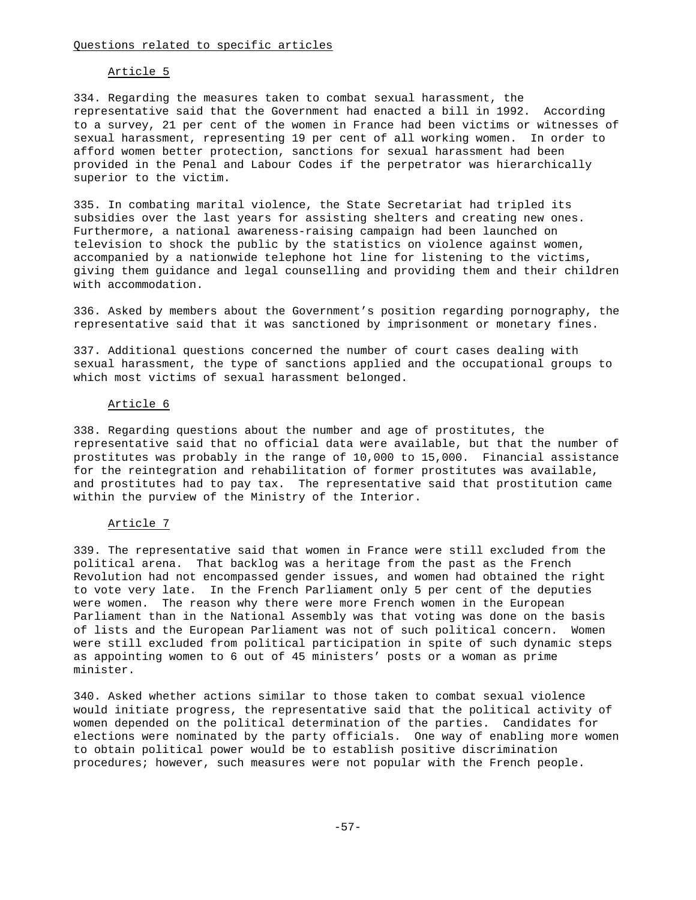## Article 5

334. Regarding the measures taken to combat sexual harassment, the representative said that the Government had enacted a bill in 1992. According to a survey, 21 per cent of the women in France had been victims or witnesses of sexual harassment, representing 19 per cent of all working women. In order to afford women better protection, sanctions for sexual harassment had been provided in the Penal and Labour Codes if the perpetrator was hierarchically superior to the victim.

335. In combating marital violence, the State Secretariat had tripled its subsidies over the last years for assisting shelters and creating new ones. Furthermore, a national awareness-raising campaign had been launched on television to shock the public by the statistics on violence against women, accompanied by a nationwide telephone hot line for listening to the victims, giving them guidance and legal counselling and providing them and their children with accommodation.

336. Asked by members about the Government's position regarding pornography, the representative said that it was sanctioned by imprisonment or monetary fines.

337. Additional questions concerned the number of court cases dealing with sexual harassment, the type of sanctions applied and the occupational groups to which most victims of sexual harassment belonged.

#### Article 6

338. Regarding questions about the number and age of prostitutes, the representative said that no official data were available, but that the number of prostitutes was probably in the range of 10,000 to 15,000. Financial assistance for the reintegration and rehabilitation of former prostitutes was available, and prostitutes had to pay tax. The representative said that prostitution came within the purview of the Ministry of the Interior.

### Article 7

339. The representative said that women in France were still excluded from the political arena. That backlog was a heritage from the past as the French Revolution had not encompassed gender issues, and women had obtained the right to vote very late. In the French Parliament only 5 per cent of the deputies were women. The reason why there were more French women in the European Parliament than in the National Assembly was that voting was done on the basis of lists and the European Parliament was not of such political concern. Women were still excluded from political participation in spite of such dynamic steps as appointing women to 6 out of 45 ministers' posts or a woman as prime minister.

340. Asked whether actions similar to those taken to combat sexual violence would initiate progress, the representative said that the political activity of women depended on the political determination of the parties. Candidates for elections were nominated by the party officials. One way of enabling more women to obtain political power would be to establish positive discrimination procedures; however, such measures were not popular with the French people.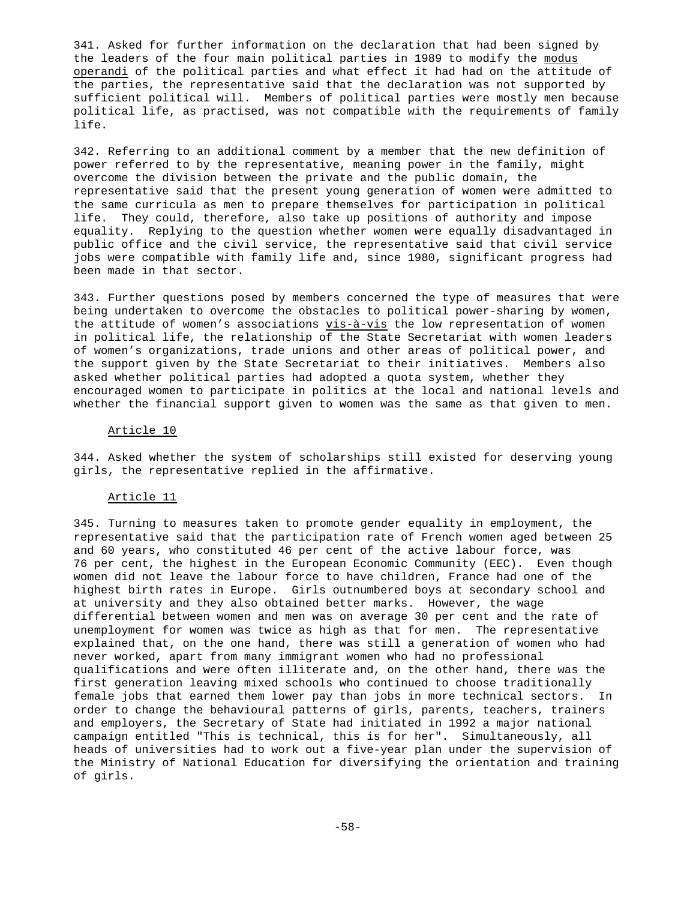341. Asked for further information on the declaration that had been signed by the leaders of the four main political parties in 1989 to modify the modus operandi of the political parties and what effect it had had on the attitude of the parties, the representative said that the declaration was not supported by sufficient political will. Members of political parties were mostly men because political life, as practised, was not compatible with the requirements of family life.

342. Referring to an additional comment by a member that the new definition of power referred to by the representative, meaning power in the family, might overcome the division between the private and the public domain, the representative said that the present young generation of women were admitted to the same curricula as men to prepare themselves for participation in political life. They could, therefore, also take up positions of authority and impose equality. Replying to the question whether women were equally disadvantaged in public office and the civil service, the representative said that civil service jobs were compatible with family life and, since 1980, significant progress had been made in that sector.

343. Further questions posed by members concerned the type of measures that were being undertaken to overcome the obstacles to political power-sharing by women, the attitude of women's associations vis-à-vis the low representation of women in political life, the relationship of the State Secretariat with women leaders of women's organizations, trade unions and other areas of political power, and the support given by the State Secretariat to their initiatives. Members also asked whether political parties had adopted a quota system, whether they encouraged women to participate in politics at the local and national levels and whether the financial support given to women was the same as that given to men.

### Article 10

344. Asked whether the system of scholarships still existed for deserving young girls, the representative replied in the affirmative.

#### Article 11

345. Turning to measures taken to promote gender equality in employment, the representative said that the participation rate of French women aged between 25 and 60 years, who constituted 46 per cent of the active labour force, was 76 per cent, the highest in the European Economic Community (EEC). Even though women did not leave the labour force to have children, France had one of the highest birth rates in Europe. Girls outnumbered boys at secondary school and at university and they also obtained better marks. However, the wage differential between women and men was on average 30 per cent and the rate of unemployment for women was twice as high as that for men. The representative explained that, on the one hand, there was still a generation of women who had never worked, apart from many immigrant women who had no professional qualifications and were often illiterate and, on the other hand, there was the first generation leaving mixed schools who continued to choose traditionally female jobs that earned them lower pay than jobs in more technical sectors. In order to change the behavioural patterns of girls, parents, teachers, trainers and employers, the Secretary of State had initiated in 1992 a major national campaign entitled "This is technical, this is for her". Simultaneously, all heads of universities had to work out a five-year plan under the supervision of the Ministry of National Education for diversifying the orientation and training of girls.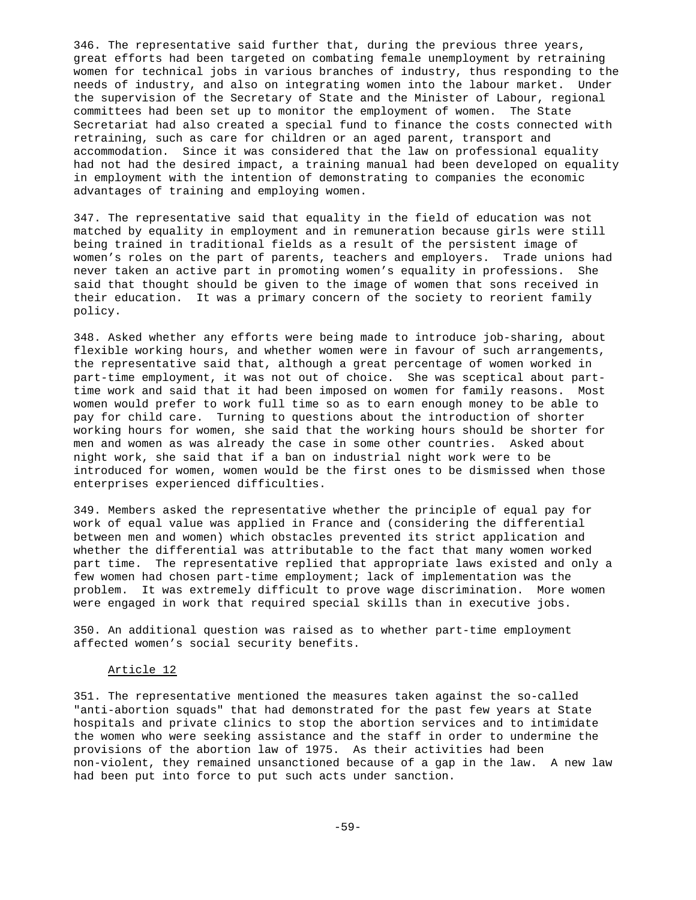346. The representative said further that, during the previous three years, great efforts had been targeted on combating female unemployment by retraining women for technical jobs in various branches of industry, thus responding to the needs of industry, and also on integrating women into the labour market. Under the supervision of the Secretary of State and the Minister of Labour, regional committees had been set up to monitor the employment of women. The State Secretariat had also created a special fund to finance the costs connected with retraining, such as care for children or an aged parent, transport and accommodation. Since it was considered that the law on professional equality had not had the desired impact, a training manual had been developed on equality in employment with the intention of demonstrating to companies the economic advantages of training and employing women.

347. The representative said that equality in the field of education was not matched by equality in employment and in remuneration because girls were still being trained in traditional fields as a result of the persistent image of women's roles on the part of parents, teachers and employers. Trade unions had never taken an active part in promoting women's equality in professions. She said that thought should be given to the image of women that sons received in their education. It was a primary concern of the society to reorient family policy.

348. Asked whether any efforts were being made to introduce job-sharing, about flexible working hours, and whether women were in favour of such arrangements, the representative said that, although a great percentage of women worked in part-time employment, it was not out of choice. She was sceptical about parttime work and said that it had been imposed on women for family reasons. Most women would prefer to work full time so as to earn enough money to be able to pay for child care. Turning to questions about the introduction of shorter working hours for women, she said that the working hours should be shorter for men and women as was already the case in some other countries. Asked about night work, she said that if a ban on industrial night work were to be introduced for women, women would be the first ones to be dismissed when those enterprises experienced difficulties.

349. Members asked the representative whether the principle of equal pay for work of equal value was applied in France and (considering the differential between men and women) which obstacles prevented its strict application and whether the differential was attributable to the fact that many women worked part time. The representative replied that appropriate laws existed and only a few women had chosen part-time employment; lack of implementation was the problem. It was extremely difficult to prove wage discrimination. More women were engaged in work that required special skills than in executive jobs.

350. An additional question was raised as to whether part-time employment affected women's social security benefits.

# Article 12

351. The representative mentioned the measures taken against the so-called "anti-abortion squads" that had demonstrated for the past few years at State hospitals and private clinics to stop the abortion services and to intimidate the women who were seeking assistance and the staff in order to undermine the provisions of the abortion law of 1975. As their activities had been non-violent, they remained unsanctioned because of a gap in the law. A new law had been put into force to put such acts under sanction.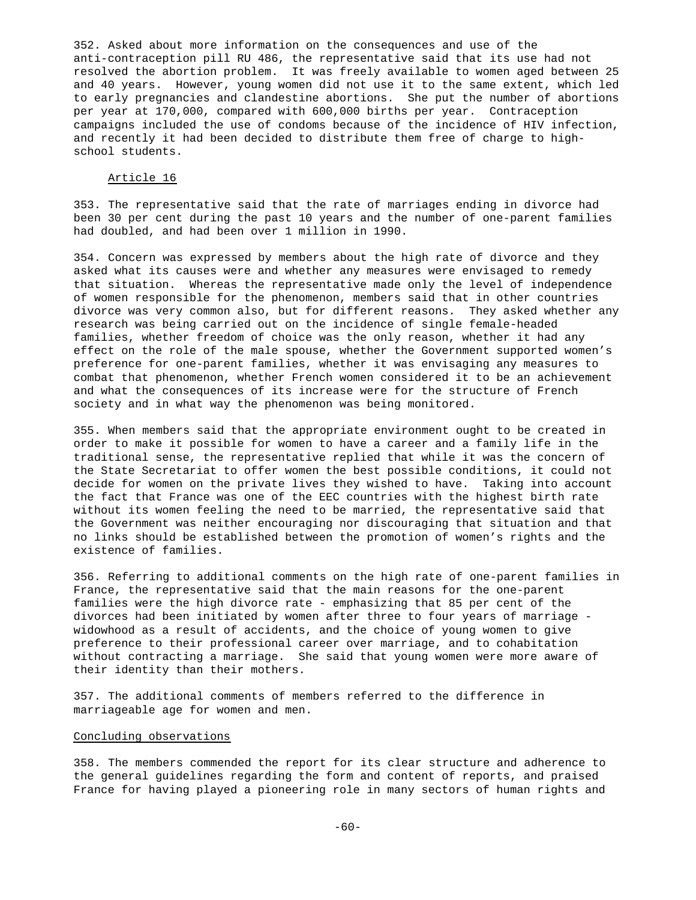352. Asked about more information on the consequences and use of the anti-contraception pill RU 486, the representative said that its use had not resolved the abortion problem. It was freely available to women aged between 25 and 40 years. However, young women did not use it to the same extent, which led to early pregnancies and clandestine abortions. She put the number of abortions per year at 170,000, compared with 600,000 births per year. Contraception campaigns included the use of condoms because of the incidence of HIV infection, and recently it had been decided to distribute them free of charge to highschool students.

# Article 16

353. The representative said that the rate of marriages ending in divorce had been 30 per cent during the past 10 years and the number of one-parent families had doubled, and had been over 1 million in 1990.

354. Concern was expressed by members about the high rate of divorce and they asked what its causes were and whether any measures were envisaged to remedy that situation. Whereas the representative made only the level of independence of women responsible for the phenomenon, members said that in other countries divorce was very common also, but for different reasons. They asked whether any research was being carried out on the incidence of single female-headed families, whether freedom of choice was the only reason, whether it had any effect on the role of the male spouse, whether the Government supported women's preference for one-parent families, whether it was envisaging any measures to combat that phenomenon, whether French women considered it to be an achievement and what the consequences of its increase were for the structure of French society and in what way the phenomenon was being monitored.

355. When members said that the appropriate environment ought to be created in order to make it possible for women to have a career and a family life in the traditional sense, the representative replied that while it was the concern of the State Secretariat to offer women the best possible conditions, it could not decide for women on the private lives they wished to have. Taking into account the fact that France was one of the EEC countries with the highest birth rate without its women feeling the need to be married, the representative said that the Government was neither encouraging nor discouraging that situation and that no links should be established between the promotion of women's rights and the existence of families.

356. Referring to additional comments on the high rate of one-parent families in France, the representative said that the main reasons for the one-parent families were the high divorce rate - emphasizing that 85 per cent of the divorces had been initiated by women after three to four years of marriage widowhood as a result of accidents, and the choice of young women to give preference to their professional career over marriage, and to cohabitation without contracting a marriage. She said that young women were more aware of their identity than their mothers.

357. The additional comments of members referred to the difference in marriageable age for women and men.

## Concluding observations

358. The members commended the report for its clear structure and adherence to the general guidelines regarding the form and content of reports, and praised France for having played a pioneering role in many sectors of human rights and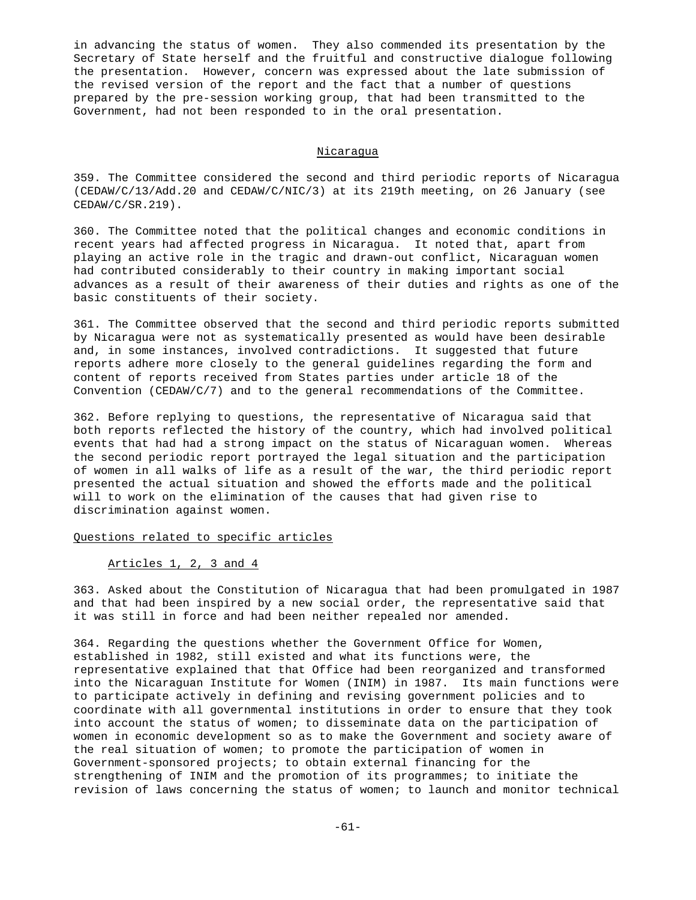in advancing the status of women. They also commended its presentation by the Secretary of State herself and the fruitful and constructive dialogue following the presentation. However, concern was expressed about the late submission of the revised version of the report and the fact that a number of questions prepared by the pre-session working group, that had been transmitted to the Government, had not been responded to in the oral presentation.

### Nicaragua

359. The Committee considered the second and third periodic reports of Nicaragua (CEDAW/C/13/Add.20 and CEDAW/C/NIC/3) at its 219th meeting, on 26 January (see CEDAW/C/SR.219).

360. The Committee noted that the political changes and economic conditions in recent years had affected progress in Nicaragua. It noted that, apart from playing an active role in the tragic and drawn-out conflict, Nicaraguan women had contributed considerably to their country in making important social advances as a result of their awareness of their duties and rights as one of the basic constituents of their society.

361. The Committee observed that the second and third periodic reports submitted by Nicaragua were not as systematically presented as would have been desirable and, in some instances, involved contradictions. It suggested that future reports adhere more closely to the general guidelines regarding the form and content of reports received from States parties under article 18 of the Convention (CEDAW/C/7) and to the general recommendations of the Committee.

362. Before replying to questions, the representative of Nicaragua said that both reports reflected the history of the country, which had involved political events that had had a strong impact on the status of Nicaraguan women. Whereas the second periodic report portrayed the legal situation and the participation of women in all walks of life as a result of the war, the third periodic report presented the actual situation and showed the efforts made and the political will to work on the elimination of the causes that had given rise to discrimination against women.

## Questions related to specific articles

### Articles 1, 2, 3 and 4

363. Asked about the Constitution of Nicaragua that had been promulgated in 1987 and that had been inspired by a new social order, the representative said that it was still in force and had been neither repealed nor amended.

364. Regarding the questions whether the Government Office for Women, established in 1982, still existed and what its functions were, the representative explained that that Office had been reorganized and transformed into the Nicaraguan Institute for Women (INIM) in 1987. Its main functions were to participate actively in defining and revising government policies and to coordinate with all governmental institutions in order to ensure that they took into account the status of women; to disseminate data on the participation of women in economic development so as to make the Government and society aware of the real situation of women; to promote the participation of women in Government-sponsored projects; to obtain external financing for the strengthening of INIM and the promotion of its programmes; to initiate the revision of laws concerning the status of women; to launch and monitor technical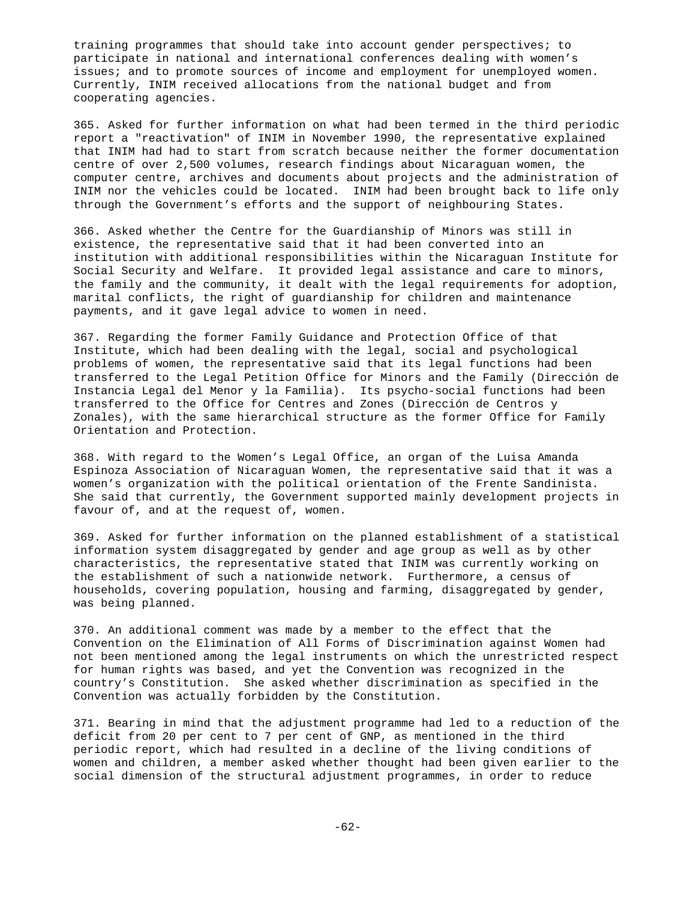training programmes that should take into account gender perspectives; to participate in national and international conferences dealing with women's issues; and to promote sources of income and employment for unemployed women. Currently, INIM received allocations from the national budget and from cooperating agencies.

365. Asked for further information on what had been termed in the third periodic report a "reactivation" of INIM in November 1990, the representative explained that INIM had had to start from scratch because neither the former documentation centre of over 2,500 volumes, research findings about Nicaraguan women, the computer centre, archives and documents about projects and the administration of INIM nor the vehicles could be located. INIM had been brought back to life only through the Government's efforts and the support of neighbouring States.

366. Asked whether the Centre for the Guardianship of Minors was still in existence, the representative said that it had been converted into an institution with additional responsibilities within the Nicaraguan Institute for Social Security and Welfare. It provided legal assistance and care to minors, the family and the community, it dealt with the legal requirements for adoption, marital conflicts, the right of guardianship for children and maintenance payments, and it gave legal advice to women in need.

367. Regarding the former Family Guidance and Protection Office of that Institute, which had been dealing with the legal, social and psychological problems of women, the representative said that its legal functions had been transferred to the Legal Petition Office for Minors and the Family (Dirección de Instancia Legal del Menor y la Familia). Its psycho-social functions had been transferred to the Office for Centres and Zones (Dirección de Centros y Zonales), with the same hierarchical structure as the former Office for Family Orientation and Protection.

368. With regard to the Women's Legal Office, an organ of the Luisa Amanda Espinoza Association of Nicaraguan Women, the representative said that it was a women's organization with the political orientation of the Frente Sandinista. She said that currently, the Government supported mainly development projects in favour of, and at the request of, women.

369. Asked for further information on the planned establishment of a statistical information system disaggregated by gender and age group as well as by other characteristics, the representative stated that INIM was currently working on the establishment of such a nationwide network. Furthermore, a census of households, covering population, housing and farming, disaggregated by gender, was being planned.

370. An additional comment was made by a member to the effect that the Convention on the Elimination of All Forms of Discrimination against Women had not been mentioned among the legal instruments on which the unrestricted respect for human rights was based, and yet the Convention was recognized in the country's Constitution. She asked whether discrimination as specified in the Convention was actually forbidden by the Constitution.

371. Bearing in mind that the adjustment programme had led to a reduction of the deficit from 20 per cent to 7 per cent of GNP, as mentioned in the third periodic report, which had resulted in a decline of the living conditions of women and children, a member asked whether thought had been given earlier to the social dimension of the structural adjustment programmes, in order to reduce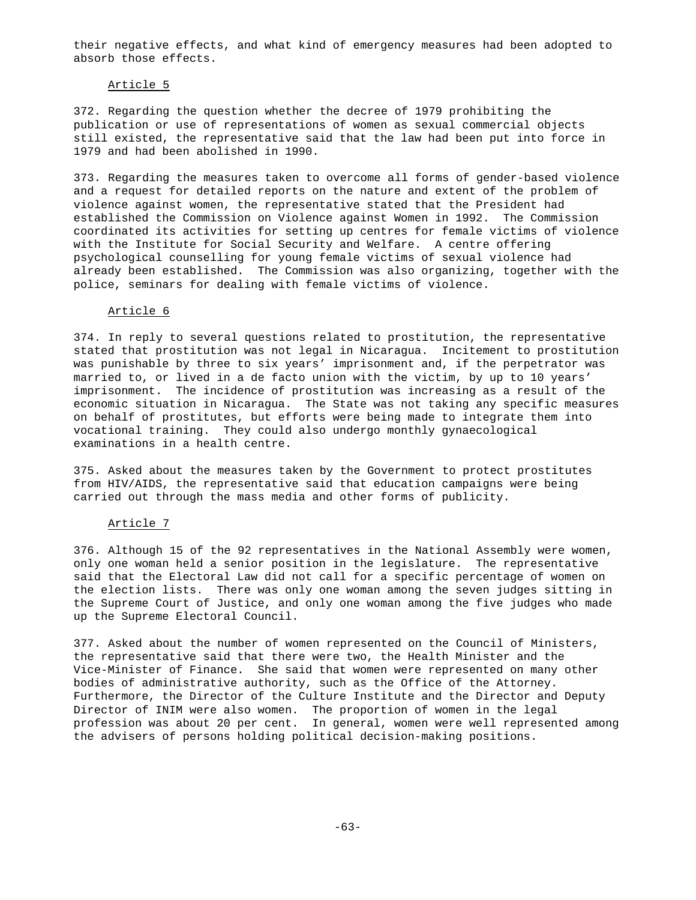their negative effects, and what kind of emergency measures had been adopted to absorb those effects.

### Article 5

372. Regarding the question whether the decree of 1979 prohibiting the publication or use of representations of women as sexual commercial objects still existed, the representative said that the law had been put into force in 1979 and had been abolished in 1990.

373. Regarding the measures taken to overcome all forms of gender-based violence and a request for detailed reports on the nature and extent of the problem of violence against women, the representative stated that the President had established the Commission on Violence against Women in 1992. The Commission coordinated its activities for setting up centres for female victims of violence with the Institute for Social Security and Welfare. A centre offering psychological counselling for young female victims of sexual violence had already been established. The Commission was also organizing, together with the police, seminars for dealing with female victims of violence.

# Article 6

374. In reply to several questions related to prostitution, the representative stated that prostitution was not legal in Nicaragua. Incitement to prostitution was punishable by three to six years' imprisonment and, if the perpetrator was married to, or lived in a de facto union with the victim, by up to 10 years' imprisonment. The incidence of prostitution was increasing as a result of the economic situation in Nicaragua. The State was not taking any specific measures on behalf of prostitutes, but efforts were being made to integrate them into vocational training. They could also undergo monthly gynaecological examinations in a health centre.

375. Asked about the measures taken by the Government to protect prostitutes from HIV/AIDS, the representative said that education campaigns were being carried out through the mass media and other forms of publicity.

### Article 7

376. Although 15 of the 92 representatives in the National Assembly were women, only one woman held a senior position in the legislature. The representative said that the Electoral Law did not call for a specific percentage of women on the election lists. There was only one woman among the seven judges sitting in the Supreme Court of Justice, and only one woman among the five judges who made up the Supreme Electoral Council.

377. Asked about the number of women represented on the Council of Ministers, the representative said that there were two, the Health Minister and the Vice-Minister of Finance. She said that women were represented on many other bodies of administrative authority, such as the Office of the Attorney. Furthermore, the Director of the Culture Institute and the Director and Deputy Director of INIM were also women. The proportion of women in the legal profession was about 20 per cent. In general, women were well represented among the advisers of persons holding political decision-making positions.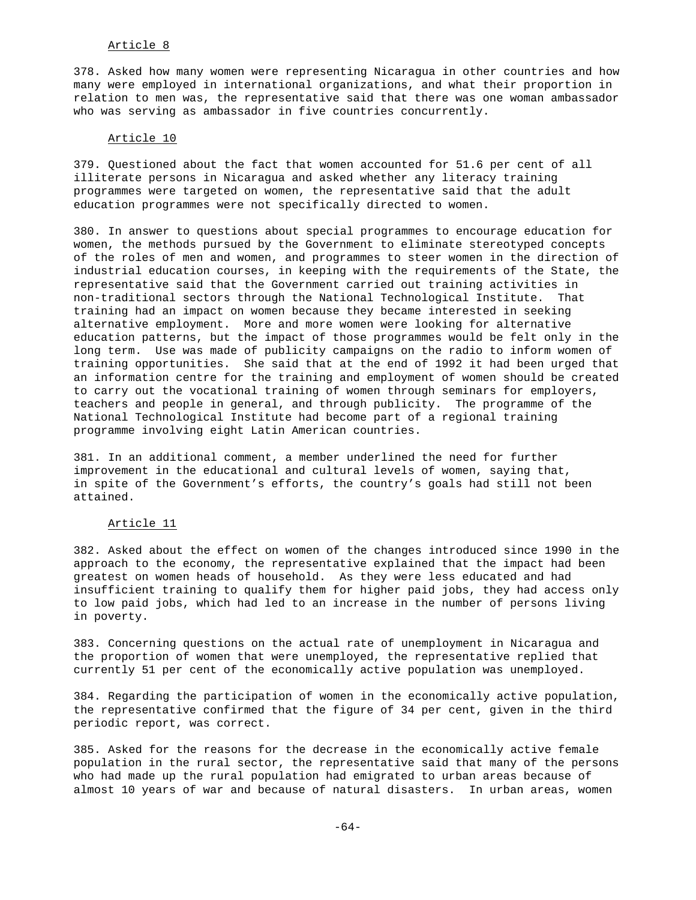# Article 8

378. Asked how many women were representing Nicaragua in other countries and how many were employed in international organizations, and what their proportion in relation to men was, the representative said that there was one woman ambassador who was serving as ambassador in five countries concurrently.

# Article 10

379. Questioned about the fact that women accounted for 51.6 per cent of all illiterate persons in Nicaragua and asked whether any literacy training programmes were targeted on women, the representative said that the adult education programmes were not specifically directed to women.

380. In answer to questions about special programmes to encourage education for women, the methods pursued by the Government to eliminate stereotyped concepts of the roles of men and women, and programmes to steer women in the direction of industrial education courses, in keeping with the requirements of the State, the representative said that the Government carried out training activities in non-traditional sectors through the National Technological Institute. That training had an impact on women because they became interested in seeking alternative employment. More and more women were looking for alternative education patterns, but the impact of those programmes would be felt only in the long term. Use was made of publicity campaigns on the radio to inform women of training opportunities. She said that at the end of 1992 it had been urged that an information centre for the training and employment of women should be created to carry out the vocational training of women through seminars for employers, teachers and people in general, and through publicity. The programme of the National Technological Institute had become part of a regional training programme involving eight Latin American countries.

381. In an additional comment, a member underlined the need for further improvement in the educational and cultural levels of women, saying that, in spite of the Government's efforts, the country's goals had still not been attained.

### Article 11

382. Asked about the effect on women of the changes introduced since 1990 in the approach to the economy, the representative explained that the impact had been greatest on women heads of household. As they were less educated and had insufficient training to qualify them for higher paid jobs, they had access only to low paid jobs, which had led to an increase in the number of persons living in poverty.

383. Concerning questions on the actual rate of unemployment in Nicaragua and the proportion of women that were unemployed, the representative replied that currently 51 per cent of the economically active population was unemployed.

384. Regarding the participation of women in the economically active population, the representative confirmed that the figure of 34 per cent, given in the third periodic report, was correct.

385. Asked for the reasons for the decrease in the economically active female population in the rural sector, the representative said that many of the persons who had made up the rural population had emigrated to urban areas because of almost 10 years of war and because of natural disasters. In urban areas, women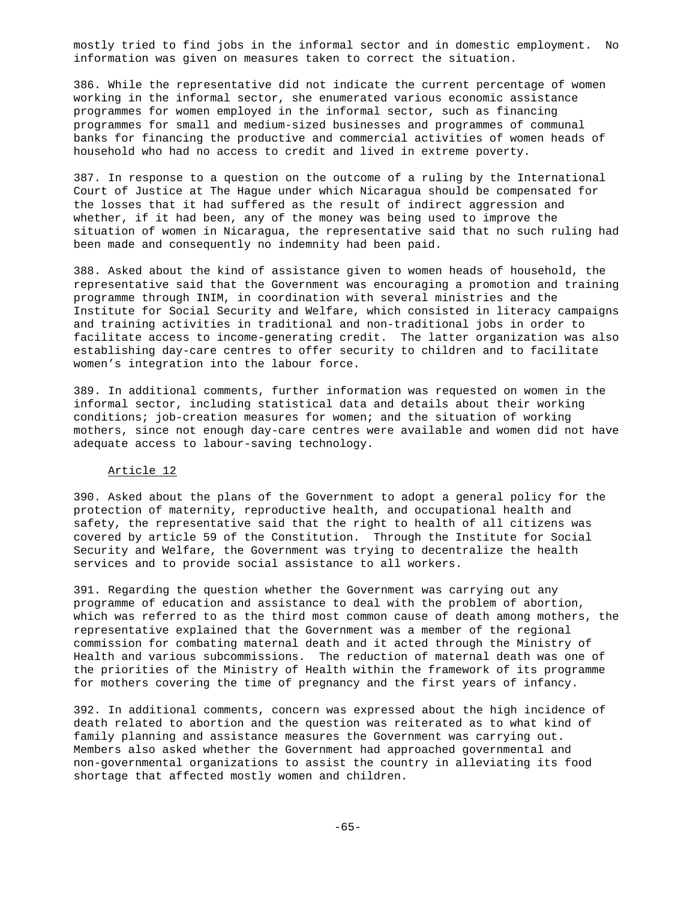mostly tried to find jobs in the informal sector and in domestic employment. No information was given on measures taken to correct the situation.

386. While the representative did not indicate the current percentage of women working in the informal sector, she enumerated various economic assistance programmes for women employed in the informal sector, such as financing programmes for small and medium-sized businesses and programmes of communal banks for financing the productive and commercial activities of women heads of household who had no access to credit and lived in extreme poverty.

387. In response to a question on the outcome of a ruling by the International Court of Justice at The Hague under which Nicaragua should be compensated for the losses that it had suffered as the result of indirect aggression and whether, if it had been, any of the money was being used to improve the situation of women in Nicaragua, the representative said that no such ruling had been made and consequently no indemnity had been paid.

388. Asked about the kind of assistance given to women heads of household, the representative said that the Government was encouraging a promotion and training programme through INIM, in coordination with several ministries and the Institute for Social Security and Welfare, which consisted in literacy campaigns and training activities in traditional and non-traditional jobs in order to facilitate access to income-generating credit. The latter organization was also establishing day-care centres to offer security to children and to facilitate women's integration into the labour force.

389. In additional comments, further information was requested on women in the informal sector, including statistical data and details about their working conditions; job-creation measures for women; and the situation of working mothers, since not enough day-care centres were available and women did not have adequate access to labour-saving technology.

### Article 12

390. Asked about the plans of the Government to adopt a general policy for the protection of maternity, reproductive health, and occupational health and safety, the representative said that the right to health of all citizens was covered by article 59 of the Constitution. Through the Institute for Social Security and Welfare, the Government was trying to decentralize the health services and to provide social assistance to all workers.

391. Regarding the question whether the Government was carrying out any programme of education and assistance to deal with the problem of abortion, which was referred to as the third most common cause of death among mothers, the representative explained that the Government was a member of the regional commission for combating maternal death and it acted through the Ministry of Health and various subcommissions. The reduction of maternal death was one of the priorities of the Ministry of Health within the framework of its programme for mothers covering the time of pregnancy and the first years of infancy.

392. In additional comments, concern was expressed about the high incidence of death related to abortion and the question was reiterated as to what kind of family planning and assistance measures the Government was carrying out. Members also asked whether the Government had approached governmental and non-governmental organizations to assist the country in alleviating its food shortage that affected mostly women and children.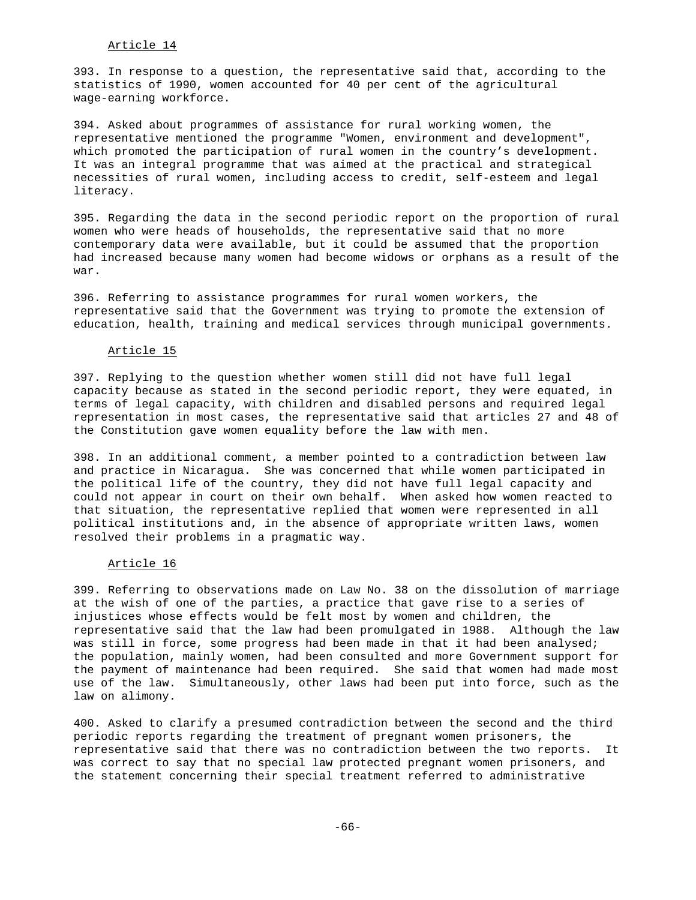# Article 14

393. In response to a question, the representative said that, according to the statistics of 1990, women accounted for 40 per cent of the agricultural wage-earning workforce.

394. Asked about programmes of assistance for rural working women, the representative mentioned the programme "Women, environment and development", which promoted the participation of rural women in the country's development. It was an integral programme that was aimed at the practical and strategical necessities of rural women, including access to credit, self-esteem and legal literacy.

395. Regarding the data in the second periodic report on the proportion of rural women who were heads of households, the representative said that no more contemporary data were available, but it could be assumed that the proportion had increased because many women had become widows or orphans as a result of the war.

396. Referring to assistance programmes for rural women workers, the representative said that the Government was trying to promote the extension of education, health, training and medical services through municipal governments.

#### Article 15

397. Replying to the question whether women still did not have full legal capacity because as stated in the second periodic report, they were equated, in terms of legal capacity, with children and disabled persons and required legal representation in most cases, the representative said that articles 27 and 48 of the Constitution gave women equality before the law with men.

398. In an additional comment, a member pointed to a contradiction between law and practice in Nicaragua. She was concerned that while women participated in the political life of the country, they did not have full legal capacity and could not appear in court on their own behalf. When asked how women reacted to that situation, the representative replied that women were represented in all political institutions and, in the absence of appropriate written laws, women resolved their problems in a pragmatic way.

#### Article 16

399. Referring to observations made on Law No. 38 on the dissolution of marriage at the wish of one of the parties, a practice that gave rise to a series of injustices whose effects would be felt most by women and children, the representative said that the law had been promulgated in 1988. Although the law was still in force, some progress had been made in that it had been analysed; the population, mainly women, had been consulted and more Government support for the payment of maintenance had been required. She said that women had made most use of the law. Simultaneously, other laws had been put into force, such as the law on alimony.

400. Asked to clarify a presumed contradiction between the second and the third periodic reports regarding the treatment of pregnant women prisoners, the representative said that there was no contradiction between the two reports. It was correct to say that no special law protected pregnant women prisoners, and the statement concerning their special treatment referred to administrative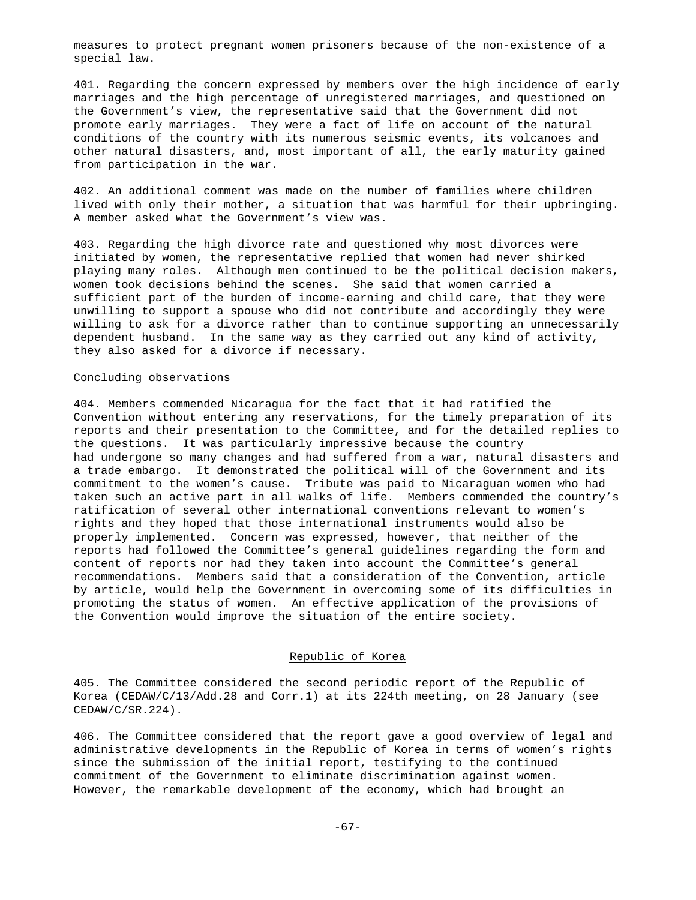measures to protect pregnant women prisoners because of the non-existence of a special law.

401. Regarding the concern expressed by members over the high incidence of early marriages and the high percentage of unregistered marriages, and questioned on the Government's view, the representative said that the Government did not promote early marriages. They were a fact of life on account of the natural conditions of the country with its numerous seismic events, its volcanoes and other natural disasters, and, most important of all, the early maturity gained from participation in the war.

402. An additional comment was made on the number of families where children lived with only their mother, a situation that was harmful for their upbringing. A member asked what the Government's view was.

403. Regarding the high divorce rate and questioned why most divorces were initiated by women, the representative replied that women had never shirked playing many roles. Although men continued to be the political decision makers, women took decisions behind the scenes. She said that women carried a sufficient part of the burden of income-earning and child care, that they were unwilling to support a spouse who did not contribute and accordingly they were willing to ask for a divorce rather than to continue supporting an unnecessarily dependent husband. In the same way as they carried out any kind of activity, they also asked for a divorce if necessary.

#### Concluding observations

404. Members commended Nicaragua for the fact that it had ratified the Convention without entering any reservations, for the timely preparation of its reports and their presentation to the Committee, and for the detailed replies to the questions. It was particularly impressive because the country had undergone so many changes and had suffered from a war, natural disasters and a trade embargo. It demonstrated the political will of the Government and its commitment to the women's cause. Tribute was paid to Nicaraguan women who had taken such an active part in all walks of life. Members commended the country's ratification of several other international conventions relevant to women's rights and they hoped that those international instruments would also be properly implemented. Concern was expressed, however, that neither of the reports had followed the Committee's general guidelines regarding the form and content of reports nor had they taken into account the Committee's general recommendations. Members said that a consideration of the Convention, article by article, would help the Government in overcoming some of its difficulties in promoting the status of women. An effective application of the provisions of the Convention would improve the situation of the entire society.

## Republic of Korea

405. The Committee considered the second periodic report of the Republic of Korea (CEDAW/C/13/Add.28 and Corr.1) at its 224th meeting, on 28 January (see CEDAW/C/SR.224).

406. The Committee considered that the report gave a good overview of legal and administrative developments in the Republic of Korea in terms of women's rights since the submission of the initial report, testifying to the continued commitment of the Government to eliminate discrimination against women. However, the remarkable development of the economy, which had brought an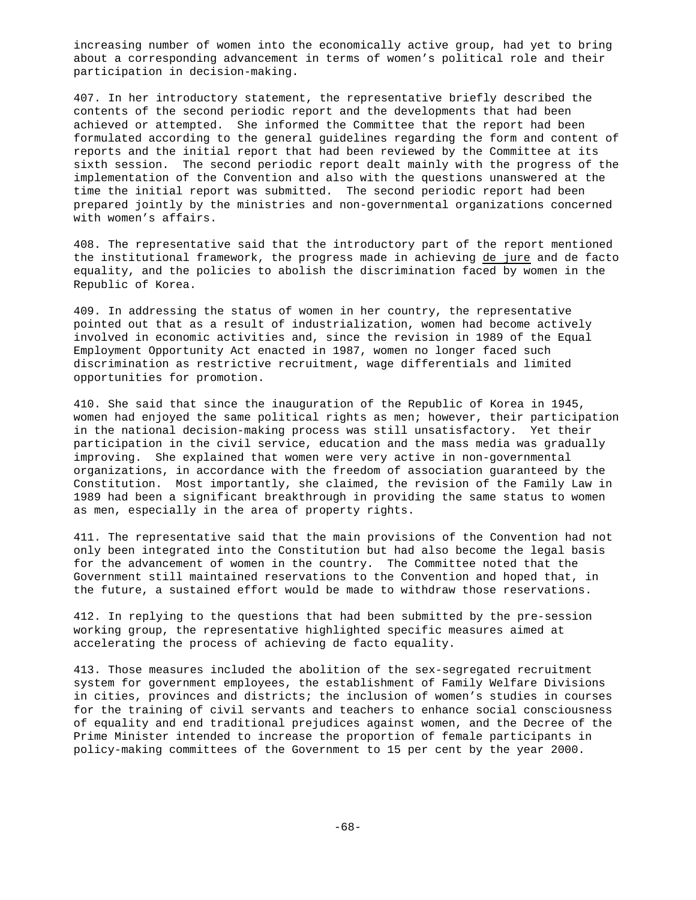increasing number of women into the economically active group, had yet to bring about a corresponding advancement in terms of women's political role and their participation in decision-making.

407. In her introductory statement, the representative briefly described the contents of the second periodic report and the developments that had been achieved or attempted. She informed the Committee that the report had been formulated according to the general guidelines regarding the form and content of reports and the initial report that had been reviewed by the Committee at its sixth session. The second periodic report dealt mainly with the progress of the implementation of the Convention and also with the questions unanswered at the time the initial report was submitted. The second periodic report had been prepared jointly by the ministries and non-governmental organizations concerned with women's affairs.

408. The representative said that the introductory part of the report mentioned the institutional framework, the progress made in achieving de jure and de facto equality, and the policies to abolish the discrimination faced by women in the Republic of Korea.

409. In addressing the status of women in her country, the representative pointed out that as a result of industrialization, women had become actively involved in economic activities and, since the revision in 1989 of the Equal Employment Opportunity Act enacted in 1987, women no longer faced such discrimination as restrictive recruitment, wage differentials and limited opportunities for promotion.

410. She said that since the inauguration of the Republic of Korea in 1945, women had enjoyed the same political rights as men; however, their participation in the national decision-making process was still unsatisfactory. Yet their participation in the civil service, education and the mass media was gradually improving. She explained that women were very active in non-governmental organizations, in accordance with the freedom of association guaranteed by the Constitution. Most importantly, she claimed, the revision of the Family Law in 1989 had been a significant breakthrough in providing the same status to women as men, especially in the area of property rights.

411. The representative said that the main provisions of the Convention had not only been integrated into the Constitution but had also become the legal basis for the advancement of women in the country. The Committee noted that the Government still maintained reservations to the Convention and hoped that, in the future, a sustained effort would be made to withdraw those reservations.

412. In replying to the questions that had been submitted by the pre-session working group, the representative highlighted specific measures aimed at accelerating the process of achieving de facto equality.

413. Those measures included the abolition of the sex-segregated recruitment system for government employees, the establishment of Family Welfare Divisions in cities, provinces and districts; the inclusion of women's studies in courses for the training of civil servants and teachers to enhance social consciousness of equality and end traditional prejudices against women, and the Decree of the Prime Minister intended to increase the proportion of female participants in policy-making committees of the Government to 15 per cent by the year 2000.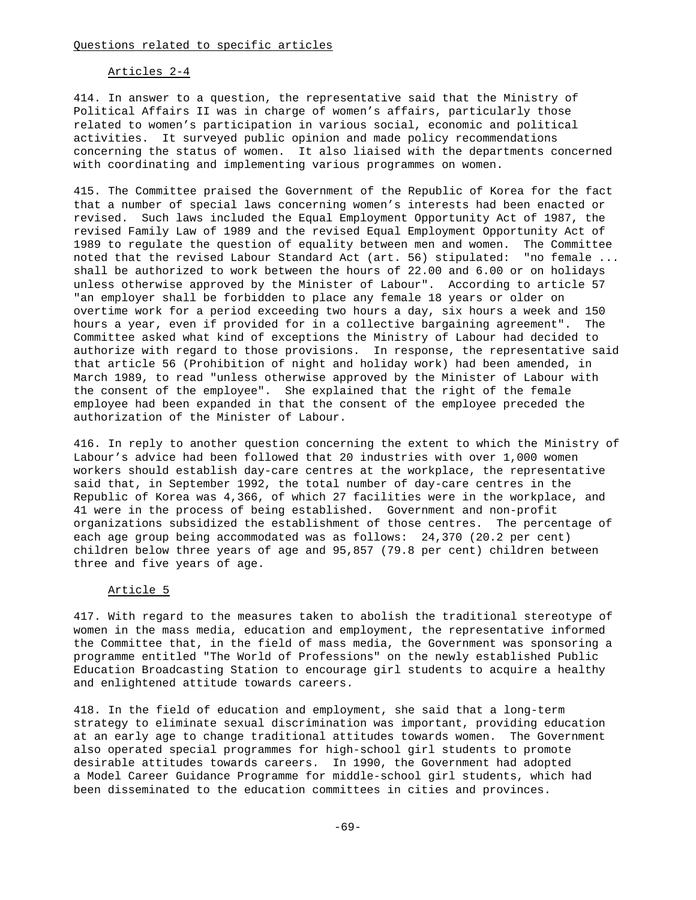#### Articles 2-4

414. In answer to a question, the representative said that the Ministry of Political Affairs II was in charge of women's affairs, particularly those related to women's participation in various social, economic and political activities. It surveyed public opinion and made policy recommendations concerning the status of women. It also liaised with the departments concerned with coordinating and implementing various programmes on women.

415. The Committee praised the Government of the Republic of Korea for the fact that a number of special laws concerning women's interests had been enacted or revised. Such laws included the Equal Employment Opportunity Act of 1987, the revised Family Law of 1989 and the revised Equal Employment Opportunity Act of 1989 to regulate the question of equality between men and women. The Committee noted that the revised Labour Standard Act (art. 56) stipulated: "no female ... shall be authorized to work between the hours of 22.00 and 6.00 or on holidays unless otherwise approved by the Minister of Labour". According to article 57 "an employer shall be forbidden to place any female 18 years or older on overtime work for a period exceeding two hours a day, six hours a week and 150 hours a year, even if provided for in a collective bargaining agreement". The Committee asked what kind of exceptions the Ministry of Labour had decided to authorize with regard to those provisions. In response, the representative said that article 56 (Prohibition of night and holiday work) had been amended, in March 1989, to read "unless otherwise approved by the Minister of Labour with the consent of the employee". She explained that the right of the female employee had been expanded in that the consent of the employee preceded the authorization of the Minister of Labour.

416. In reply to another question concerning the extent to which the Ministry of Labour's advice had been followed that 20 industries with over 1,000 women workers should establish day-care centres at the workplace, the representative said that, in September 1992, the total number of day-care centres in the Republic of Korea was 4,366, of which 27 facilities were in the workplace, and 41 were in the process of being established. Government and non-profit organizations subsidized the establishment of those centres. The percentage of each age group being accommodated was as follows: 24,370 (20.2 per cent) children below three years of age and 95,857 (79.8 per cent) children between three and five years of age.

### Article 5

417. With regard to the measures taken to abolish the traditional stereotype of women in the mass media, education and employment, the representative informed the Committee that, in the field of mass media, the Government was sponsoring a programme entitled "The World of Professions" on the newly established Public Education Broadcasting Station to encourage girl students to acquire a healthy and enlightened attitude towards careers.

418. In the field of education and employment, she said that a long-term strategy to eliminate sexual discrimination was important, providing education at an early age to change traditional attitudes towards women. The Government also operated special programmes for high-school girl students to promote desirable attitudes towards careers. In 1990, the Government had adopted a Model Career Guidance Programme for middle-school girl students, which had been disseminated to the education committees in cities and provinces.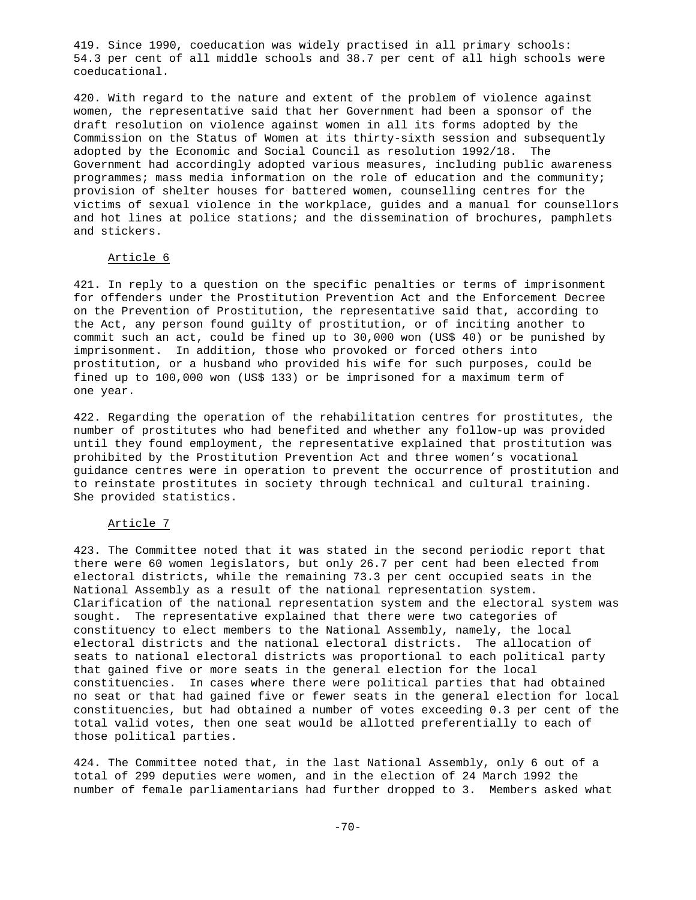419. Since 1990, coeducation was widely practised in all primary schools: 54.3 per cent of all middle schools and 38.7 per cent of all high schools were coeducational.

420. With regard to the nature and extent of the problem of violence against women, the representative said that her Government had been a sponsor of the draft resolution on violence against women in all its forms adopted by the Commission on the Status of Women at its thirty-sixth session and subsequently adopted by the Economic and Social Council as resolution 1992/18. The Government had accordingly adopted various measures, including public awareness programmes; mass media information on the role of education and the community; provision of shelter houses for battered women, counselling centres for the victims of sexual violence in the workplace, guides and a manual for counsellors and hot lines at police stations; and the dissemination of brochures, pamphlets and stickers.

## Article 6

421. In reply to a question on the specific penalties or terms of imprisonment for offenders under the Prostitution Prevention Act and the Enforcement Decree on the Prevention of Prostitution, the representative said that, according to the Act, any person found guilty of prostitution, or of inciting another to commit such an act, could be fined up to 30,000 won (US\$ 40) or be punished by imprisonment. In addition, those who provoked or forced others into prostitution, or a husband who provided his wife for such purposes, could be fined up to 100,000 won (US\$ 133) or be imprisoned for a maximum term of one year.

422. Regarding the operation of the rehabilitation centres for prostitutes, the number of prostitutes who had benefited and whether any follow-up was provided until they found employment, the representative explained that prostitution was prohibited by the Prostitution Prevention Act and three women's vocational guidance centres were in operation to prevent the occurrence of prostitution and to reinstate prostitutes in society through technical and cultural training. She provided statistics.

### Article 7

423. The Committee noted that it was stated in the second periodic report that there were 60 women legislators, but only 26.7 per cent had been elected from electoral districts, while the remaining 73.3 per cent occupied seats in the National Assembly as a result of the national representation system. Clarification of the national representation system and the electoral system was sought. The representative explained that there were two categories of constituency to elect members to the National Assembly, namely, the local electoral districts and the national electoral districts. The allocation of seats to national electoral districts was proportional to each political party that gained five or more seats in the general election for the local constituencies. In cases where there were political parties that had obtained no seat or that had gained five or fewer seats in the general election for local constituencies, but had obtained a number of votes exceeding 0.3 per cent of the total valid votes, then one seat would be allotted preferentially to each of those political parties.

424. The Committee noted that, in the last National Assembly, only 6 out of a total of 299 deputies were women, and in the election of 24 March 1992 the number of female parliamentarians had further dropped to 3. Members asked what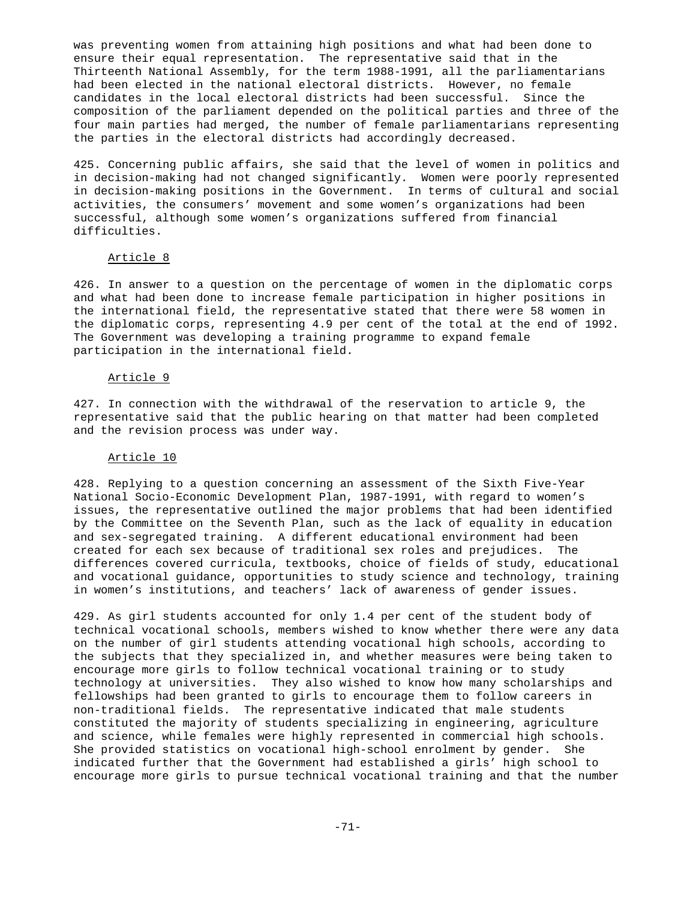was preventing women from attaining high positions and what had been done to ensure their equal representation. The representative said that in the Thirteenth National Assembly, for the term 1988-1991, all the parliamentarians had been elected in the national electoral districts. However, no female candidates in the local electoral districts had been successful. Since the composition of the parliament depended on the political parties and three of the four main parties had merged, the number of female parliamentarians representing the parties in the electoral districts had accordingly decreased.

425. Concerning public affairs, she said that the level of women in politics and in decision-making had not changed significantly. Women were poorly represented in decision-making positions in the Government. In terms of cultural and social activities, the consumers' movement and some women's organizations had been successful, although some women's organizations suffered from financial difficulties.

#### Article 8

426. In answer to a question on the percentage of women in the diplomatic corps and what had been done to increase female participation in higher positions in the international field, the representative stated that there were 58 women in the diplomatic corps, representing 4.9 per cent of the total at the end of 1992. The Government was developing a training programme to expand female participation in the international field.

### Article 9

427. In connection with the withdrawal of the reservation to article 9, the representative said that the public hearing on that matter had been completed and the revision process was under way.

### Article 10

428. Replying to a question concerning an assessment of the Sixth Five-Year National Socio-Economic Development Plan, 1987-1991, with regard to women's issues, the representative outlined the major problems that had been identified by the Committee on the Seventh Plan, such as the lack of equality in education and sex-segregated training. A different educational environment had been created for each sex because of traditional sex roles and prejudices. The differences covered curricula, textbooks, choice of fields of study, educational and vocational guidance, opportunities to study science and technology, training in women's institutions, and teachers' lack of awareness of gender issues.

429. As girl students accounted for only 1.4 per cent of the student body of technical vocational schools, members wished to know whether there were any data on the number of girl students attending vocational high schools, according to the subjects that they specialized in, and whether measures were being taken to encourage more girls to follow technical vocational training or to study technology at universities. They also wished to know how many scholarships and fellowships had been granted to girls to encourage them to follow careers in non-traditional fields. The representative indicated that male students constituted the majority of students specializing in engineering, agriculture and science, while females were highly represented in commercial high schools. She provided statistics on vocational high-school enrolment by gender. She indicated further that the Government had established a girls' high school to encourage more girls to pursue technical vocational training and that the number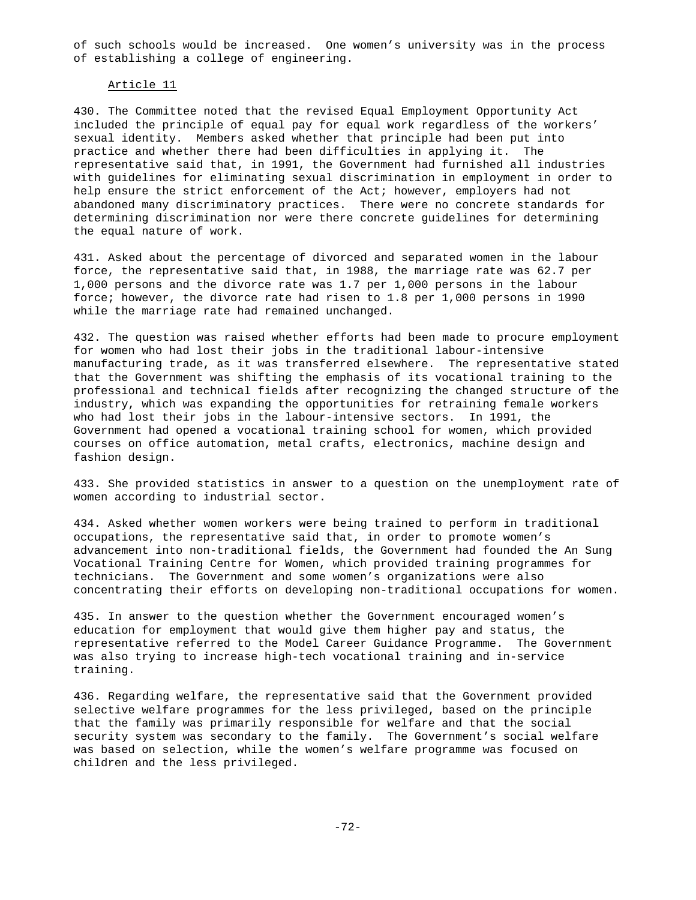of such schools would be increased. One women's university was in the process of establishing a college of engineering.

#### Article 11

430. The Committee noted that the revised Equal Employment Opportunity Act included the principle of equal pay for equal work regardless of the workers' sexual identity. Members asked whether that principle had been put into practice and whether there had been difficulties in applying it. The representative said that, in 1991, the Government had furnished all industries with guidelines for eliminating sexual discrimination in employment in order to help ensure the strict enforcement of the Act; however, employers had not abandoned many discriminatory practices. There were no concrete standards for determining discrimination nor were there concrete guidelines for determining the equal nature of work.

431. Asked about the percentage of divorced and separated women in the labour force, the representative said that, in 1988, the marriage rate was 62.7 per 1,000 persons and the divorce rate was 1.7 per 1,000 persons in the labour force; however, the divorce rate had risen to 1.8 per 1,000 persons in 1990 while the marriage rate had remained unchanged.

432. The question was raised whether efforts had been made to procure employment for women who had lost their jobs in the traditional labour-intensive manufacturing trade, as it was transferred elsewhere. The representative stated that the Government was shifting the emphasis of its vocational training to the professional and technical fields after recognizing the changed structure of the industry, which was expanding the opportunities for retraining female workers who had lost their jobs in the labour-intensive sectors. In 1991, the Government had opened a vocational training school for women, which provided courses on office automation, metal crafts, electronics, machine design and fashion design.

433. She provided statistics in answer to a question on the unemployment rate of women according to industrial sector.

434. Asked whether women workers were being trained to perform in traditional occupations, the representative said that, in order to promote women's advancement into non-traditional fields, the Government had founded the An Sung Vocational Training Centre for Women, which provided training programmes for technicians. The Government and some women's organizations were also concentrating their efforts on developing non-traditional occupations for women.

435. In answer to the question whether the Government encouraged women's education for employment that would give them higher pay and status, the representative referred to the Model Career Guidance Programme. The Government was also trying to increase high-tech vocational training and in-service training.

436. Regarding welfare, the representative said that the Government provided selective welfare programmes for the less privileged, based on the principle that the family was primarily responsible for welfare and that the social security system was secondary to the family. The Government's social welfare was based on selection, while the women's welfare programme was focused on children and the less privileged.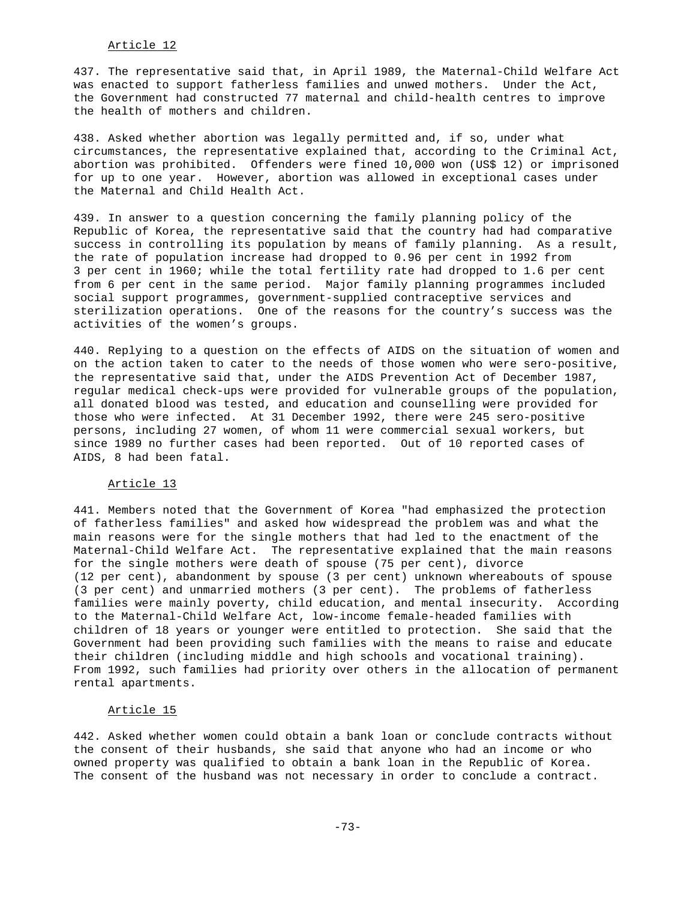### Article 12

437. The representative said that, in April 1989, the Maternal-Child Welfare Act was enacted to support fatherless families and unwed mothers. Under the Act, the Government had constructed 77 maternal and child-health centres to improve the health of mothers and children.

438. Asked whether abortion was legally permitted and, if so, under what circumstances, the representative explained that, according to the Criminal Act, abortion was prohibited. Offenders were fined 10,000 won (US\$ 12) or imprisoned for up to one year. However, abortion was allowed in exceptional cases under the Maternal and Child Health Act.

439. In answer to a question concerning the family planning policy of the Republic of Korea, the representative said that the country had had comparative success in controlling its population by means of family planning. As a result, the rate of population increase had dropped to 0.96 per cent in 1992 from 3 per cent in 1960; while the total fertility rate had dropped to 1.6 per cent from 6 per cent in the same period. Major family planning programmes included social support programmes, government-supplied contraceptive services and sterilization operations. One of the reasons for the country's success was the activities of the women's groups.

440. Replying to a question on the effects of AIDS on the situation of women and on the action taken to cater to the needs of those women who were sero-positive, the representative said that, under the AIDS Prevention Act of December 1987, regular medical check-ups were provided for vulnerable groups of the population, all donated blood was tested, and education and counselling were provided for those who were infected. At 31 December 1992, there were 245 sero-positive persons, including 27 women, of whom 11 were commercial sexual workers, but since 1989 no further cases had been reported. Out of 10 reported cases of AIDS, 8 had been fatal.

#### Article 13

441. Members noted that the Government of Korea "had emphasized the protection of fatherless families" and asked how widespread the problem was and what the main reasons were for the single mothers that had led to the enactment of the Maternal-Child Welfare Act. The representative explained that the main reasons for the single mothers were death of spouse (75 per cent), divorce (12 per cent), abandonment by spouse (3 per cent) unknown whereabouts of spouse (3 per cent) and unmarried mothers (3 per cent). The problems of fatherless families were mainly poverty, child education, and mental insecurity. According to the Maternal-Child Welfare Act, low-income female-headed families with children of 18 years or younger were entitled to protection. She said that the Government had been providing such families with the means to raise and educate their children (including middle and high schools and vocational training). From 1992, such families had priority over others in the allocation of permanent rental apartments.

#### Article 15

442. Asked whether women could obtain a bank loan or conclude contracts without the consent of their husbands, she said that anyone who had an income or who owned property was qualified to obtain a bank loan in the Republic of Korea. The consent of the husband was not necessary in order to conclude a contract.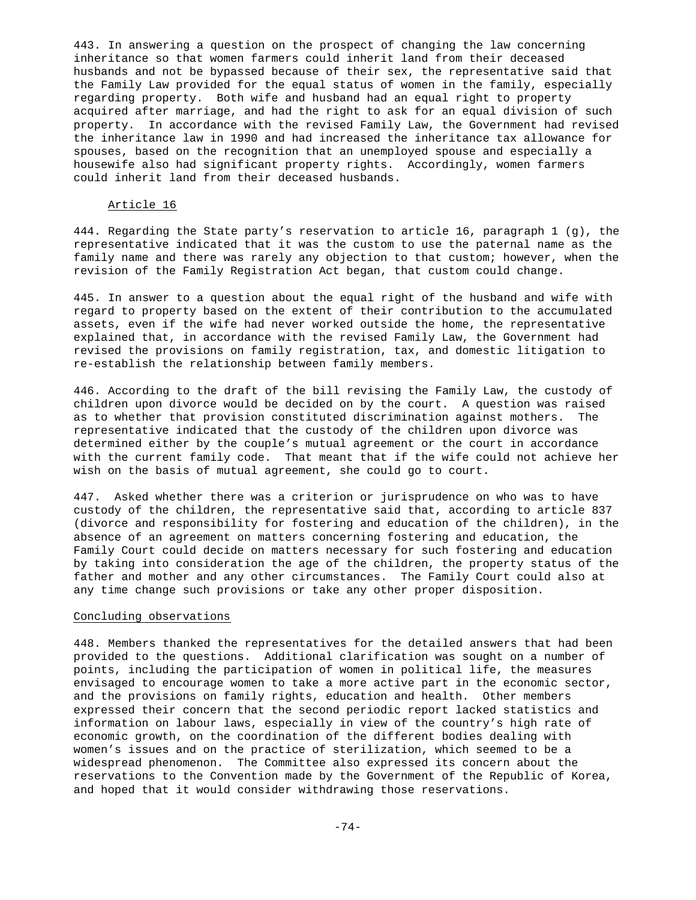443. In answering a question on the prospect of changing the law concerning inheritance so that women farmers could inherit land from their deceased husbands and not be bypassed because of their sex, the representative said that the Family Law provided for the equal status of women in the family, especially regarding property. Both wife and husband had an equal right to property acquired after marriage, and had the right to ask for an equal division of such property. In accordance with the revised Family Law, the Government had revised the inheritance law in 1990 and had increased the inheritance tax allowance for spouses, based on the recognition that an unemployed spouse and especially a housewife also had significant property rights. Accordingly, women farmers could inherit land from their deceased husbands.

# Article 16

444. Regarding the State party's reservation to article 16, paragraph 1 (g), the representative indicated that it was the custom to use the paternal name as the family name and there was rarely any objection to that custom; however, when the revision of the Family Registration Act began, that custom could change.

445. In answer to a question about the equal right of the husband and wife with regard to property based on the extent of their contribution to the accumulated assets, even if the wife had never worked outside the home, the representative explained that, in accordance with the revised Family Law, the Government had revised the provisions on family registration, tax, and domestic litigation to re-establish the relationship between family members.

446. According to the draft of the bill revising the Family Law, the custody of children upon divorce would be decided on by the court. A question was raised as to whether that provision constituted discrimination against mothers. The representative indicated that the custody of the children upon divorce was determined either by the couple's mutual agreement or the court in accordance with the current family code. That meant that if the wife could not achieve her wish on the basis of mutual agreement, she could go to court.

447. Asked whether there was a criterion or jurisprudence on who was to have custody of the children, the representative said that, according to article 837 (divorce and responsibility for fostering and education of the children), in the absence of an agreement on matters concerning fostering and education, the Family Court could decide on matters necessary for such fostering and education by taking into consideration the age of the children, the property status of the father and mother and any other circumstances. The Family Court could also at any time change such provisions or take any other proper disposition.

## Concluding observations

448. Members thanked the representatives for the detailed answers that had been provided to the questions. Additional clarification was sought on a number of points, including the participation of women in political life, the measures envisaged to encourage women to take a more active part in the economic sector, and the provisions on family rights, education and health. Other members expressed their concern that the second periodic report lacked statistics and information on labour laws, especially in view of the country's high rate of economic growth, on the coordination of the different bodies dealing with women's issues and on the practice of sterilization, which seemed to be a widespread phenomenon. The Committee also expressed its concern about the reservations to the Convention made by the Government of the Republic of Korea, and hoped that it would consider withdrawing those reservations.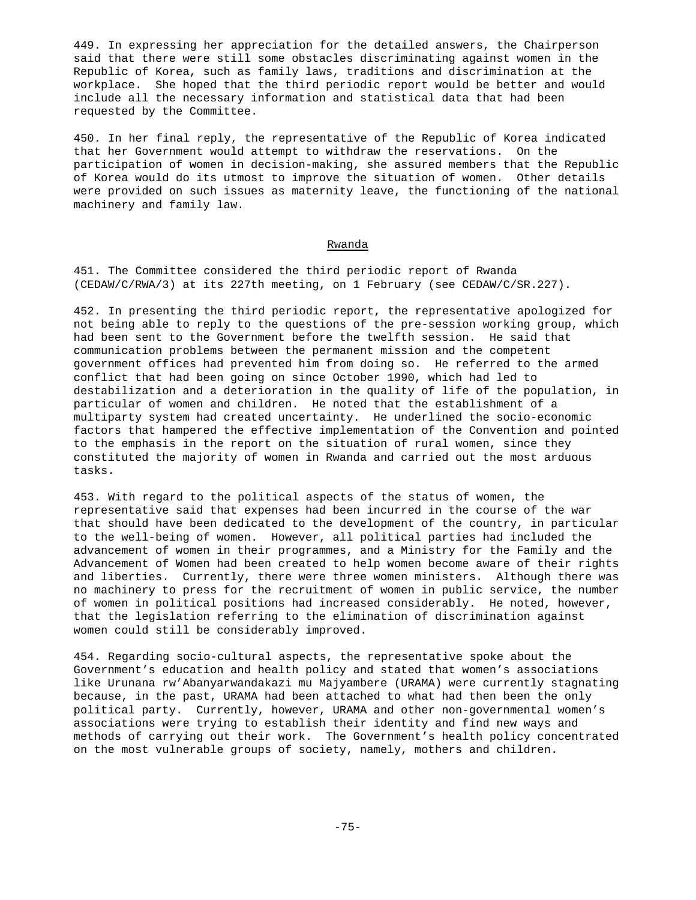449. In expressing her appreciation for the detailed answers, the Chairperson said that there were still some obstacles discriminating against women in the Republic of Korea, such as family laws, traditions and discrimination at the workplace. She hoped that the third periodic report would be better and would include all the necessary information and statistical data that had been requested by the Committee.

450. In her final reply, the representative of the Republic of Korea indicated that her Government would attempt to withdraw the reservations. On the participation of women in decision-making, she assured members that the Republic of Korea would do its utmost to improve the situation of women. Other details were provided on such issues as maternity leave, the functioning of the national machinery and family law.

### Rwanda

451. The Committee considered the third periodic report of Rwanda (CEDAW/C/RWA/3) at its 227th meeting, on 1 February (see CEDAW/C/SR.227).

452. In presenting the third periodic report, the representative apologized for not being able to reply to the questions of the pre-session working group, which had been sent to the Government before the twelfth session. He said that communication problems between the permanent mission and the competent government offices had prevented him from doing so. He referred to the armed conflict that had been going on since October 1990, which had led to destabilization and a deterioration in the quality of life of the population, in particular of women and children. He noted that the establishment of a multiparty system had created uncertainty. He underlined the socio-economic factors that hampered the effective implementation of the Convention and pointed to the emphasis in the report on the situation of rural women, since they constituted the majority of women in Rwanda and carried out the most arduous tasks.

453. With regard to the political aspects of the status of women, the representative said that expenses had been incurred in the course of the war that should have been dedicated to the development of the country, in particular to the well-being of women. However, all political parties had included the advancement of women in their programmes, and a Ministry for the Family and the Advancement of Women had been created to help women become aware of their rights and liberties. Currently, there were three women ministers. Although there was no machinery to press for the recruitment of women in public service, the number of women in political positions had increased considerably. He noted, however, that the legislation referring to the elimination of discrimination against women could still be considerably improved.

454. Regarding socio-cultural aspects, the representative spoke about the Government's education and health policy and stated that women's associations like Urunana rw'Abanyarwandakazi mu Majyambere (URAMA) were currently stagnating because, in the past, URAMA had been attached to what had then been the only political party. Currently, however, URAMA and other non-governmental women's associations were trying to establish their identity and find new ways and methods of carrying out their work. The Government's health policy concentrated on the most vulnerable groups of society, namely, mothers and children.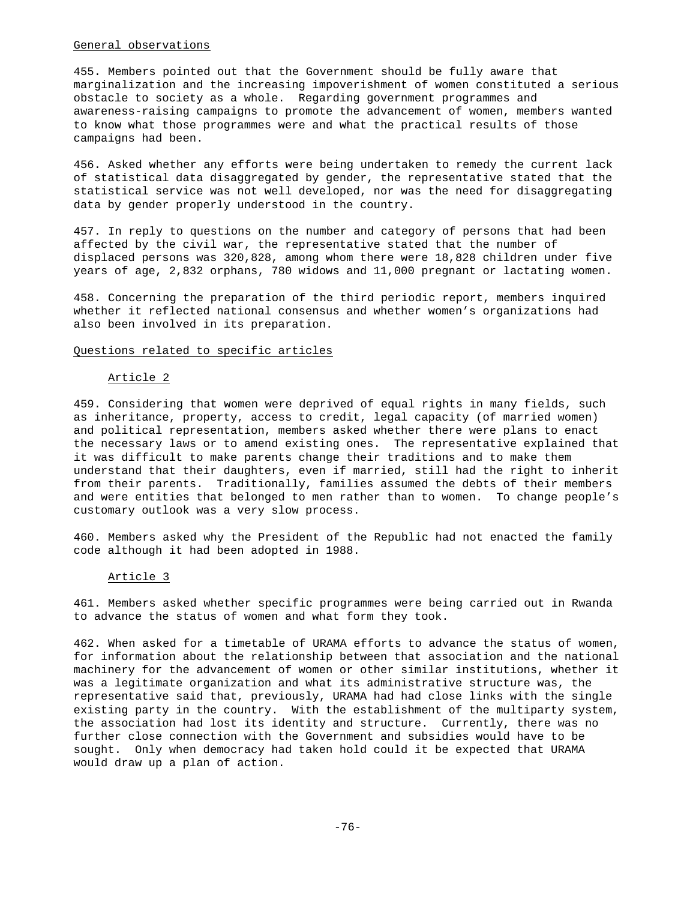## General observations

455. Members pointed out that the Government should be fully aware that marginalization and the increasing impoverishment of women constituted a serious obstacle to society as a whole. Regarding government programmes and awareness-raising campaigns to promote the advancement of women, members wanted to know what those programmes were and what the practical results of those campaigns had been.

456. Asked whether any efforts were being undertaken to remedy the current lack of statistical data disaggregated by gender, the representative stated that the statistical service was not well developed, nor was the need for disaggregating data by gender properly understood in the country.

457. In reply to questions on the number and category of persons that had been affected by the civil war, the representative stated that the number of displaced persons was 320,828, among whom there were 18,828 children under five years of age, 2,832 orphans, 780 widows and 11,000 pregnant or lactating women.

458. Concerning the preparation of the third periodic report, members inquired whether it reflected national consensus and whether women's organizations had also been involved in its preparation.

# Questions related to specific articles

#### Article 2

459. Considering that women were deprived of equal rights in many fields, such as inheritance, property, access to credit, legal capacity (of married women) and political representation, members asked whether there were plans to enact the necessary laws or to amend existing ones. The representative explained that it was difficult to make parents change their traditions and to make them understand that their daughters, even if married, still had the right to inherit from their parents. Traditionally, families assumed the debts of their members and were entities that belonged to men rather than to women. To change people's customary outlook was a very slow process.

460. Members asked why the President of the Republic had not enacted the family code although it had been adopted in 1988.

### Article 3

461. Members asked whether specific programmes were being carried out in Rwanda to advance the status of women and what form they took.

462. When asked for a timetable of URAMA efforts to advance the status of women, for information about the relationship between that association and the national machinery for the advancement of women or other similar institutions, whether it was a legitimate organization and what its administrative structure was, the representative said that, previously, URAMA had had close links with the single existing party in the country. With the establishment of the multiparty system, the association had lost its identity and structure. Currently, there was no further close connection with the Government and subsidies would have to be sought. Only when democracy had taken hold could it be expected that URAMA would draw up a plan of action.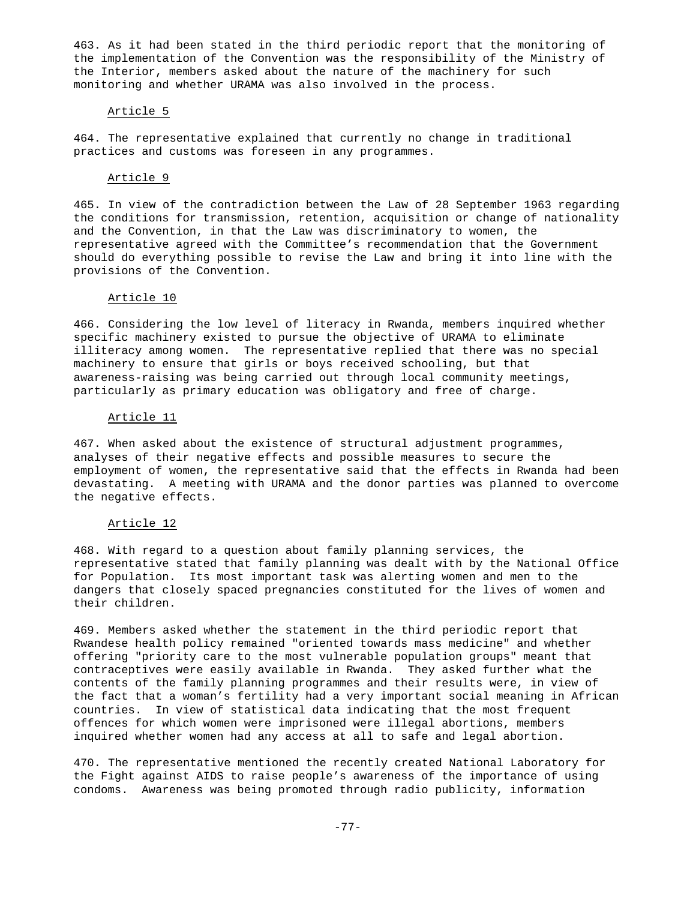463. As it had been stated in the third periodic report that the monitoring of the implementation of the Convention was the responsibility of the Ministry of the Interior, members asked about the nature of the machinery for such monitoring and whether URAMA was also involved in the process.

# Article 5

464. The representative explained that currently no change in traditional practices and customs was foreseen in any programmes.

## Article 9

465. In view of the contradiction between the Law of 28 September 1963 regarding the conditions for transmission, retention, acquisition or change of nationality and the Convention, in that the Law was discriminatory to women, the representative agreed with the Committee's recommendation that the Government should do everything possible to revise the Law and bring it into line with the provisions of the Convention.

# Article 10

466. Considering the low level of literacy in Rwanda, members inquired whether specific machinery existed to pursue the objective of URAMA to eliminate illiteracy among women. The representative replied that there was no special machinery to ensure that girls or boys received schooling, but that awareness-raising was being carried out through local community meetings, particularly as primary education was obligatory and free of charge.

## Article 11

467. When asked about the existence of structural adjustment programmes, analyses of their negative effects and possible measures to secure the employment of women, the representative said that the effects in Rwanda had been devastating. A meeting with URAMA and the donor parties was planned to overcome the negative effects.

# Article 12

468. With regard to a question about family planning services, the representative stated that family planning was dealt with by the National Office for Population. Its most important task was alerting women and men to the dangers that closely spaced pregnancies constituted for the lives of women and their children.

469. Members asked whether the statement in the third periodic report that Rwandese health policy remained "oriented towards mass medicine" and whether offering "priority care to the most vulnerable population groups" meant that contraceptives were easily available in Rwanda. They asked further what the contents of the family planning programmes and their results were, in view of the fact that a woman's fertility had a very important social meaning in African countries. In view of statistical data indicating that the most frequent offences for which women were imprisoned were illegal abortions, members inquired whether women had any access at all to safe and legal abortion.

470. The representative mentioned the recently created National Laboratory for the Fight against AIDS to raise people's awareness of the importance of using condoms. Awareness was being promoted through radio publicity, information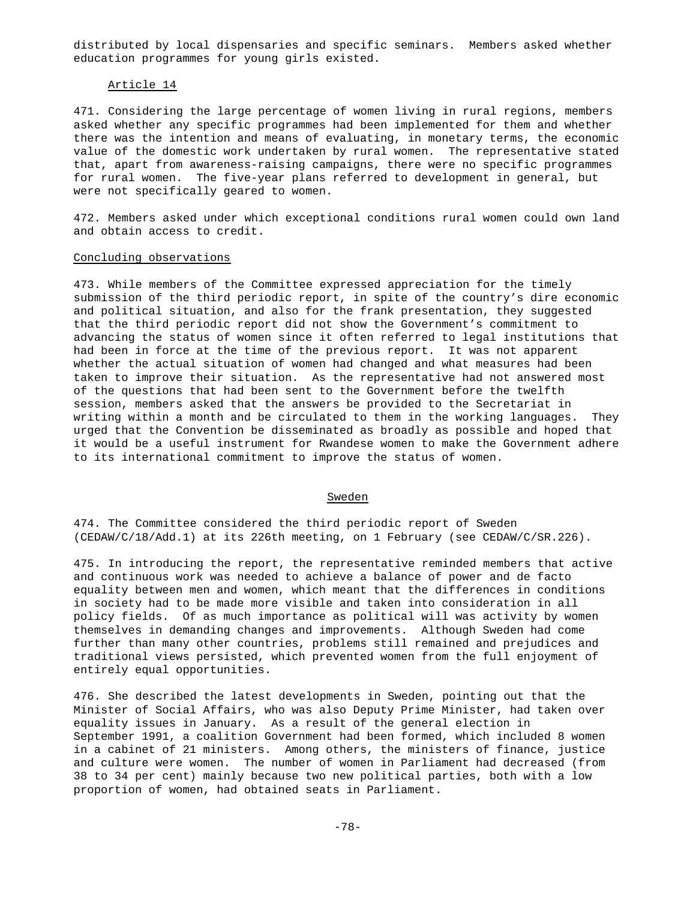distributed by local dispensaries and specific seminars. Members asked whether education programmes for young girls existed.

### Article 14

471. Considering the large percentage of women living in rural regions, members asked whether any specific programmes had been implemented for them and whether there was the intention and means of evaluating, in monetary terms, the economic value of the domestic work undertaken by rural women. The representative stated that, apart from awareness-raising campaigns, there were no specific programmes for rural women. The five-year plans referred to development in general, but were not specifically geared to women.

472. Members asked under which exceptional conditions rural women could own land and obtain access to credit.

### Concluding observations

473. While members of the Committee expressed appreciation for the timely submission of the third periodic report, in spite of the country's dire economic and political situation, and also for the frank presentation, they suggested that the third periodic report did not show the Government's commitment to advancing the status of women since it often referred to legal institutions that had been in force at the time of the previous report. It was not apparent whether the actual situation of women had changed and what measures had been taken to improve their situation. As the representative had not answered most of the questions that had been sent to the Government before the twelfth session, members asked that the answers be provided to the Secretariat in writing within a month and be circulated to them in the working languages. They urged that the Convention be disseminated as broadly as possible and hoped that it would be a useful instrument for Rwandese women to make the Government adhere to its international commitment to improve the status of women.

#### **Sweden**

474. The Committee considered the third periodic report of Sweden (CEDAW/C/18/Add.1) at its 226th meeting, on 1 February (see CEDAW/C/SR.226).

475. In introducing the report, the representative reminded members that active and continuous work was needed to achieve a balance of power and de facto equality between men and women, which meant that the differences in conditions in society had to be made more visible and taken into consideration in all policy fields. Of as much importance as political will was activity by women themselves in demanding changes and improvements. Although Sweden had come further than many other countries, problems still remained and prejudices and traditional views persisted, which prevented women from the full enjoyment of entirely equal opportunities.

476. She described the latest developments in Sweden, pointing out that the Minister of Social Affairs, who was also Deputy Prime Minister, had taken over equality issues in January. As a result of the general election in September 1991, a coalition Government had been formed, which included 8 women in a cabinet of 21 ministers. Among others, the ministers of finance, justice and culture were women. The number of women in Parliament had decreased (from 38 to 34 per cent) mainly because two new political parties, both with a low proportion of women, had obtained seats in Parliament.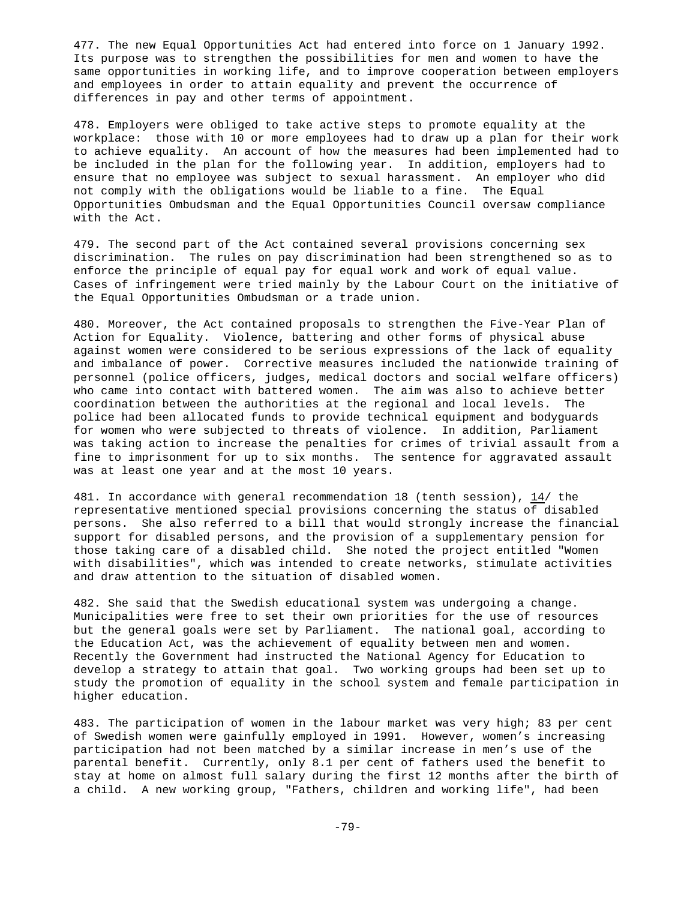477. The new Equal Opportunities Act had entered into force on 1 January 1992. Its purpose was to strengthen the possibilities for men and women to have the same opportunities in working life, and to improve cooperation between employers and employees in order to attain equality and prevent the occurrence of differences in pay and other terms of appointment.

478. Employers were obliged to take active steps to promote equality at the workplace: those with 10 or more employees had to draw up a plan for their work to achieve equality. An account of how the measures had been implemented had to be included in the plan for the following year. In addition, employers had to ensure that no employee was subject to sexual harassment. An employer who did not comply with the obligations would be liable to a fine. The Equal Opportunities Ombudsman and the Equal Opportunities Council oversaw compliance with the Act.

479. The second part of the Act contained several provisions concerning sex discrimination. The rules on pay discrimination had been strengthened so as to enforce the principle of equal pay for equal work and work of equal value. Cases of infringement were tried mainly by the Labour Court on the initiative of the Equal Opportunities Ombudsman or a trade union.

480. Moreover, the Act contained proposals to strengthen the Five-Year Plan of Action for Equality. Violence, battering and other forms of physical abuse against women were considered to be serious expressions of the lack of equality and imbalance of power. Corrective measures included the nationwide training of personnel (police officers, judges, medical doctors and social welfare officers) who came into contact with battered women. The aim was also to achieve better coordination between the authorities at the regional and local levels. The police had been allocated funds to provide technical equipment and bodyguards for women who were subjected to threats of violence. In addition, Parliament was taking action to increase the penalties for crimes of trivial assault from a fine to imprisonment for up to six months. The sentence for aggravated assault was at least one year and at the most 10 years.

481. In accordance with general recommendation 18 (tenth session), 14/ the representative mentioned special provisions concerning the status of disabled persons. She also referred to a bill that would strongly increase the financial support for disabled persons, and the provision of a supplementary pension for those taking care of a disabled child. She noted the project entitled "Women with disabilities", which was intended to create networks, stimulate activities and draw attention to the situation of disabled women.

482. She said that the Swedish educational system was undergoing a change. Municipalities were free to set their own priorities for the use of resources but the general goals were set by Parliament. The national goal, according to the Education Act, was the achievement of equality between men and women. Recently the Government had instructed the National Agency for Education to develop a strategy to attain that goal. Two working groups had been set up to study the promotion of equality in the school system and female participation in higher education.

483. The participation of women in the labour market was very high; 83 per cent of Swedish women were gainfully employed in 1991. However, women's increasing participation had not been matched by a similar increase in men's use of the parental benefit. Currently, only 8.1 per cent of fathers used the benefit to stay at home on almost full salary during the first 12 months after the birth of a child. A new working group, "Fathers, children and working life", had been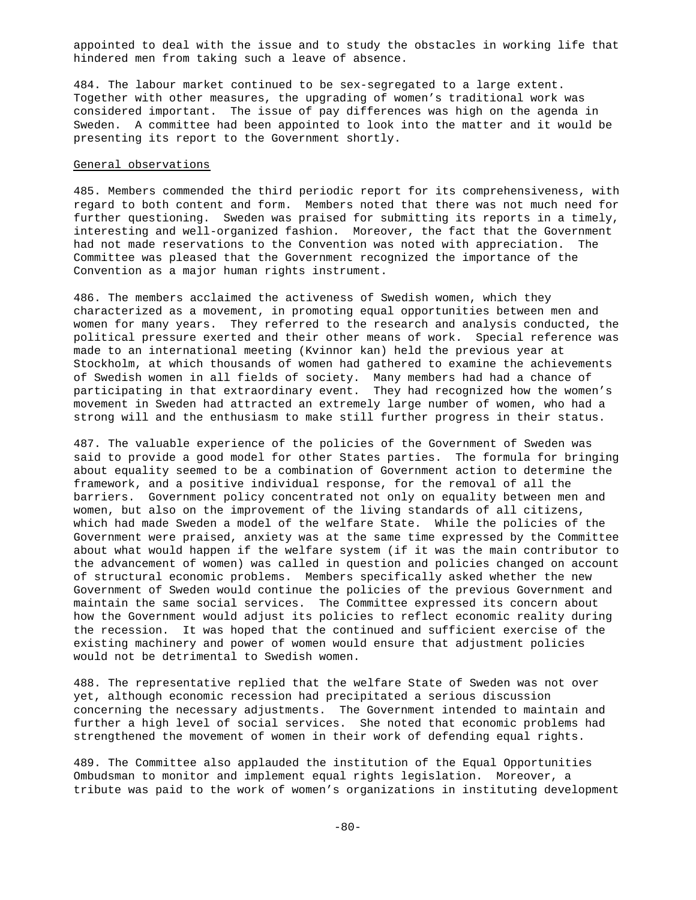appointed to deal with the issue and to study the obstacles in working life that hindered men from taking such a leave of absence.

484. The labour market continued to be sex-segregated to a large extent. Together with other measures, the upgrading of women's traditional work was considered important. The issue of pay differences was high on the agenda in Sweden. A committee had been appointed to look into the matter and it would be presenting its report to the Government shortly.

### General observations

485. Members commended the third periodic report for its comprehensiveness, with regard to both content and form. Members noted that there was not much need for further questioning. Sweden was praised for submitting its reports in a timely, interesting and well-organized fashion. Moreover, the fact that the Government had not made reservations to the Convention was noted with appreciation. The Committee was pleased that the Government recognized the importance of the Convention as a major human rights instrument.

486. The members acclaimed the activeness of Swedish women, which they characterized as a movement, in promoting equal opportunities between men and women for many years. They referred to the research and analysis conducted, the political pressure exerted and their other means of work. Special reference was made to an international meeting (Kvinnor kan) held the previous year at Stockholm, at which thousands of women had gathered to examine the achievements of Swedish women in all fields of society. Many members had had a chance of participating in that extraordinary event. They had recognized how the women's movement in Sweden had attracted an extremely large number of women, who had a strong will and the enthusiasm to make still further progress in their status.

487. The valuable experience of the policies of the Government of Sweden was said to provide a good model for other States parties. The formula for bringing about equality seemed to be a combination of Government action to determine the framework, and a positive individual response, for the removal of all the barriers. Government policy concentrated not only on equality between men and women, but also on the improvement of the living standards of all citizens, which had made Sweden a model of the welfare State. While the policies of the Government were praised, anxiety was at the same time expressed by the Committee about what would happen if the welfare system (if it was the main contributor to the advancement of women) was called in question and policies changed on account of structural economic problems. Members specifically asked whether the new Government of Sweden would continue the policies of the previous Government and maintain the same social services. The Committee expressed its concern about how the Government would adjust its policies to reflect economic reality during the recession. It was hoped that the continued and sufficient exercise of the existing machinery and power of women would ensure that adjustment policies would not be detrimental to Swedish women.

488. The representative replied that the welfare State of Sweden was not over yet, although economic recession had precipitated a serious discussion concerning the necessary adjustments. The Government intended to maintain and further a high level of social services. She noted that economic problems had strengthened the movement of women in their work of defending equal rights.

489. The Committee also applauded the institution of the Equal Opportunities Ombudsman to monitor and implement equal rights legislation. Moreover, a tribute was paid to the work of women's organizations in instituting development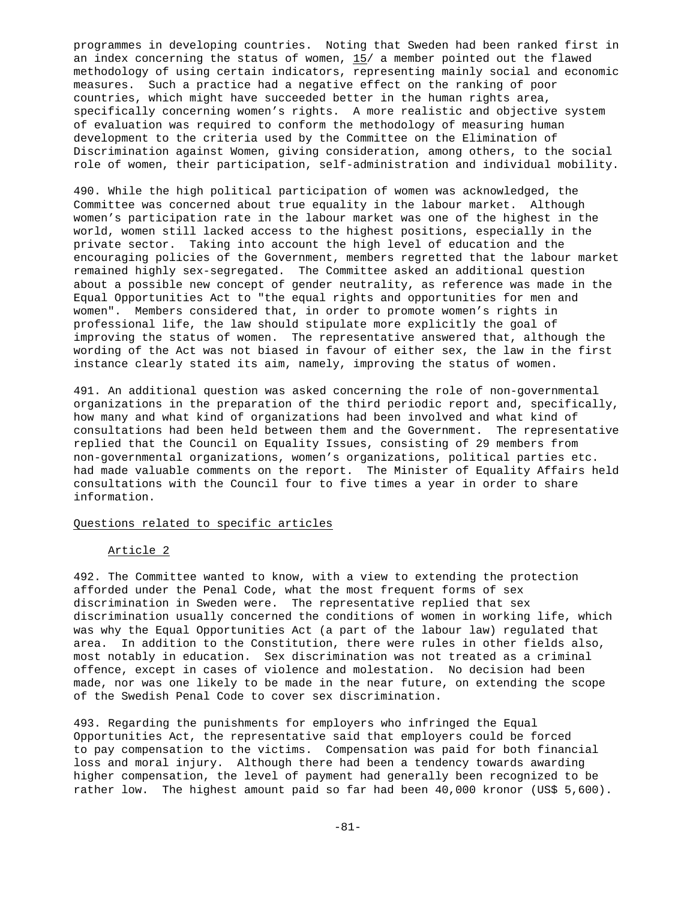programmes in developing countries. Noting that Sweden had been ranked first in an index concerning the status of women,  $15/$  a member pointed out the flawed methodology of using certain indicators, representing mainly social and economic measures. Such a practice had a negative effect on the ranking of poor countries, which might have succeeded better in the human rights area, specifically concerning women's rights. A more realistic and objective system of evaluation was required to conform the methodology of measuring human development to the criteria used by the Committee on the Elimination of Discrimination against Women, giving consideration, among others, to the social role of women, their participation, self-administration and individual mobility.

490. While the high political participation of women was acknowledged, the Committee was concerned about true equality in the labour market. Although women's participation rate in the labour market was one of the highest in the world, women still lacked access to the highest positions, especially in the private sector. Taking into account the high level of education and the encouraging policies of the Government, members regretted that the labour market remained highly sex-segregated. The Committee asked an additional question about a possible new concept of gender neutrality, as reference was made in the Equal Opportunities Act to "the equal rights and opportunities for men and women". Members considered that, in order to promote women's rights in professional life, the law should stipulate more explicitly the goal of improving the status of women. The representative answered that, although the wording of the Act was not biased in favour of either sex, the law in the first instance clearly stated its aim, namely, improving the status of women.

491. An additional question was asked concerning the role of non-governmental organizations in the preparation of the third periodic report and, specifically, how many and what kind of organizations had been involved and what kind of consultations had been held between them and the Government. The representative replied that the Council on Equality Issues, consisting of 29 members from non-governmental organizations, women's organizations, political parties etc. had made valuable comments on the report. The Minister of Equality Affairs held consultations with the Council four to five times a year in order to share information.

# Questions related to specific articles

# Article 2

492. The Committee wanted to know, with a view to extending the protection afforded under the Penal Code, what the most frequent forms of sex discrimination in Sweden were. The representative replied that sex discrimination usually concerned the conditions of women in working life, which was why the Equal Opportunities Act (a part of the labour law) regulated that area. In addition to the Constitution, there were rules in other fields also, most notably in education. Sex discrimination was not treated as a criminal offence, except in cases of violence and molestation. No decision had been made, nor was one likely to be made in the near future, on extending the scope of the Swedish Penal Code to cover sex discrimination.

493. Regarding the punishments for employers who infringed the Equal Opportunities Act, the representative said that employers could be forced to pay compensation to the victims. Compensation was paid for both financial loss and moral injury. Although there had been a tendency towards awarding higher compensation, the level of payment had generally been recognized to be rather low. The highest amount paid so far had been 40,000 kronor (US\$ 5,600).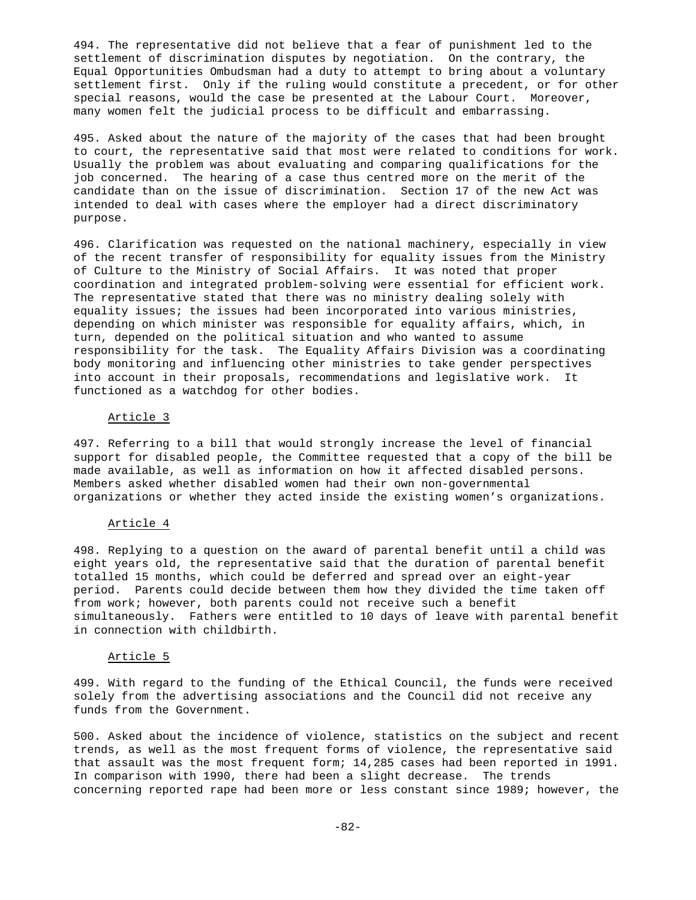494. The representative did not believe that a fear of punishment led to the settlement of discrimination disputes by negotiation. On the contrary, the Equal Opportunities Ombudsman had a duty to attempt to bring about a voluntary settlement first. Only if the ruling would constitute a precedent, or for other special reasons, would the case be presented at the Labour Court. Moreover, many women felt the judicial process to be difficult and embarrassing.

495. Asked about the nature of the majority of the cases that had been brought to court, the representative said that most were related to conditions for work. Usually the problem was about evaluating and comparing qualifications for the job concerned. The hearing of a case thus centred more on the merit of the candidate than on the issue of discrimination. Section 17 of the new Act was intended to deal with cases where the employer had a direct discriminatory purpose.

496. Clarification was requested on the national machinery, especially in view of the recent transfer of responsibility for equality issues from the Ministry of Culture to the Ministry of Social Affairs. It was noted that proper coordination and integrated problem-solving were essential for efficient work. The representative stated that there was no ministry dealing solely with equality issues; the issues had been incorporated into various ministries, depending on which minister was responsible for equality affairs, which, in turn, depended on the political situation and who wanted to assume responsibility for the task. The Equality Affairs Division was a coordinating body monitoring and influencing other ministries to take gender perspectives into account in their proposals, recommendations and legislative work. It functioned as a watchdog for other bodies.

# Article 3

497. Referring to a bill that would strongly increase the level of financial support for disabled people, the Committee requested that a copy of the bill be made available, as well as information on how it affected disabled persons. Members asked whether disabled women had their own non-governmental organizations or whether they acted inside the existing women's organizations.

# Article 4

498. Replying to a question on the award of parental benefit until a child was eight years old, the representative said that the duration of parental benefit totalled 15 months, which could be deferred and spread over an eight-year period. Parents could decide between them how they divided the time taken off from work; however, both parents could not receive such a benefit simultaneously. Fathers were entitled to 10 days of leave with parental benefit in connection with childbirth.

## Article 5

499. With regard to the funding of the Ethical Council, the funds were received solely from the advertising associations and the Council did not receive any funds from the Government.

500. Asked about the incidence of violence, statistics on the subject and recent trends, as well as the most frequent forms of violence, the representative said that assault was the most frequent form; 14,285 cases had been reported in 1991. In comparison with 1990, there had been a slight decrease. The trends concerning reported rape had been more or less constant since 1989; however, the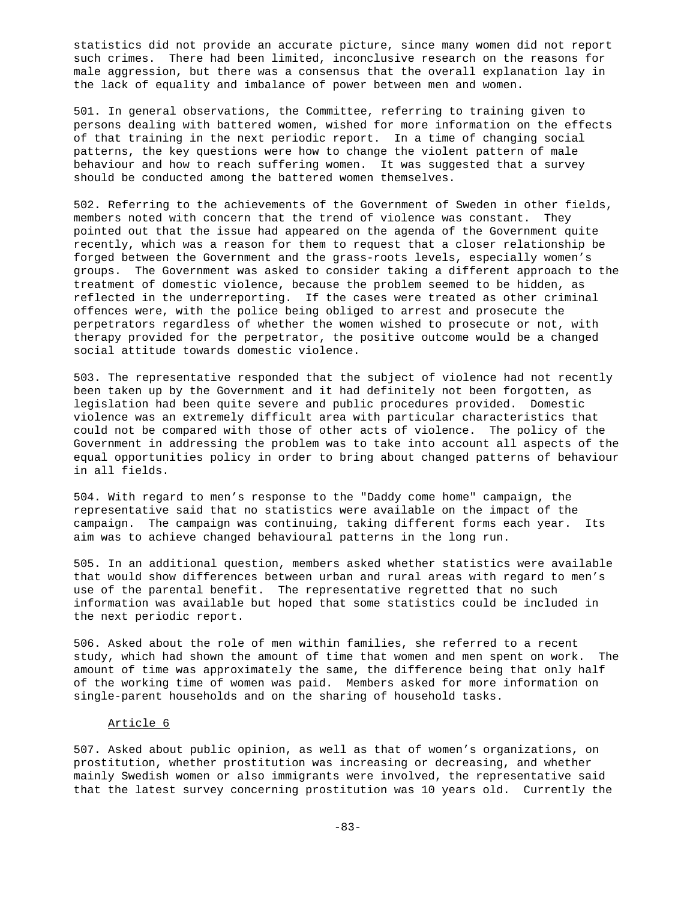statistics did not provide an accurate picture, since many women did not report such crimes. There had been limited, inconclusive research on the reasons for male aggression, but there was a consensus that the overall explanation lay in the lack of equality and imbalance of power between men and women.

501. In general observations, the Committee, referring to training given to persons dealing with battered women, wished for more information on the effects of that training in the next periodic report. In a time of changing social patterns, the key questions were how to change the violent pattern of male behaviour and how to reach suffering women. It was suggested that a survey should be conducted among the battered women themselves.

502. Referring to the achievements of the Government of Sweden in other fields, members noted with concern that the trend of violence was constant. They pointed out that the issue had appeared on the agenda of the Government quite recently, which was a reason for them to request that a closer relationship be forged between the Government and the grass-roots levels, especially women's groups. The Government was asked to consider taking a different approach to the treatment of domestic violence, because the problem seemed to be hidden, as reflected in the underreporting. If the cases were treated as other criminal offences were, with the police being obliged to arrest and prosecute the perpetrators regardless of whether the women wished to prosecute or not, with therapy provided for the perpetrator, the positive outcome would be a changed social attitude towards domestic violence.

503. The representative responded that the subject of violence had not recently been taken up by the Government and it had definitely not been forgotten, as legislation had been quite severe and public procedures provided. Domestic violence was an extremely difficult area with particular characteristics that could not be compared with those of other acts of violence. The policy of the Government in addressing the problem was to take into account all aspects of the equal opportunities policy in order to bring about changed patterns of behaviour in all fields.

504. With regard to men's response to the "Daddy come home" campaign, the representative said that no statistics were available on the impact of the campaign. The campaign was continuing, taking different forms each year. Its aim was to achieve changed behavioural patterns in the long run.

505. In an additional question, members asked whether statistics were available that would show differences between urban and rural areas with regard to men's use of the parental benefit. The representative regretted that no such information was available but hoped that some statistics could be included in the next periodic report.

506. Asked about the role of men within families, she referred to a recent study, which had shown the amount of time that women and men spent on work. The amount of time was approximately the same, the difference being that only half of the working time of women was paid. Members asked for more information on single-parent households and on the sharing of household tasks.

# Article 6

507. Asked about public opinion, as well as that of women's organizations, on prostitution, whether prostitution was increasing or decreasing, and whether mainly Swedish women or also immigrants were involved, the representative said that the latest survey concerning prostitution was 10 years old. Currently the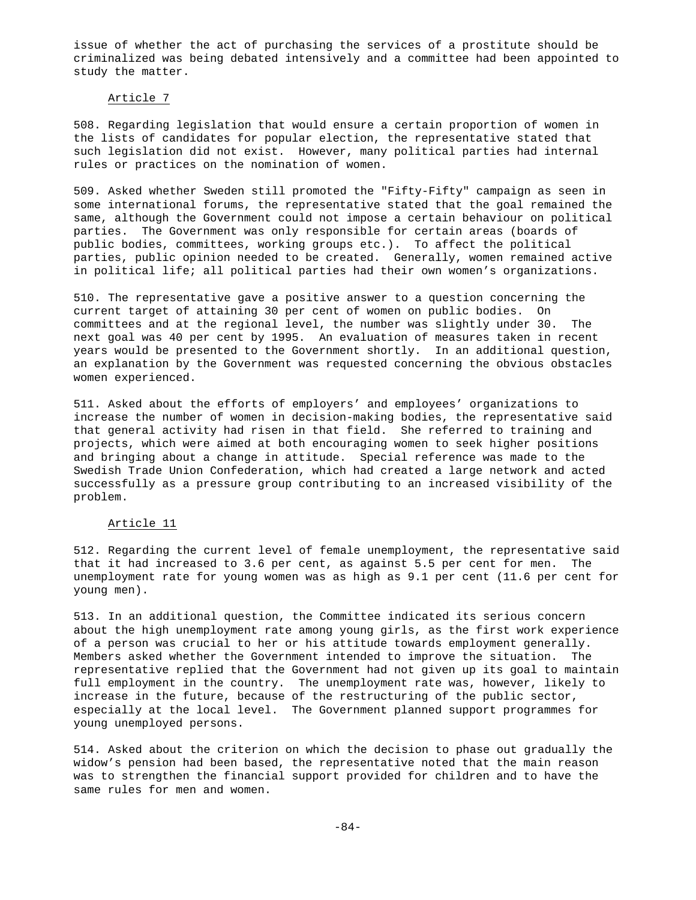issue of whether the act of purchasing the services of a prostitute should be criminalized was being debated intensively and a committee had been appointed to study the matter.

### Article 7

508. Regarding legislation that would ensure a certain proportion of women in the lists of candidates for popular election, the representative stated that such legislation did not exist. However, many political parties had internal rules or practices on the nomination of women.

509. Asked whether Sweden still promoted the "Fifty-Fifty" campaign as seen in some international forums, the representative stated that the goal remained the same, although the Government could not impose a certain behaviour on political parties. The Government was only responsible for certain areas (boards of public bodies, committees, working groups etc.). To affect the political parties, public opinion needed to be created. Generally, women remained active in political life; all political parties had their own women's organizations.

510. The representative gave a positive answer to a question concerning the current target of attaining 30 per cent of women on public bodies. On committees and at the regional level, the number was slightly under 30. The next goal was 40 per cent by 1995. An evaluation of measures taken in recent years would be presented to the Government shortly. In an additional question, an explanation by the Government was requested concerning the obvious obstacles women experienced.

511. Asked about the efforts of employers' and employees' organizations to increase the number of women in decision-making bodies, the representative said that general activity had risen in that field. She referred to training and projects, which were aimed at both encouraging women to seek higher positions and bringing about a change in attitude. Special reference was made to the Swedish Trade Union Confederation, which had created a large network and acted successfully as a pressure group contributing to an increased visibility of the problem.

# Article 11

512. Regarding the current level of female unemployment, the representative said that it had increased to 3.6 per cent, as against 5.5 per cent for men. The unemployment rate for young women was as high as 9.1 per cent (11.6 per cent for young men).

513. In an additional question, the Committee indicated its serious concern about the high unemployment rate among young girls, as the first work experience of a person was crucial to her or his attitude towards employment generally. Members asked whether the Government intended to improve the situation. The representative replied that the Government had not given up its goal to maintain full employment in the country. The unemployment rate was, however, likely to increase in the future, because of the restructuring of the public sector, especially at the local level. The Government planned support programmes for young unemployed persons.

514. Asked about the criterion on which the decision to phase out gradually the widow's pension had been based, the representative noted that the main reason was to strengthen the financial support provided for children and to have the same rules for men and women.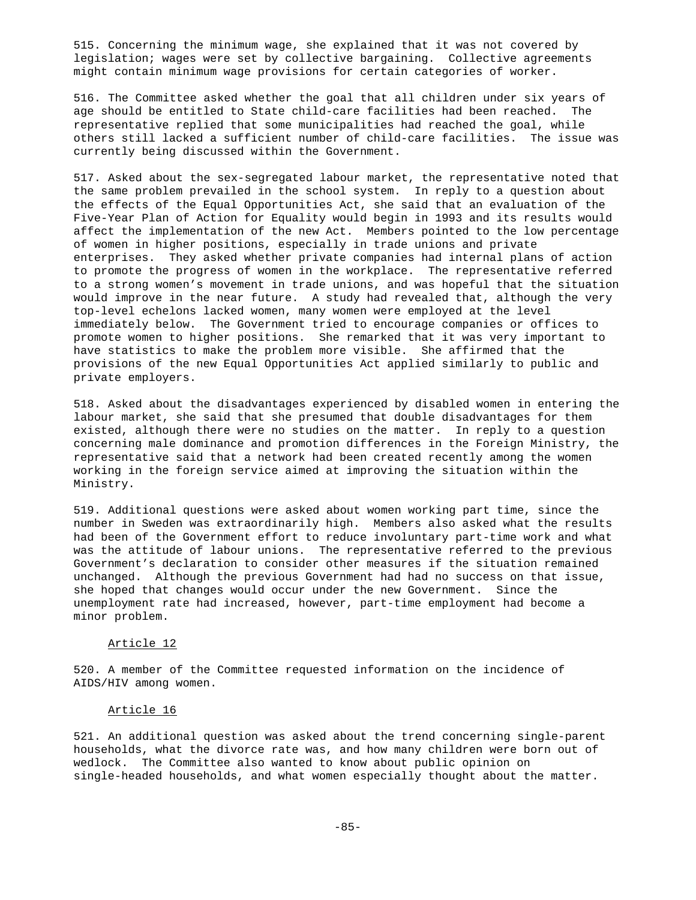515. Concerning the minimum wage, she explained that it was not covered by legislation; wages were set by collective bargaining. Collective agreements might contain minimum wage provisions for certain categories of worker.

516. The Committee asked whether the goal that all children under six years of age should be entitled to State child-care facilities had been reached. The representative replied that some municipalities had reached the goal, while others still lacked a sufficient number of child-care facilities. The issue was currently being discussed within the Government.

517. Asked about the sex-segregated labour market, the representative noted that the same problem prevailed in the school system. In reply to a question about the effects of the Equal Opportunities Act, she said that an evaluation of the Five-Year Plan of Action for Equality would begin in 1993 and its results would affect the implementation of the new Act. Members pointed to the low percentage of women in higher positions, especially in trade unions and private enterprises. They asked whether private companies had internal plans of action to promote the progress of women in the workplace. The representative referred to a strong women's movement in trade unions, and was hopeful that the situation would improve in the near future. A study had revealed that, although the very top-level echelons lacked women, many women were employed at the level immediately below. The Government tried to encourage companies or offices to promote women to higher positions. She remarked that it was very important to have statistics to make the problem more visible. She affirmed that the provisions of the new Equal Opportunities Act applied similarly to public and private employers.

518. Asked about the disadvantages experienced by disabled women in entering the labour market, she said that she presumed that double disadvantages for them existed, although there were no studies on the matter. In reply to a question concerning male dominance and promotion differences in the Foreign Ministry, the representative said that a network had been created recently among the women working in the foreign service aimed at improving the situation within the Ministry.

519. Additional questions were asked about women working part time, since the number in Sweden was extraordinarily high. Members also asked what the results had been of the Government effort to reduce involuntary part-time work and what was the attitude of labour unions. The representative referred to the previous Government's declaration to consider other measures if the situation remained unchanged. Although the previous Government had had no success on that issue, she hoped that changes would occur under the new Government. Since the unemployment rate had increased, however, part-time employment had become a minor problem.

## Article 12

520. A member of the Committee requested information on the incidence of AIDS/HIV among women.

#### Article 16

521. An additional question was asked about the trend concerning single-parent households, what the divorce rate was, and how many children were born out of wedlock. The Committee also wanted to know about public opinion on single-headed households, and what women especially thought about the matter.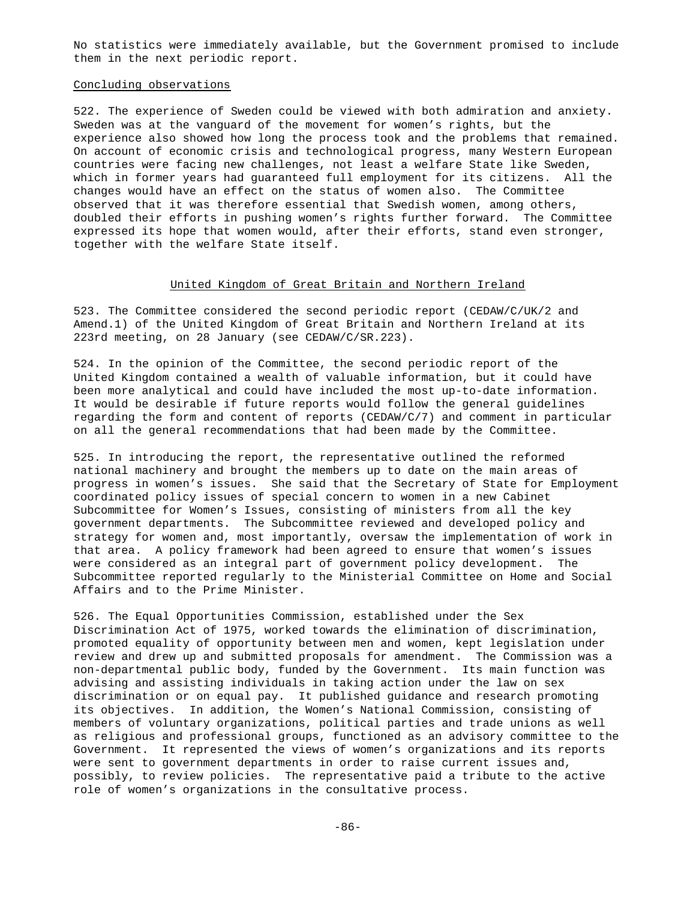No statistics were immediately available, but the Government promised to include them in the next periodic report.

### Concluding observations

522. The experience of Sweden could be viewed with both admiration and anxiety. Sweden was at the vanguard of the movement for women's rights, but the experience also showed how long the process took and the problems that remained. On account of economic crisis and technological progress, many Western European countries were facing new challenges, not least a welfare State like Sweden, which in former years had guaranteed full employment for its citizens. All the changes would have an effect on the status of women also. The Committee observed that it was therefore essential that Swedish women, among others, doubled their efforts in pushing women's rights further forward. The Committee expressed its hope that women would, after their efforts, stand even stronger, together with the welfare State itself.

#### United Kingdom of Great Britain and Northern Ireland

523. The Committee considered the second periodic report (CEDAW/C/UK/2 and Amend.1) of the United Kingdom of Great Britain and Northern Ireland at its 223rd meeting, on 28 January (see CEDAW/C/SR.223).

524. In the opinion of the Committee, the second periodic report of the United Kingdom contained a wealth of valuable information, but it could have been more analytical and could have included the most up-to-date information. It would be desirable if future reports would follow the general guidelines regarding the form and content of reports (CEDAW/C/7) and comment in particular on all the general recommendations that had been made by the Committee.

525. In introducing the report, the representative outlined the reformed national machinery and brought the members up to date on the main areas of progress in women's issues. She said that the Secretary of State for Employment coordinated policy issues of special concern to women in a new Cabinet Subcommittee for Women's Issues, consisting of ministers from all the key government departments. The Subcommittee reviewed and developed policy and strategy for women and, most importantly, oversaw the implementation of work in that area. A policy framework had been agreed to ensure that women's issues were considered as an integral part of government policy development. The Subcommittee reported regularly to the Ministerial Committee on Home and Social Affairs and to the Prime Minister.

526. The Equal Opportunities Commission, established under the Sex Discrimination Act of 1975, worked towards the elimination of discrimination, promoted equality of opportunity between men and women, kept legislation under review and drew up and submitted proposals for amendment. The Commission was a non-departmental public body, funded by the Government. Its main function was advising and assisting individuals in taking action under the law on sex discrimination or on equal pay. It published guidance and research promoting its objectives. In addition, the Women's National Commission, consisting of members of voluntary organizations, political parties and trade unions as well as religious and professional groups, functioned as an advisory committee to the Government. It represented the views of women's organizations and its reports were sent to government departments in order to raise current issues and, possibly, to review policies. The representative paid a tribute to the active role of women's organizations in the consultative process.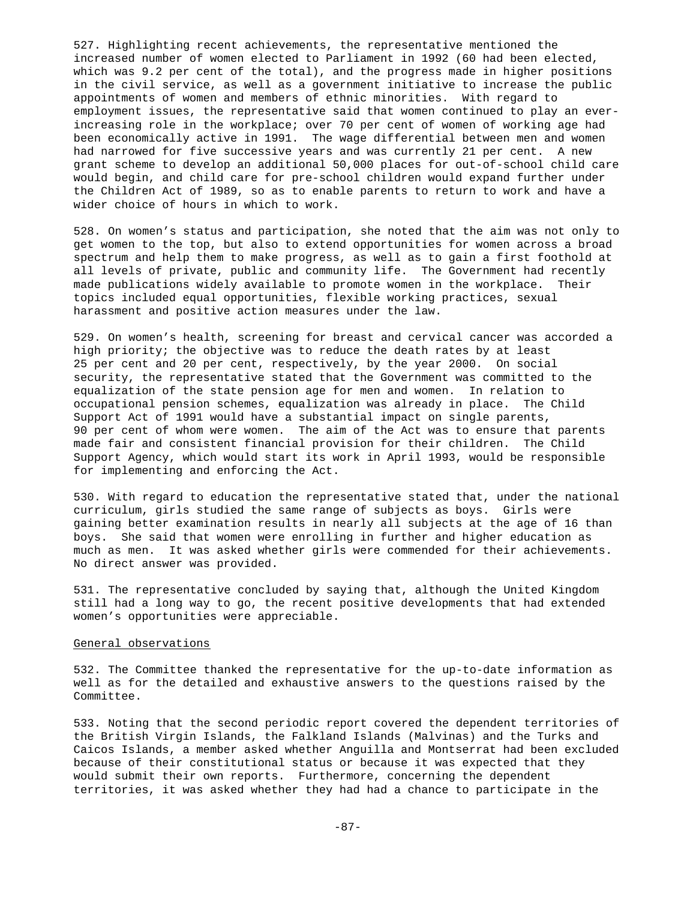527. Highlighting recent achievements, the representative mentioned the increased number of women elected to Parliament in 1992 (60 had been elected, which was 9.2 per cent of the total), and the progress made in higher positions in the civil service, as well as a government initiative to increase the public appointments of women and members of ethnic minorities. With regard to employment issues, the representative said that women continued to play an everincreasing role in the workplace; over 70 per cent of women of working age had been economically active in 1991. The wage differential between men and women had narrowed for five successive years and was currently 21 per cent. A new grant scheme to develop an additional 50,000 places for out-of-school child care would begin, and child care for pre-school children would expand further under the Children Act of 1989, so as to enable parents to return to work and have a wider choice of hours in which to work.

528. On women's status and participation, she noted that the aim was not only to get women to the top, but also to extend opportunities for women across a broad spectrum and help them to make progress, as well as to gain a first foothold at all levels of private, public and community life. The Government had recently made publications widely available to promote women in the workplace. Their topics included equal opportunities, flexible working practices, sexual harassment and positive action measures under the law.

529. On women's health, screening for breast and cervical cancer was accorded a high priority; the objective was to reduce the death rates by at least 25 per cent and 20 per cent, respectively, by the year 2000. On social security, the representative stated that the Government was committed to the equalization of the state pension age for men and women. In relation to occupational pension schemes, equalization was already in place. The Child Support Act of 1991 would have a substantial impact on single parents, 90 per cent of whom were women. The aim of the Act was to ensure that parents made fair and consistent financial provision for their children. The Child Support Agency, which would start its work in April 1993, would be responsible for implementing and enforcing the Act.

530. With regard to education the representative stated that, under the national curriculum, girls studied the same range of subjects as boys. Girls were gaining better examination results in nearly all subjects at the age of 16 than boys. She said that women were enrolling in further and higher education as much as men. It was asked whether girls were commended for their achievements. No direct answer was provided.

531. The representative concluded by saying that, although the United Kingdom still had a long way to go, the recent positive developments that had extended women's opportunities were appreciable.

# General observations

532. The Committee thanked the representative for the up-to-date information as well as for the detailed and exhaustive answers to the questions raised by the Committee.

533. Noting that the second periodic report covered the dependent territories of the British Virgin Islands, the Falkland Islands (Malvinas) and the Turks and Caicos Islands, a member asked whether Anguilla and Montserrat had been excluded because of their constitutional status or because it was expected that they would submit their own reports. Furthermore, concerning the dependent territories, it was asked whether they had had a chance to participate in the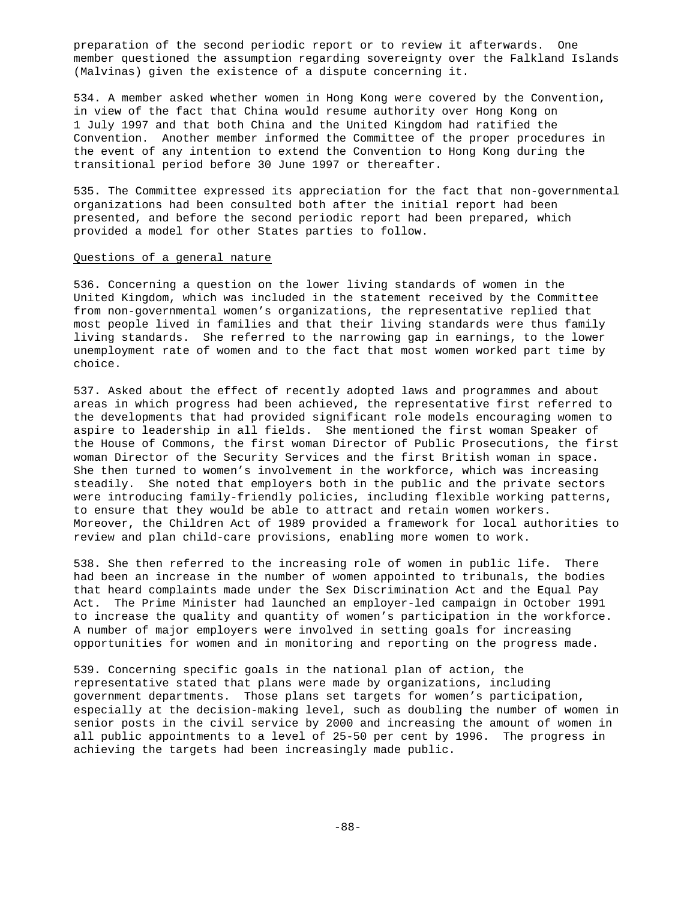preparation of the second periodic report or to review it afterwards. One member questioned the assumption regarding sovereignty over the Falkland Islands (Malvinas) given the existence of a dispute concerning it.

534. A member asked whether women in Hong Kong were covered by the Convention, in view of the fact that China would resume authority over Hong Kong on 1 July 1997 and that both China and the United Kingdom had ratified the Convention. Another member informed the Committee of the proper procedures in the event of any intention to extend the Convention to Hong Kong during the transitional period before 30 June 1997 or thereafter.

535. The Committee expressed its appreciation for the fact that non-governmental organizations had been consulted both after the initial report had been presented, and before the second periodic report had been prepared, which provided a model for other States parties to follow.

#### Questions of a general nature

536. Concerning a question on the lower living standards of women in the United Kingdom, which was included in the statement received by the Committee from non-governmental women's organizations, the representative replied that most people lived in families and that their living standards were thus family living standards. She referred to the narrowing gap in earnings, to the lower unemployment rate of women and to the fact that most women worked part time by choice.

537. Asked about the effect of recently adopted laws and programmes and about areas in which progress had been achieved, the representative first referred to the developments that had provided significant role models encouraging women to aspire to leadership in all fields. She mentioned the first woman Speaker of the House of Commons, the first woman Director of Public Prosecutions, the first woman Director of the Security Services and the first British woman in space. She then turned to women's involvement in the workforce, which was increasing steadily. She noted that employers both in the public and the private sectors were introducing family-friendly policies, including flexible working patterns, to ensure that they would be able to attract and retain women workers. Moreover, the Children Act of 1989 provided a framework for local authorities to review and plan child-care provisions, enabling more women to work.

538. She then referred to the increasing role of women in public life. There had been an increase in the number of women appointed to tribunals, the bodies that heard complaints made under the Sex Discrimination Act and the Equal Pay Act. The Prime Minister had launched an employer-led campaign in October 1991 to increase the quality and quantity of women's participation in the workforce. A number of major employers were involved in setting goals for increasing opportunities for women and in monitoring and reporting on the progress made.

539. Concerning specific goals in the national plan of action, the representative stated that plans were made by organizations, including government departments. Those plans set targets for women's participation, especially at the decision-making level, such as doubling the number of women in senior posts in the civil service by 2000 and increasing the amount of women in all public appointments to a level of 25-50 per cent by 1996. The progress in achieving the targets had been increasingly made public.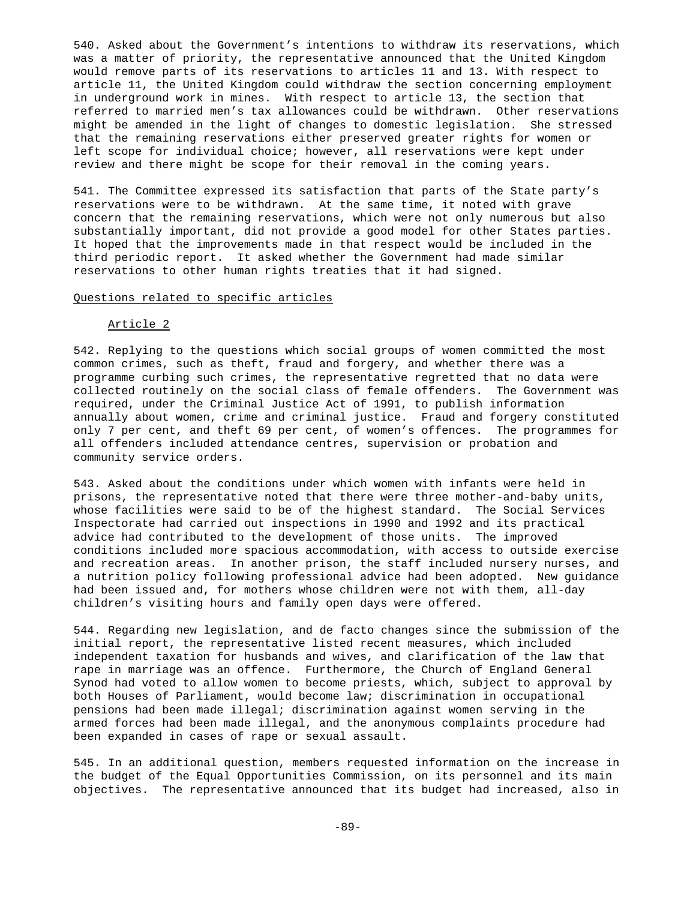540. Asked about the Government's intentions to withdraw its reservations, which was a matter of priority, the representative announced that the United Kingdom would remove parts of its reservations to articles 11 and 13. With respect to article 11, the United Kingdom could withdraw the section concerning employment in underground work in mines. With respect to article 13, the section that referred to married men's tax allowances could be withdrawn. Other reservations might be amended in the light of changes to domestic legislation. She stressed that the remaining reservations either preserved greater rights for women or left scope for individual choice; however, all reservations were kept under review and there might be scope for their removal in the coming years.

541. The Committee expressed its satisfaction that parts of the State party's reservations were to be withdrawn. At the same time, it noted with grave concern that the remaining reservations, which were not only numerous but also substantially important, did not provide a good model for other States parties. It hoped that the improvements made in that respect would be included in the third periodic report. It asked whether the Government had made similar reservations to other human rights treaties that it had signed.

# Questions related to specific articles

#### Article 2

542. Replying to the questions which social groups of women committed the most common crimes, such as theft, fraud and forgery, and whether there was a programme curbing such crimes, the representative regretted that no data were collected routinely on the social class of female offenders. The Government was required, under the Criminal Justice Act of 1991, to publish information annually about women, crime and criminal justice. Fraud and forgery constituted only 7 per cent, and theft 69 per cent, of women's offences. The programmes for all offenders included attendance centres, supervision or probation and community service orders.

543. Asked about the conditions under which women with infants were held in prisons, the representative noted that there were three mother-and-baby units, whose facilities were said to be of the highest standard. The Social Services Inspectorate had carried out inspections in 1990 and 1992 and its practical advice had contributed to the development of those units. The improved conditions included more spacious accommodation, with access to outside exercise and recreation areas. In another prison, the staff included nursery nurses, and a nutrition policy following professional advice had been adopted. New guidance had been issued and, for mothers whose children were not with them, all-day children's visiting hours and family open days were offered.

544. Regarding new legislation, and de facto changes since the submission of the initial report, the representative listed recent measures, which included independent taxation for husbands and wives, and clarification of the law that rape in marriage was an offence. Furthermore, the Church of England General Synod had voted to allow women to become priests, which, subject to approval by both Houses of Parliament, would become law; discrimination in occupational pensions had been made illegal; discrimination against women serving in the armed forces had been made illegal, and the anonymous complaints procedure had been expanded in cases of rape or sexual assault.

545. In an additional question, members requested information on the increase in the budget of the Equal Opportunities Commission, on its personnel and its main objectives. The representative announced that its budget had increased, also in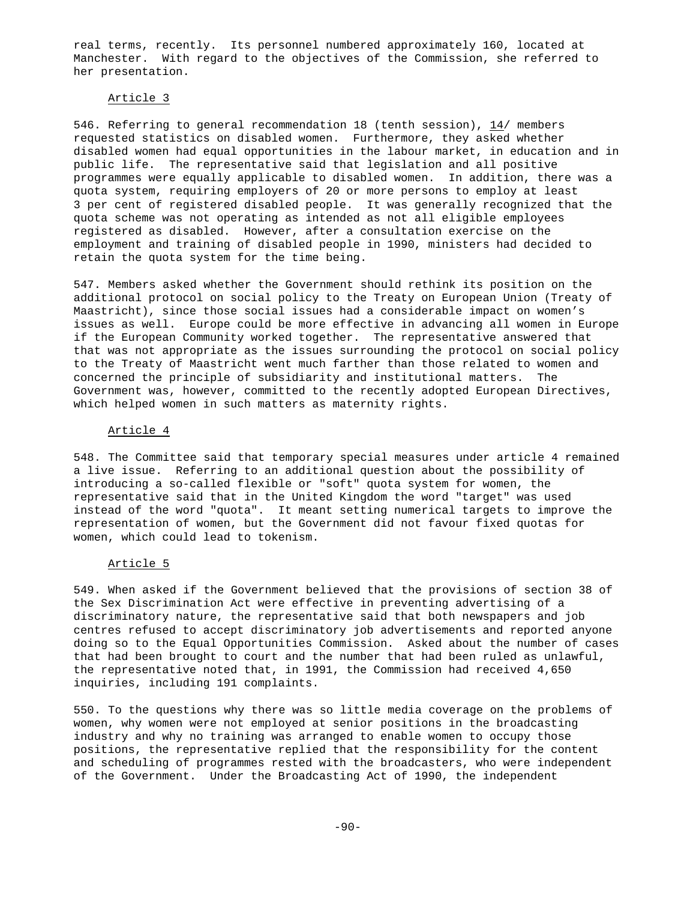real terms, recently. Its personnel numbered approximately 160, located at Manchester. With regard to the objectives of the Commission, she referred to her presentation.

### Article 3

546. Referring to general recommendation 18 (tenth session), 14/ members requested statistics on disabled women. Furthermore, they asked whether disabled women had equal opportunities in the labour market, in education and in public life. The representative said that legislation and all positive programmes were equally applicable to disabled women. In addition, there was a quota system, requiring employers of 20 or more persons to employ at least 3 per cent of registered disabled people. It was generally recognized that the quota scheme was not operating as intended as not all eligible employees registered as disabled. However, after a consultation exercise on the employment and training of disabled people in 1990, ministers had decided to retain the quota system for the time being.

547. Members asked whether the Government should rethink its position on the additional protocol on social policy to the Treaty on European Union (Treaty of Maastricht), since those social issues had a considerable impact on women's issues as well. Europe could be more effective in advancing all women in Europe if the European Community worked together. The representative answered that that was not appropriate as the issues surrounding the protocol on social policy to the Treaty of Maastricht went much farther than those related to women and concerned the principle of subsidiarity and institutional matters. The Government was, however, committed to the recently adopted European Directives, which helped women in such matters as maternity rights.

#### Article 4

548. The Committee said that temporary special measures under article 4 remained a live issue. Referring to an additional question about the possibility of introducing a so-called flexible or "soft" quota system for women, the representative said that in the United Kingdom the word "target" was used instead of the word "quota". It meant setting numerical targets to improve the representation of women, but the Government did not favour fixed quotas for women, which could lead to tokenism.

#### Article 5

549. When asked if the Government believed that the provisions of section 38 of the Sex Discrimination Act were effective in preventing advertising of a discriminatory nature, the representative said that both newspapers and job centres refused to accept discriminatory job advertisements and reported anyone doing so to the Equal Opportunities Commission. Asked about the number of cases that had been brought to court and the number that had been ruled as unlawful, the representative noted that, in 1991, the Commission had received 4,650 inquiries, including 191 complaints.

550. To the questions why there was so little media coverage on the problems of women, why women were not employed at senior positions in the broadcasting industry and why no training was arranged to enable women to occupy those positions, the representative replied that the responsibility for the content and scheduling of programmes rested with the broadcasters, who were independent of the Government. Under the Broadcasting Act of 1990, the independent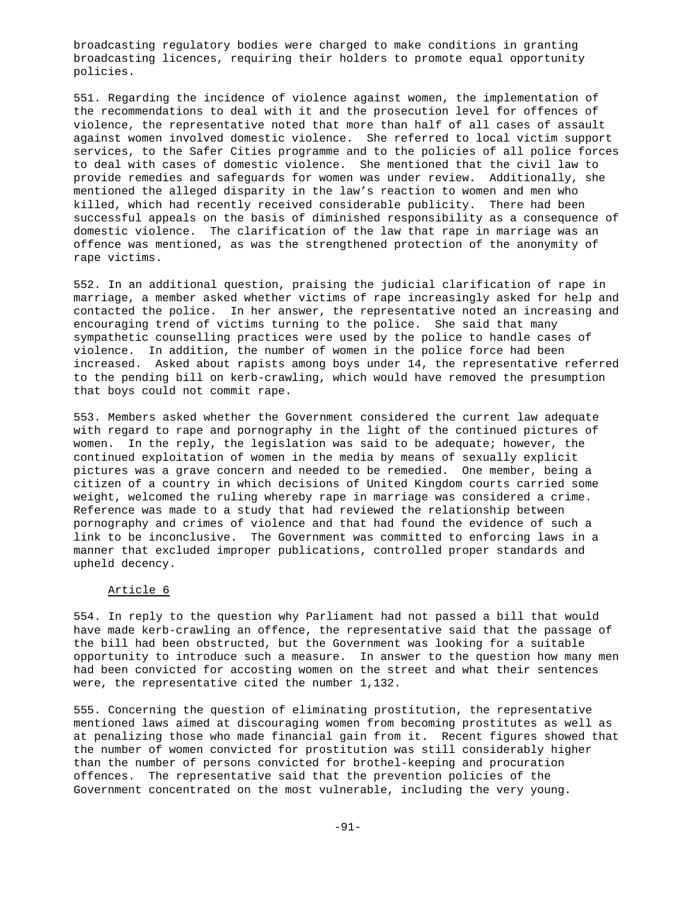broadcasting regulatory bodies were charged to make conditions in granting broadcasting licences, requiring their holders to promote equal opportunity policies.

551. Regarding the incidence of violence against women, the implementation of the recommendations to deal with it and the prosecution level for offences of violence, the representative noted that more than half of all cases of assault against women involved domestic violence. She referred to local victim support services, to the Safer Cities programme and to the policies of all police forces to deal with cases of domestic violence. She mentioned that the civil law to provide remedies and safeguards for women was under review. Additionally, she mentioned the alleged disparity in the law's reaction to women and men who killed, which had recently received considerable publicity. There had been successful appeals on the basis of diminished responsibility as a consequence of domestic violence. The clarification of the law that rape in marriage was an offence was mentioned, as was the strengthened protection of the anonymity of rape victims.

552. In an additional question, praising the judicial clarification of rape in marriage, a member asked whether victims of rape increasingly asked for help and contacted the police. In her answer, the representative noted an increasing and encouraging trend of victims turning to the police. She said that many sympathetic counselling practices were used by the police to handle cases of violence. In addition, the number of women in the police force had been increased. Asked about rapists among boys under 14, the representative referred to the pending bill on kerb-crawling, which would have removed the presumption that boys could not commit rape.

553. Members asked whether the Government considered the current law adequate with regard to rape and pornography in the light of the continued pictures of women. In the reply, the legislation was said to be adequate; however, the continued exploitation of women in the media by means of sexually explicit pictures was a grave concern and needed to be remedied. One member, being a citizen of a country in which decisions of United Kingdom courts carried some weight, welcomed the ruling whereby rape in marriage was considered a crime. Reference was made to a study that had reviewed the relationship between pornography and crimes of violence and that had found the evidence of such a link to be inconclusive. The Government was committed to enforcing laws in a manner that excluded improper publications, controlled proper standards and upheld decency.

### Article 6

554. In reply to the question why Parliament had not passed a bill that would have made kerb-crawling an offence, the representative said that the passage of the bill had been obstructed, but the Government was looking for a suitable opportunity to introduce such a measure. In answer to the question how many men had been convicted for accosting women on the street and what their sentences were, the representative cited the number 1,132.

555. Concerning the question of eliminating prostitution, the representative mentioned laws aimed at discouraging women from becoming prostitutes as well as at penalizing those who made financial gain from it. Recent figures showed that the number of women convicted for prostitution was still considerably higher than the number of persons convicted for brothel-keeping and procuration offences. The representative said that the prevention policies of the Government concentrated on the most vulnerable, including the very young.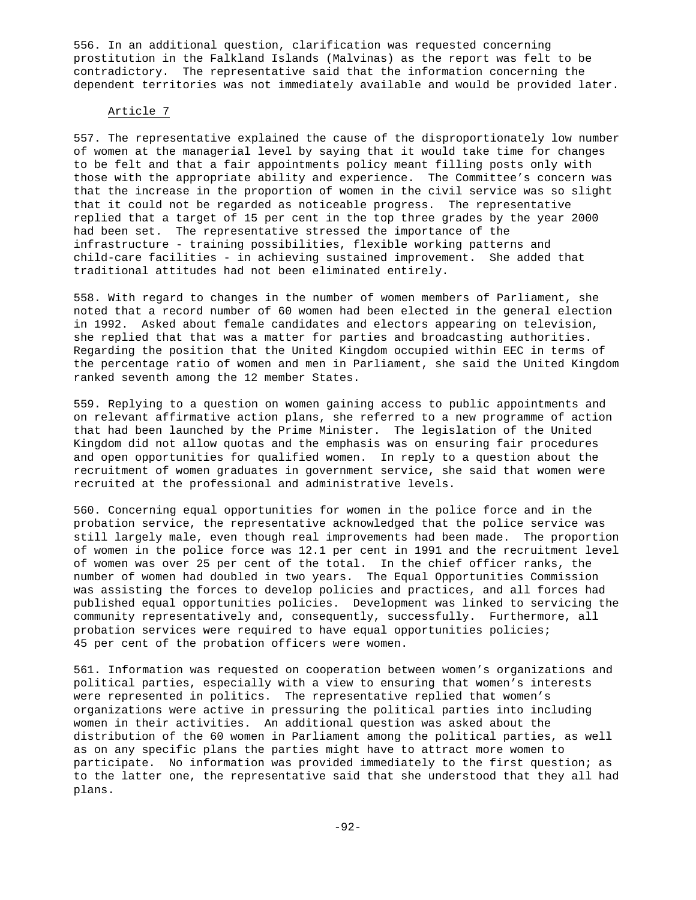556. In an additional question, clarification was requested concerning prostitution in the Falkland Islands (Malvinas) as the report was felt to be contradictory. The representative said that the information concerning the dependent territories was not immediately available and would be provided later.

# Article 7

557. The representative explained the cause of the disproportionately low number of women at the managerial level by saying that it would take time for changes to be felt and that a fair appointments policy meant filling posts only with those with the appropriate ability and experience. The Committee's concern was that the increase in the proportion of women in the civil service was so slight that it could not be regarded as noticeable progress. The representative replied that a target of 15 per cent in the top three grades by the year 2000 had been set. The representative stressed the importance of the infrastructure - training possibilities, flexible working patterns and child-care facilities - in achieving sustained improvement. She added that traditional attitudes had not been eliminated entirely.

558. With regard to changes in the number of women members of Parliament, she noted that a record number of 60 women had been elected in the general election in 1992. Asked about female candidates and electors appearing on television, she replied that that was a matter for parties and broadcasting authorities. Regarding the position that the United Kingdom occupied within EEC in terms of the percentage ratio of women and men in Parliament, she said the United Kingdom ranked seventh among the 12 member States.

559. Replying to a question on women gaining access to public appointments and on relevant affirmative action plans, she referred to a new programme of action that had been launched by the Prime Minister. The legislation of the United Kingdom did not allow quotas and the emphasis was on ensuring fair procedures and open opportunities for qualified women. In reply to a question about the recruitment of women graduates in government service, she said that women were recruited at the professional and administrative levels.

560. Concerning equal opportunities for women in the police force and in the probation service, the representative acknowledged that the police service was still largely male, even though real improvements had been made. The proportion of women in the police force was 12.1 per cent in 1991 and the recruitment level of women was over 25 per cent of the total. In the chief officer ranks, the number of women had doubled in two years. The Equal Opportunities Commission was assisting the forces to develop policies and practices, and all forces had published equal opportunities policies. Development was linked to servicing the community representatively and, consequently, successfully. Furthermore, all probation services were required to have equal opportunities policies; 45 per cent of the probation officers were women.

561. Information was requested on cooperation between women's organizations and political parties, especially with a view to ensuring that women's interests were represented in politics. The representative replied that women's organizations were active in pressuring the political parties into including women in their activities. An additional question was asked about the distribution of the 60 women in Parliament among the political parties, as well as on any specific plans the parties might have to attract more women to participate. No information was provided immediately to the first question; as to the latter one, the representative said that she understood that they all had plans.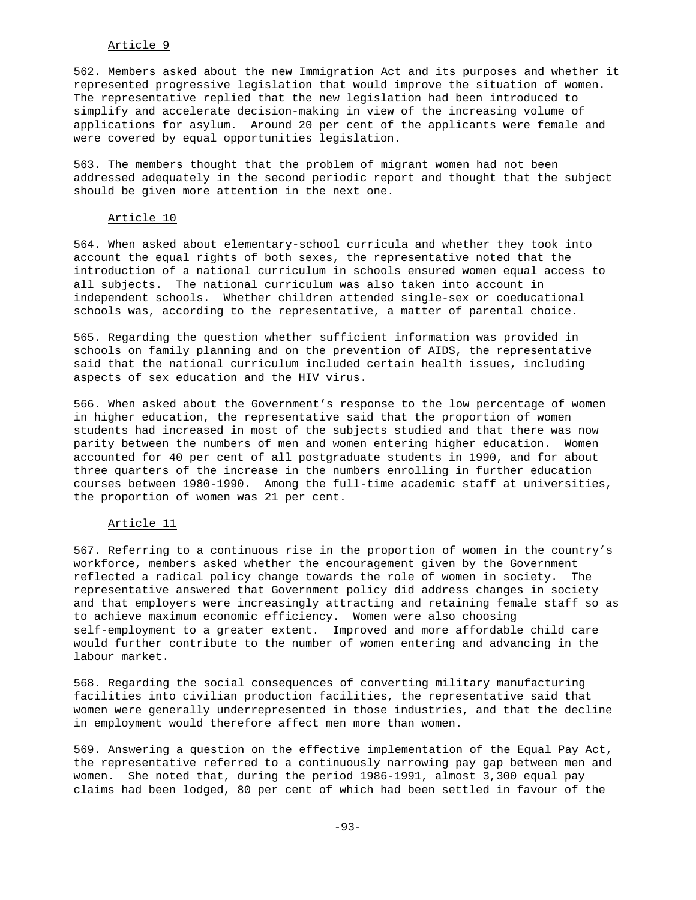# Article 9

562. Members asked about the new Immigration Act and its purposes and whether it represented progressive legislation that would improve the situation of women. The representative replied that the new legislation had been introduced to simplify and accelerate decision-making in view of the increasing volume of applications for asylum. Around 20 per cent of the applicants were female and were covered by equal opportunities legislation.

563. The members thought that the problem of migrant women had not been addressed adequately in the second periodic report and thought that the subject should be given more attention in the next one.

#### Article 10

564. When asked about elementary-school curricula and whether they took into account the equal rights of both sexes, the representative noted that the introduction of a national curriculum in schools ensured women equal access to all subjects. The national curriculum was also taken into account in independent schools. Whether children attended single-sex or coeducational schools was, according to the representative, a matter of parental choice.

565. Regarding the question whether sufficient information was provided in schools on family planning and on the prevention of AIDS, the representative said that the national curriculum included certain health issues, including aspects of sex education and the HIV virus.

566. When asked about the Government's response to the low percentage of women in higher education, the representative said that the proportion of women students had increased in most of the subjects studied and that there was now parity between the numbers of men and women entering higher education. Women accounted for 40 per cent of all postgraduate students in 1990, and for about three quarters of the increase in the numbers enrolling in further education courses between 1980-1990. Among the full-time academic staff at universities, the proportion of women was 21 per cent.

#### Article 11

567. Referring to a continuous rise in the proportion of women in the country's workforce, members asked whether the encouragement given by the Government reflected a radical policy change towards the role of women in society. The representative answered that Government policy did address changes in society and that employers were increasingly attracting and retaining female staff so as to achieve maximum economic efficiency. Women were also choosing self-employment to a greater extent. Improved and more affordable child care would further contribute to the number of women entering and advancing in the labour market.

568. Regarding the social consequences of converting military manufacturing facilities into civilian production facilities, the representative said that women were generally underrepresented in those industries, and that the decline in employment would therefore affect men more than women.

569. Answering a question on the effective implementation of the Equal Pay Act, the representative referred to a continuously narrowing pay gap between men and women. She noted that, during the period 1986-1991, almost 3,300 equal pay claims had been lodged, 80 per cent of which had been settled in favour of the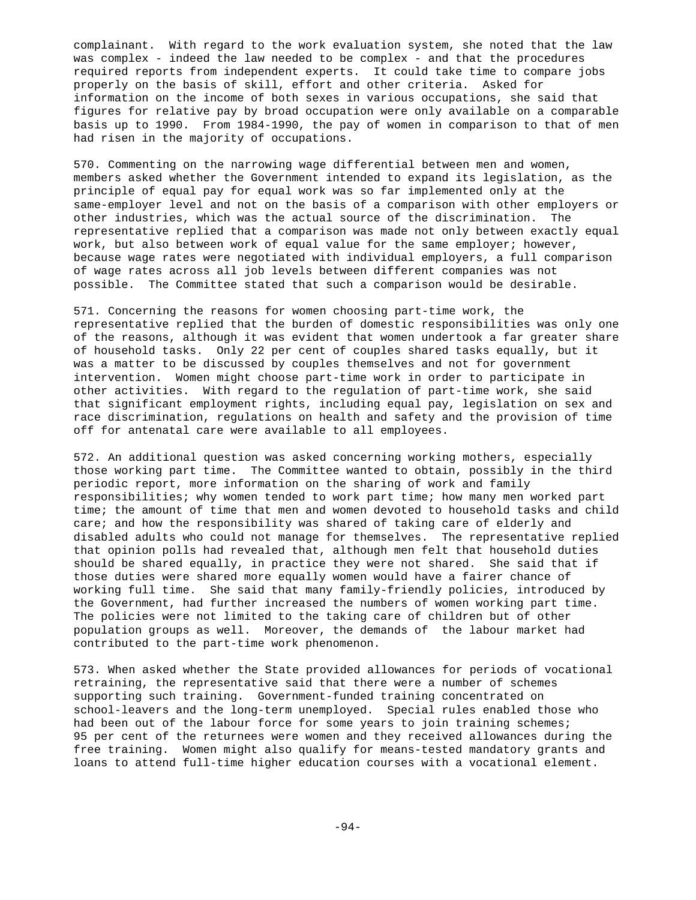complainant. With regard to the work evaluation system, she noted that the law was complex - indeed the law needed to be complex - and that the procedures required reports from independent experts. It could take time to compare jobs properly on the basis of skill, effort and other criteria. Asked for information on the income of both sexes in various occupations, she said that figures for relative pay by broad occupation were only available on a comparable basis up to 1990. From 1984-1990, the pay of women in comparison to that of men had risen in the majority of occupations.

570. Commenting on the narrowing wage differential between men and women, members asked whether the Government intended to expand its legislation, as the principle of equal pay for equal work was so far implemented only at the same-employer level and not on the basis of a comparison with other employers or other industries, which was the actual source of the discrimination. The representative replied that a comparison was made not only between exactly equal work, but also between work of equal value for the same employer; however, because wage rates were negotiated with individual employers, a full comparison of wage rates across all job levels between different companies was not possible. The Committee stated that such a comparison would be desirable.

571. Concerning the reasons for women choosing part-time work, the representative replied that the burden of domestic responsibilities was only one of the reasons, although it was evident that women undertook a far greater share of household tasks. Only 22 per cent of couples shared tasks equally, but it was a matter to be discussed by couples themselves and not for government intervention. Women might choose part-time work in order to participate in other activities. With regard to the regulation of part-time work, she said that significant employment rights, including equal pay, legislation on sex and race discrimination, regulations on health and safety and the provision of time off for antenatal care were available to all employees.

572. An additional question was asked concerning working mothers, especially those working part time. The Committee wanted to obtain, possibly in the third periodic report, more information on the sharing of work and family responsibilities; why women tended to work part time; how many men worked part time; the amount of time that men and women devoted to household tasks and child care; and how the responsibility was shared of taking care of elderly and disabled adults who could not manage for themselves. The representative replied that opinion polls had revealed that, although men felt that household duties should be shared equally, in practice they were not shared. She said that if those duties were shared more equally women would have a fairer chance of working full time. She said that many family-friendly policies, introduced by the Government, had further increased the numbers of women working part time. The policies were not limited to the taking care of children but of other population groups as well. Moreover, the demands of the labour market had contributed to the part-time work phenomenon.

573. When asked whether the State provided allowances for periods of vocational retraining, the representative said that there were a number of schemes supporting such training. Government-funded training concentrated on school-leavers and the long-term unemployed. Special rules enabled those who had been out of the labour force for some years to join training schemes; 95 per cent of the returnees were women and they received allowances during the free training. Women might also qualify for means-tested mandatory grants and loans to attend full-time higher education courses with a vocational element.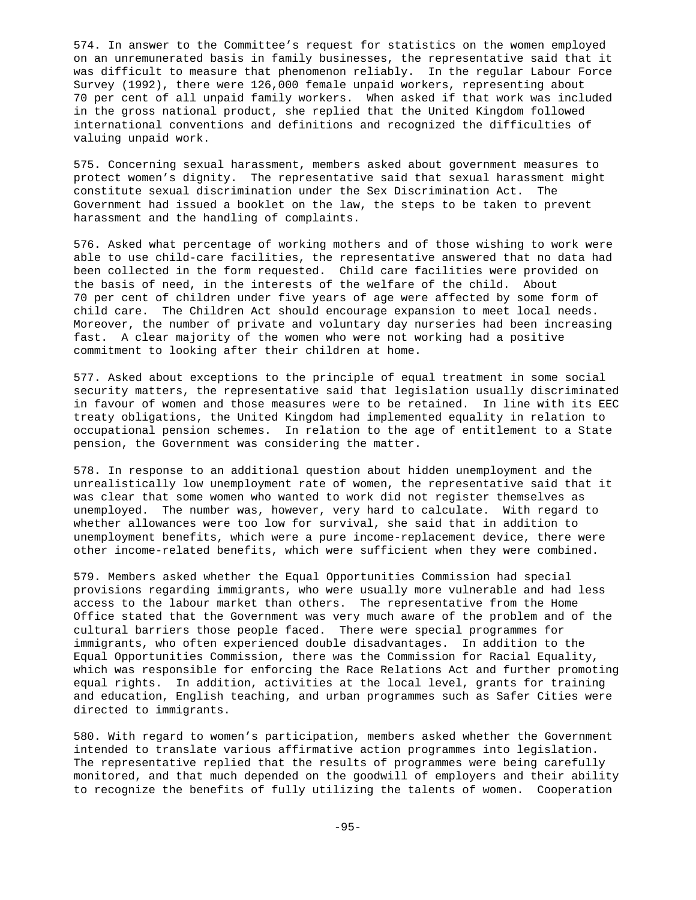574. In answer to the Committee's request for statistics on the women employed on an unremunerated basis in family businesses, the representative said that it was difficult to measure that phenomenon reliably. In the regular Labour Force Survey (1992), there were 126,000 female unpaid workers, representing about 70 per cent of all unpaid family workers. When asked if that work was included in the gross national product, she replied that the United Kingdom followed international conventions and definitions and recognized the difficulties of valuing unpaid work.

575. Concerning sexual harassment, members asked about government measures to protect women's dignity. The representative said that sexual harassment might constitute sexual discrimination under the Sex Discrimination Act. The Government had issued a booklet on the law, the steps to be taken to prevent harassment and the handling of complaints.

576. Asked what percentage of working mothers and of those wishing to work were able to use child-care facilities, the representative answered that no data had been collected in the form requested. Child care facilities were provided on the basis of need, in the interests of the welfare of the child. About 70 per cent of children under five years of age were affected by some form of child care. The Children Act should encourage expansion to meet local needs. Moreover, the number of private and voluntary day nurseries had been increasing fast. A clear majority of the women who were not working had a positive commitment to looking after their children at home.

577. Asked about exceptions to the principle of equal treatment in some social security matters, the representative said that legislation usually discriminated in favour of women and those measures were to be retained. In line with its EEC treaty obligations, the United Kingdom had implemented equality in relation to occupational pension schemes. In relation to the age of entitlement to a State pension, the Government was considering the matter.

578. In response to an additional question about hidden unemployment and the unrealistically low unemployment rate of women, the representative said that it was clear that some women who wanted to work did not register themselves as unemployed. The number was, however, very hard to calculate. With regard to whether allowances were too low for survival, she said that in addition to unemployment benefits, which were a pure income-replacement device, there were other income-related benefits, which were sufficient when they were combined.

579. Members asked whether the Equal Opportunities Commission had special provisions regarding immigrants, who were usually more vulnerable and had less access to the labour market than others. The representative from the Home Office stated that the Government was very much aware of the problem and of the cultural barriers those people faced. There were special programmes for immigrants, who often experienced double disadvantages. In addition to the Equal Opportunities Commission, there was the Commission for Racial Equality, which was responsible for enforcing the Race Relations Act and further promoting equal rights. In addition, activities at the local level, grants for training and education, English teaching, and urban programmes such as Safer Cities were directed to immigrants.

580. With regard to women's participation, members asked whether the Government intended to translate various affirmative action programmes into legislation. The representative replied that the results of programmes were being carefully monitored, and that much depended on the goodwill of employers and their ability to recognize the benefits of fully utilizing the talents of women. Cooperation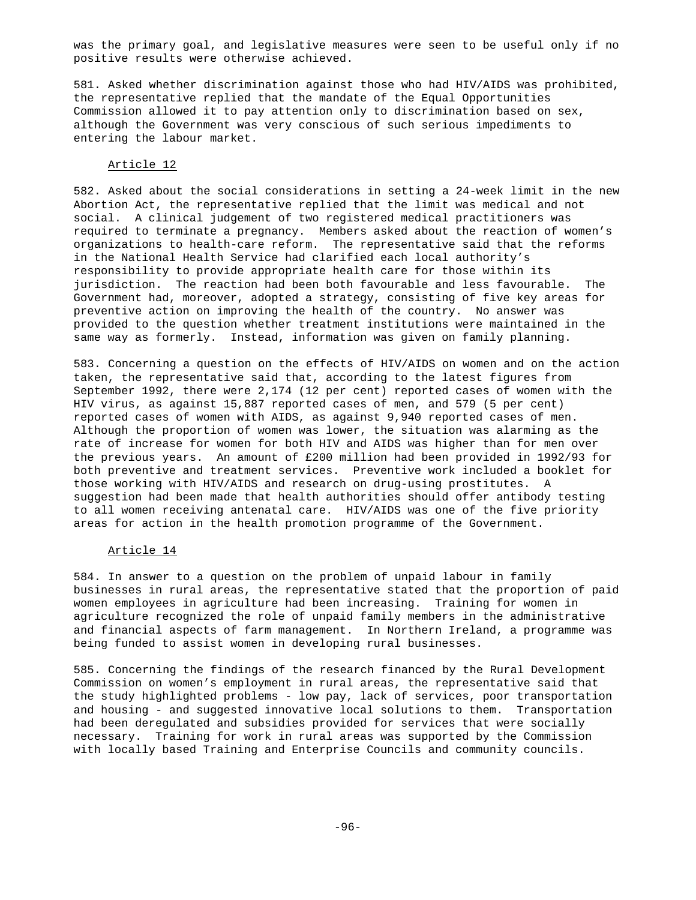was the primary goal, and legislative measures were seen to be useful only if no positive results were otherwise achieved.

581. Asked whether discrimination against those who had HIV/AIDS was prohibited, the representative replied that the mandate of the Equal Opportunities Commission allowed it to pay attention only to discrimination based on sex, although the Government was very conscious of such serious impediments to entering the labour market.

#### Article 12

582. Asked about the social considerations in setting a 24-week limit in the new Abortion Act, the representative replied that the limit was medical and not social. A clinical judgement of two registered medical practitioners was required to terminate a pregnancy. Members asked about the reaction of women's organizations to health-care reform. The representative said that the reforms in the National Health Service had clarified each local authority's responsibility to provide appropriate health care for those within its jurisdiction. The reaction had been both favourable and less favourable. The Government had, moreover, adopted a strategy, consisting of five key areas for preventive action on improving the health of the country. No answer was provided to the question whether treatment institutions were maintained in the same way as formerly. Instead, information was given on family planning.

583. Concerning a question on the effects of HIV/AIDS on women and on the action taken, the representative said that, according to the latest figures from September 1992, there were 2,174 (12 per cent) reported cases of women with the HIV virus, as against 15,887 reported cases of men, and 579 (5 per cent) reported cases of women with AIDS, as against 9,940 reported cases of men. Although the proportion of women was lower, the situation was alarming as the rate of increase for women for both HIV and AIDS was higher than for men over the previous years. An amount of £200 million had been provided in 1992/93 for both preventive and treatment services. Preventive work included a booklet for those working with HIV/AIDS and research on drug-using prostitutes. A suggestion had been made that health authorities should offer antibody testing to all women receiving antenatal care. HIV/AIDS was one of the five priority areas for action in the health promotion programme of the Government.

# Article 14

584. In answer to a question on the problem of unpaid labour in family businesses in rural areas, the representative stated that the proportion of paid women employees in agriculture had been increasing. Training for women in agriculture recognized the role of unpaid family members in the administrative and financial aspects of farm management. In Northern Ireland, a programme was being funded to assist women in developing rural businesses.

585. Concerning the findings of the research financed by the Rural Development Commission on women's employment in rural areas, the representative said that the study highlighted problems - low pay, lack of services, poor transportation and housing - and suggested innovative local solutions to them. Transportation had been deregulated and subsidies provided for services that were socially necessary. Training for work in rural areas was supported by the Commission with locally based Training and Enterprise Councils and community councils.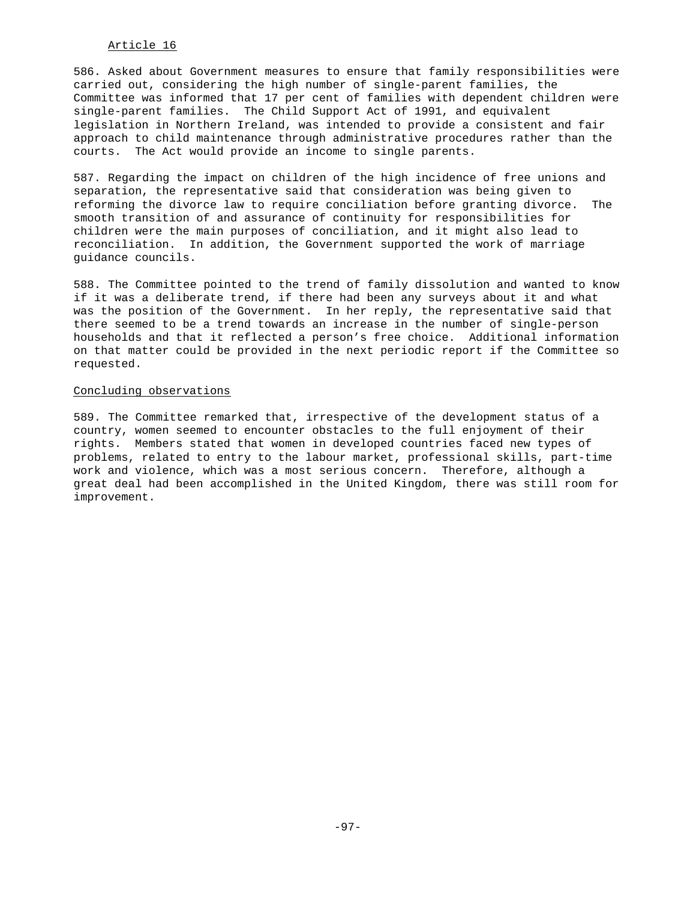# Article 16

586. Asked about Government measures to ensure that family responsibilities were carried out, considering the high number of single-parent families, the Committee was informed that 17 per cent of families with dependent children were single-parent families. The Child Support Act of 1991, and equivalent legislation in Northern Ireland, was intended to provide a consistent and fair approach to child maintenance through administrative procedures rather than the courts. The Act would provide an income to single parents.

587. Regarding the impact on children of the high incidence of free unions and separation, the representative said that consideration was being given to reforming the divorce law to require conciliation before granting divorce. The smooth transition of and assurance of continuity for responsibilities for children were the main purposes of conciliation, and it might also lead to reconciliation. In addition, the Government supported the work of marriage guidance councils.

588. The Committee pointed to the trend of family dissolution and wanted to know if it was a deliberate trend, if there had been any surveys about it and what was the position of the Government. In her reply, the representative said that there seemed to be a trend towards an increase in the number of single-person households and that it reflected a person's free choice. Additional information on that matter could be provided in the next periodic report if the Committee so requested.

# Concluding observations

589. The Committee remarked that, irrespective of the development status of a country, women seemed to encounter obstacles to the full enjoyment of their rights. Members stated that women in developed countries faced new types of problems, related to entry to the labour market, professional skills, part-time work and violence, which was a most serious concern. Therefore, although a great deal had been accomplished in the United Kingdom, there was still room for improvement.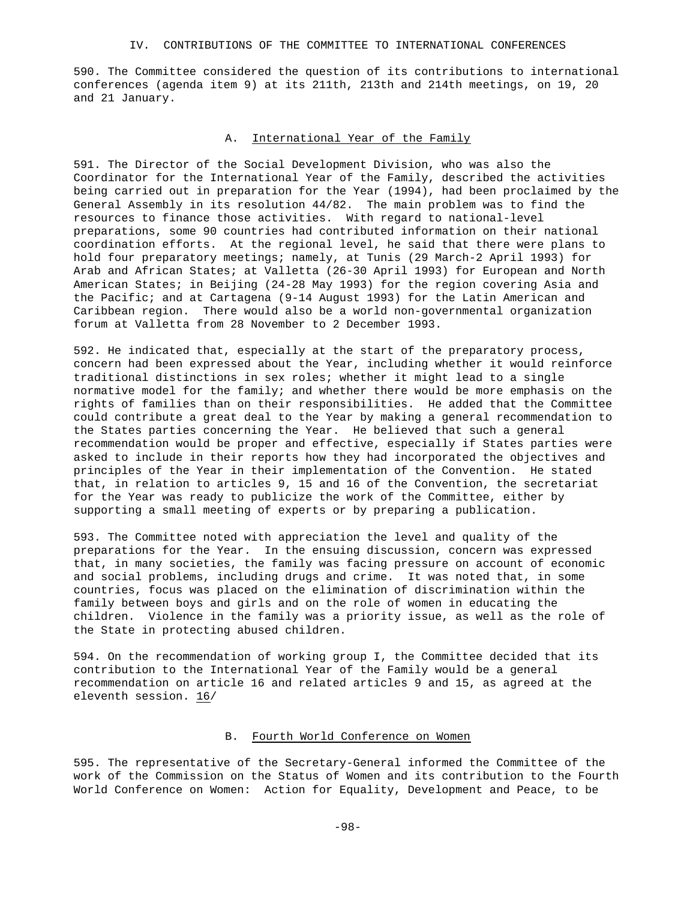### IV. CONTRIBUTIONS OF THE COMMITTEE TO INTERNATIONAL CONFERENCES

590. The Committee considered the question of its contributions to international conferences (agenda item 9) at its 211th, 213th and 214th meetings, on 19, 20 and 21 January.

# A. International Year of the Family

591. The Director of the Social Development Division, who was also the Coordinator for the International Year of the Family, described the activities being carried out in preparation for the Year (1994), had been proclaimed by the General Assembly in its resolution 44/82. The main problem was to find the resources to finance those activities. With regard to national-level preparations, some 90 countries had contributed information on their national coordination efforts. At the regional level, he said that there were plans to hold four preparatory meetings; namely, at Tunis (29 March-2 April 1993) for Arab and African States; at Valletta (26-30 April 1993) for European and North American States; in Beijing (24-28 May 1993) for the region covering Asia and the Pacific; and at Cartagena (9-14 August 1993) for the Latin American and Caribbean region. There would also be a world non-governmental organization forum at Valletta from 28 November to 2 December 1993.

592. He indicated that, especially at the start of the preparatory process, concern had been expressed about the Year, including whether it would reinforce traditional distinctions in sex roles; whether it might lead to a single normative model for the family; and whether there would be more emphasis on the rights of families than on their responsibilities. He added that the Committee could contribute a great deal to the Year by making a general recommendation to the States parties concerning the Year. He believed that such a general recommendation would be proper and effective, especially if States parties were asked to include in their reports how they had incorporated the objectives and principles of the Year in their implementation of the Convention. He stated that, in relation to articles 9, 15 and 16 of the Convention, the secretariat for the Year was ready to publicize the work of the Committee, either by supporting a small meeting of experts or by preparing a publication.

593. The Committee noted with appreciation the level and quality of the preparations for the Year. In the ensuing discussion, concern was expressed that, in many societies, the family was facing pressure on account of economic and social problems, including drugs and crime. It was noted that, in some countries, focus was placed on the elimination of discrimination within the family between boys and girls and on the role of women in educating the children. Violence in the family was a priority issue, as well as the role of the State in protecting abused children.

594. On the recommendation of working group I, the Committee decided that its contribution to the International Year of the Family would be a general recommendation on article 16 and related articles 9 and 15, as agreed at the eleventh session. 16/

# B. Fourth World Conference on Women

595. The representative of the Secretary-General informed the Committee of the work of the Commission on the Status of Women and its contribution to the Fourth World Conference on Women: Action for Equality, Development and Peace, to be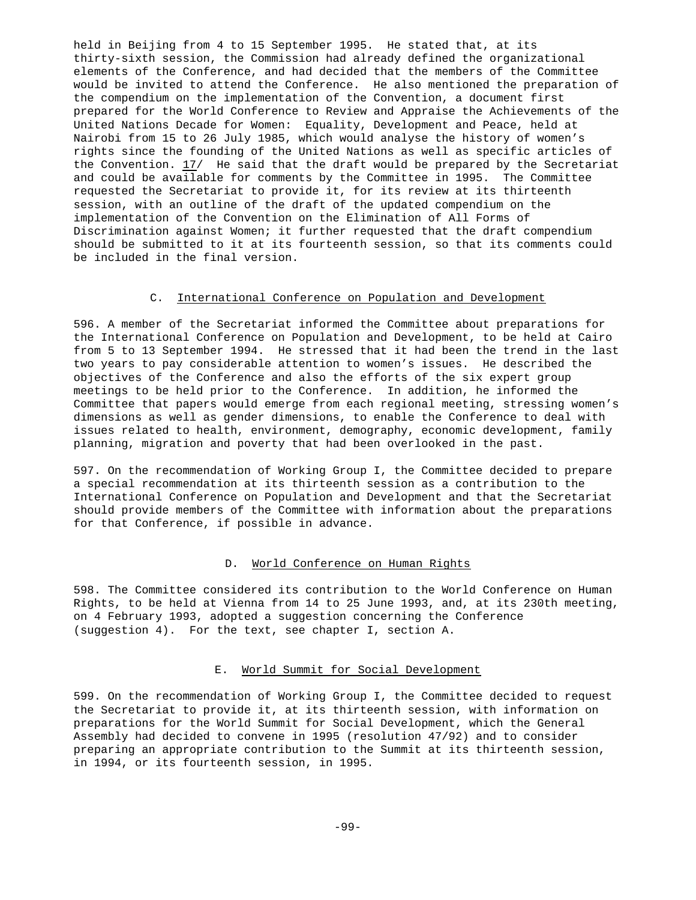held in Beijing from 4 to 15 September 1995. He stated that, at its thirty-sixth session, the Commission had already defined the organizational elements of the Conference, and had decided that the members of the Committee would be invited to attend the Conference. He also mentioned the preparation of the compendium on the implementation of the Convention, a document first prepared for the World Conference to Review and Appraise the Achievements of the United Nations Decade for Women: Equality, Development and Peace, held at Nairobi from 15 to 26 July 1985, which would analyse the history of women's rights since the founding of the United Nations as well as specific articles of the Convention. 17/ He said that the draft would be prepared by the Secretariat and could be available for comments by the Committee in 1995. The Committee requested the Secretariat to provide it, for its review at its thirteenth session, with an outline of the draft of the updated compendium on the implementation of the Convention on the Elimination of All Forms of Discrimination against Women; it further requested that the draft compendium should be submitted to it at its fourteenth session, so that its comments could be included in the final version.

# C. International Conference on Population and Development

596. A member of the Secretariat informed the Committee about preparations for the International Conference on Population and Development, to be held at Cairo from 5 to 13 September 1994. He stressed that it had been the trend in the last two years to pay considerable attention to women's issues. He described the objectives of the Conference and also the efforts of the six expert group meetings to be held prior to the Conference. In addition, he informed the Committee that papers would emerge from each regional meeting, stressing women's dimensions as well as gender dimensions, to enable the Conference to deal with issues related to health, environment, demography, economic development, family planning, migration and poverty that had been overlooked in the past.

597. On the recommendation of Working Group I, the Committee decided to prepare a special recommendation at its thirteenth session as a contribution to the International Conference on Population and Development and that the Secretariat should provide members of the Committee with information about the preparations for that Conference, if possible in advance.

# D. World Conference on Human Rights

598. The Committee considered its contribution to the World Conference on Human Rights, to be held at Vienna from 14 to 25 June 1993, and, at its 230th meeting, on 4 February 1993, adopted a suggestion concerning the Conference (suggestion 4). For the text, see chapter I, section A.

# E. World Summit for Social Development

599. On the recommendation of Working Group I, the Committee decided to request the Secretariat to provide it, at its thirteenth session, with information on preparations for the World Summit for Social Development, which the General Assembly had decided to convene in 1995 (resolution 47/92) and to consider preparing an appropriate contribution to the Summit at its thirteenth session, in 1994, or its fourteenth session, in 1995.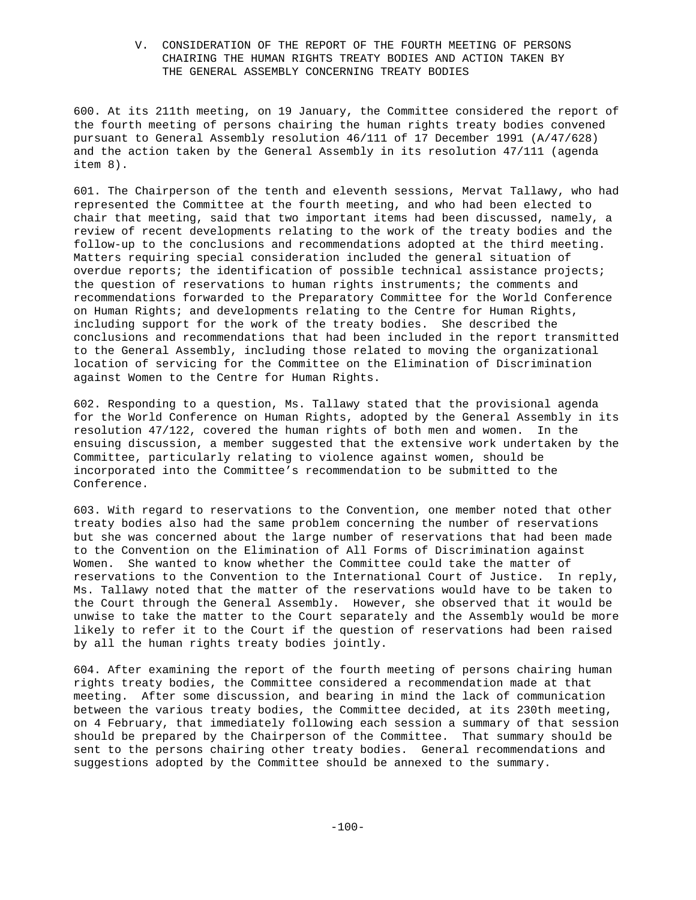# V. CONSIDERATION OF THE REPORT OF THE FOURTH MEETING OF PERSONS CHAIRING THE HUMAN RIGHTS TREATY BODIES AND ACTION TAKEN BY THE GENERAL ASSEMBLY CONCERNING TREATY BODIES

600. At its 211th meeting, on 19 January, the Committee considered the report of the fourth meeting of persons chairing the human rights treaty bodies convened pursuant to General Assembly resolution 46/111 of 17 December 1991 (A/47/628) and the action taken by the General Assembly in its resolution 47/111 (agenda item 8).

601. The Chairperson of the tenth and eleventh sessions, Mervat Tallawy, who had represented the Committee at the fourth meeting, and who had been elected to chair that meeting, said that two important items had been discussed, namely, a review of recent developments relating to the work of the treaty bodies and the follow-up to the conclusions and recommendations adopted at the third meeting. Matters requiring special consideration included the general situation of overdue reports; the identification of possible technical assistance projects; the question of reservations to human rights instruments; the comments and recommendations forwarded to the Preparatory Committee for the World Conference on Human Rights; and developments relating to the Centre for Human Rights, including support for the work of the treaty bodies. She described the conclusions and recommendations that had been included in the report transmitted to the General Assembly, including those related to moving the organizational location of servicing for the Committee on the Elimination of Discrimination against Women to the Centre for Human Rights.

602. Responding to a question, Ms. Tallawy stated that the provisional agenda for the World Conference on Human Rights, adopted by the General Assembly in its resolution 47/122, covered the human rights of both men and women. In the ensuing discussion, a member suggested that the extensive work undertaken by the Committee, particularly relating to violence against women, should be incorporated into the Committee's recommendation to be submitted to the Conference.

603. With regard to reservations to the Convention, one member noted that other treaty bodies also had the same problem concerning the number of reservations but she was concerned about the large number of reservations that had been made to the Convention on the Elimination of All Forms of Discrimination against Women. She wanted to know whether the Committee could take the matter of reservations to the Convention to the International Court of Justice. In reply, Ms. Tallawy noted that the matter of the reservations would have to be taken to the Court through the General Assembly. However, she observed that it would be unwise to take the matter to the Court separately and the Assembly would be more likely to refer it to the Court if the question of reservations had been raised by all the human rights treaty bodies jointly.

604. After examining the report of the fourth meeting of persons chairing human rights treaty bodies, the Committee considered a recommendation made at that meeting. After some discussion, and bearing in mind the lack of communication between the various treaty bodies, the Committee decided, at its 230th meeting, on 4 February, that immediately following each session a summary of that session should be prepared by the Chairperson of the Committee. That summary should be sent to the persons chairing other treaty bodies. General recommendations and suggestions adopted by the Committee should be annexed to the summary.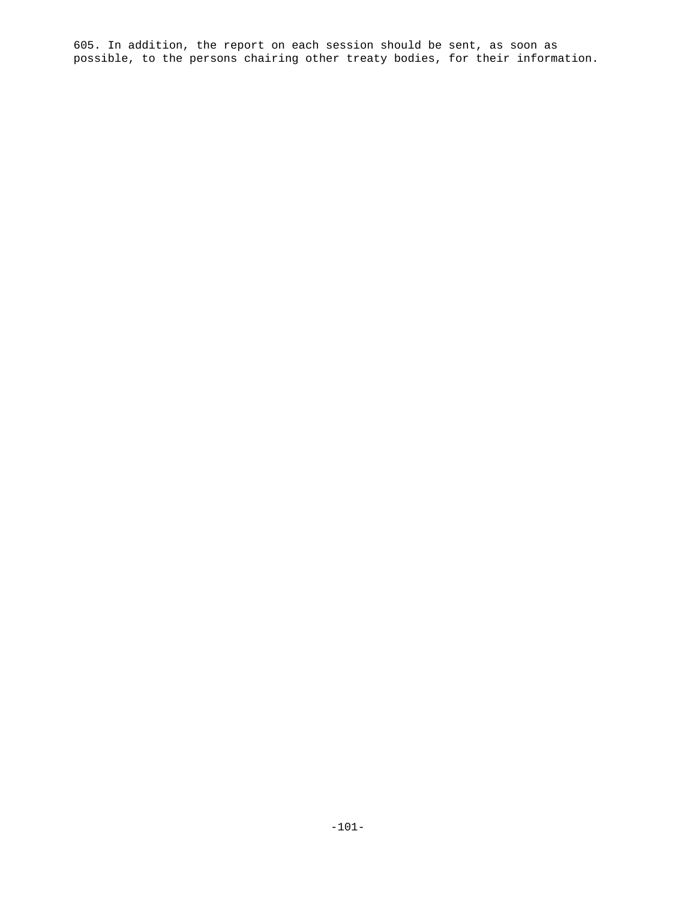605. In addition, the report on each session should be sent, as soon as possible, to the persons chairing other treaty bodies, for their information.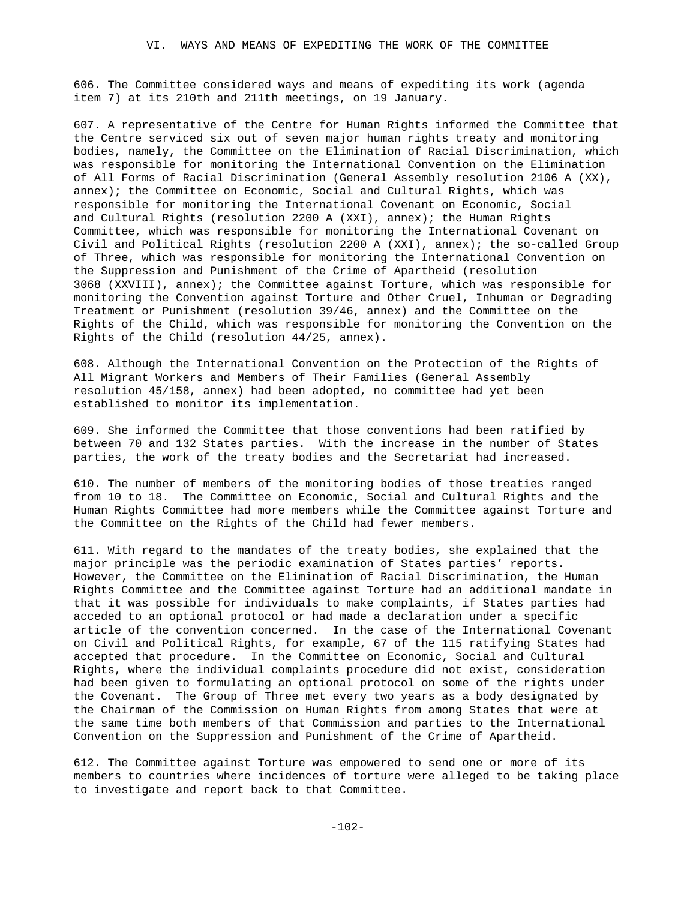606. The Committee considered ways and means of expediting its work (agenda item 7) at its 210th and 211th meetings, on 19 January.

607. A representative of the Centre for Human Rights informed the Committee that the Centre serviced six out of seven major human rights treaty and monitoring bodies, namely, the Committee on the Elimination of Racial Discrimination, which was responsible for monitoring the International Convention on the Elimination of All Forms of Racial Discrimination (General Assembly resolution 2106 A (XX), annex); the Committee on Economic, Social and Cultural Rights, which was responsible for monitoring the International Covenant on Economic, Social and Cultural Rights (resolution 2200 A (XXI), annex); the Human Rights Committee, which was responsible for monitoring the International Covenant on Civil and Political Rights (resolution 2200 A (XXI), annex); the so-called Group of Three, which was responsible for monitoring the International Convention on the Suppression and Punishment of the Crime of Apartheid (resolution 3068 (XXVIII), annex); the Committee against Torture, which was responsible for monitoring the Convention against Torture and Other Cruel, Inhuman or Degrading Treatment or Punishment (resolution 39/46, annex) and the Committee on the Rights of the Child, which was responsible for monitoring the Convention on the Rights of the Child (resolution 44/25, annex).

608. Although the International Convention on the Protection of the Rights of All Migrant Workers and Members of Their Families (General Assembly resolution 45/158, annex) had been adopted, no committee had yet been established to monitor its implementation.

609. She informed the Committee that those conventions had been ratified by between 70 and 132 States parties. With the increase in the number of States parties, the work of the treaty bodies and the Secretariat had increased.

610. The number of members of the monitoring bodies of those treaties ranged from 10 to 18. The Committee on Economic, Social and Cultural Rights and the Human Rights Committee had more members while the Committee against Torture and the Committee on the Rights of the Child had fewer members.

611. With regard to the mandates of the treaty bodies, she explained that the major principle was the periodic examination of States parties' reports. However, the Committee on the Elimination of Racial Discrimination, the Human Rights Committee and the Committee against Torture had an additional mandate in that it was possible for individuals to make complaints, if States parties had acceded to an optional protocol or had made a declaration under a specific article of the convention concerned. In the case of the International Covenant on Civil and Political Rights, for example, 67 of the 115 ratifying States had accepted that procedure. In the Committee on Economic, Social and Cultural Rights, where the individual complaints procedure did not exist, consideration had been given to formulating an optional protocol on some of the rights under the Covenant. The Group of Three met every two years as a body designated by the Chairman of the Commission on Human Rights from among States that were at the same time both members of that Commission and parties to the International Convention on the Suppression and Punishment of the Crime of Apartheid.

612. The Committee against Torture was empowered to send one or more of its members to countries where incidences of torture were alleged to be taking place to investigate and report back to that Committee.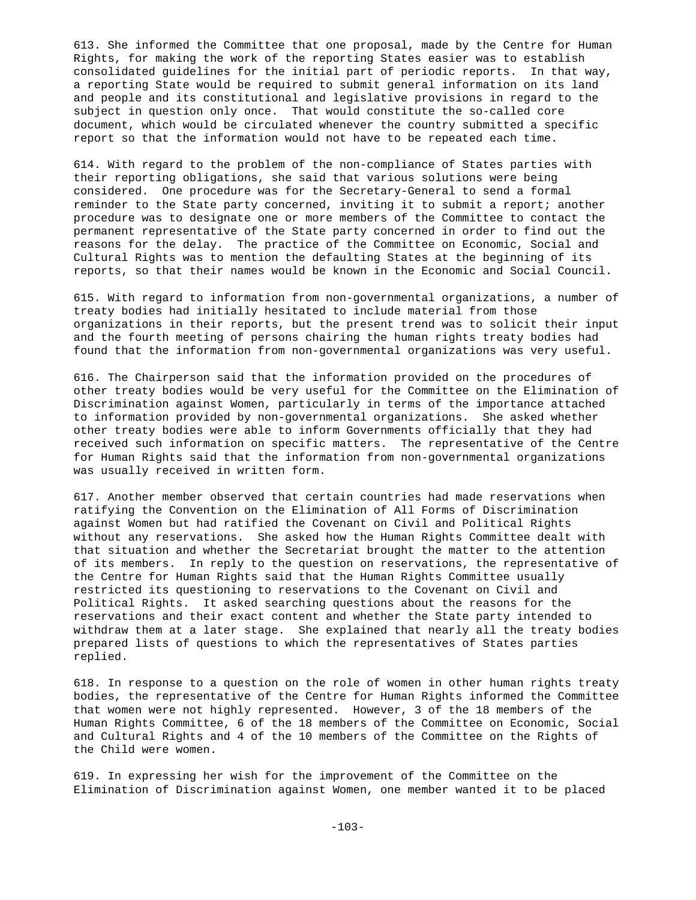613. She informed the Committee that one proposal, made by the Centre for Human Rights, for making the work of the reporting States easier was to establish consolidated guidelines for the initial part of periodic reports. In that way, a reporting State would be required to submit general information on its land and people and its constitutional and legislative provisions in regard to the subject in question only once. That would constitute the so-called core document, which would be circulated whenever the country submitted a specific report so that the information would not have to be repeated each time.

614. With regard to the problem of the non-compliance of States parties with their reporting obligations, she said that various solutions were being considered. One procedure was for the Secretary-General to send a formal reminder to the State party concerned, inviting it to submit a report; another procedure was to designate one or more members of the Committee to contact the permanent representative of the State party concerned in order to find out the reasons for the delay. The practice of the Committee on Economic, Social and Cultural Rights was to mention the defaulting States at the beginning of its reports, so that their names would be known in the Economic and Social Council.

615. With regard to information from non-governmental organizations, a number of treaty bodies had initially hesitated to include material from those organizations in their reports, but the present trend was to solicit their input and the fourth meeting of persons chairing the human rights treaty bodies had found that the information from non-governmental organizations was very useful.

616. The Chairperson said that the information provided on the procedures of other treaty bodies would be very useful for the Committee on the Elimination of Discrimination against Women, particularly in terms of the importance attached to information provided by non-governmental organizations. She asked whether other treaty bodies were able to inform Governments officially that they had received such information on specific matters. The representative of the Centre for Human Rights said that the information from non-governmental organizations was usually received in written form.

617. Another member observed that certain countries had made reservations when ratifying the Convention on the Elimination of All Forms of Discrimination against Women but had ratified the Covenant on Civil and Political Rights without any reservations. She asked how the Human Rights Committee dealt with that situation and whether the Secretariat brought the matter to the attention of its members. In reply to the question on reservations, the representative of the Centre for Human Rights said that the Human Rights Committee usually restricted its questioning to reservations to the Covenant on Civil and Political Rights. It asked searching questions about the reasons for the reservations and their exact content and whether the State party intended to withdraw them at a later stage. She explained that nearly all the treaty bodies prepared lists of questions to which the representatives of States parties replied.

618. In response to a question on the role of women in other human rights treaty bodies, the representative of the Centre for Human Rights informed the Committee that women were not highly represented. However, 3 of the 18 members of the Human Rights Committee, 6 of the 18 members of the Committee on Economic, Social and Cultural Rights and 4 of the 10 members of the Committee on the Rights of the Child were women.

619. In expressing her wish for the improvement of the Committee on the Elimination of Discrimination against Women, one member wanted it to be placed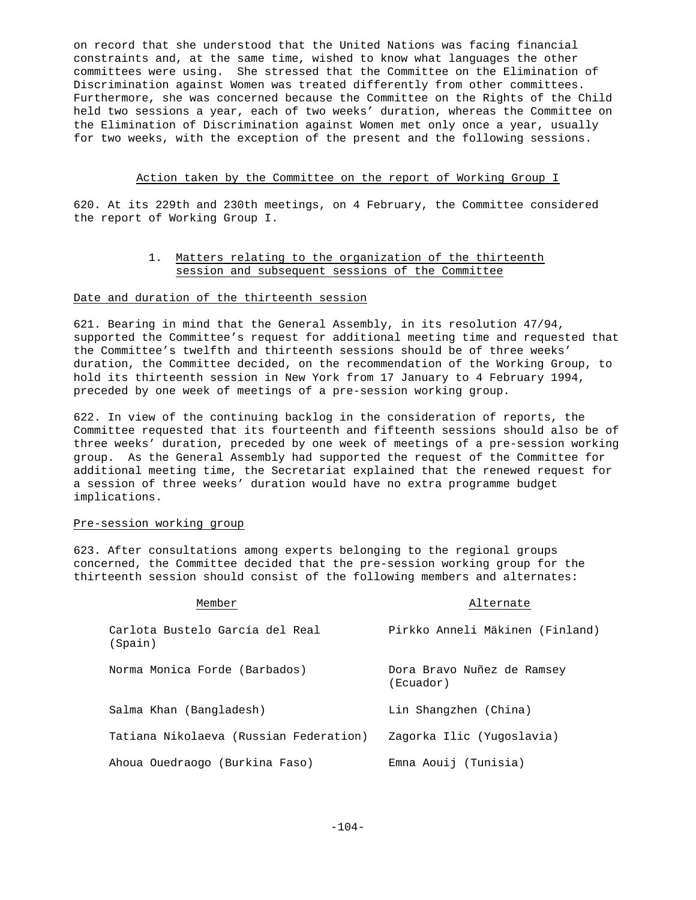on record that she understood that the United Nations was facing financial constraints and, at the same time, wished to know what languages the other committees were using. She stressed that the Committee on the Elimination of Discrimination against Women was treated differently from other committees. Furthermore, she was concerned because the Committee on the Rights of the Child held two sessions a year, each of two weeks' duration, whereas the Committee on the Elimination of Discrimination against Women met only once a year, usually for two weeks, with the exception of the present and the following sessions.

### Action taken by the Committee on the report of Working Group I

620. At its 229th and 230th meetings, on 4 February, the Committee considered the report of Working Group I.

# 1. Matters relating to the organization of the thirteenth session and subsequent sessions of the Committee

# Date and duration of the thirteenth session

621. Bearing in mind that the General Assembly, in its resolution 47/94, supported the Committee's request for additional meeting time and requested that the Committee's twelfth and thirteenth sessions should be of three weeks' duration, the Committee decided, on the recommendation of the Working Group, to hold its thirteenth session in New York from 17 January to 4 February 1994, preceded by one week of meetings of a pre-session working group.

622. In view of the continuing backlog in the consideration of reports, the Committee requested that its fourteenth and fifteenth sessions should also be of three weeks' duration, preceded by one week of meetings of a pre-session working group. As the General Assembly had supported the request of the Committee for additional meeting time, the Secretariat explained that the renewed request for a session of three weeks' duration would have no extra programme budget implications.

#### Pre-session working group

623. After consultations among experts belonging to the regional groups concerned, the Committee decided that the pre-session working group for the thirteenth session should consist of the following members and alternates:

| Member                                     | Alternate                               |
|--------------------------------------------|-----------------------------------------|
| Carlota Bustelo García del Real<br>(Spain) | Pirkko Anneli Mäkinen (Finland)         |
| Norma Monica Forde (Barbados)              | Dora Bravo Nuñez de Ramsey<br>(Ecuador) |
| Salma Khan (Bangladesh)                    | Lin Shangzhen (China)                   |
| Tatiana Nikolaeva (Russian Federation)     | Zagorka Ilic (Yugoslavia)               |
| Ahoua Ouedraogo (Burkina Faso)             | Emna Aouij (Tunisia)                    |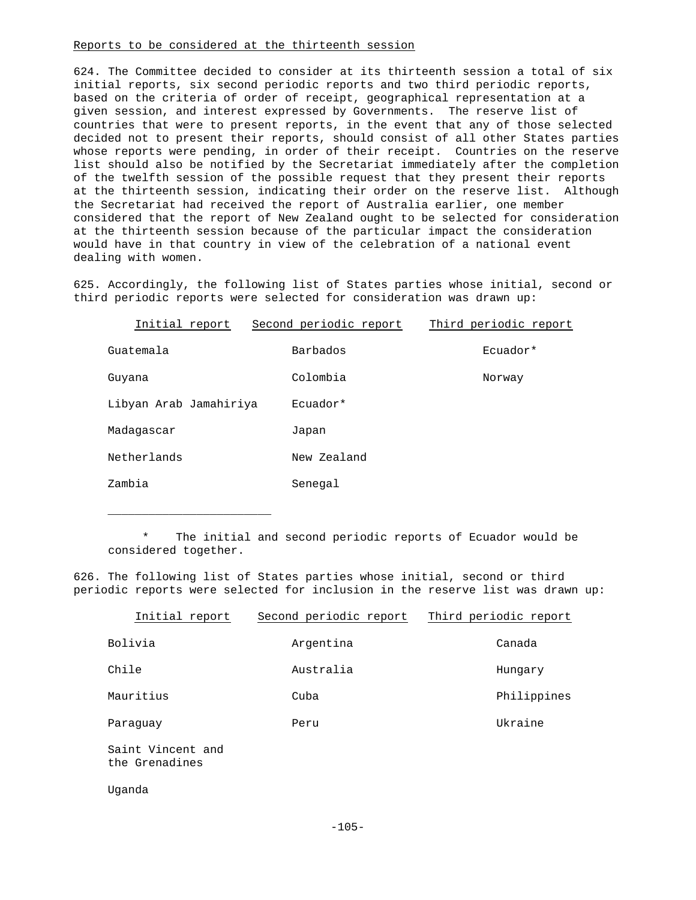### Reports to be considered at the thirteenth session

624. The Committee decided to consider at its thirteenth session a total of six initial reports, six second periodic reports and two third periodic reports, based on the criteria of order of receipt, geographical representation at a given session, and interest expressed by Governments. The reserve list of countries that were to present reports, in the event that any of those selected decided not to present their reports, should consist of all other States parties whose reports were pending, in order of their receipt. Countries on the reserve list should also be notified by the Secretariat immediately after the completion of the twelfth session of the possible request that they present their reports at the thirteenth session, indicating their order on the reserve list. Although the Secretariat had received the report of Australia earlier, one member considered that the report of New Zealand ought to be selected for consideration at the thirteenth session because of the particular impact the consideration would have in that country in view of the celebration of a national event dealing with women.

625. Accordingly, the following list of States parties whose initial, second or third periodic reports were selected for consideration was drawn up:

| Initial report         | Second periodic report | Third periodic report |
|------------------------|------------------------|-----------------------|
| Guatemala              | Barbados               | Ecuador*              |
| Guyana                 | Colombia               | Norway                |
| Libyan Arab Jamahiriya | Ecuador*               |                       |
| Madaqascar             | Japan                  |                       |
| Netherlands            | New Zealand            |                       |
| Zambia                 | Senegal                |                       |

\* The initial and second periodic reports of Ecuador would be considered together.

626. The following list of States parties whose initial, second or third periodic reports were selected for inclusion in the reserve list was drawn up:

| Initial report                      | Second periodic report | Third periodic report |
|-------------------------------------|------------------------|-----------------------|
| Bolivia                             | Argentina              | Canada                |
| Chile                               | Australia              | Hungary               |
| Mauritius                           | Cuba                   | Philippines           |
| Paraquay                            | Peru                   | Ukraine               |
| Saint Vincent and<br>the Grenadines |                        |                       |

Uganda

\_\_\_\_\_\_\_\_\_\_\_\_\_\_\_\_\_\_\_\_\_\_\_\_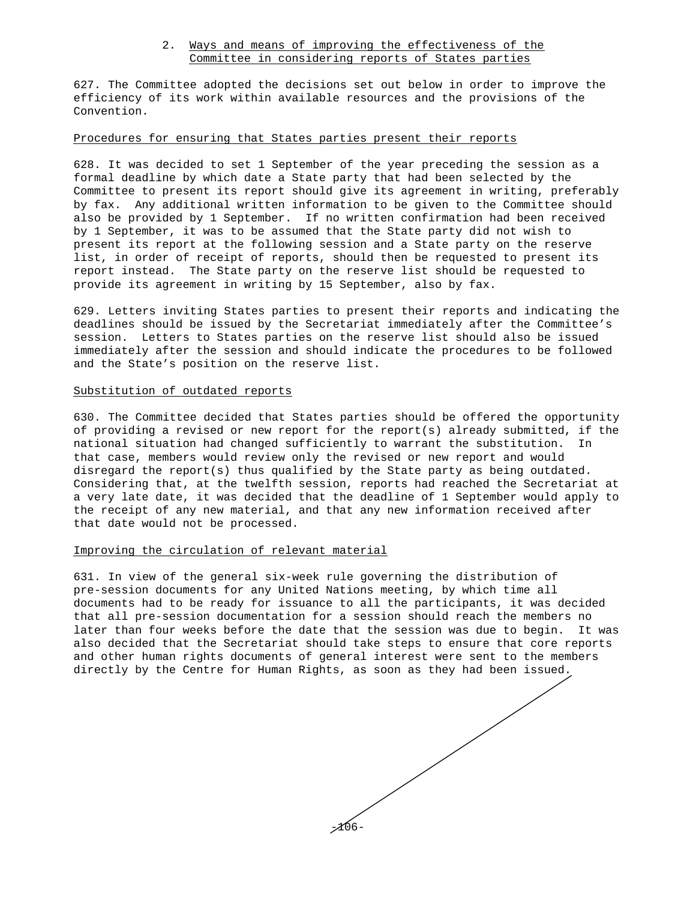## 2. Ways and means of improving the effectiveness of the Committee in considering reports of States parties

627. The Committee adopted the decisions set out below in order to improve the efficiency of its work within available resources and the provisions of the Convention.

## Procedures for ensuring that States parties present their reports

628. It was decided to set 1 September of the year preceding the session as a formal deadline by which date a State party that had been selected by the Committee to present its report should give its agreement in writing, preferably by fax. Any additional written information to be given to the Committee should also be provided by 1 September. If no written confirmation had been received by 1 September, it was to be assumed that the State party did not wish to present its report at the following session and a State party on the reserve list, in order of receipt of reports, should then be requested to present its report instead. The State party on the reserve list should be requested to provide its agreement in writing by 15 September, also by fax.

629. Letters inviting States parties to present their reports and indicating the deadlines should be issued by the Secretariat immediately after the Committee's session. Letters to States parties on the reserve list should also be issued immediately after the session and should indicate the procedures to be followed and the State's position on the reserve list.

## Substitution of outdated reports

630. The Committee decided that States parties should be offered the opportunity of providing a revised or new report for the report(s) already submitted, if the national situation had changed sufficiently to warrant the substitution. In that case, members would review only the revised or new report and would disregard the report(s) thus qualified by the State party as being outdated. Considering that, at the twelfth session, reports had reached the Secretariat at a very late date, it was decided that the deadline of 1 September would apply to the receipt of any new material, and that any new information received after that date would not be processed.

#### Improving the circulation of relevant material

631. In view of the general six-week rule governing the distribution of pre-session documents for any United Nations meeting, by which time all documents had to be ready for issuance to all the participants, it was decided that all pre-session documentation for a session should reach the members no later than four weeks before the date that the session was due to begin. It was also decided that the Secretariat should take steps to ensure that core reports and other human rights documents of general interest were sent to the members directly by the Centre for Human Rights, as soon as they had been issued.

-106-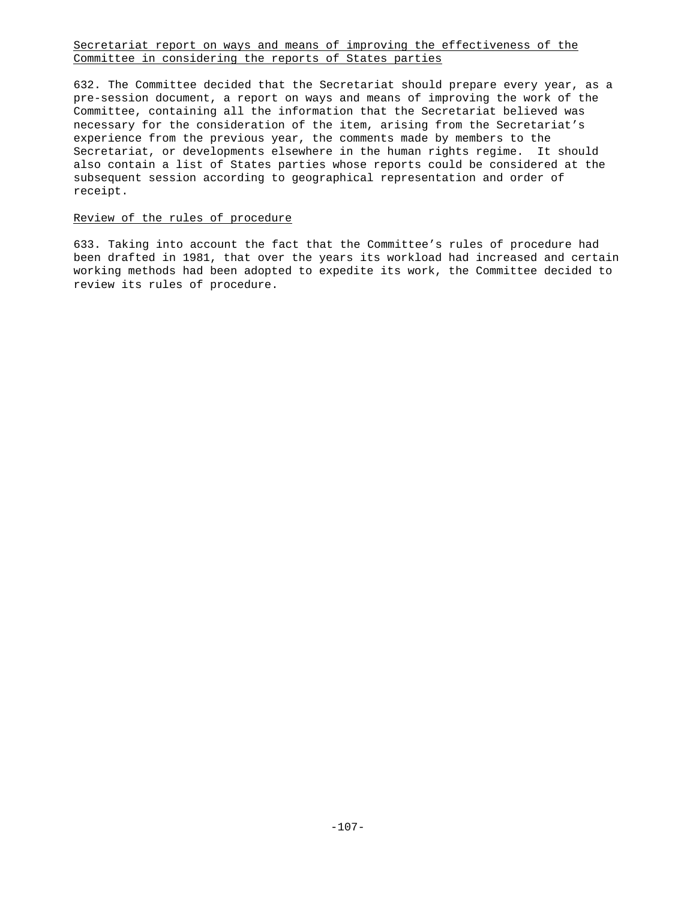## Secretariat report on ways and means of improving the effectiveness of the Committee in considering the reports of States parties

632. The Committee decided that the Secretariat should prepare every year, as a pre-session document, a report on ways and means of improving the work of the Committee, containing all the information that the Secretariat believed was necessary for the consideration of the item, arising from the Secretariat's experience from the previous year, the comments made by members to the Secretariat, or developments elsewhere in the human rights regime. It should also contain a list of States parties whose reports could be considered at the subsequent session according to geographical representation and order of receipt.

## Review of the rules of procedure

633. Taking into account the fact that the Committee's rules of procedure had been drafted in 1981, that over the years its workload had increased and certain working methods had been adopted to expedite its work, the Committee decided to review its rules of procedure.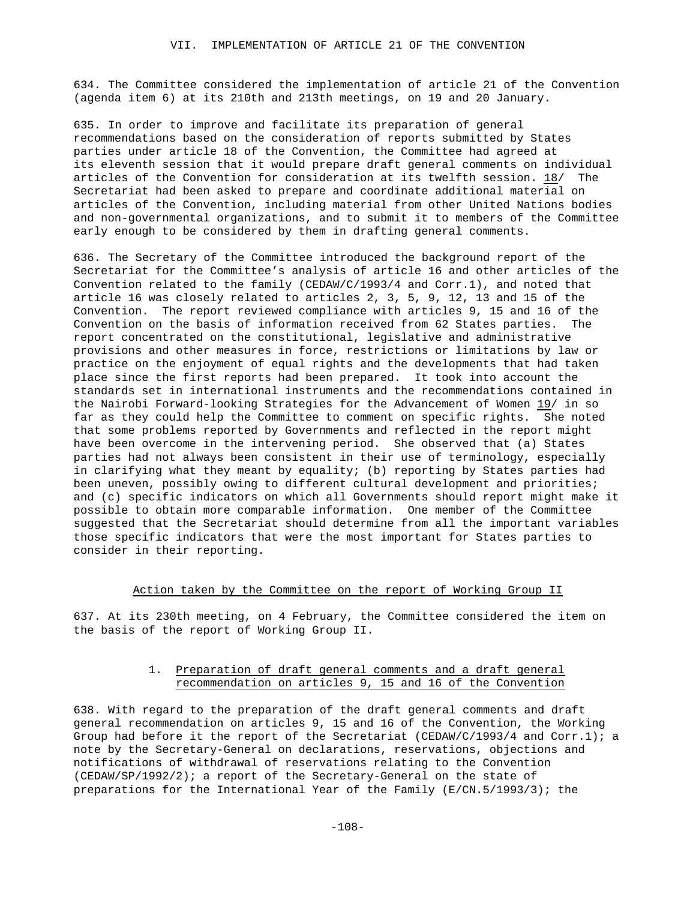634. The Committee considered the implementation of article 21 of the Convention (agenda item 6) at its 210th and 213th meetings, on 19 and 20 January.

635. In order to improve and facilitate its preparation of general recommendations based on the consideration of reports submitted by States parties under article 18 of the Convention, the Committee had agreed at its eleventh session that it would prepare draft general comments on individual articles of the Convention for consideration at its twelfth session. 18/ The Secretariat had been asked to prepare and coordinate additional material on articles of the Convention, including material from other United Nations bodies and non-governmental organizations, and to submit it to members of the Committee early enough to be considered by them in drafting general comments.

636. The Secretary of the Committee introduced the background report of the Secretariat for the Committee's analysis of article 16 and other articles of the Convention related to the family (CEDAW/C/1993/4 and Corr.1), and noted that article 16 was closely related to articles 2, 3, 5, 9, 12, 13 and 15 of the Convention. The report reviewed compliance with articles 9, 15 and 16 of the Convention on the basis of information received from 62 States parties. The report concentrated on the constitutional, legislative and administrative provisions and other measures in force, restrictions or limitations by law or practice on the enjoyment of equal rights and the developments that had taken place since the first reports had been prepared. It took into account the standards set in international instruments and the recommendations contained in the Nairobi Forward-looking Strategies for the Advancement of Women 19/ in so far as they could help the Committee to comment on specific rights. She noted that some problems reported by Governments and reflected in the report might have been overcome in the intervening period. She observed that (a) States parties had not always been consistent in their use of terminology, especially in clarifying what they meant by equality; (b) reporting by States parties had been uneven, possibly owing to different cultural development and priorities; and (c) specific indicators on which all Governments should report might make it possible to obtain more comparable information. One member of the Committee suggested that the Secretariat should determine from all the important variables those specific indicators that were the most important for States parties to consider in their reporting.

#### Action taken by the Committee on the report of Working Group II

637. At its 230th meeting, on 4 February, the Committee considered the item on the basis of the report of Working Group II.

## 1. Preparation of draft general comments and a draft general recommendation on articles 9, 15 and 16 of the Convention

638. With regard to the preparation of the draft general comments and draft general recommendation on articles 9, 15 and 16 of the Convention, the Working Group had before it the report of the Secretariat (CEDAW/C/1993/4 and Corr.1); a note by the Secretary-General on declarations, reservations, objections and notifications of withdrawal of reservations relating to the Convention (CEDAW/SP/1992/2); a report of the Secretary-General on the state of preparations for the International Year of the Family (E/CN.5/1993/3); the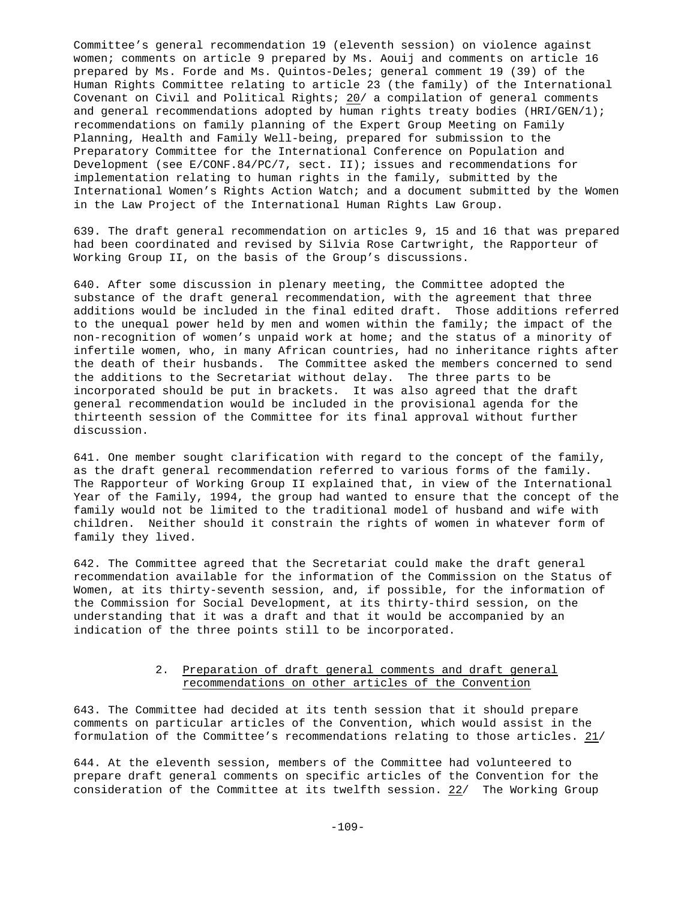Committee's general recommendation 19 (eleventh session) on violence against women; comments on article 9 prepared by Ms. Aouij and comments on article 16 prepared by Ms. Forde and Ms. Quintos-Deles; general comment 19 (39) of the Human Rights Committee relating to article 23 (the family) of the International Covenant on Civil and Political Rights; 20/ a compilation of general comments and general recommendations adopted by human rights treaty bodies (HRI/GEN/1); recommendations on family planning of the Expert Group Meeting on Family Planning, Health and Family Well-being, prepared for submission to the Preparatory Committee for the International Conference on Population and Development (see E/CONF.84/PC/7, sect. II); issues and recommendations for implementation relating to human rights in the family, submitted by the International Women's Rights Action Watch; and a document submitted by the Women in the Law Project of the International Human Rights Law Group.

639. The draft general recommendation on articles 9, 15 and 16 that was prepared had been coordinated and revised by Silvia Rose Cartwright, the Rapporteur of Working Group II, on the basis of the Group's discussions.

640. After some discussion in plenary meeting, the Committee adopted the substance of the draft general recommendation, with the agreement that three additions would be included in the final edited draft. Those additions referred to the unequal power held by men and women within the family; the impact of the non-recognition of women's unpaid work at home; and the status of a minority of infertile women, who, in many African countries, had no inheritance rights after the death of their husbands. The Committee asked the members concerned to send the additions to the Secretariat without delay. The three parts to be incorporated should be put in brackets. It was also agreed that the draft general recommendation would be included in the provisional agenda for the thirteenth session of the Committee for its final approval without further discussion.

641. One member sought clarification with regard to the concept of the family, as the draft general recommendation referred to various forms of the family. The Rapporteur of Working Group II explained that, in view of the International Year of the Family, 1994, the group had wanted to ensure that the concept of the family would not be limited to the traditional model of husband and wife with children. Neither should it constrain the rights of women in whatever form of family they lived.

642. The Committee agreed that the Secretariat could make the draft general recommendation available for the information of the Commission on the Status of Women, at its thirty-seventh session, and, if possible, for the information of the Commission for Social Development, at its thirty-third session, on the understanding that it was a draft and that it would be accompanied by an indication of the three points still to be incorporated.

## 2. Preparation of draft general comments and draft general recommendations on other articles of the Convention

643. The Committee had decided at its tenth session that it should prepare comments on particular articles of the Convention, which would assist in the formulation of the Committee's recommendations relating to those articles. 21/

644. At the eleventh session, members of the Committee had volunteered to prepare draft general comments on specific articles of the Convention for the consideration of the Committee at its twelfth session. 22/ The Working Group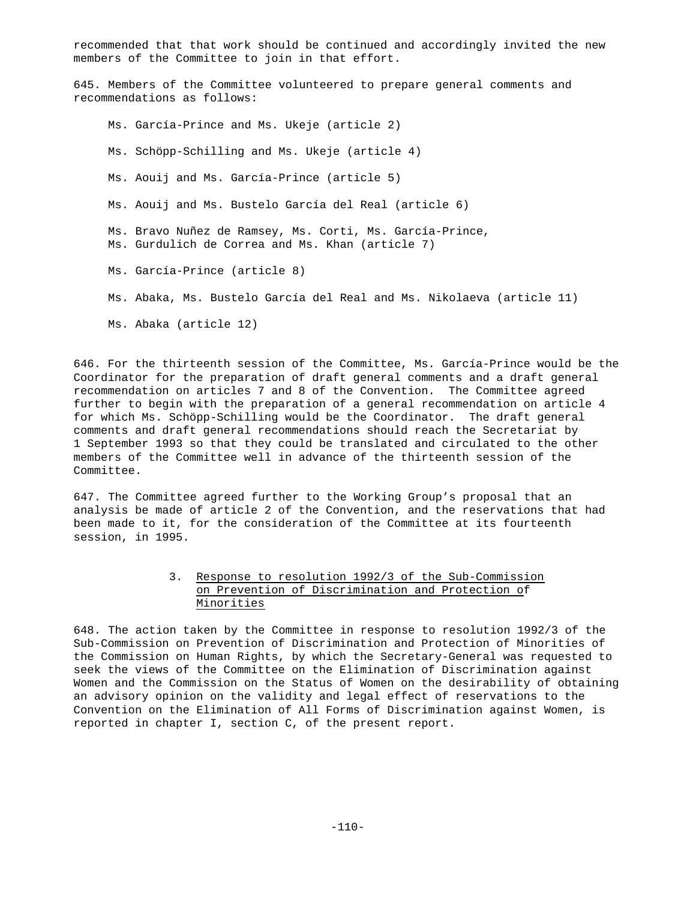recommended that that work should be continued and accordingly invited the new members of the Committee to join in that effort.

645. Members of the Committee volunteered to prepare general comments and recommendations as follows:

Ms. García-Prince and Ms. Ukeje (article 2) Ms. Schöpp-Schilling and Ms. Ukeje (article 4) Ms. Aouij and Ms. García-Prince (article 5) Ms. Aouij and Ms. Bustelo García del Real (article 6) Ms. Bravo Nuñez de Ramsey, Ms. Corti, Ms. García-Prince, Ms. Gurdulich de Correa and Ms. Khan (article 7) Ms. García-Prince (article 8) Ms. Abaka, Ms. Bustelo García del Real and Ms. Nikolaeva (article 11) Ms. Abaka (article 12)

646. For the thirteenth session of the Committee, Ms. García-Prince would be the Coordinator for the preparation of draft general comments and a draft general recommendation on articles 7 and 8 of the Convention. The Committee agreed further to begin with the preparation of a general recommendation on article 4 for which Ms. Schöpp-Schilling would be the Coordinator. The draft general comments and draft general recommendations should reach the Secretariat by 1 September 1993 so that they could be translated and circulated to the other members of the Committee well in advance of the thirteenth session of the Committee.

647. The Committee agreed further to the Working Group's proposal that an analysis be made of article 2 of the Convention, and the reservations that had been made to it, for the consideration of the Committee at its fourteenth session, in 1995.

## 3. Response to resolution 1992/3 of the Sub-Commission on Prevention of Discrimination and Protection of Minorities

648. The action taken by the Committee in response to resolution 1992/3 of the Sub-Commission on Prevention of Discrimination and Protection of Minorities of the Commission on Human Rights, by which the Secretary-General was requested to seek the views of the Committee on the Elimination of Discrimination against Women and the Commission on the Status of Women on the desirability of obtaining an advisory opinion on the validity and legal effect of reservations to the Convention on the Elimination of All Forms of Discrimination against Women, is reported in chapter I, section C, of the present report.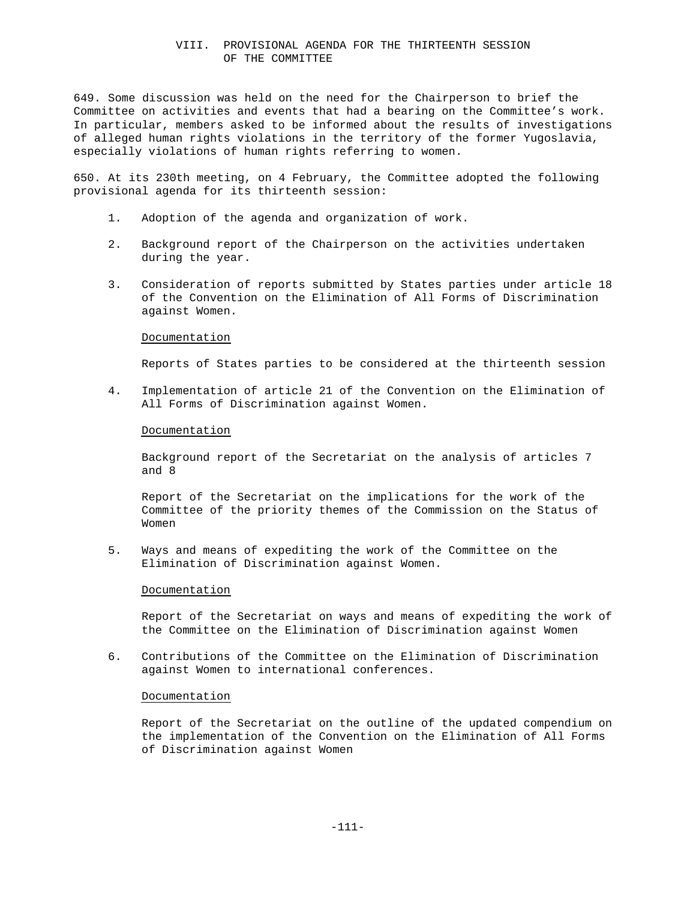## VIII. PROVISIONAL AGENDA FOR THE THIRTEENTH SESSION OF THE COMMITTEE

649. Some discussion was held on the need for the Chairperson to brief the Committee on activities and events that had a bearing on the Committee's work. In particular, members asked to be informed about the results of investigations of alleged human rights violations in the territory of the former Yugoslavia, especially violations of human rights referring to women.

650. At its 230th meeting, on 4 February, the Committee adopted the following provisional agenda for its thirteenth session:

- 1. Adoption of the agenda and organization of work.
- 2. Background report of the Chairperson on the activities undertaken during the year.
- 3. Consideration of reports submitted by States parties under article 18 of the Convention on the Elimination of All Forms of Discrimination against Women.

#### **Documentation**

Reports of States parties to be considered at the thirteenth session

4. Implementation of article 21 of the Convention on the Elimination of All Forms of Discrimination against Women.

#### **Documentation**

Background report of the Secretariat on the analysis of articles 7 and 8

Report of the Secretariat on the implications for the work of the Committee of the priority themes of the Commission on the Status of Women

5. Ways and means of expediting the work of the Committee on the Elimination of Discrimination against Women.

#### Documentation

Report of the Secretariat on ways and means of expediting the work of the Committee on the Elimination of Discrimination against Women

6. Contributions of the Committee on the Elimination of Discrimination against Women to international conferences.

#### **Documentation**

Report of the Secretariat on the outline of the updated compendium on the implementation of the Convention on the Elimination of All Forms of Discrimination against Women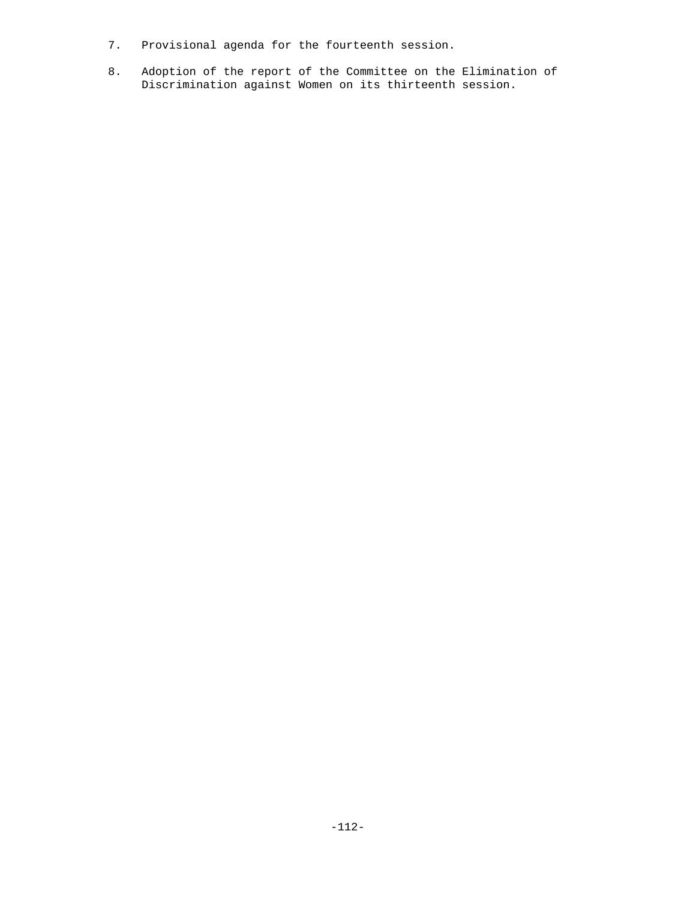- 7. Provisional agenda for the fourteenth session.
- 8. Adoption of the report of the Committee on the Elimination of Discrimination against Women on its thirteenth session.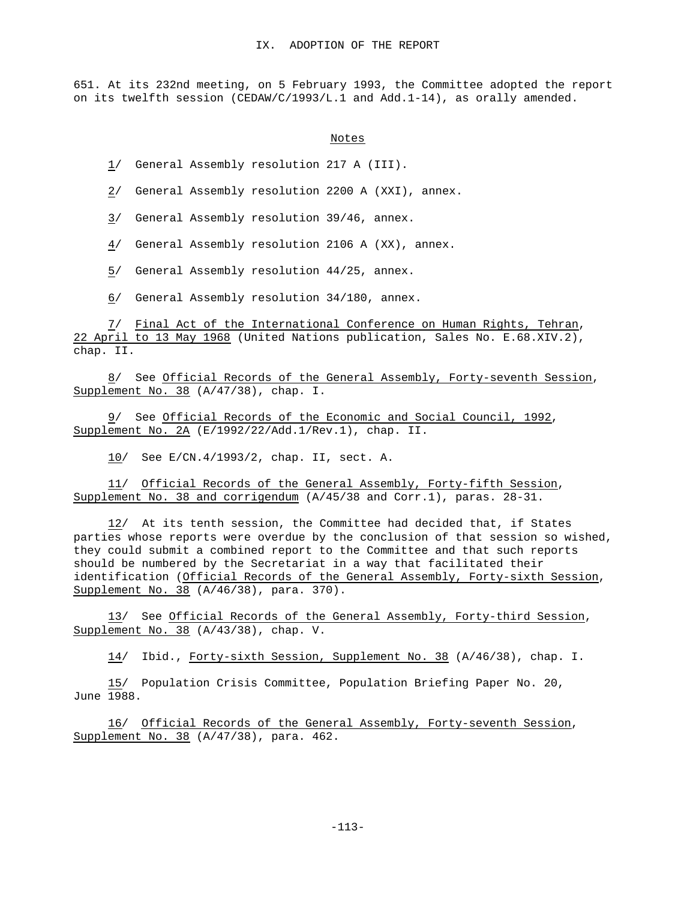651. At its 232nd meeting, on 5 February 1993, the Committee adopted the report on its twelfth session (CEDAW/C/1993/L.1 and Add.1-14), as orally amended.

```
Notes
```
1/ General Assembly resolution 217 A (III).

2/ General Assembly resolution 2200 A (XXI), annex.

3/ General Assembly resolution 39/46, annex.

4/ General Assembly resolution 2106 A (XX), annex.

5/ General Assembly resolution 44/25, annex.

6/ General Assembly resolution 34/180, annex.

7/ Final Act of the International Conference on Human Rights, Tehran, 22 April to 13 May 1968 (United Nations publication, Sales No. E.68.XIV.2), chap. II.

8/ See Official Records of the General Assembly, Forty-seventh Session, Supplement No. 38 (A/47/38), chap. I.

9/ See Official Records of the Economic and Social Council, 1992, Supplement No. 2A (E/1992/22/Add.1/Rev.1), chap. II.

10/ See E/CN.4/1993/2, chap. II, sect. A.

11/ Official Records of the General Assembly, Forty-fifth Session, Supplement No. 38 and corrigendum (A/45/38 and Corr.1), paras. 28-31.

12/ At its tenth session, the Committee had decided that, if States parties whose reports were overdue by the conclusion of that session so wished, they could submit a combined report to the Committee and that such reports should be numbered by the Secretariat in a way that facilitated their identification (Official Records of the General Assembly, Forty-sixth Session, Supplement No. 38 (A/46/38), para. 370).

13/ See Official Records of the General Assembly, Forty-third Session, Supplement No. 38 (A/43/38), chap. V.

14/ Ibid., Forty-sixth Session, Supplement No. 38 (A/46/38), chap. I.

15/ Population Crisis Committee, Population Briefing Paper No. 20, June 1988.

16/ Official Records of the General Assembly, Forty-seventh Session, Supplement No. 38 (A/47/38), para. 462.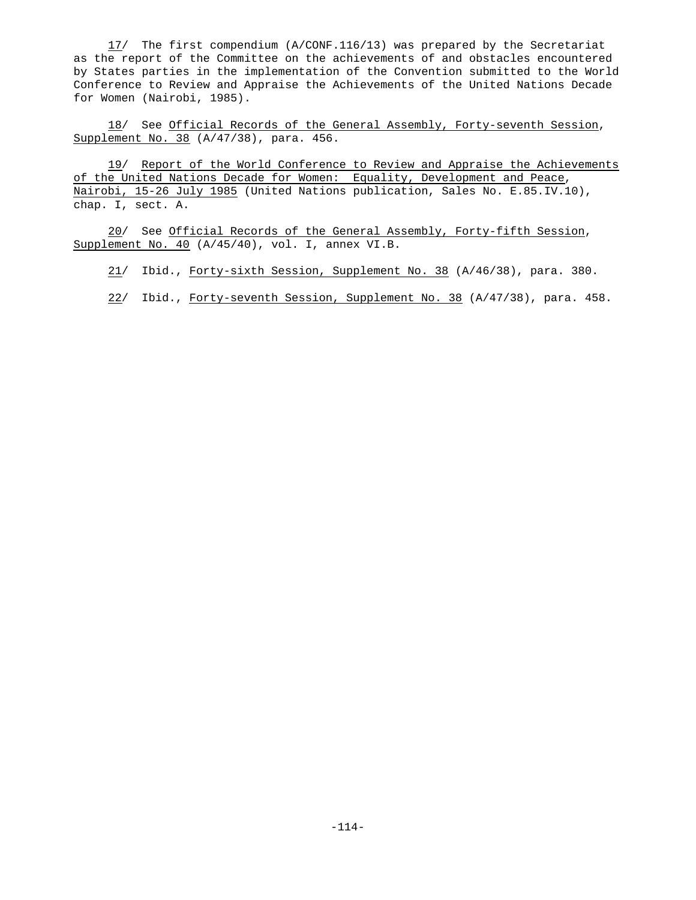17/ The first compendium (A/CONF.116/13) was prepared by the Secretariat as the report of the Committee on the achievements of and obstacles encountered by States parties in the implementation of the Convention submitted to the World Conference to Review and Appraise the Achievements of the United Nations Decade for Women (Nairobi, 1985).

18/ See Official Records of the General Assembly, Forty-seventh Session, Supplement No. 38 (A/47/38), para. 456.

19/ Report of the World Conference to Review and Appraise the Achievements of the United Nations Decade for Women: Equality, Development and Peace, Mairobi, 15-26 July 1985 (United Nations publication, Sales No. E.85.IV.10), chap. I, sect. A.

20/ See Official Records of the General Assembly, Forty-fifth Session, Supplement No. 40 (A/45/40), vol. I, annex VI.B.

21/ Ibid., Forty-sixth Session, Supplement No. 38 (A/46/38), para. 380.

22/ Ibid., Forty-seventh Session, Supplement No. 38 (A/47/38), para. 458.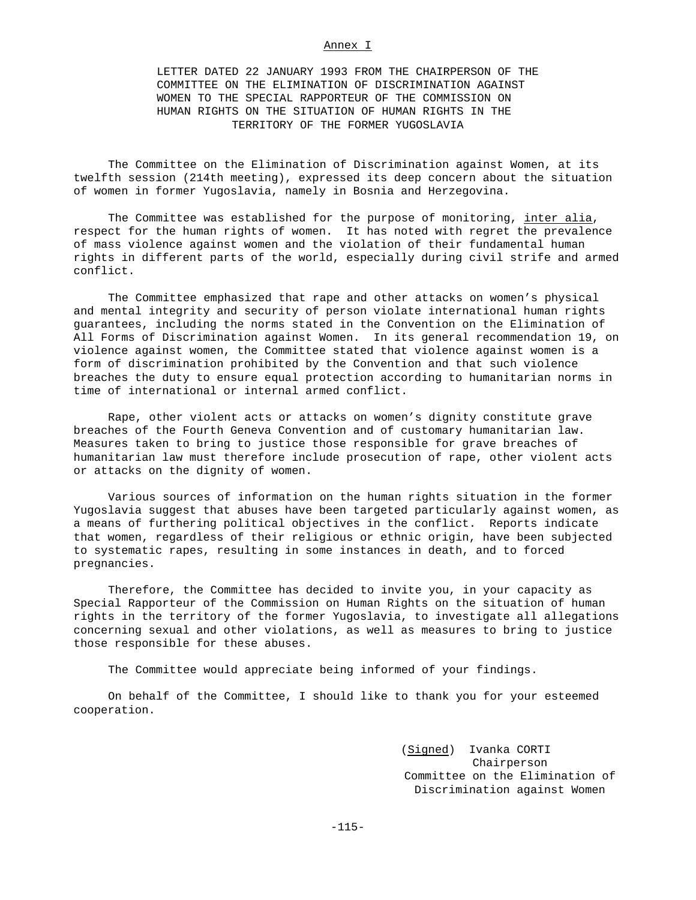### Annex I

LETTER DATED 22 JANUARY 1993 FROM THE CHAIRPERSON OF THE COMMITTEE ON THE ELIMINATION OF DISCRIMINATION AGAINST WOMEN TO THE SPECIAL RAPPORTEUR OF THE COMMISSION ON HUMAN RIGHTS ON THE SITUATION OF HUMAN RIGHTS IN THE TERRITORY OF THE FORMER YUGOSLAVIA

The Committee on the Elimination of Discrimination against Women, at its twelfth session (214th meeting), expressed its deep concern about the situation of women in former Yugoslavia, namely in Bosnia and Herzegovina.

The Committee was established for the purpose of monitoring, inter alia, respect for the human rights of women. It has noted with regret the prevalence of mass violence against women and the violation of their fundamental human rights in different parts of the world, especially during civil strife and armed conflict.

The Committee emphasized that rape and other attacks on women's physical and mental integrity and security of person violate international human rights guarantees, including the norms stated in the Convention on the Elimination of All Forms of Discrimination against Women. In its general recommendation 19, on violence against women, the Committee stated that violence against women is a form of discrimination prohibited by the Convention and that such violence breaches the duty to ensure equal protection according to humanitarian norms in time of international or internal armed conflict.

Rape, other violent acts or attacks on women's dignity constitute grave breaches of the Fourth Geneva Convention and of customary humanitarian law. Measures taken to bring to justice those responsible for grave breaches of humanitarian law must therefore include prosecution of rape, other violent acts or attacks on the dignity of women.

Various sources of information on the human rights situation in the former Yugoslavia suggest that abuses have been targeted particularly against women, as a means of furthering political objectives in the conflict. Reports indicate that women, regardless of their religious or ethnic origin, have been subjected to systematic rapes, resulting in some instances in death, and to forced pregnancies.

Therefore, the Committee has decided to invite you, in your capacity as Special Rapporteur of the Commission on Human Rights on the situation of human rights in the territory of the former Yugoslavia, to investigate all allegations concerning sexual and other violations, as well as measures to bring to justice those responsible for these abuses.

The Committee would appreciate being informed of your findings.

On behalf of the Committee, I should like to thank you for your esteemed cooperation.

> (Signed) Ivanka CORTI Chairperson Committee on the Elimination of Discrimination against Women

-115-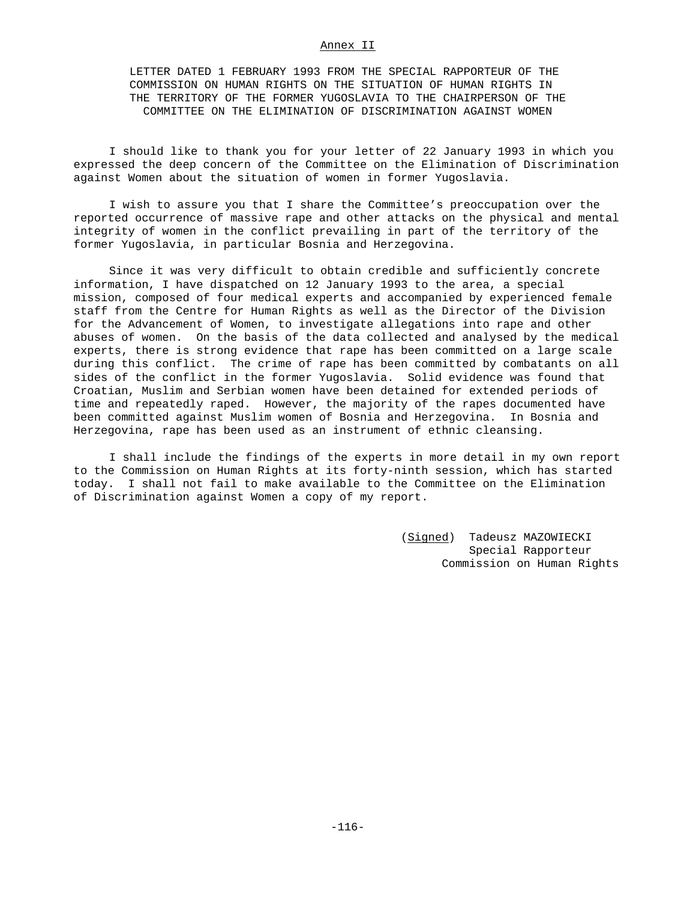#### Annex II

LETTER DATED 1 FEBRUARY 1993 FROM THE SPECIAL RAPPORTEUR OF THE COMMISSION ON HUMAN RIGHTS ON THE SITUATION OF HUMAN RIGHTS IN THE TERRITORY OF THE FORMER YUGOSLAVIA TO THE CHAIRPERSON OF THE COMMITTEE ON THE ELIMINATION OF DISCRIMINATION AGAINST WOMEN

I should like to thank you for your letter of 22 January 1993 in which you expressed the deep concern of the Committee on the Elimination of Discrimination against Women about the situation of women in former Yugoslavia.

I wish to assure you that I share the Committee's preoccupation over the reported occurrence of massive rape and other attacks on the physical and mental integrity of women in the conflict prevailing in part of the territory of the former Yugoslavia, in particular Bosnia and Herzegovina.

Since it was very difficult to obtain credible and sufficiently concrete information, I have dispatched on 12 January 1993 to the area, a special mission, composed of four medical experts and accompanied by experienced female staff from the Centre for Human Rights as well as the Director of the Division for the Advancement of Women, to investigate allegations into rape and other abuses of women. On the basis of the data collected and analysed by the medical experts, there is strong evidence that rape has been committed on a large scale during this conflict. The crime of rape has been committed by combatants on all sides of the conflict in the former Yugoslavia. Solid evidence was found that Croatian, Muslim and Serbian women have been detained for extended periods of time and repeatedly raped. However, the majority of the rapes documented have been committed against Muslim women of Bosnia and Herzegovina. In Bosnia and Herzegovina, rape has been used as an instrument of ethnic cleansing.

I shall include the findings of the experts in more detail in my own report to the Commission on Human Rights at its forty-ninth session, which has started today. I shall not fail to make available to the Committee on the Elimination of Discrimination against Women a copy of my report.

> (Signed) Tadeusz MAZOWIECKI Special Rapporteur Commission on Human Rights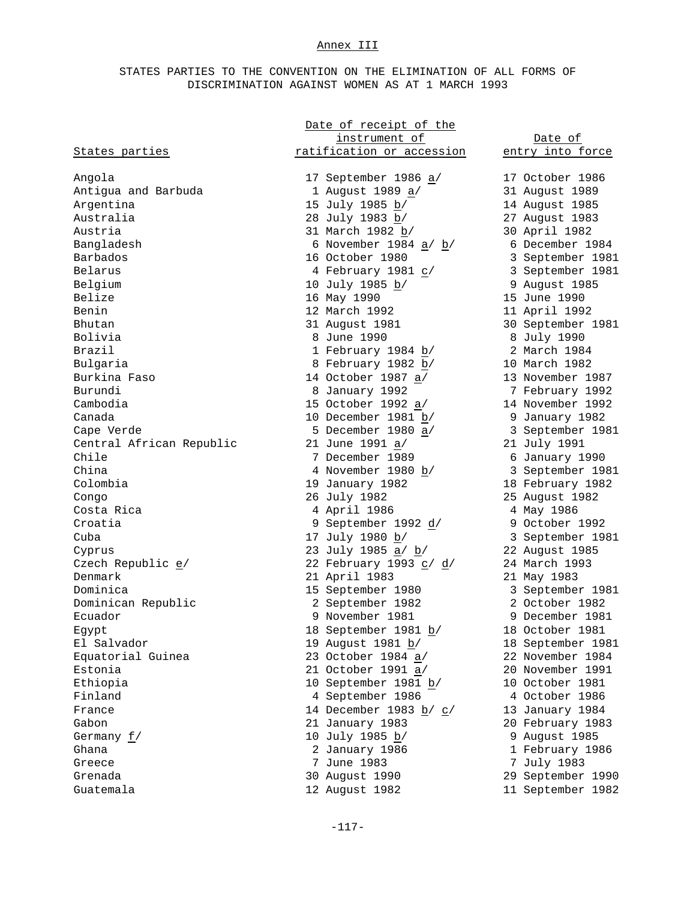# Annex III

# STATES PARTIES TO THE CONVENTION ON THE ELIMINATION OF ALL FORMS OF DISCRIMINATION AGAINST WOMEN AS AT 1 MARCH 1993

|                          | Date of receipt of the     |                   |
|--------------------------|----------------------------|-------------------|
|                          | instrument of              | Date of           |
| States parties           | ratification or accession  | entry into force  |
|                          |                            |                   |
| Angola                   | 17 September 1986 a/       | 17 October 1986   |
| Antigua and Barbuda      | 1 August 1989 a/           | 31 August 1989    |
| Argentina                | 15 July 1985 b/            | 14 August 1985    |
| Australia                | 28 July 1983 b/            | 27 August 1983    |
| Austria                  | 31 March 1982 b/           | 30 April 1982     |
| Bangladesh               | 6 November 1984 a/ b/      | 6 December 1984   |
| Barbados                 | 16 October 1980            | 3 September 1981  |
| Belarus                  | 4 February 1981 c/         | 3 September 1981  |
| Belgium                  | 10 July 1985 b/            | 9 August 1985     |
| Belize                   | 16 May 1990                | 15 June 1990      |
| Benin                    | 12 March 1992              | 11 April 1992     |
| Bhutan                   | 31 August 1981             | 30 September 1981 |
| Bolivia                  | 8 June 1990                | 8 July 1990       |
| Brazil                   | 1 February 1984 b/         | 2 March 1984      |
| Bulgaria                 | 8 February 1982 b/         | 10 March 1982     |
| Burkina Faso             | 14 October 1987 a/         | 13 November 1987  |
| Burundi                  | 8 January 1992             | 7 February 1992   |
| Cambodia                 | 15 October 1992 a/         | 14 November 1992  |
| Canada                   | 10 December 1981 b/        |                   |
|                          |                            | 9 January 1982    |
| Cape Verde               | 5 December 1980 a/         | 3 September 1981  |
| Central African Republic | 21 June 1991 a/            | 21 July 1991      |
| Chile                    | 7 December 1989            | 6 January 1990    |
| China                    | 4 November 1980 <u>b</u> / | 3 September 1981  |
| Colombia                 | 19 January 1982            | 18 February 1982  |
| Congo                    | 26 July 1982               | 25 August 1982    |
| Costa Rica               | 4 April 1986               | 4 May 1986        |
| Croatia                  | 9 September 1992 d/        | 9 October 1992    |
| Cuba                     | 17 July 1980 b/            | 3 September 1981  |
| Cyprus                   | 23 July 1985 <u>a</u> / b/ | 22 August 1985    |
| Czech Republic e/        | 22 February 1993 c/ d/     | 24 March 1993     |
| Denmark                  | 21 April 1983              | 21 May 1983       |
| Dominica                 | 15 September 1980          | 3 September 1981  |
| Dominican Republic       | 2 September 1982           | 2 October 1982    |
| Ecuador                  | 9 November 1981            | 9 December 1981   |
| Egypt                    | 18 September 1981 b/       | 18 October 1981   |
| El Salvador              | 19 August 1981 b/          | 18 September 1981 |
| Equatorial Guinea        | 23 October 1984 a/         | 22 November 1984  |
| Estonia                  | 21 October 1991 a/         | 20 November 1991  |
| Ethiopia                 | 10 September 1981 b/       | 10 October 1981   |
| Finland                  | 4 September 1986           | 4 October 1986    |
| France                   | 14 December 1983 b/ c/     | 13 January 1984   |
| Gabon                    | 21 January 1983            | 20 February 1983  |
| Germany $f/$             | 10 July 1985 b/            | 9 August 1985     |
| Ghana                    | 2 January 1986             | 1 February 1986   |
| Greece                   | 7 June 1983                | 7 July 1983       |
| Grenada                  | 30 August 1990             | 29 September 1990 |
| Guatemala                | 12 August 1982             | 11 September 1982 |
|                          |                            |                   |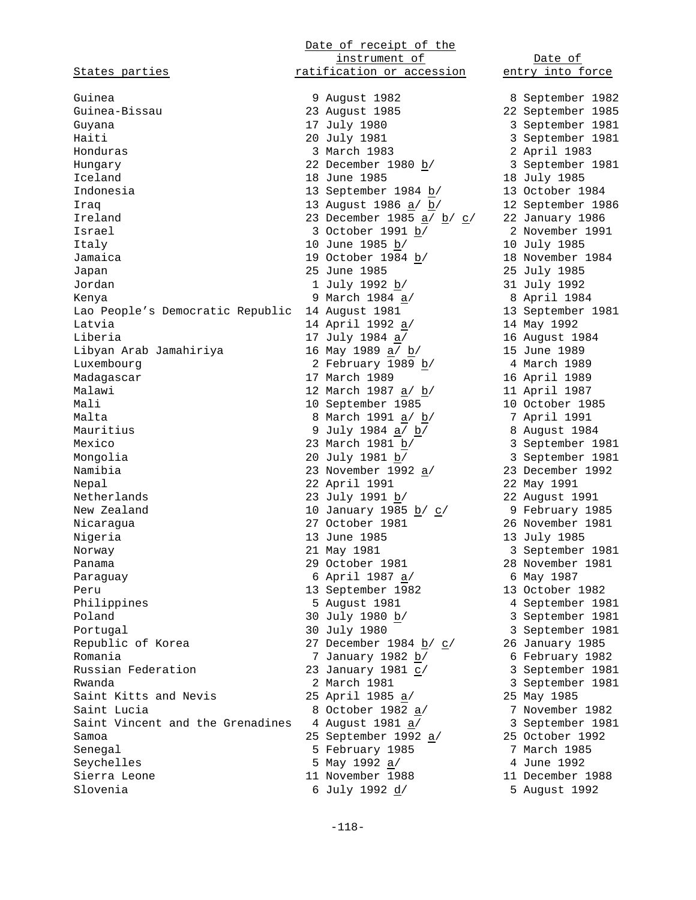States parties **ratification** or accession entry into force Guinea 9 August 1982 8 September 1982 Guinea-Bissau 23 August 1985 22 September 1985 Guyana 17 July 1980 3 September 1981 Haiti 20 July 1981 3 September 1981 Honduras 3 March 1983 2 April 1983 Hungary  $\frac{b}{22}$  December 1980  $\frac{b}{2}$ Iceland 18 June 1985 18 July 1985 Indonesia 13 September 1984 b/ 13 October 1984 Iraq 13 August 1986 a/ b/ 12 September 1986 Ireland 23 December 1985 <u>a</u>/  $\underline{b}$ /  $\underline{c}$ / 22 January 1986  $I = \frac{1}{2}$  Israel 3 October 1991  $\frac{b}{2}$   $\frac{c}{3}$  2 November 1991 Italy 10 June 1985 b/ 10 July 1985 Jamaica 1984 19 October 1984 b/ 18 November 1984 1985 Japan 25 June 1985 25 July 1985 25 July 1985<br>Jordan 2011 2012 292 292 293 July 1992 Jordan 1 July 1992 b/ 31 July 1992 Kenya 9 March 1984 <u>a</u>/ 8 April 1984 Lao People's Democratic Republic 14 August 1981 Latvia  $14$  April 1992 <u>a</u>/ Example 1981<br>
Lao People's Democratic Republic 14 August 1981<br>
Latvia 14 April 1992 <u>a</u>/ 14 May 1992<br>
Liberia 17 July 1984 a/ 16 August 1984<br>
17 July 1984 a/ 16 August 1984<br>
17 July 1984 a/ 15 June 1989 Libyan Arab Jamahiriya 16 May 1989 a/ b/ 15 June 1989 Luxembourg  $\frac{1}{2}$  February 1989 b/  $\frac{1}{2}$  4 March 1989 Madagascar 17 March 1989 - 16 April 1989 Malawi 12 March 1987 <u>a</u>/ <u>b</u>/ Malawi 10 March 1989<br>
Malawi 12 March 1987 <u>a</u>/ <u>b</u>/ 11 April 1987<br>
10 September 1985 10 October 1985 Malta 8 March 1991 <u>a</u>/ <u>b</u>/ Mauritius 9 July 1984  $\underline{a}/\underline{b}/$ <br>Mexico 23 March 1981  $\underline{b}/$ Mexico 23 March 1981 b/ 3 September 1981 Mongolia 20 July 1981 b/ 3 September 1981 Namibia 23 November 1992 <u>a</u>/ Nongolia<br>
Namibia 23 November 1992 <u>a</u>/<br>
22 April 1991 22 May 1991<br>
23 July 1991 22 May 1991<br>
23 July 1991 22 May 1991<br>
22 May 1991<br>
22 May 1991<br>
22 May 1991<br>
22 May 1991<br>
22 May 1991<br>
22 May 1991<br>
22 May 1991<br>
22 May 199 Netherlands 23 July 1991  $b$ / New Zealand  $\frac{10}{2}$  New Zealand  $\frac{10}{2}$  January 1985 <u>b</u>/ c Nicaragua 27 October 1981 26 November 1981 Nigeria 13 June 1985 Norway 21 May 1981 3 September 1981 Panama 29 October 1981 28 November 1981<br>
Paraguay 6 April 1987 20<br>
Peru 13 September 1982 13 October 1982<br>
Peru 13 September 1982 13 October 1982 Paraguay 6 April 1987  $\frac{1}{2}$ Peru 13 September 1982 Philippines 5 August 1981 4 September 1981<br>Poland 30 July 1980 <u>b</u>/ 3 September 1981<br>Portugal 30 July 1980 3 September 1981 Poland  $30$  July  $1980$   $\underline{b}/$   $3$  September 1981 Portugal 30 July 1980 3 September 1981 Republic of Korea 27 December 1984 <u>b</u>/ c/ 26 January 1985<br>Romania 27 January 1982 <u>b</u>/ 6 February 1982 Romania  $\frac{b}{r}$   $\frac{b}{r}$ Russian Federation  $23$  January 1981  $\underline{c}$  /  $3$  September 1981 Rwanda 2 March 1981 3 September 1981 Saint Kitts and Nevis<br>
Saint Lucia<br>
Saint Lucia<br>
Saint Vincent and the Grenadines and the Grenadines and the Grenadines and August 1981 a/ 3 September 1981 Saint Lucia  $\frac{8 \text{ October } 1982 \text{ a}}{7}$ Saint Vincent and the Grenadines  $\frac{4 \text{ August}}{1981 \frac{a}{\frac{a}{}}\frac{1}{\frac{a}{}}\frac{a}{}}$  3 September 1992<br>Samoa  $\frac{25 \text{ September}}{1992 \frac{a}{}}$  25 October 1992 Samoa 25 September 1992 <u>a</u>/ 25 October 1992<br>
September 1992 a<sup>/</sup> 25 October 1993<br>
Seychelles 5 May 1992 <u>a</u><sup>/</sup> 4 June 1992 Senegal 5 February 1985 Seychelles 5 May 1992 a/ 4 June 1992 sierra Leone 11 November 1988 Slovenia 6 July 1992 d/ 5 August 1992

Date of receipt of the instrument of Date of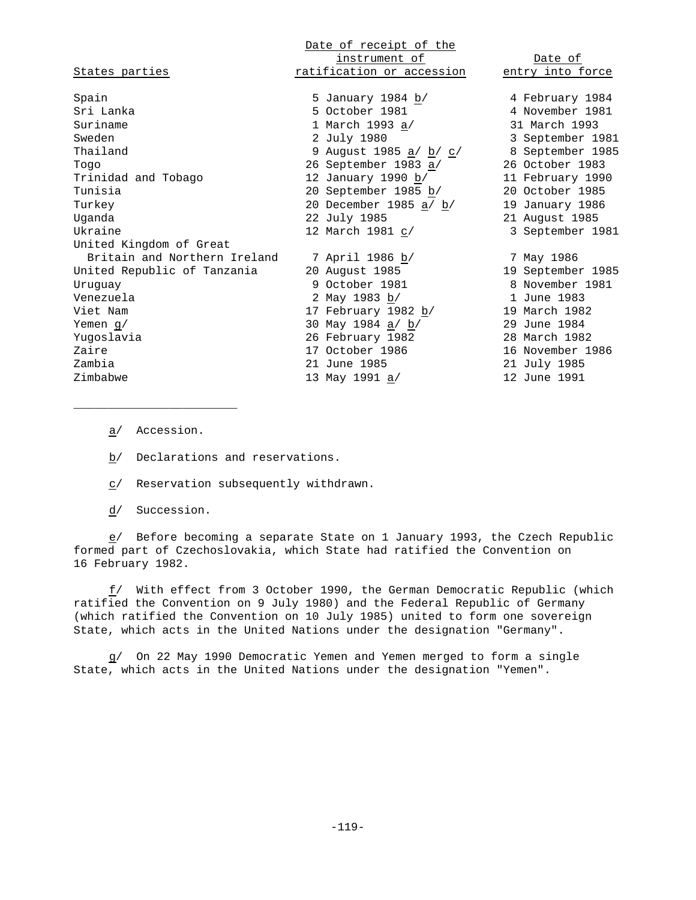| States parties               | Date of receipt of the<br>instrument of<br>ratification or accession | Date of<br>entry into force |
|------------------------------|----------------------------------------------------------------------|-----------------------------|
| Spain                        | 5 January 1984 b/                                                    | 4 February 1984             |
| Sri Lanka                    | 5 October 1981                                                       | 4 November 1981             |
| Suriname                     | 1 March 1993 a/                                                      | 31 March 1993               |
| Sweden                       | 2 July 1980                                                          | 3 September 1981            |
| Thailand                     | 9 August 1985 <u>a</u> / <u>b</u> / c/                               | 8 September 1985            |
| Togo                         | 26 September 1983 a/                                                 | 26 October 1983             |
| Trinidad and Tobago          | 12 January 1990 b/                                                   | 11 February 1990            |
| Tunisia                      | 20 September 1985 b/                                                 | 20 October 1985             |
| Turkey                       | 20 December 1985 <u>a/ b</u> /                                       | 19 January 1986             |
| Uganda                       | 22 July 1985                                                         | 21 August 1985              |
| Ukraine                      | 12 March 1981 c/                                                     | 3 September 1981            |
| United Kingdom of Great      |                                                                      |                             |
| Britain and Northern Ireland | 7 April 1986 b/                                                      | 7 May 1986                  |
| United Republic of Tanzania  | 20 August 1985                                                       | 19 September 1985           |
| Uruquay                      | 9 October 1981                                                       | 8 November 1981             |
| Venezuela                    | 2 May 1983 b/                                                        | 1 June 1983                 |
| Viet Nam                     | 17 February 1982 b/                                                  | 19 March 1982               |
| Yemen $g/$                   | 30 May 1984 a/ b/                                                    | 29 June 1984                |
| Yugoslavia                   | 26 February 1982                                                     | 28 March 1982               |
| Zaire                        | 17 October 1986                                                      | 16 November 1986            |
| Zambia                       | 21 June 1985                                                         | 21 July 1985                |
| Zimbabwe                     | 13 May 1991 a/                                                       | 12 June 1991                |

a/ Accession.

\_\_\_\_\_\_\_\_\_\_\_\_\_\_\_\_\_\_\_\_\_\_\_\_

b/ Declarations and reservations.

c/ Reservation subsequently withdrawn.

d/ Succession.

e/ Before becoming a separate State on 1 January 1993, the Czech Republic formed part of Czechoslovakia, which State had ratified the Convention on 16 February 1982.

f/ With effect from 3 October 1990, the German Democratic Republic (which ratified the Convention on 9 July 1980) and the Federal Republic of Germany (which ratified the Convention on 10 July 1985) united to form one sovereign State, which acts in the United Nations under the designation "Germany".

g/ On 22 May 1990 Democratic Yemen and Yemen merged to form a single State, which acts in the United Nations under the designation "Yemen".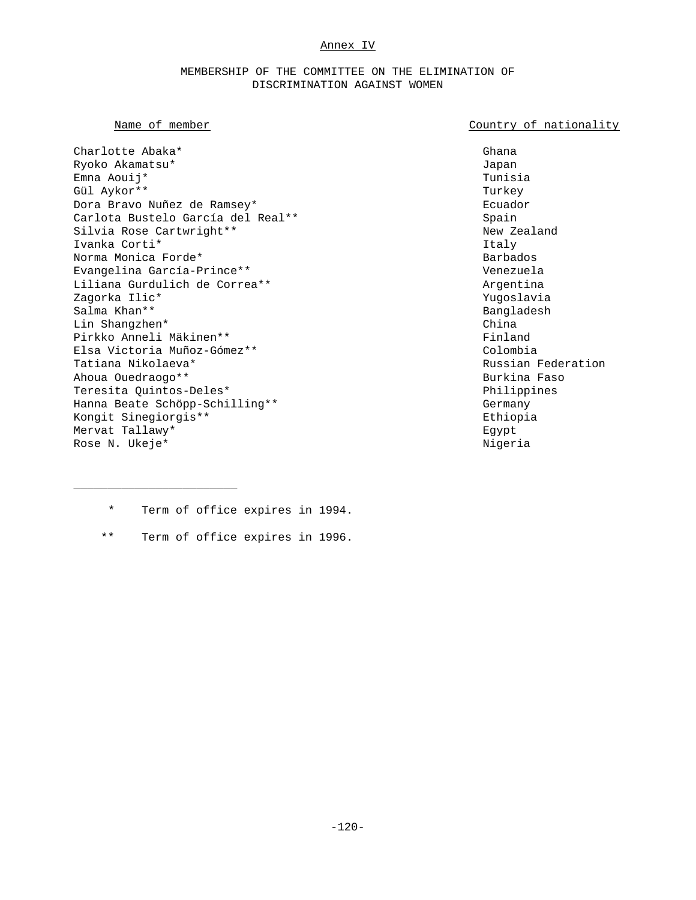## Annex IV

## MEMBERSHIP OF THE COMMITTEE ON THE ELIMINATION OF DISCRIMINATION AGAINST WOMEN

## Name of member  $\sim$  Country of nationality

Charlotte Abaka\* Ghana Ghana Ghana Ghana Ghana Ghana Ghana Ghana Ghana Ghana Ghana Ghana Ghana Ghana Ghana Ghana Ryoko Akamatsu\* Japan Emna Aouij\* Tunisia Gül Aykor\*\* Turkey Dora Bravo Nuñez de Ramsey\* Ecuador Carlota Bustelo García del Real\*\* Spain Silvia Rose Cartwright\*\* New Zealand Ivanka Corti $^*$ Norma Monica Forde\* Barbados Evangelina García-Prince\*\* Venezuela Liliana Gurdulich de Correa\*\* Argentina Zagorka Ilic\* Yugoslavia Salma Khan\*\* Bangladesh Lin Shangzhen\* China Pirkko Anneli Mäkinen\*\* Finland Elsa Victoria Muñoz-Gómez\*\* Colombia Tatiana Nikolaeva\* Russian Federation Ahoua Ouedraogo\*\* Burkina Faso Teresita Quintos-Deles\* Philippines Hanna Beate Schöpp-Schilling\*\* The Control of the Germany Kongit Sinegiorgis\*\* Ethiopia Mervat Tallawy\* Egypt Rose N. Ukeje\* Nigeria Nigeria Nigeria Nigeria Nigeria Nigeria Nigeria Nigeria Nigeria Nigeria Nigeria Nigeria

\_\_\_\_\_\_\_\_\_\_\_\_\_\_\_\_\_\_\_\_\_\_\_\_

- \* Term of office expires in 1994.
- \*\* Term of office expires in 1996.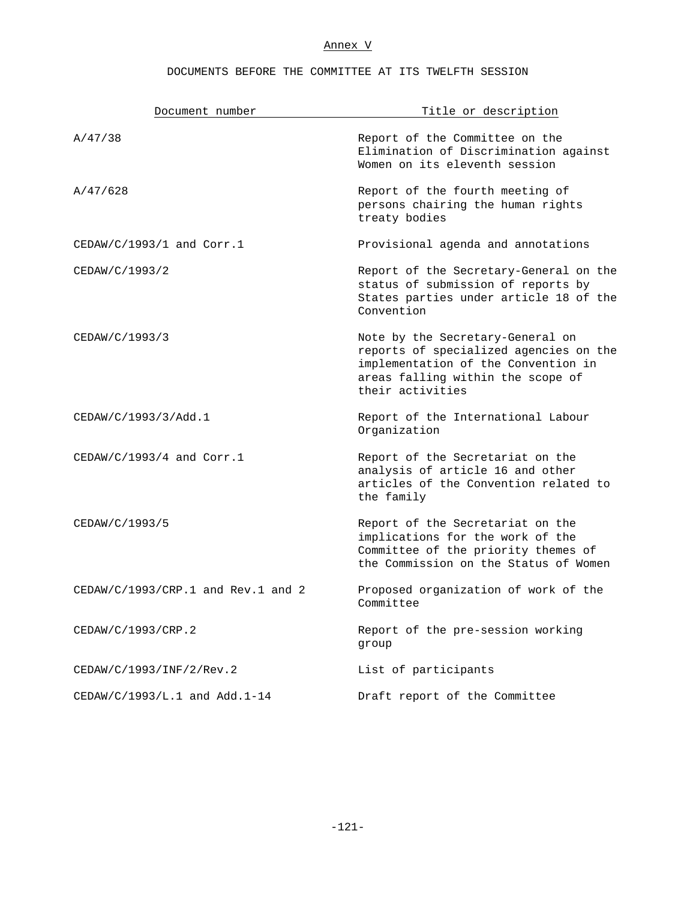# Annex V

# DOCUMENTS BEFORE THE COMMITTEE AT ITS TWELFTH SESSION

| Document number                        | Title or description                                                                                                                                                       |
|----------------------------------------|----------------------------------------------------------------------------------------------------------------------------------------------------------------------------|
| A/47/38                                | Report of the Committee on the<br>Elimination of Discrimination against<br>Women on its eleventh session                                                                   |
| A/47/628                               | Report of the fourth meeting of<br>persons chairing the human rights<br>treaty bodies                                                                                      |
| $CEDAW/C/1993/1$ and $Corr.1$          | Provisional agenda and annotations                                                                                                                                         |
| CEDAW/C/1993/2                         | Report of the Secretary-General on the<br>status of submission of reports by<br>States parties under article 18 of the<br>Convention                                       |
| CEDAW/C/1993/3                         | Note by the Secretary-General on<br>reports of specialized agencies on the<br>implementation of the Convention in<br>areas falling within the scope of<br>their activities |
| CEDAW/C/1993/3/Add.1                   | Report of the International Labour<br>Organization                                                                                                                         |
| $CEDAW/C/1993/4$ and $Corr.1$          | Report of the Secretariat on the<br>analysis of article 16 and other<br>articles of the Convention related to<br>the family                                                |
| CEDAW/C/1993/5                         | Report of the Secretariat on the<br>implications for the work of the<br>Committee of the priority themes of<br>the Commission on the Status of Women                       |
| $CEDAW/C/1993/CRP.1$ and $Rev.1$ and 2 | Proposed organization of work of the<br>Committee                                                                                                                          |
| CEDAW/C/1993/CRP.2                     | Report of the pre-session working<br>group                                                                                                                                 |
| CEDAW/C/1993/INF/2/Rev.2               | List of participants                                                                                                                                                       |
| CEDAW/C/1993/L.1 and Add.1-14          | Draft report of the Committee                                                                                                                                              |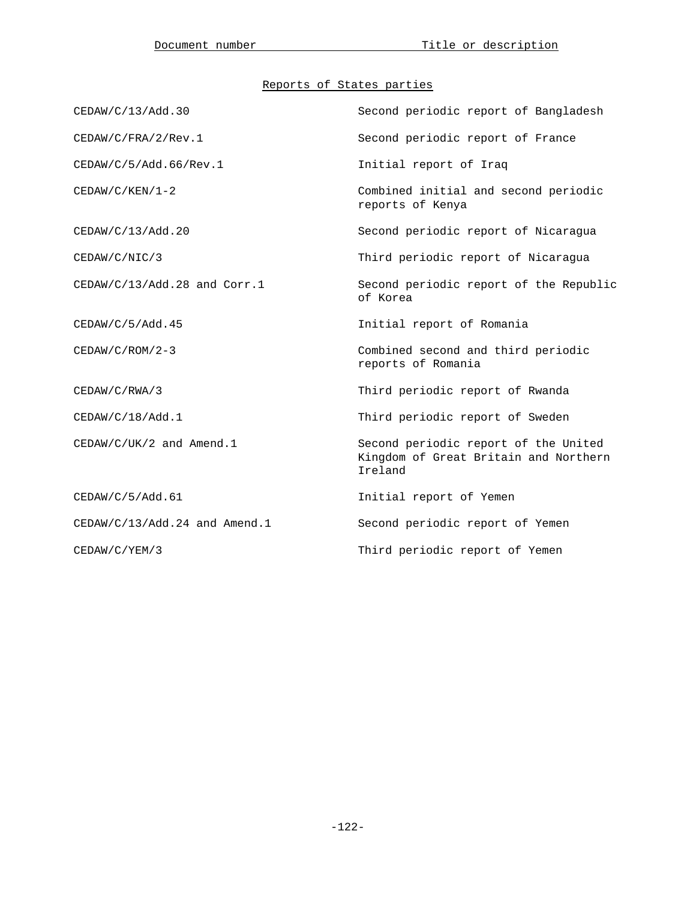# Reports of States parties

| CEDAW/C/13/Add.30               | Second periodic report of Bangladesh                                                     |
|---------------------------------|------------------------------------------------------------------------------------------|
| CEDAW/C/FRA/2/Rev.1             | Second periodic report of France                                                         |
| CEDAW/C/5/Add.66/Rev.1          | Initial report of Iraq                                                                   |
| $CEDAW/C/KEN/1-2$               | Combined initial and second periodic<br>reports of Kenya                                 |
| CEDAW/C/13/Add.20               | Second periodic report of Nicaragua                                                      |
| CEDAW/C/NIC/3                   | Third periodic report of Nicaragua                                                       |
| CEDAW/C/13/Add.28 and Corr.1    | Second periodic report of the Republic<br>of Korea                                       |
| CEDAW/C/5/Add.45                | Initial report of Romania                                                                |
| $CEDAW/C/ROM/2-3$               | Combined second and third periodic<br>reports of Romania                                 |
| CEDAW/C/RWA/3                   | Third periodic report of Rwanda                                                          |
| CEDAW/C/18/Add.1                | Third periodic report of Sweden                                                          |
| $CEDAW/C/UK/2$ and Amend.1      | Second periodic report of the United<br>Kingdom of Great Britain and Northern<br>Ireland |
| CEDAW/C/5/Add.61                | Initial report of Yemen                                                                  |
| $CEDAW/C/13/Add.24$ and Amend.1 | Second periodic report of Yemen                                                          |
| CEDAW/C/YEM/3                   | Third periodic report of Yemen                                                           |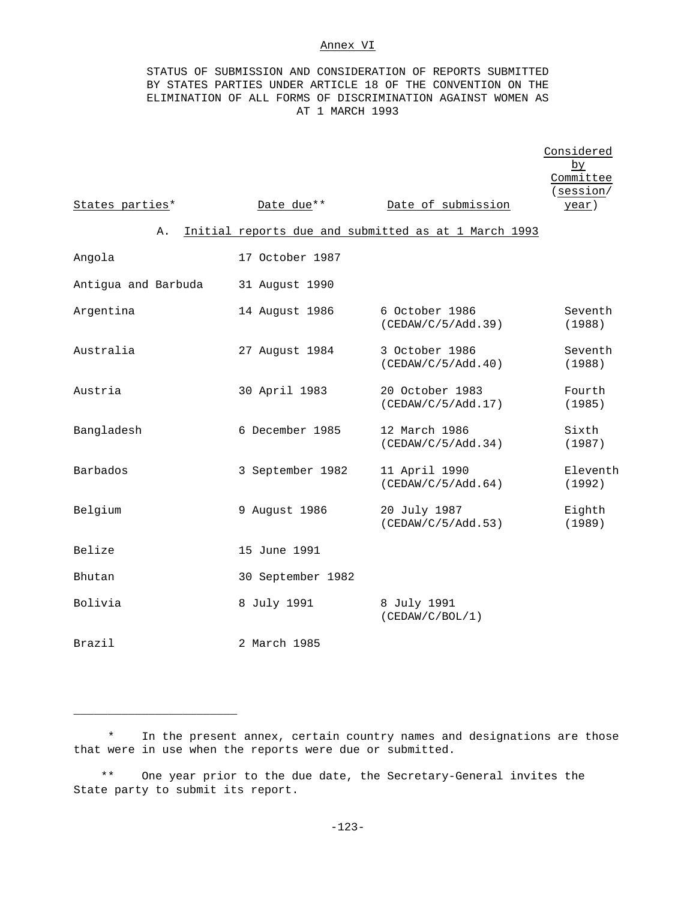## Annex VI

STATUS OF SUBMISSION AND CONSIDERATION OF REPORTS SUBMITTED BY STATES PARTIES UNDER ARTICLE 18 OF THE CONVENTION ON THE ELIMINATION OF ALL FORMS OF DISCRIMINATION AGAINST WOMEN AS AT 1 MARCH 1993

|                     |    |                   |                                                      | Considered<br>by<br>Committee |
|---------------------|----|-------------------|------------------------------------------------------|-------------------------------|
| States parties*     |    | Date due**        | Date of submission                                   | (session/<br>year)            |
|                     | Α. |                   | Initial reports due and submitted as at 1 March 1993 |                               |
| Angola              |    | 17 October 1987   |                                                      |                               |
| Antigua and Barbuda |    | 31 August 1990    |                                                      |                               |
| Argentina           |    | 14 August 1986    | 6 October 1986<br>(CEDAW/C/5/Add.39)                 | Seventh<br>(1988)             |
| Australia           |    | 27 August 1984    | 3 October 1986<br>(CEDAW/C/5/Add.40)                 | Seventh<br>(1988)             |
| Austria             |    | 30 April 1983     | 20 October 1983<br>(CEDAW/C/5/Add.17)                | Fourth<br>(1985)              |
| Bangladesh          |    | 6 December 1985   | 12 March 1986<br>(CEDAW/C/5/Add.34)                  | Sixth<br>(1987)               |
| Barbados            |    | 3 September 1982  | 11 April 1990<br>(CEDAW/C/5/Add.64)                  | Eleventh<br>(1992)            |
| Belgium             |    | 9 August 1986     | 20 July 1987<br>(CEDAW/C/5/Add.53)                   | Eighth<br>(1989)              |
| Belize              |    | 15 June 1991      |                                                      |                               |
| Bhutan              |    | 30 September 1982 |                                                      |                               |
| Bolivia             |    | 8 July 1991       | 8 July 1991<br>(CEDAW/C/BOL/1)                       |                               |
| Brazil              |    | 2 March 1985      |                                                      |                               |

\* In the present annex, certain country names and designations are those that were in use when the reports were due or submitted.

\*\* One year prior to the due date, the Secretary-General invites the State party to submit its report.

\_\_\_\_\_\_\_\_\_\_\_\_\_\_\_\_\_\_\_\_\_\_\_\_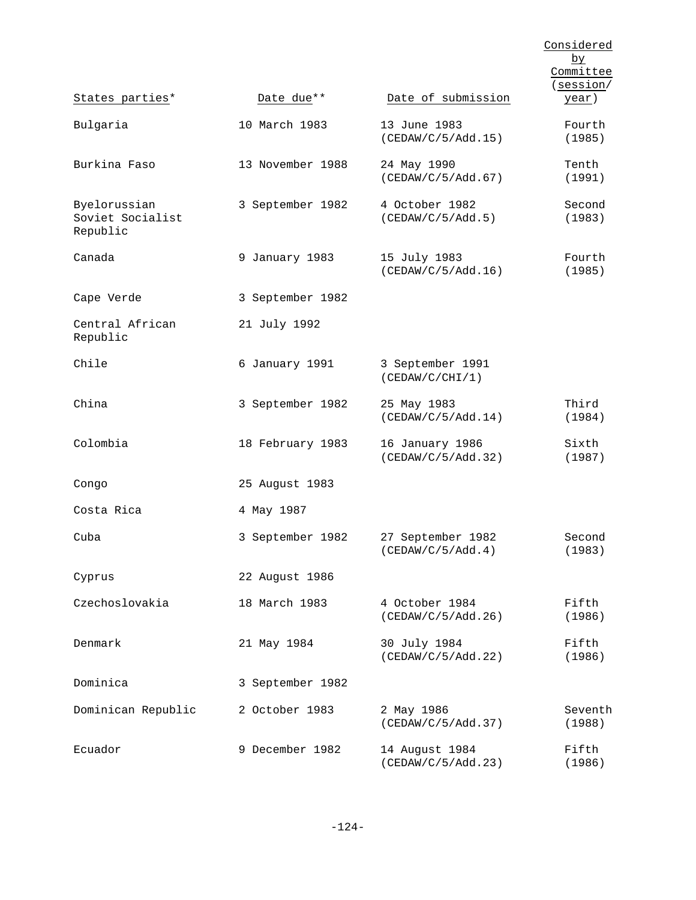|                                              |                  |                                        | Considered<br><u>by</u><br>Committee<br>(session/ |
|----------------------------------------------|------------------|----------------------------------------|---------------------------------------------------|
| States parties*                              | Date due**       | Date of submission                     | <u>year</u> )                                     |
| Bulgaria                                     | 10 March 1983    | 13 June 1983<br>(CEDAW/C/5/Add.15)     | Fourth<br>(1985)                                  |
| Burkina Faso                                 | 13 November 1988 | 24 May 1990<br>(CEDAW/C/5/Add.67)      | Tenth<br>(1991)                                   |
| Byelorussian<br>Soviet Socialist<br>Republic | 3 September 1982 | 4 October 1982<br>(CEDAW/C/5/Add.5)    | Second<br>(1983)                                  |
| Canada                                       | 9 January 1983   | 15 July 1983<br>(CEDAW/C/5/Add.16)     | Fourth<br>(1985)                                  |
| Cape Verde                                   | 3 September 1982 |                                        |                                                   |
| Central African<br>Republic                  | 21 July 1992     |                                        |                                                   |
| Chile                                        | 6 January 1991   | 3 September 1991<br>(CEDAW/C/CHI/1)    |                                                   |
| China                                        | 3 September 1982 | 25 May 1983<br>(CEDAW/C/5/Add.14)      | Third<br>(1984)                                   |
| Colombia                                     | 18 February 1983 | 16 January 1986<br>(CEDAW/C/5/Add.32)  | Sixth<br>(1987)                                   |
| Congo                                        | 25 August 1983   |                                        |                                                   |
| Costa Rica                                   | 4 May 1987       |                                        |                                                   |
| Cuba                                         | 3 September 1982 | 27 September 1982<br>(CEDAW/C/5/Add.4) | Second<br>(1983)                                  |
| Cyprus                                       | 22 August 1986   |                                        |                                                   |
| Czechoslovakia                               | 18 March 1983    | 4 October 1984<br>(CEDAW/C/5/Add.26)   | Fifth<br>(1986)                                   |
| Denmark                                      | 21 May 1984      | 30 July 1984<br>(CEDAW/C/5/Add.22)     | Fifth<br>(1986)                                   |
| Dominica                                     | 3 September 1982 |                                        |                                                   |
| Dominican Republic                           | 2 October 1983   | 2 May 1986<br>(CEDAW/C/5/Add.37)       | Seventh<br>(1988)                                 |
| Ecuador                                      | 9 December 1982  | 14 August 1984<br>(CEDAW/C/5/Add.23)   | Fifth<br>(1986)                                   |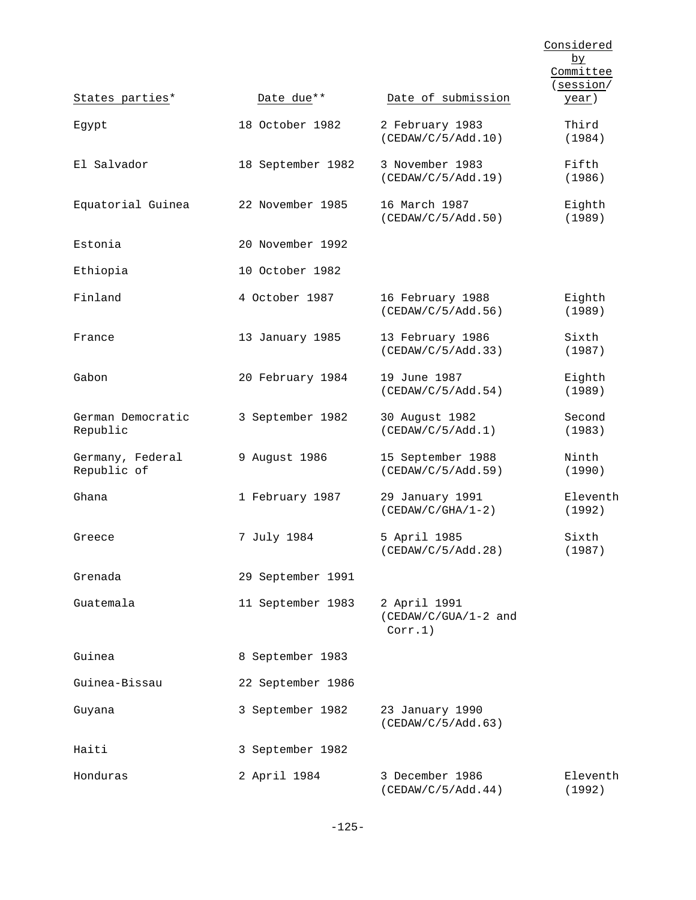|                                 |                   |                                                 | Considered<br><u>by</u><br>Committee<br>(session/ |
|---------------------------------|-------------------|-------------------------------------------------|---------------------------------------------------|
| States parties*                 | Date due**        | Date of submission                              | <u>year</u> )                                     |
| Egypt                           | 18 October 1982   | 2 February 1983<br>(CEDAW/C/5/Add.10)           | Third<br>(1984)                                   |
| El Salvador                     | 18 September 1982 | 3 November 1983<br>(CEDAW/C/5/Add.19)           | Fifth<br>(1986)                                   |
| Equatorial Guinea               | 22 November 1985  | 16 March 1987<br>(CEDAW/C/5/Add.50)             | Eighth<br>(1989)                                  |
| Estonia                         | 20 November 1992  |                                                 |                                                   |
| Ethiopia                        | 10 October 1982   |                                                 |                                                   |
| Finland                         | 4 October 1987    | 16 February 1988<br>(CEDAW/C/5/Add.56)          | Eighth<br>(1989)                                  |
| France                          | 13 January 1985   | 13 February 1986<br>(CEDAW/C/5/Add.33)          | Sixth<br>(1987)                                   |
| Gabon                           | 20 February 1984  | 19 June 1987<br>(CEDAW/C/5/Add.54)              | Eighth<br>(1989)                                  |
| German Democratic<br>Republic   | 3 September 1982  | 30 August 1982<br>(CEDAW/C/5/Add.1)             | Second<br>(1983)                                  |
| Germany, Federal<br>Republic of | 9 August 1986     | 15 September 1988<br>(CEDAW/C/5/Add.59)         | Ninth<br>(1990)                                   |
| Ghana                           | 1 February 1987   | 29 January 1991<br>$(CEDAW/C/GHA/1-2)$          | Eleventh<br>(1992)                                |
| Greece                          | 7 July 1984       | 5 April 1985<br>(CEDAW/C/5/Add.28)              | Sixth<br>(1987)                                   |
| Grenada                         | 29 September 1991 |                                                 |                                                   |
| Guatemala                       | 11 September 1983 | 2 April 1991<br>(CEDAW/C/GUA/1-2 and<br>Corr.1) |                                                   |
| Guinea                          | 8 September 1983  |                                                 |                                                   |
| Guinea-Bissau                   | 22 September 1986 |                                                 |                                                   |
| Guyana                          | 3 September 1982  | 23 January 1990<br>(CEDAW/C/5/Add.63)           |                                                   |
| Haiti                           | 3 September 1982  |                                                 |                                                   |
| Honduras                        | 2 April 1984      | 3 December 1986<br>(CEDAW/C/5/Add.44)           | Eleventh<br>(1992)                                |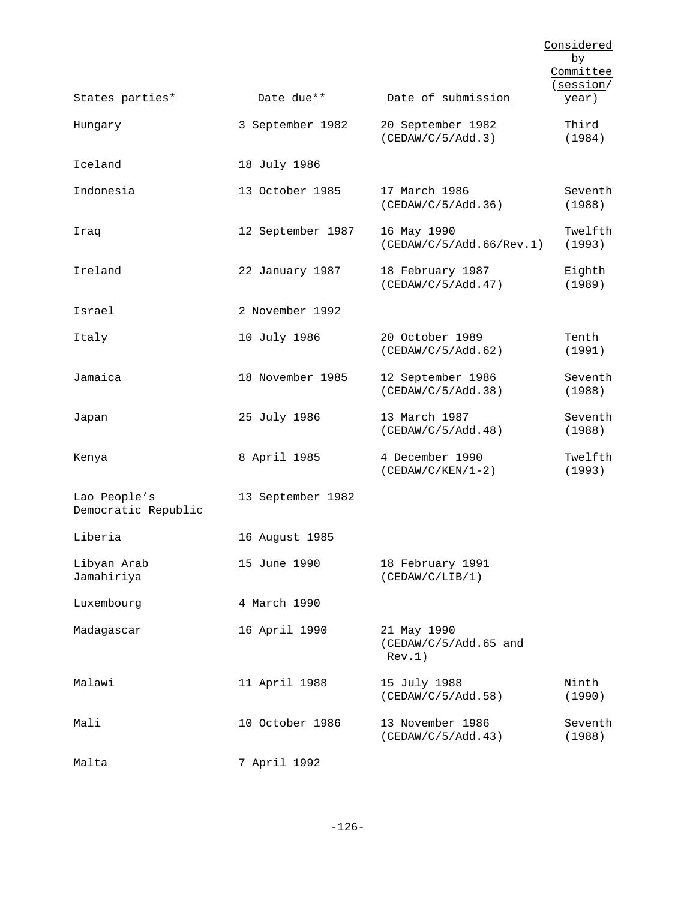|                                     |                   |                                                | Considered<br>$b$ y        |
|-------------------------------------|-------------------|------------------------------------------------|----------------------------|
|                                     |                   |                                                | Committee                  |
| States parties*                     | Date due**        | Date of submission                             | (session/<br><u>year</u> ) |
| Hungary                             | 3 September 1982  | 20 September 1982<br>(CEDAW/C/5/Add.3)         | Third<br>(1984)            |
| Iceland                             | 18 July 1986      |                                                |                            |
| Indonesia                           | 13 October 1985   | 17 March 1986<br>(CEDAW/C/5/Add.36)            | Seventh<br>(1988)          |
| Iraq                                | 12 September 1987 | 16 May 1990<br>(CEDAW/C/5/Add.66/Rev.1)        | Twelfth<br>(1993)          |
| Ireland                             | 22 January 1987   | 18 February 1987<br>(CEDAW/C/5/Add.47)         | Eighth<br>(1989)           |
| Israel                              | 2 November 1992   |                                                |                            |
| Italy                               | 10 July 1986      | 20 October 1989<br>(CEDAW/C/5/Add.62)          | Tenth<br>(1991)            |
| Jamaica                             | 18 November 1985  | 12 September 1986<br>(CEDAW/C/5/Add.38)        | Seventh<br>(1988)          |
| Japan                               | 25 July 1986      | 13 March 1987<br>(CEDAW/C/5/Add.48)            | Seventh<br>(1988)          |
| Kenya                               | 8 April 1985      | 4 December 1990<br>$(CEDAW/C/KEN/1-2)$         | Twelfth<br>(1993)          |
| Lao People's<br>Democratic Republic | 13 September 1982 |                                                |                            |
| Liberia                             | 16 August 1985    |                                                |                            |
| Libyan Arab<br>Jamahiriya           | 15 June 1990      | 18 February 1991<br>(CEDAW/C/LIB/1)            |                            |
| Luxembourg                          | 4 March 1990      |                                                |                            |
| Madagascar                          | 16 April 1990     | 21 May 1990<br>(CEDAW/C/5/Add.65 and<br>Rev.1) |                            |
| Malawi                              | 11 April 1988     | 15 July 1988<br>(CEDAW/C/5/Add.58)             | Ninth<br>(1990)            |
| Mali                                | 10 October 1986   | 13 November 1986<br>(CEDAW/C/5/Add.43)         | Seventh<br>(1988)          |
| Malta                               | 7 April 1992      |                                                |                            |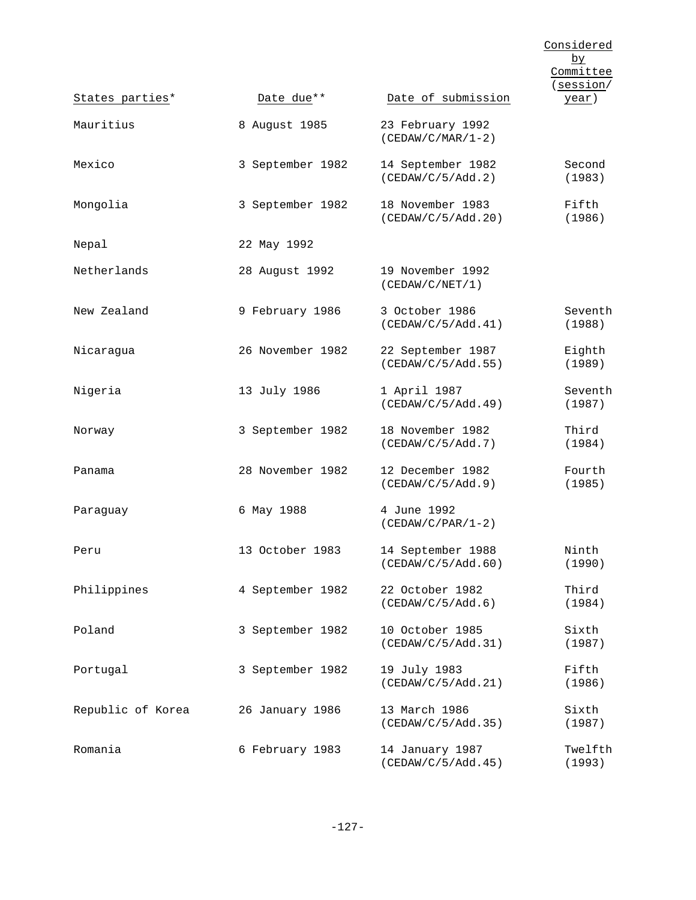| States parties*   | Date due**       | Date of submission                      | Considered<br>$\overline{\mathsf{p}}$<br>Committee<br>(session/<br><u>year</u> ) |
|-------------------|------------------|-----------------------------------------|----------------------------------------------------------------------------------|
| Mauritius         | 8 August 1985    | 23 February 1992<br>$(CEDAW/C/MAR/1-2)$ |                                                                                  |
| Mexico            | 3 September 1982 | 14 September 1982<br>(CEDAW/C/5/Add.2)  | Second<br>(1983)                                                                 |
| Mongolia          | 3 September 1982 | 18 November 1983<br>(CEDAW/C/5/Add.20)  | Fifth<br>(1986)                                                                  |
| Nepal             | 22 May 1992      |                                         |                                                                                  |
| Netherlands       | 28 August 1992   | 19 November 1992<br>(CEDAW/C/NET/1)     |                                                                                  |
| New Zealand       | 9 February 1986  | 3 October 1986<br>(CEDAW/C/5/Add.41)    | Seventh<br>(1988)                                                                |
| Nicaragua         | 26 November 1982 | 22 September 1987<br>(CEDAW/C/5/Add.55) | Eighth<br>(1989)                                                                 |
| Nigeria           | 13 July 1986     | 1 April 1987<br>(CEDAW/C/5/Add.49)      | Seventh<br>(1987)                                                                |
| Norway            | 3 September 1982 | 18 November 1982<br>(CEDAW/C/5/Add.7)   | Third<br>(1984)                                                                  |
| Panama            | 28 November 1982 | 12 December 1982<br>(CEDAW/C/5/Add.9)   | Fourth<br>(1985)                                                                 |
| Paraguay          | 6 May 1988       | 4 June 1992<br>$(CEDAW/C/PAR/1-2)$      |                                                                                  |
| Peru              | 13 October 1983  | 14 September 1988<br>(CEDAW/C/5/Add.60) | Ninth<br>(1990)                                                                  |
| Philippines       | 4 September 1982 | 22 October 1982<br>(CEDAW/C/5/Add.6)    | Third<br>(1984)                                                                  |
| Poland            | 3 September 1982 | 10 October 1985<br>(CEDAW/C/5/Add.31)   | Sixth<br>(1987)                                                                  |
| Portugal          | 3 September 1982 | 19 July 1983<br>(CEDAW/C/5/Add.21)      | Fifth<br>(1986)                                                                  |
| Republic of Korea | 26 January 1986  | 13 March 1986<br>(CEDAW/C/5/Add.35)     | Sixth<br>(1987)                                                                  |
| Romania           | 6 February 1983  | 14 January 1987<br>(CEDAW/C/5/Add.45)   | Twelfth<br>(1993)                                                                |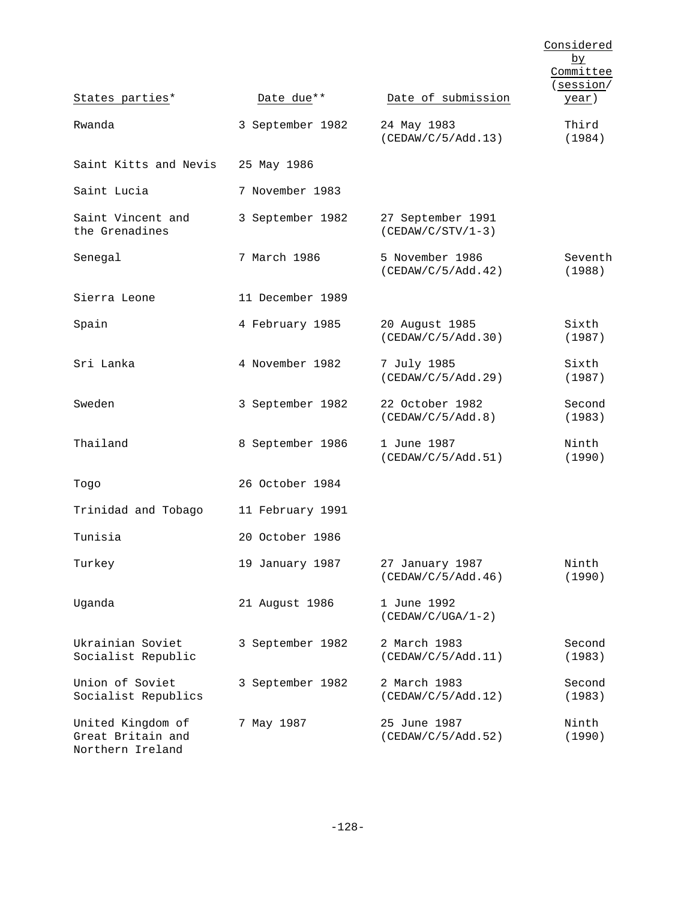|                                                            |                  |                                          | Considered<br>by<br>Committee<br>(session/ |
|------------------------------------------------------------|------------------|------------------------------------------|--------------------------------------------|
| States parties*                                            | Date due**       | Date of submission                       | <u>year</u> )                              |
| Rwanda                                                     | 3 September 1982 | 24 May 1983<br>(CEDAW/C/5/Add.13)        | Third<br>(1984)                            |
| Saint Kitts and Nevis                                      | 25 May 1986      |                                          |                                            |
| Saint Lucia                                                | 7 November 1983  |                                          |                                            |
| Saint Vincent and<br>the Grenadines                        | 3 September 1982 | 27 September 1991<br>$(CEDAW/C/STV/1-3)$ |                                            |
| Senegal                                                    | 7 March 1986     | 5 November 1986<br>(CEDAW/C/5/Add.42)    | Seventh<br>(1988)                          |
| Sierra Leone                                               | 11 December 1989 |                                          |                                            |
| Spain                                                      | 4 February 1985  | 20 August 1985<br>(CEDAW/C/5/Add.30)     | Sixth<br>(1987)                            |
| Sri Lanka                                                  | 4 November 1982  | 7 July 1985<br>(CEDAW/C/5/Add.29)        | Sixth<br>(1987)                            |
| Sweden                                                     | 3 September 1982 | 22 October 1982<br>(CEDAW/C/5/Add.8)     | Second<br>(1983)                           |
| Thailand                                                   | 8 September 1986 | 1 June 1987<br>(CEDAW/C/5/Add.51)        | Ninth<br>(1990)                            |
| Togo                                                       | 26 October 1984  |                                          |                                            |
| Trinidad and Tobago                                        | 11 February 1991 |                                          |                                            |
| Tunisia                                                    | 20 October 1986  |                                          |                                            |
| Turkey                                                     | 19 January 1987  | 27 January 1987<br>(CEDAW/C/5/Add.46)    | Ninth<br>(1990)                            |
| Uganda                                                     | 21 August 1986   | 1 June 1992<br>$(CEDAW/C/UGA/1-2)$       |                                            |
| Ukrainian Soviet<br>Socialist Republic                     | 3 September 1982 | 2 March 1983<br>(CEDAW/C/5/Add.11)       | Second<br>(1983)                           |
| Union of Soviet<br>Socialist Republics                     | 3 September 1982 | 2 March 1983<br>(CEDAW/C/5/Add.12)       | Second<br>(1983)                           |
| United Kingdom of<br>Great Britain and<br>Northern Ireland | 7 May 1987       | 25 June 1987<br>(CEDAW/C/5/Add.52)       | Ninth<br>(1990)                            |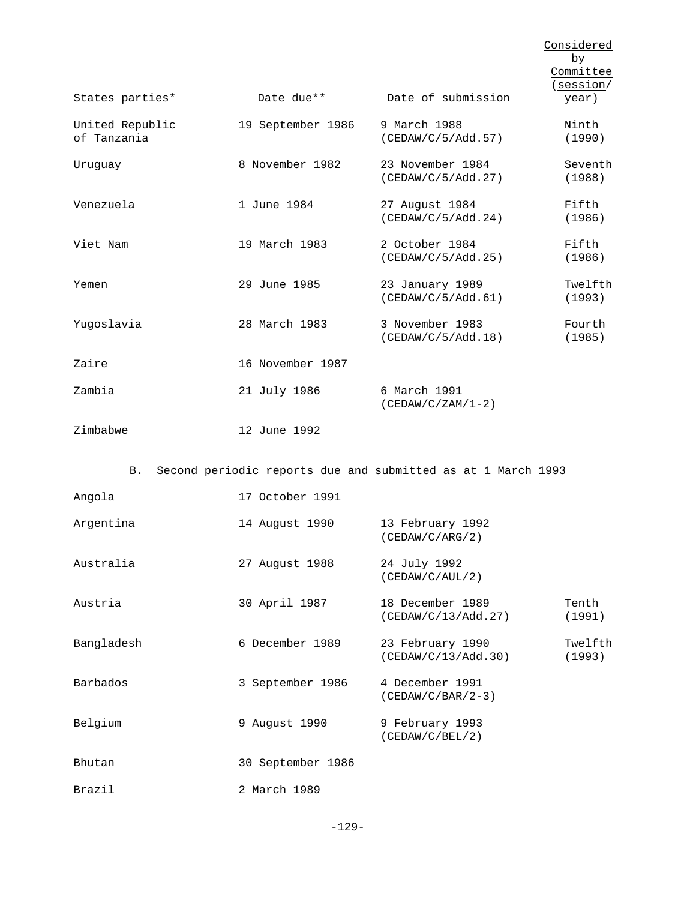|                                |                   |                                                              | Considered<br>$\overline{\mathsf{p}}$<br>Committee<br>(session/ |
|--------------------------------|-------------------|--------------------------------------------------------------|-----------------------------------------------------------------|
| States parties*                | Date due**        | Date of submission                                           | year)                                                           |
| United Republic<br>of Tanzania | 19 September 1986 | 9 March 1988<br>(CEDAW/C/5/Add.57)                           | Ninth<br>(1990)                                                 |
| Uruguay                        | 8 November 1982   | 23 November 1984<br>(CEDAW/C/5/Add.27)                       | Seventh<br>(1988)                                               |
| Venezuela                      | 1 June 1984       | 27 August 1984<br>(CEDAW/C/5/Add.24)                         | Fifth<br>(1986)                                                 |
| Viet Nam                       | 19 March 1983     | 2 October 1984<br>(CEDAW/C/5/Add.25)                         | Fifth<br>(1986)                                                 |
| Yemen                          | 29 June 1985      | 23 January 1989<br>(CEDAW/C/5/Add.61)                        | Twelfth<br>(1993)                                               |
| Yugoslavia                     | 28 March 1983     | 3 November 1983<br>(CEDAW/C/5/Add.18)                        | Fourth<br>(1985)                                                |
| Zaire                          | 16 November 1987  |                                                              |                                                                 |
| Zambia                         | 21 July 1986      | 6 March 1991<br>$(CEDAW/C/ZAM/1-2)$                          |                                                                 |
| Zimbabwe                       | 12 June 1992      |                                                              |                                                                 |
| В.                             |                   | Second periodic reports due and submitted as at 1 March 1993 |                                                                 |
| Angola                         | 17 October 1991   |                                                              |                                                                 |
| Argentina                      | 14 August 1990    | 13 February 1992<br>(CEDAW/C/ARG/2)                          |                                                                 |
| Australia                      | 27 August 1988    | 24 July 1992<br>(CEDAW/C/AUL/2)                              |                                                                 |
| Austria                        | 30 April 1987     | 18 December 1989<br>(CEDAW/C/13/Add.27)                      | Tenth<br>(1991)                                                 |
| Bangladesh                     | 6 December 1989   | 23 February 1990<br>(CEDAW/C/13/Add.30)                      | Twelfth<br>(1993)                                               |
| Barbados                       | 3 September 1986  | 4 December 1991<br>$(CEDAW/C/BAR/2-3)$                       |                                                                 |
| Belgium                        | 9 August 1990     | 9 February 1993<br>(CEDAW/C/BEL/2)                           |                                                                 |
| Bhutan                         | 30 September 1986 |                                                              |                                                                 |
| Brazil                         | 2 March 1989      |                                                              |                                                                 |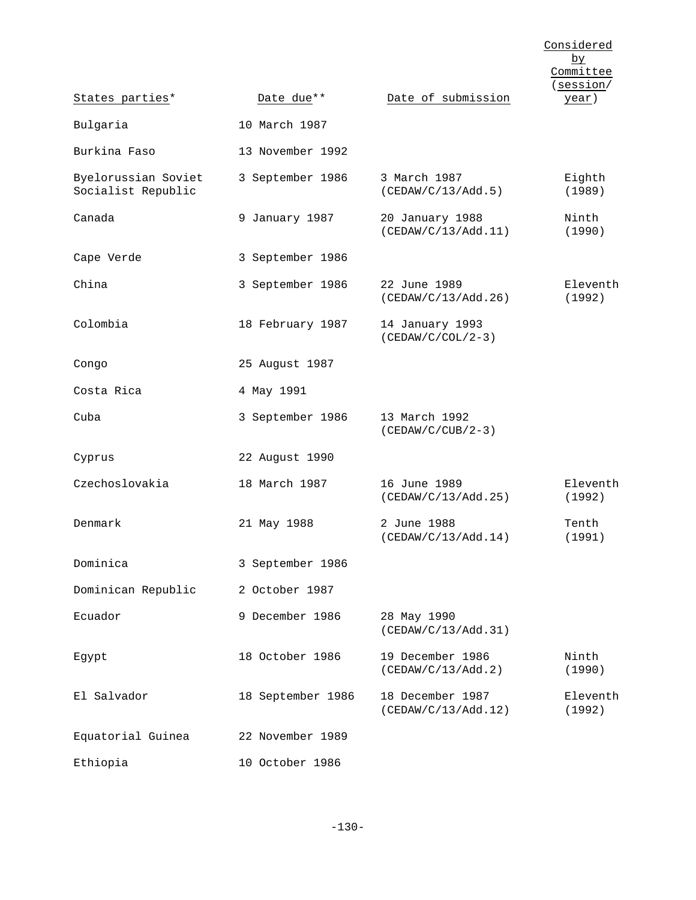|                                           |                   |                                         | Considered<br>by<br>Committee<br>(session/ |
|-------------------------------------------|-------------------|-----------------------------------------|--------------------------------------------|
| States parties*                           | Date due**        | Date of submission                      | year)                                      |
| Bulgaria                                  | 10 March 1987     |                                         |                                            |
| Burkina Faso                              | 13 November 1992  |                                         |                                            |
| Byelorussian Soviet<br>Socialist Republic | 3 September 1986  | 3 March 1987<br>(CEDAW/C/13/Add.5)      | Eighth<br>(1989)                           |
| Canada                                    | 9 January 1987    | 20 January 1988<br>(CEDAW/C/13/Add.11)  | Ninth<br>(1990)                            |
| Cape Verde                                | 3 September 1986  |                                         |                                            |
| China                                     | 3 September 1986  | 22 June 1989<br>(CEDAW/C/13/Add.26)     | Eleventh<br>(1992)                         |
| Colombia                                  | 18 February 1987  | 14 January 1993<br>$(CEDAW/C/COL/2-3)$  |                                            |
| Congo                                     | 25 August 1987    |                                         |                                            |
| Costa Rica                                | 4 May 1991        |                                         |                                            |
| Cuba                                      | 3 September 1986  | 13 March 1992<br>$(CEDAW/C/CUB/2-3)$    |                                            |
| Cyprus                                    | 22 August 1990    |                                         |                                            |
| Czechoslovakia                            | 18 March 1987     | 16 June 1989<br>(CEDAW/C/13/Add.25)     | Eleventh<br>(1992)                         |
| Denmark                                   | 21 May 1988       | 2 June 1988<br>(CEDAW/C/13/Add.14)      | Tenth<br>(1991)                            |
| Dominica                                  | 3 September 1986  |                                         |                                            |
| Dominican Republic                        | 2 October 1987    |                                         |                                            |
| Ecuador                                   | 9 December 1986   | 28 May 1990<br>(CEDAW/C/13/Add.31)      |                                            |
| Egypt                                     | 18 October 1986   | 19 December 1986<br>(CEDAW/C/13/Add.2)  | Ninth<br>(1990)                            |
| El Salvador                               | 18 September 1986 | 18 December 1987<br>(CEDAW/C/13/Add.12) | Eleventh<br>(1992)                         |
| Equatorial Guinea                         | 22 November 1989  |                                         |                                            |
| Ethiopia                                  | 10 October 1986   |                                         |                                            |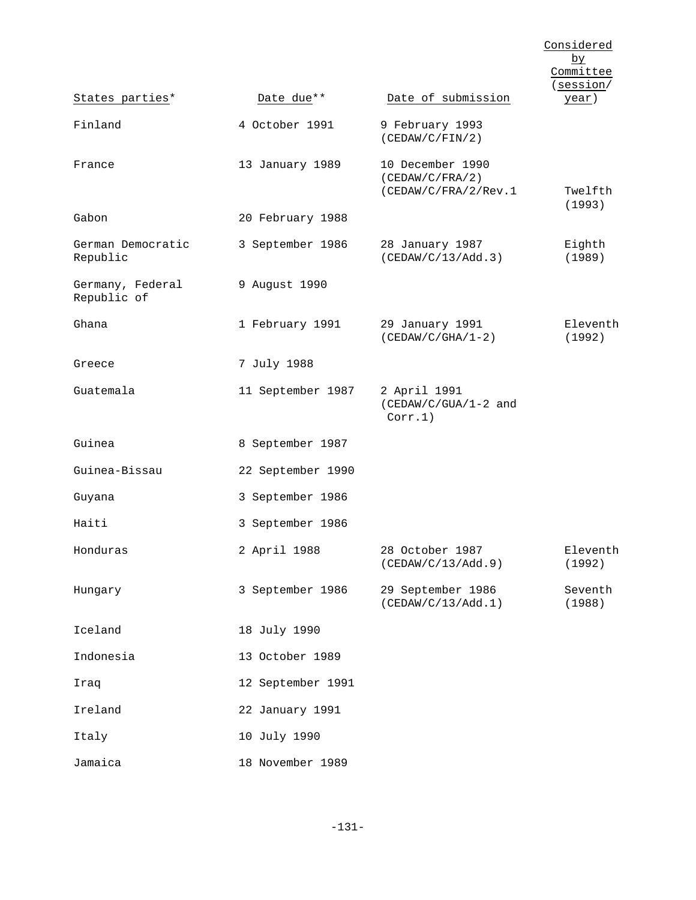|                                 |                   |                                                             | Considered<br>by<br>Committee<br>(session/ |
|---------------------------------|-------------------|-------------------------------------------------------------|--------------------------------------------|
| States parties*                 | Date due**        | Date of submission                                          | <u>year</u> )                              |
| Finland                         | 4 October 1991    | 9 February 1993<br>(CEDAW/C/FIN/2)                          |                                            |
| France                          | 13 January 1989   | 10 December 1990<br>(CEDAW/C/FRA/2)<br>(CEDAW/C/FRA/2/Rev.1 | Twelfth<br>(1993)                          |
| Gabon                           | 20 February 1988  |                                                             |                                            |
| German Democratic<br>Republic   | 3 September 1986  | 28 January 1987<br>(CEDAW/C/13/Add.3)                       | Eighth<br>(1989)                           |
| Germany, Federal<br>Republic of | 9 August 1990     |                                                             |                                            |
| Ghana                           | 1 February 1991   | 29 January 1991<br>$(CEDAW/C/GHA/1-2)$                      | Eleventh<br>(1992)                         |
| Greece                          | 7 July 1988       |                                                             |                                            |
| Guatemala                       | 11 September 1987 | 2 April 1991<br>(CEDAW/C/GUA/1-2 and<br>Corr.1)             |                                            |
| Guinea                          | 8 September 1987  |                                                             |                                            |
| Guinea-Bissau                   | 22 September 1990 |                                                             |                                            |
| Guyana                          | 3 September 1986  |                                                             |                                            |
| Haiti                           | 3 September 1986  |                                                             |                                            |
| Honduras                        | 2 April 1988      | 28 October 1987<br>(CEDAW/C/13/Add.9)                       | Eleventh<br>(1992)                         |
| Hungary                         | 3 September 1986  | 29 September 1986<br>(CEDAW/C/13/Add.1)                     | Seventh<br>(1988)                          |
| Iceland                         | 18 July 1990      |                                                             |                                            |
| Indonesia                       | 13 October 1989   |                                                             |                                            |
| Iraq                            | 12 September 1991 |                                                             |                                            |
| Ireland                         | 22 January 1991   |                                                             |                                            |
| Italy                           | 10 July 1990      |                                                             |                                            |
| Jamaica                         | 18 November 1989  |                                                             |                                            |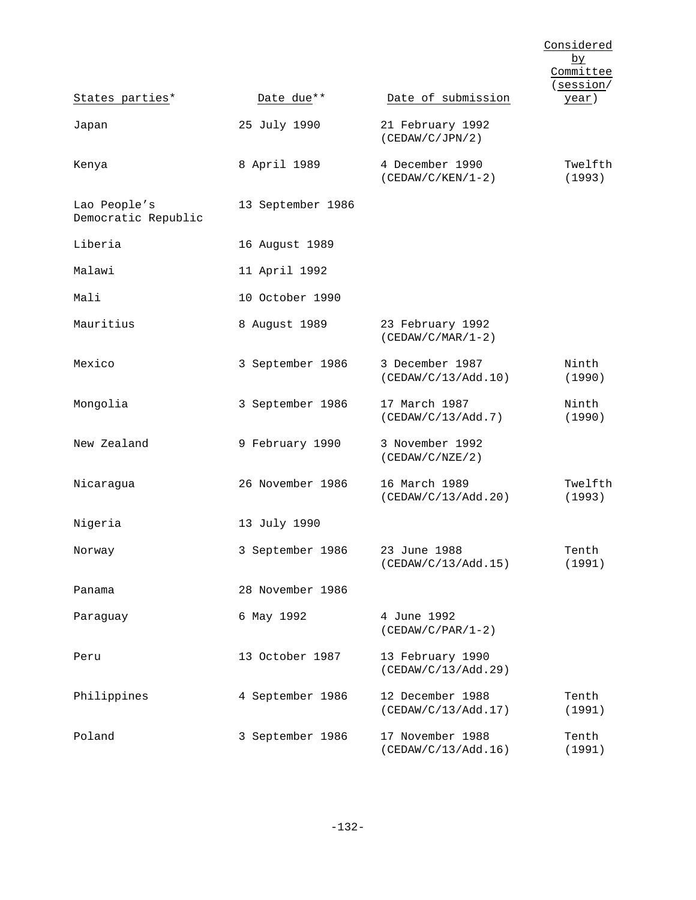|                                     |                   |                                         | Considered<br><u>by</u><br>Committee<br>(session/ |
|-------------------------------------|-------------------|-----------------------------------------|---------------------------------------------------|
| States parties*                     | Date due**        | Date of submission                      | year)                                             |
| Japan                               | 25 July 1990      | 21 February 1992<br>(CEDAW/C/JPN/2)     |                                                   |
| Kenya                               | 8 April 1989      | 4 December 1990<br>$(CEDAW/C/KEN/1-2)$  | Twelfth<br>(1993)                                 |
| Lao People's<br>Democratic Republic | 13 September 1986 |                                         |                                                   |
| Liberia                             | 16 August 1989    |                                         |                                                   |
| Malawi                              | 11 April 1992     |                                         |                                                   |
| Mali                                | 10 October 1990   |                                         |                                                   |
| Mauritius                           | 8 August 1989     | 23 February 1992<br>$(CEDAW/C/MAR/1-2)$ |                                                   |
| Mexico                              | 3 September 1986  | 3 December 1987<br>(CEDAW/C/13/Add.10)  | Ninth<br>(1990)                                   |
| Mongolia                            | 3 September 1986  | 17 March 1987<br>(CEDAW/C/13/Add.7)     | Ninth<br>(1990)                                   |
| New Zealand                         | 9 February 1990   | 3 November 1992<br>(CEDAW/C/NZE/2)      |                                                   |
| Nicaragua                           | 26 November 1986  | 16 March 1989<br>(CEDAW/C/13/Add.20)    | Twelfth<br>(1993)                                 |
| Nigeria                             | 13 July 1990      |                                         |                                                   |
| Norway                              | 3 September 1986  | 23 June 1988<br>(CEDAW/C/13/Add.15)     | Tenth<br>(1991)                                   |
| Panama                              | 28 November 1986  |                                         |                                                   |
| Paraguay                            | 6 May 1992        | 4 June 1992<br>$(CEDAW/C/PAR/1-2)$      |                                                   |
| Peru                                | 13 October 1987   | 13 February 1990<br>(CEDAW/C/13/Add.29) |                                                   |
| Philippines                         | 4 September 1986  | 12 December 1988<br>(CEDAW/C/13/Add.17) | Tenth<br>(1991)                                   |
| Poland                              | 3 September 1986  | 17 November 1988<br>(CEDAW/C/13/Add.16) | Tenth<br>(1991)                                   |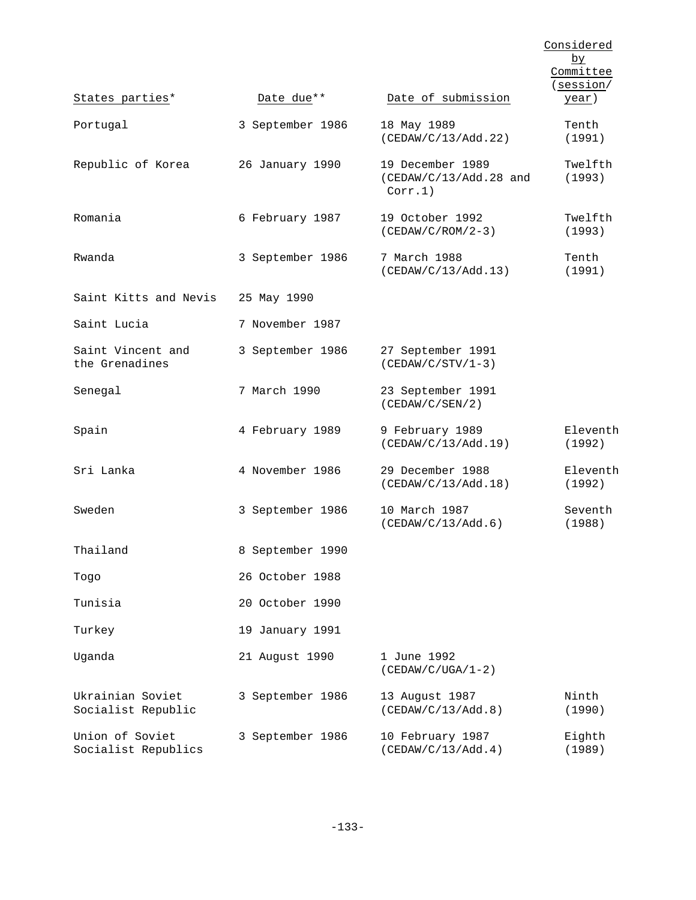|                                        |                  |                                                         | Considered<br>by<br>Committee<br>(session/ |
|----------------------------------------|------------------|---------------------------------------------------------|--------------------------------------------|
| States parties*                        | Date due**       | Date of submission                                      | <u>year</u> )                              |
| Portugal                               | 3 September 1986 | 18 May 1989<br>(CEDAW/C/13/Add.22)                      | Tenth<br>(1991)                            |
| Republic of Korea                      | 26 January 1990  | 19 December 1989<br>$(CEDAW/C/13/Add.28$ and<br>Corr.1) | Twelfth<br>(1993)                          |
| Romania                                | 6 February 1987  | 19 October 1992<br>$(CEDAW/C/ROM/2-3)$                  | Twelfth<br>(1993)                          |
| Rwanda                                 | 3 September 1986 | 7 March 1988<br>(CEDAW/C/13/Add.13)                     | Tenth<br>(1991)                            |
| Saint Kitts and Nevis                  | 25 May 1990      |                                                         |                                            |
| Saint Lucia                            | 7 November 1987  |                                                         |                                            |
| Saint Vincent and<br>the Grenadines    | 3 September 1986 | 27 September 1991<br>$(CEDAW/C/STV/1-3)$                |                                            |
| Senegal                                | 7 March 1990     | 23 September 1991<br>(CEDAW/C/SEN/2)                    |                                            |
| Spain                                  | 4 February 1989  | 9 February 1989<br>(CEDAW/C/13/Add.19)                  | Eleventh<br>(1992)                         |
| Sri Lanka                              | 4 November 1986  | 29 December 1988<br>(CEDAW/C/13/Add.18)                 | Eleventh<br>(1992)                         |
| Sweden                                 | 3 September 1986 | 10 March 1987<br>(CEDAW/C/13/Add.6)                     | Seventh<br>(1988)                          |
| Thailand                               | 8 September 1990 |                                                         |                                            |
| Togo                                   | 26 October 1988  |                                                         |                                            |
| Tunisia                                | 20 October 1990  |                                                         |                                            |
| Turkey                                 | 19 January 1991  |                                                         |                                            |
| Uganda                                 | 21 August 1990   | 1 June 1992<br>$(CEDAW/C/UGA/1-2)$                      |                                            |
| Ukrainian Soviet<br>Socialist Republic | 3 September 1986 | 13 August 1987<br>(CEDAW/C/13/Add.8)                    | Ninth<br>(1990)                            |
| Union of Soviet<br>Socialist Republics | 3 September 1986 | 10 February 1987<br>(CEDAW/C/13/Add.4)                  | Eighth<br>(1989)                           |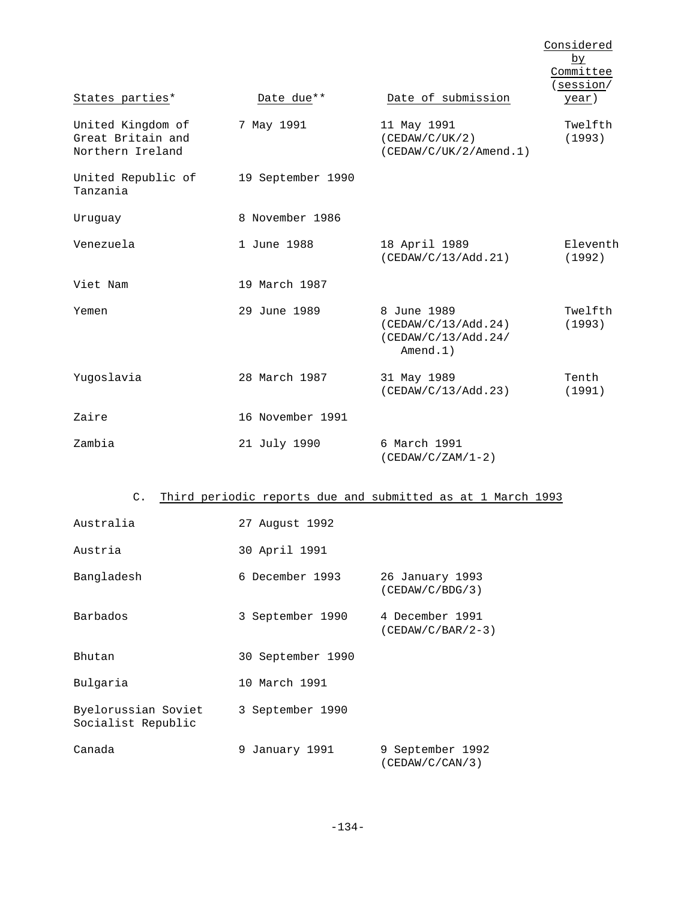|                                                            |                   |                                                                          | Considered<br>by<br>Committee<br>session/ |
|------------------------------------------------------------|-------------------|--------------------------------------------------------------------------|-------------------------------------------|
| States parties*                                            | Date due**        | Date of submission                                                       | year)                                     |
| United Kingdom of<br>Great Britain and<br>Northern Ireland | 7 May 1991        | 11 May 1991<br>(CEDAW/C/UK/2)<br>(CEDAW/C/UK/2/Amend.1)                  | Twelfth<br>(1993)                         |
| United Republic of<br>Tanzania                             | 19 September 1990 |                                                                          |                                           |
| Uruquay                                                    | 8 November 1986   |                                                                          |                                           |
| Venezuela                                                  | 1 June 1988       | 18 April 1989<br>(CEDAW/C/13/Add.21)                                     | Eleventh<br>(1992)                        |
| Viet Nam                                                   | 19 March 1987     |                                                                          |                                           |
| Yemen                                                      | 29 June 1989      | 8 June 1989<br>(CEDAW/C/13/Add.24)<br>(CEDAW/C/13/Add.24/<br>$A$ mend.1) | Twelfth<br>(1993)                         |
| Yugoslavia                                                 | 28 March 1987     | 31 May 1989<br>(CEDAW/C/13/Add.23)                                       | Tenth<br>(1991)                           |
| Zaire                                                      | 16 November 1991  |                                                                          |                                           |
| Zambia                                                     | 21 July 1990      | 6 March 1991<br>$(CEDAW/C/ZAM/1-2)$                                      |                                           |

# C. Third periodic reports due and submitted as at 1 March 1993

| Australia                                 | 27 August 1992    |                                        |
|-------------------------------------------|-------------------|----------------------------------------|
| Austria                                   | 30 April 1991     |                                        |
| Bangladesh                                | 6 December 1993   | 26 January 1993<br>(CEDAW/C/BDG/3)     |
| Barbados                                  | 3 September 1990  | 4 December 1991<br>$(CEDAW/C/BAR/2-3)$ |
| Bhutan                                    | 30 September 1990 |                                        |
| Bulgaria                                  | 10 March 1991     |                                        |
| Byelorussian Soviet<br>Socialist Republic | 3 September 1990  |                                        |
| Canada                                    | 9 January 1991    | 9 September 1992<br>(CEDAW/C/CAN/3)    |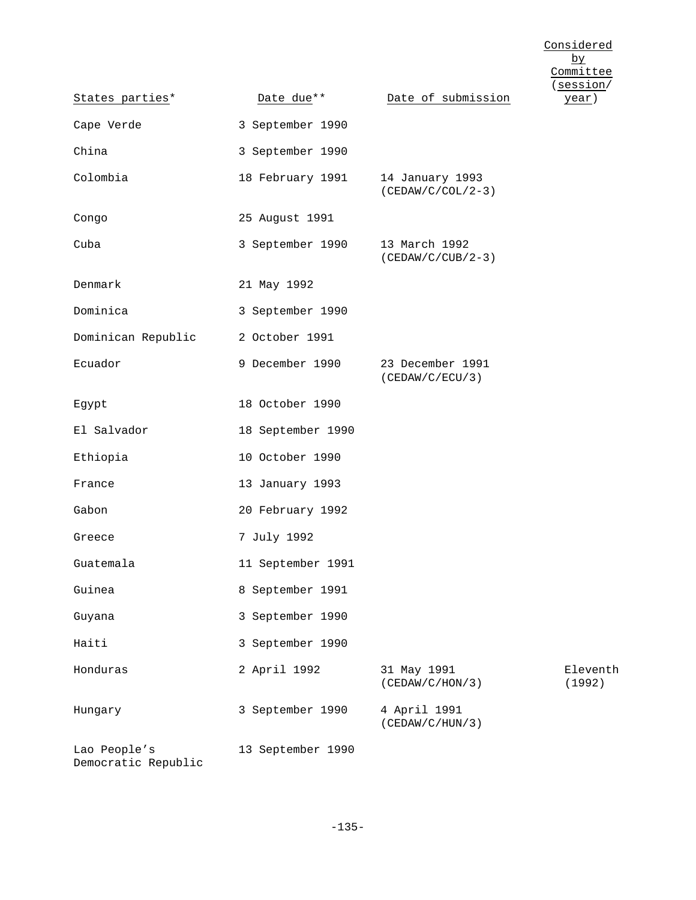Considered by Committee (session/

| States parties*                     | Date due**        | Date of submission                     | year)              |
|-------------------------------------|-------------------|----------------------------------------|--------------------|
| Cape Verde                          | 3 September 1990  |                                        |                    |
| China                               | 3 September 1990  |                                        |                    |
| Colombia                            | 18 February 1991  | 14 January 1993<br>$(CEDAW/C/COL/2-3)$ |                    |
| Congo                               | 25 August 1991    |                                        |                    |
| Cuba                                | 3 September 1990  | 13 March 1992<br>$(CEDAW/C/CUB/2-3)$   |                    |
| Denmark                             | 21 May 1992       |                                        |                    |
| Dominica                            | 3 September 1990  |                                        |                    |
| Dominican Republic                  | 2 October 1991    |                                        |                    |
| Ecuador                             | 9 December 1990   | 23 December 1991<br>(CEDAW/C/ECU/3)    |                    |
| Egypt                               | 18 October 1990   |                                        |                    |
| El Salvador                         | 18 September 1990 |                                        |                    |
| Ethiopia                            | 10 October 1990   |                                        |                    |
| France                              | 13 January 1993   |                                        |                    |
| Gabon                               | 20 February 1992  |                                        |                    |
| Greece                              | 7 July 1992       |                                        |                    |
| Guatemala                           | 11 September 1991 |                                        |                    |
| Guinea                              | 8 September 1991  |                                        |                    |
| Guyana                              | 3 September 1990  |                                        |                    |
| Haiti                               | 3 September 1990  |                                        |                    |
| Honduras                            | 2 April 1992      | 31 May 1991<br>(CEDAW/C/HON/3)         | Eleventh<br>(1992) |
| Hungary                             | 3 September 1990  | 4 April 1991<br>(CEDAW/C/HUN/3)        |                    |
| Lao People's<br>Democratic Republic | 13 September 1990 |                                        |                    |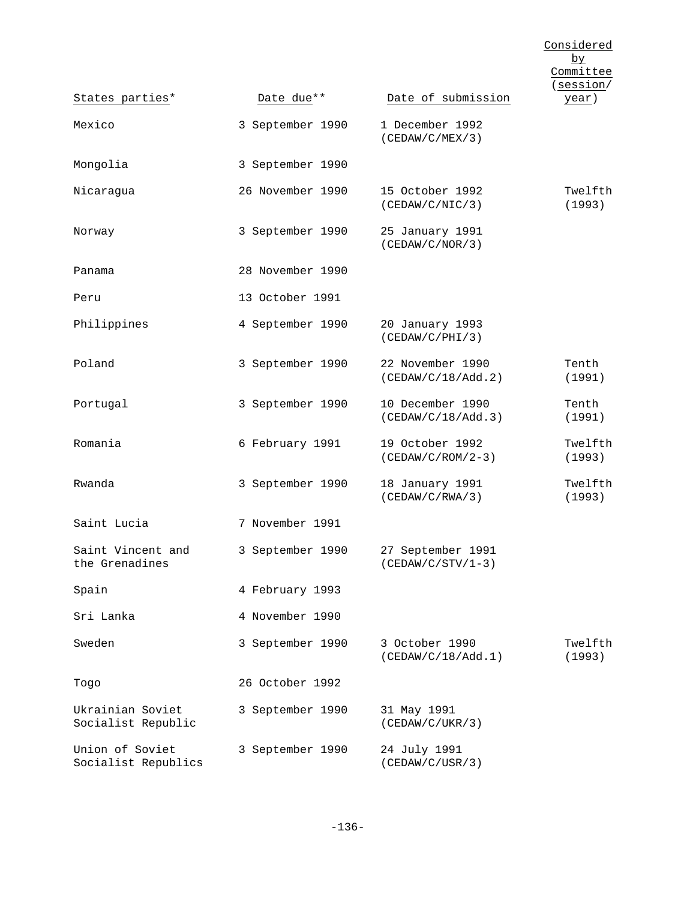|                                        |                  |                                          | Considered<br>$b\underline{v}$<br>Committee<br>(session/ |
|----------------------------------------|------------------|------------------------------------------|----------------------------------------------------------|
| States parties*                        | Date due**       | Date of submission                       | year)                                                    |
| Mexico                                 | 3 September 1990 | 1 December 1992<br>(CEDAW/C/MEX/3)       |                                                          |
| Mongolia                               | 3 September 1990 |                                          |                                                          |
| Nicaragua                              | 26 November 1990 | 15 October 1992<br>(CEDAW/C/NIC/3)       | Twelfth<br>(1993)                                        |
| Norway                                 | 3 September 1990 | 25 January 1991<br>(CEDAW/C/NOR/3)       |                                                          |
| Panama                                 | 28 November 1990 |                                          |                                                          |
| Peru                                   | 13 October 1991  |                                          |                                                          |
| Philippines                            | 4 September 1990 | 20 January 1993<br>(CEDAW/C/PHI/3)       |                                                          |
| Poland                                 | 3 September 1990 | 22 November 1990<br>(CEDAW/C/18/Add.2)   | Tenth<br>(1991)                                          |
| Portugal                               | 3 September 1990 | 10 December 1990<br>(CEDAW/C/18/Add.3)   | Tenth<br>(1991)                                          |
| Romania                                | 6 February 1991  | 19 October 1992<br>$(CEDAW/C/ROM/2-3)$   | Twelfth<br>(1993)                                        |
| Rwanda                                 | 3 September 1990 | 18 January 1991<br>(CEDAW/C/RWA/3)       | Twelfth<br>(1993)                                        |
| Saint Lucia                            | 7 November 1991  |                                          |                                                          |
| Saint Vincent and<br>the Grenadines    | 3 September 1990 | 27 September 1991<br>$(CEDAW/C/STV/1-3)$ |                                                          |
| Spain                                  | 4 February 1993  |                                          |                                                          |
| Sri Lanka                              | 4 November 1990  |                                          |                                                          |
| Sweden                                 | 3 September 1990 | 3 October 1990<br>(CEDAW/C/18/Add.1)     | Twelfth<br>(1993)                                        |
| Togo                                   | 26 October 1992  |                                          |                                                          |
| Ukrainian Soviet<br>Socialist Republic | 3 September 1990 | 31 May 1991<br>(CEDAW/C/UKR/3)           |                                                          |
| Union of Soviet<br>Socialist Republics | 3 September 1990 | 24 July 1991<br>(CEDAW/C/USR/3)          |                                                          |